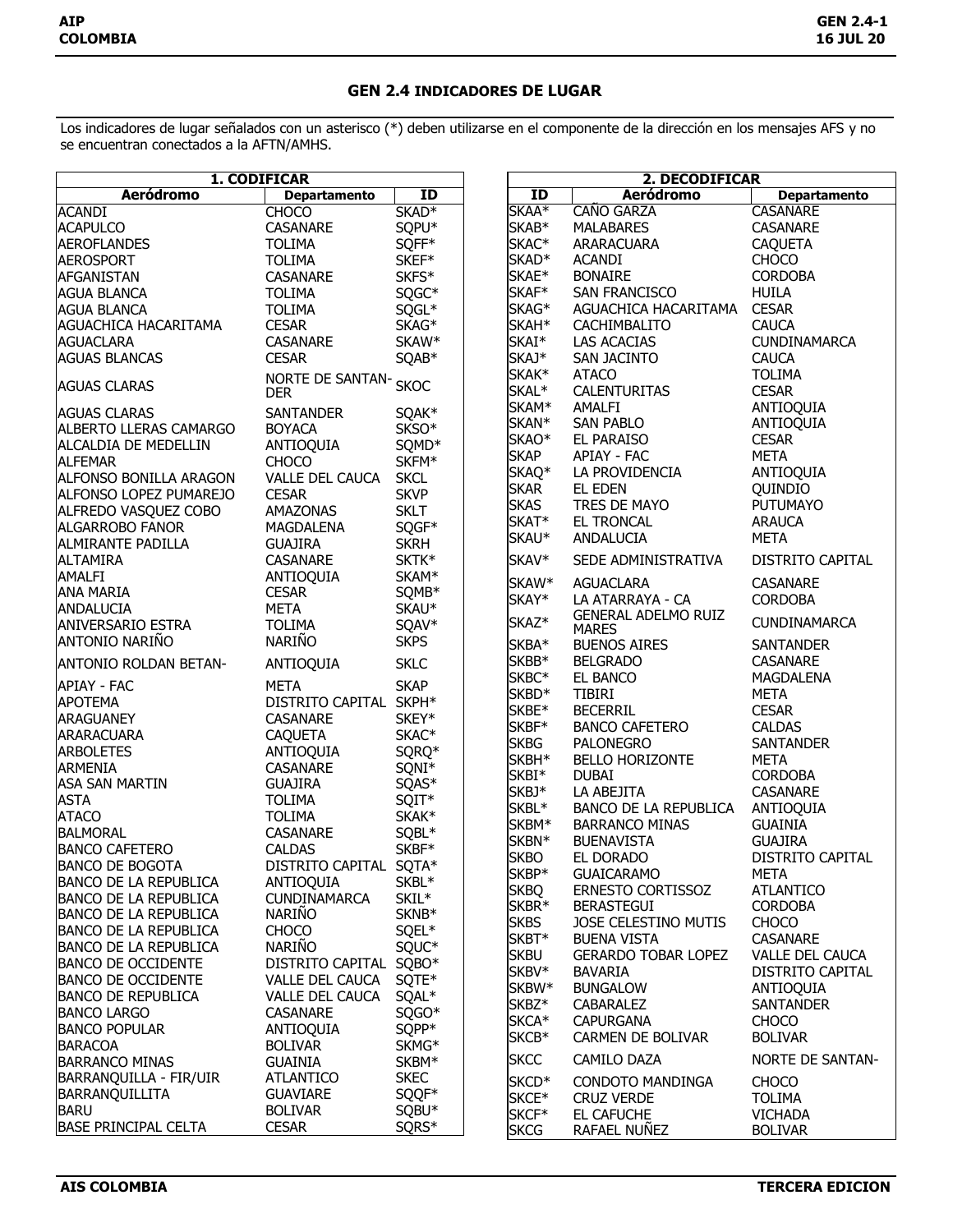## **GEN 2.4 INDICADORES DE LUGAR**

Los indicadores de lugar señalados con un asterisco (\*) deben utilizarse en el componente de la dirección en los mensajes AFS y no se encuentran conectados a la AFTN/AMHS.

| 1. CODIFICAR                 |                           | 2. DECODIFICAR    |                   |                            |                         |
|------------------------------|---------------------------|-------------------|-------------------|----------------------------|-------------------------|
| <b>Aeródromo</b>             | <b>Departamento</b>       | ID                | ID                | <b>Aeródromo</b>           | <b>Departamento</b>     |
| <b>ACANDI</b>                | <b>CHOCO</b>              | SKAD <sup>*</sup> | SKAA*             | <b>CAÑO GARZA</b>          | <b>CASANARE</b>         |
| <b>ACAPULCO</b>              | CASANARE                  | SQPU*             | SKAB*             | <b>MALABARES</b>           | CASANARE                |
| <b>AEROFLANDES</b>           | <b>TOLIMA</b>             | SQFF*             | SKAC <sup>*</sup> | ARARACUARA                 | <b>CAQUETA</b>          |
| <b>AEROSPORT</b>             | <b>TOLIMA</b>             | SKEF*             | SKAD <sup>*</sup> | <b>ACANDI</b>              | CHOCO                   |
| <b>AFGANISTAN</b>            | CASANARE                  | SKFS*             | SKAE*             | <b>BONAIRE</b>             | <b>CORDOBA</b>          |
| <b>AGUA BLANCA</b>           | <b>TOLIMA</b>             | SQGC*             | SKAF*             | SAN FRANCISCO              | <b>HUILA</b>            |
| <b>AGUA BLANCA</b>           | <b>TOLIMA</b>             | SQGL*             | SKAG*             | AGUACHICA HACARITAMA       | <b>CESAR</b>            |
| <b>AGUACHICA HACARITAMA</b>  | <b>CESAR</b>              | SKAG*             | SKAH <sup>*</sup> | CACHIMBALITO               | <b>CAUCA</b>            |
|                              |                           |                   | SKAI*             |                            | CUNDINAMARCA            |
| <b>AGUACLARA</b>             | CASANARE                  | SKAW*             | SKAJ*             | LAS ACACIAS                |                         |
| <b>AGUAS BLANCAS</b>         | <b>CESAR</b>              | SQAB*             |                   | SAN JACINTO                | <b>CAUCA</b>            |
| <b>AGUAS CLARAS</b>          | NORTE DE SANTAN- SKOC     |                   | SKAK*             | <b>ATACO</b>               | <b>TOLIMA</b>           |
|                              | <b>DER</b>                |                   | SKAL*             | CALENTURITAS               | <b>CESAR</b>            |
| <b>AGUAS CLARAS</b>          | SANTANDER                 | SQAK*             | SKAM*             | AMALFI                     | ANTIOQUIA               |
| ALBERTO LLERAS CAMARGO       | <b>BOYACA</b>             | SKSO*             | SKAN*             | <b>SAN PABLO</b>           | ANTIOQUIA               |
| ALCALDIA DE MEDELLIN         | ANTIOQUIA                 | SQMD*             | SKAO <sup>*</sup> | EL PARAISO                 | <b>CESAR</b>            |
| <b>ALFEMAR</b>               | <b>CHOCO</b>              | SKFM*             | <b>SKAP</b>       | APIAY - FAC                | <b>META</b>             |
| ALFONSO BONILLA ARAGON       | VALLE DEL CAUCA           | <b>SKCL</b>       | SKAQ <sup>*</sup> | LA PROVIDENCIA             | ANTIOQUIA               |
| ALFONSO LOPEZ PUMAREJO       | <b>CESAR</b>              | <b>SKVP</b>       | <b>SKAR</b>       | EL EDEN                    | QUINDIO                 |
| ALFREDO VASQUEZ COBO         | AMAZONAS                  | <b>SKLT</b>       | <b>SKAS</b>       | TRES DE MAYO               | <b>PUTUMAYO</b>         |
| <b>ALGARROBO FANOR</b>       | MAGDALENA                 | SQGF*             | SKAT*             | <b>EL TRONCAL</b>          | <b>ARAUCA</b>           |
| <b>ALMIRANTE PADILLA</b>     | <b>GUAJIRA</b>            | <b>SKRH</b>       | SKAU*             | ANDALUCIA                  | <b>META</b>             |
| <b>ALTAMIRA</b>              | CASANARE                  | SKTK*             | SKAV*             | SEDE ADMINISTRATIVA        | DISTRITO CAPITAL        |
| AMALFI                       |                           | SKAM*             |                   |                            |                         |
| <b>ANA MARIA</b>             | ANTIOQUIA<br><b>CESAR</b> |                   | SKAW*             | <b>AGUACLARA</b>           | <b>CASANARE</b>         |
|                              | <b>META</b>               | SQMB*             | SKAY*             | LA ATARRAYA - CA           | <b>CORDOBA</b>          |
| <b>ANDALUCIA</b>             |                           | SKAU*             | SKAZ*             | <b>GENERAL ADELMO RUIZ</b> | CUNDINAMARCA            |
| <b>ANIVERSARIO ESTRA</b>     | <b>TOLIMA</b>             | SQAV*             |                   | <b>MARES</b>               |                         |
| ANTONIO NARIÑO               | <b>NARIÑO</b>             | <b>SKPS</b>       | SKBA*             | <b>BUENOS AIRES</b>        | <b>SANTANDER</b>        |
| <b>ANTONIO ROLDAN BETAN-</b> | ANTIOQUIA                 | <b>SKLC</b>       | SKBB*             | <b>BELGRADO</b>            | <b>CASANARE</b>         |
| <b>APIAY - FAC</b>           | <b>META</b>               | <b>SKAP</b>       | SKBC*             | EL BANCO                   | MAGDALENA               |
| <b>APOTEMA</b>               | DISTRITO CAPITAL SKPH*    |                   | SKBD*             | <b>TIBIRI</b>              | <b>META</b>             |
| <b>ARAGUANEY</b>             | CASANARE                  | SKEY*             | SKBE*             | <b>BECERRIL</b>            | <b>CESAR</b>            |
| <b>ARARACUARA</b>            | <b>CAQUETA</b>            | SKAC*             | SKBF*             | <b>BANCO CAFETERO</b>      | <b>CALDAS</b>           |
| <b>ARBOLETES</b>             | ANTIOQUIA                 | SQRQ*             | <b>SKBG</b>       | <b>PALONEGRO</b>           | <b>SANTANDER</b>        |
| <b>ARMENIA</b>               | CASANARE                  | SQNI*             | SKBH*             | <b>BELLO HORIZONTE</b>     | <b>META</b>             |
| <b>ASA SAN MARTIN</b>        | <b>GUAJIRA</b>            | SQAS*             | SKBI*             | <b>DUBAI</b>               | <b>CORDOBA</b>          |
| <b>ASTA</b>                  | <b>TOLIMA</b>             | SQIT*             | SKBJ*             | LA ABEJITA                 | <b>CASANARE</b>         |
| <b>ATACO</b>                 | <b>TOLIMA</b>             | SKAK*             | SKBL*             | BANCO DE LA REPUBLICA      | ANTIOQUIA               |
| <b>BALMORAL</b>              |                           |                   | SKBM*             | <b>BARRANCO MINAS</b>      | <b>GUAINIA</b>          |
|                              | CASANARE                  | SQBL*             | SKBN*             | <b>BUENAVISTA</b>          | <b>GUAJIRA</b>          |
| <b>BANCO CAFETERO</b>        | <b>CALDAS</b>             | SKBF*             | <b>SKBO</b>       | EL DORADO                  | DISTRITO CAPITAL        |
| <b>BANCO DE BOGOTA</b>       | DISTRITO CAPITAL SQTA*    |                   | SKBP*             | <b>GUAICARAMO</b>          | <b>META</b>             |
| <b>BANCO DE LA REPUBLICA</b> | ANTIOQUIA                 | SKBL*             | <b>SKBQ</b>       | ERNESTO CORTISSOZ          | <b>ATLANTICO</b>        |
| <b>BANCO DE LA REPUBLICA</b> | CUNDINAMARCA              | SKIL*             | SKBR*             | <b>BERASTEGUI</b>          | <b>CORDOBA</b>          |
| <b>BANCO DE LA REPUBLICA</b> | <b>NARIÑO</b>             | SKNB*             | <b>SKBS</b>       | JOSE CELESTINO MUTIS       | <b>CHOCO</b>            |
| <b>BANCO DE LA REPUBLICA</b> | <b>CHOCO</b>              | SQEL*             | SKBT*             | <b>BUENA VISTA</b>         | CASANARE                |
| <b>BANCO DE LA REPUBLICA</b> | <b>NARIÑO</b>             | SQUC*             | <b>SKBU</b>       | <b>GERARDO TOBAR LOPEZ</b> | <b>VALLE DEL CAUCA</b>  |
| <b>BANCO DE OCCIDENTE</b>    | DISTRITO CAPITAL SQBO*    |                   | SKBV*             | BAVARIA                    | DISTRITO CAPITAL        |
| <b>BANCO DE OCCIDENTE</b>    | VALLE DEL CAUCA           | SQTE*             | SKBW*             | <b>BUNGALOW</b>            | <b>ANTIOQUIA</b>        |
| <b>BANCO DE REPUBLICA</b>    | VALLE DEL CAUCA           | SQAL*             | SKBZ*             | CABARALEZ                  | <b>SANTANDER</b>        |
| <b>BANCO LARGO</b>           | CASANARE                  | SQGO*             | SKCA*             | <b>CAPURGANA</b>           | <b>CHOCO</b>            |
| <b>BANCO POPULAR</b>         | ANTIOQUIA                 | SQPP*             | SKCB*             | <b>CARMEN DE BOLIVAR</b>   | <b>BOLIVAR</b>          |
| <b>BARACOA</b>               | <b>BOLIVAR</b>            | SKMG <sup>*</sup> |                   |                            |                         |
| <b>BARRANCO MINAS</b>        | <b>GUAINIA</b>            | SKBM*             | <b>SKCC</b>       | CAMILO DAZA                | <b>NORTE DE SANTAN-</b> |
| BARRANQUILLA - FIR/UIR       | <b>ATLANTICO</b>          | <b>SKEC</b>       | SKCD <sup>*</sup> | <b>CONDOTO MANDINGA</b>    | <b>CHOCO</b>            |
| BARRANQUILLITA               | <b>GUAVIARE</b>           | SQQF*             | SKCE*             | <b>CRUZ VERDE</b>          | <b>TOLIMA</b>           |
| <b>BARU</b>                  | <b>BOLIVAR</b>            | SQBU <sup>*</sup> | SKCF*             | EL CAFUCHE                 | <b>VICHADA</b>          |
| <b>BASE PRINCIPAL CELTA</b>  | <b>CESAR</b>              | SQRS*             | <b>SKCG</b>       | RAFAEL NUÑEZ               | <b>BOLIVAR</b>          |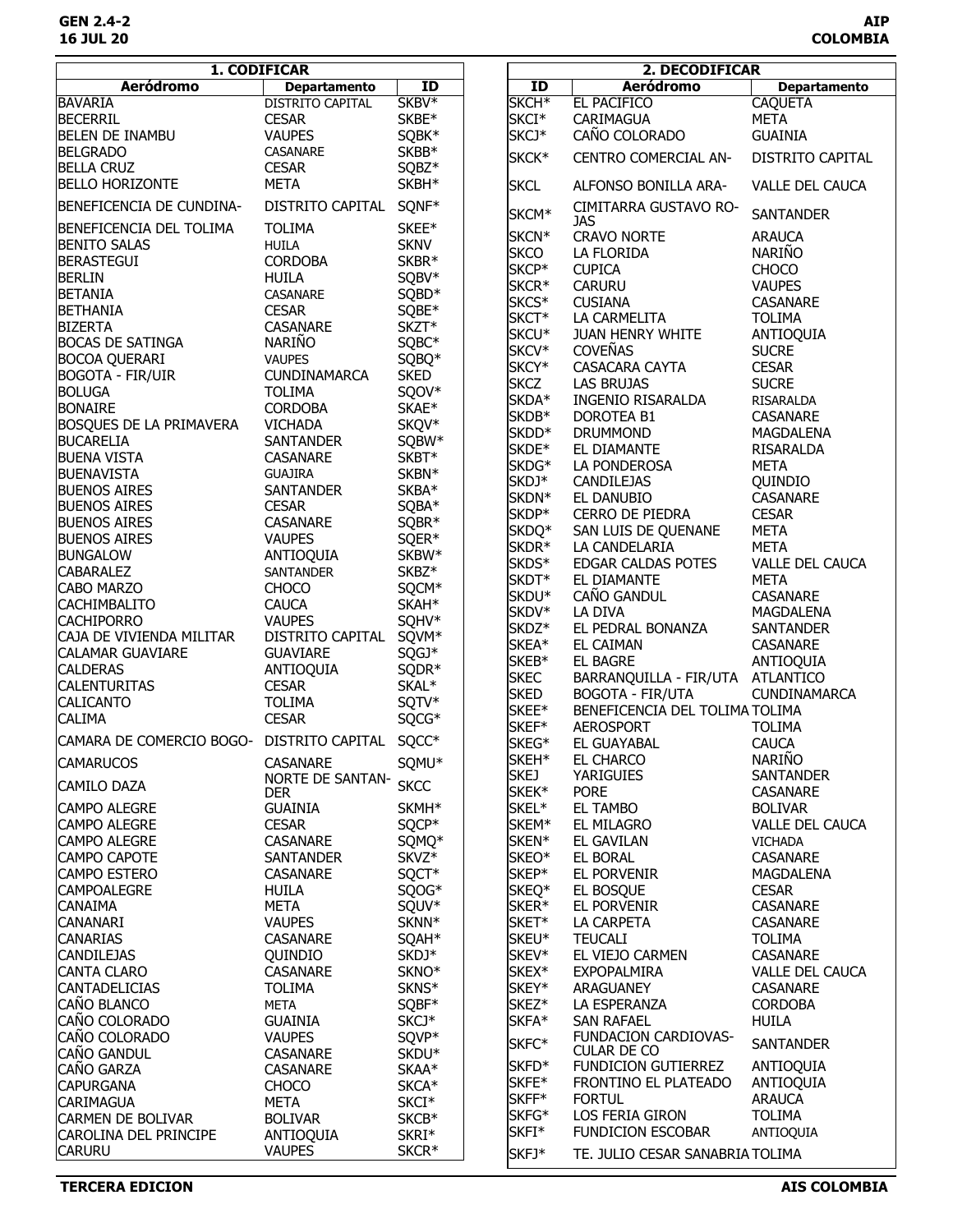|                                           | 1. CODIFICAR            |                   |                   | 2. DECODIFICAR                   |                        |
|-------------------------------------------|-------------------------|-------------------|-------------------|----------------------------------|------------------------|
| <b>Aeródromo</b>                          | <b>Departamento</b>     | ID                | ID                | <b>Aeródromo</b>                 | <b>Departamento</b>    |
| <b>BAVARIA</b>                            | <b>DISTRITO CAPITAL</b> | SKBV <sup>*</sup> | SKCH <sup>*</sup> | <b>EL PACIFICO</b>               | <b>CAQUETA</b>         |
| <b>BECERRIL</b>                           | <b>CESAR</b>            | SKBE*             | SKCI <sup>*</sup> | CARIMAGUA                        | <b>META</b>            |
| <b>BELEN DE INAMBU</b>                    | <b>VAUPES</b>           | SQBK*             | SKCJ*             | CAÑO COLORADO                    | <b>GUAINIA</b>         |
| <b>BELGRADO</b>                           | CASANARE                | SKBB*             |                   |                                  |                        |
| <b>BELLA CRUZ</b>                         | <b>CESAR</b>            | SQBZ*             | SKCK*             | CENTRO COMERCIAL AN-             | DISTRITO CAPITAL       |
| <b>BELLO HORIZONTE</b>                    | <b>META</b>             | SKBH*             | <b>SKCL</b>       | ALFONSO BONILLA ARA-             | <b>VALLE DEL CAUCA</b> |
| BENEFICENCIA DE CUNDINA-                  | DISTRITO CAPITAL        | SQNF*             | SKCM*             | CIMITARRA GUSTAVO RO-<br>JAS     | <b>SANTANDER</b>       |
| BENEFICENCIA DEL TOLIMA                   | <b>TOLIMA</b>           | SKEE*             | SKCN*             | <b>CRAVO NORTE</b>               | <b>ARAUCA</b>          |
| <b>BENITO SALAS</b>                       | <b>HUILA</b>            | <b>SKNV</b>       | <b>SKCO</b>       | LA FLORIDA                       | <b>NARIÑO</b>          |
| <b>BERASTEGUI</b>                         | <b>CORDOBA</b>          | SKBR*             | SKCP*             | <b>CUPICA</b>                    | <b>CHOCO</b>           |
| <b>BERLIN</b>                             | <b>HUILA</b>            | SQBV*             | SKCR*             | <b>CARURU</b>                    | <b>VAUPES</b>          |
| <b>BETANIA</b>                            | CASANARE                | SQBD*             |                   |                                  |                        |
| <b>BETHANIA</b>                           | <b>CESAR</b>            | SQBE*             | SKCS*             | <b>CUSIANA</b>                   | CASANARE               |
| <b>BIZERTA</b>                            | CASANARE                | SKZT*             | SKCT*             | LA CARMELITA                     | <b>TOLIMA</b>          |
| <b>BOCAS DE SATINGA</b>                   | <b>NARIÑO</b>           | SQBC*             | SKCU*             | JUAN HENRY WHITE                 | ANTIOQUIA              |
| <b>BOCOA QUERARI</b>                      | <b>VAUPES</b>           | SQBQ*             | SKCV*             | <b>COVEÑAS</b>                   | <b>SUCRE</b>           |
| <b>BOGOTA - FIR/UIR</b>                   | <b>CUNDINAMARCA</b>     | <b>SKED</b>       | SKCY*             | CASACARA CAYTA                   | <b>CESAR</b>           |
| <b>BOLUGA</b>                             | <b>TOLIMA</b>           | SQOV*             | <b>SKCZ</b>       | <b>LAS BRUJAS</b>                | <b>SUCRE</b>           |
| <b>BONAIRE</b>                            | <b>CORDOBA</b>          | SKAE*             | SKDA*             | INGENIO RISARALDA                | RISARALDA              |
| <b>BOSQUES DE LA PRIMAVERA</b>            | <b>VICHADA</b>          | SKQV*             | SKDB*             | <b>DOROTEA B1</b>                | CASANARE               |
|                                           |                         |                   | SKDD*             | <b>DRUMMOND</b>                  | MAGDALENA              |
| <b>BUCARELIA</b>                          | <b>SANTANDER</b>        | SQBW*             | SKDE*             | EL DIAMANTE                      | RISARALDA              |
| <b>BUENA VISTA</b>                        | CASANARE                | SKBT*             | SKDG*             | LA PONDEROSA                     | <b>META</b>            |
| <b>BUENAVISTA</b>                         | <b>GUAJIRA</b>          | SKBN*             | SKDJ*             | <b>CANDILEJAS</b>                | QUINDIO                |
| <b>BUENOS AIRES</b>                       | <b>SANTANDER</b>        | SKBA*             | SKDN*             | EL DANUBIO                       | CASANARE               |
| <b>BUENOS AIRES</b>                       | <b>CESAR</b>            | SQBA*             | SKDP*             | CERRO DE PIEDRA                  | <b>CESAR</b>           |
| <b>BUENOS AIRES</b>                       | CASANARE                | SQBR*             | SKDQ*             | SAN LUIS DE QUENANE              | <b>META</b>            |
| <b>BUENOS AIRES</b>                       | <b>VAUPES</b>           | SQER*             | SKDR*             | LA CANDELARIA                    | <b>META</b>            |
| <b>BUNGALOW</b>                           | ANTIOQUIA               | SKBW*             | SKDS*             | EDGAR CALDAS POTES               | <b>VALLE DEL CAUCA</b> |
| <b>CABARALEZ</b>                          | <b>SANTANDER</b>        | SKBZ*             | SKDT*             | EL DIAMANTE                      | <b>META</b>            |
| <b>CABO MARZO</b>                         | <b>CHOCO</b>            | SQCM*             | SKDU*             | CAÑO GANDUL                      | <b>CASANARE</b>        |
| <b>CACHIMBALITO</b>                       | <b>CAUCA</b>            | SKAH*             | SKDV*             | LA DIVA                          |                        |
| <b>CACHIPORRO</b>                         | <b>VAUPES</b>           | SQHV*             |                   |                                  | MAGDALENA              |
| CAJA DE VIVIENDA MILITAR                  | DISTRITO CAPITAL SQVM*  |                   | SKDZ*             | EL PEDRAL BONANZA                | <b>SANTANDER</b>       |
| <b>CALAMAR GUAVIARE</b>                   | <b>GUAVIARE</b>         | SQGJ*             | SKEA*             | EL CAIMAN                        | <b>CASANARE</b>        |
| <b>CALDERAS</b>                           | ANTIOQUIA               | SQDR*             | SKEB*             | <b>EL BAGRE</b>                  | ANTIOQUIA              |
| <b>CALENTURITAS</b>                       | <b>CESAR</b>            | SKAL*             | <b>SKEC</b>       | BARRANQUILLA - FIR/UTA ATLANTICO |                        |
| <b>CALICANTO</b>                          | <b>TOLIMA</b>           | SQTV*             | <b>SKED</b>       | <b>BOGOTA - FIR/UTA</b>          | CUNDINAMARCA           |
| <b>CALIMA</b>                             | <b>CESAR</b>            | SQCG*             | SKEE*             | BENEFICENCIA DEL TOLIMA TOLIMA   |                        |
|                                           |                         |                   | SKEF*             | <b>AEROSPORT</b>                 | <b>TOLIMA</b>          |
| CAMARA DE COMERCIO BOGO- DISTRITO CAPITAL |                         | SQCC*             | SKEG*             | EL GUAYABAL                      | <b>CAUCA</b>           |
| <b>CAMARUCOS</b>                          | CASANARE                | SQMU*             | SKEH*             | EL CHARCO                        | <b>NARIÑO</b>          |
| <b>CAMILO DAZA</b>                        | <b>NORTE DE SANTAN-</b> | <b>SKCC</b>       | <b>SKEJ</b>       | <b>YARIGUIES</b>                 | <b>SANTANDER</b>       |
|                                           | <b>DER</b>              |                   | SKEK*             | <b>PORE</b>                      | <b>CASANARE</b>        |
| <b>CAMPO ALEGRE</b>                       | <b>GUAINIA</b>          | SKMH <sup>*</sup> | SKEL*             | <b>EL TAMBO</b>                  | <b>BOLIVAR</b>         |
| <b>CAMPO ALEGRE</b>                       | <b>CESAR</b>            | SQCP*             | SKEM*             | EL MILAGRO                       | <b>VALLE DEL CAUCA</b> |
| <b>CAMPO ALEGRE</b>                       | <b>CASANARE</b>         | SQMQ*             | SKEN*             | EL GAVILAN                       | <b>VICHADA</b>         |
| <b>CAMPO CAPOTE</b>                       | <b>SANTANDER</b>        | SKVZ*             | SKEO*             | EL BORAL                         | <b>CASANARE</b>        |
| <b>CAMPO ESTERO</b>                       | <b>CASANARE</b>         | SQCT*             | SKEP*             | EL PORVENIR                      | MAGDALENA              |
| <b>CAMPOALEGRE</b>                        | HUILA                   | SQOG*             | SKEQ*             | EL BOSQUE                        | <b>CESAR</b>           |
| <b>CANAIMA</b>                            | META                    | SQUV*             | SKER*             | EL PORVENIR                      | <b>CASANARE</b>        |
| <b>CANANARI</b>                           | <b>VAUPES</b>           | SKNN*             | SKET*             | LA CARPETA                       | <b>CASANARE</b>        |
| <b>CANARIAS</b>                           | <b>CASANARE</b>         | SQAH <sup>*</sup> | SKEU*             | <b>TEUCALI</b>                   | <b>TOLIMA</b>          |
| <b>CANDILEJAS</b>                         | QUINDIO                 | SKDJ*             | SKEV*             | EL VIEJO CARMEN                  | <b>CASANARE</b>        |
| CANTA CLARO                               | <b>CASANARE</b>         | SKNO <sup>*</sup> | SKEX*             | <b>EXPOPALMIRA</b>               | <b>VALLE DEL CAUCA</b> |
| <b>CANTADELICIAS</b>                      | <b>TOLIMA</b>           | SKNS*             | SKEY*             | ARAGUANEY                        | <b>CASANARE</b>        |
| CAÑO BLANCO                               | <b>META</b>             | SQBF*             | SKEZ*             | LA ESPERANZA                     | <b>CORDOBA</b>         |
| CAÑO COLORADO                             | <b>GUAINIA</b>          | SKCJ*             | SKFA*             | <b>SAN RAFAEL</b>                | <b>HUILA</b>           |
| CAÑO COLORADO                             | <b>VAUPES</b>           | SQVP*             |                   | FUNDACION CARDIOVAS-             |                        |
| CAÑO GANDUL                               |                         |                   | SKFC*             | <b>CULAR DE CO</b>               | <b>SANTANDER</b>       |
| CAÑO GARZA                                | <b>CASANARE</b>         | SKDU <sup>*</sup> | SKFD*             | FUNDICION GUTIERREZ              | ANTIOQUIA              |
|                                           | <b>CASANARE</b>         | SKAA*             | SKFE*             | FRONTINO EL PLATEADO             | ANTIOQUIA              |
| <b>CAPURGANA</b>                          | <b>CHOCO</b>            | SKCA*             | SKFF*             | <b>FORTUL</b>                    | <b>ARAUCA</b>          |
| <b>CARIMAGUA</b>                          | <b>META</b>             | SKCI <sup>*</sup> | SKFG*             | LOS FERIA GIRON                  | <b>TOLIMA</b>          |
| <b>CARMEN DE BOLIVAR</b>                  | <b>BOLIVAR</b>          | SKCB*             | SKFI*             | <b>FUNDICION ESCOBAR</b>         | ANTIOQUIA              |
| CAROLINA DEL PRINCIPE                     | ANTIOQUIA               | SKRI*             |                   |                                  |                        |
| <b>CARURU</b>                             | <b>VAUPES</b>           | SKCR <sup>*</sup> | SKFJ*             | TE. JULIO CESAR SANABRIA TOLIMA  |                        |

 $\overline{\phantom{a}}$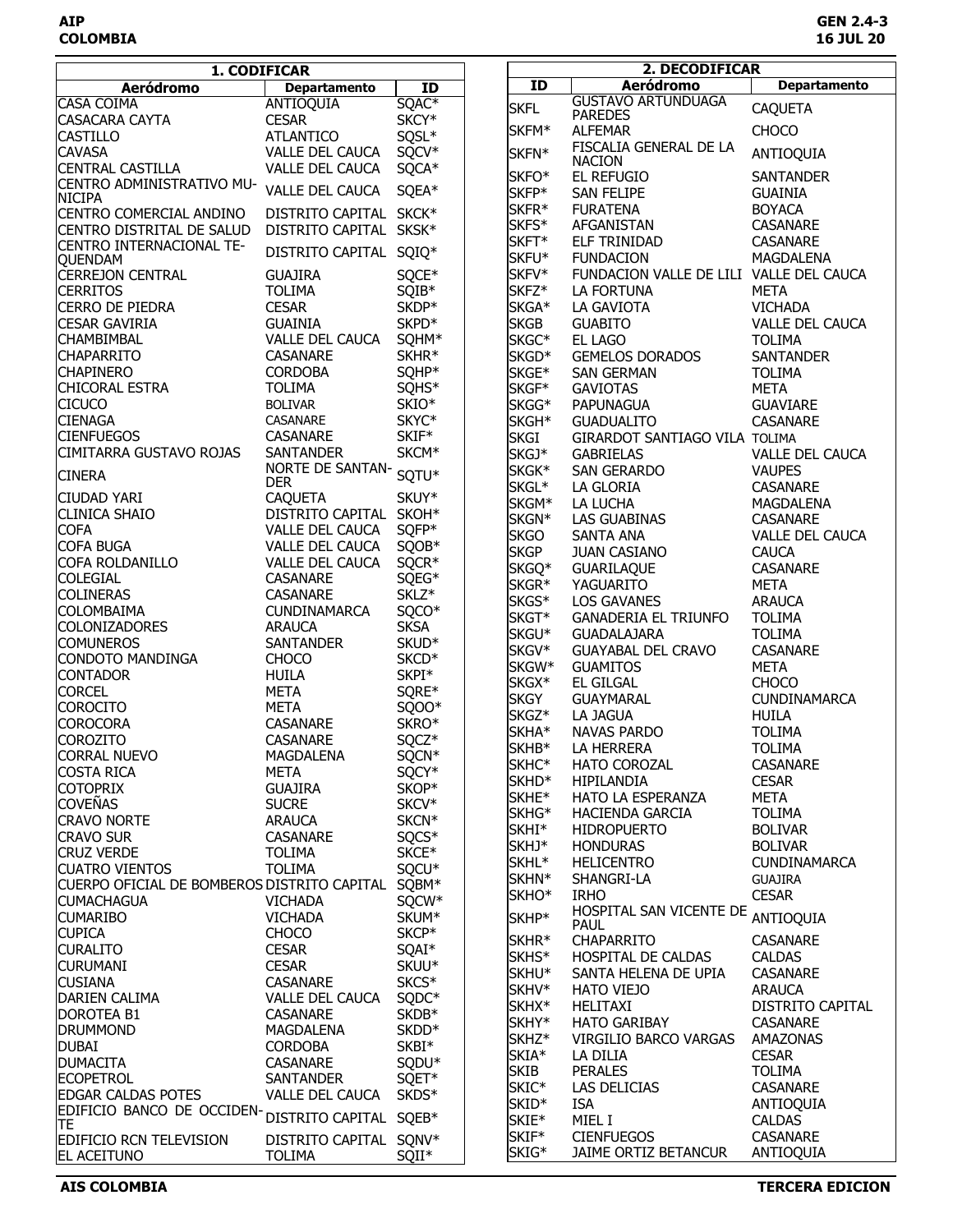| ID<br>Aeródromo<br><b>Departamento</b><br><b>Aeródromo</b><br>$\overline{1}$<br><b>Departamento</b><br><b>GUSTAVO ARTUNDUAGA</b><br><b>CASA COIMA</b><br>SQAC <sup>*</sup><br>ANTIOQUIA<br><b>SKFL</b><br><b>CAQUETA</b><br><b>PAREDES</b><br>SKCY*<br><b>CASACARA CAYTA</b><br><b>CESAR</b><br>SKFM*<br><b>CHOCO</b><br><b>ALFEMAR</b><br>SQSL*<br><b>CASTILLO</b><br><b>ATLANTICO</b><br>FISCALIA GENERAL DE LA<br>SQCV*<br><b>CAVASA</b><br>VALLE DEL CAUCA<br>SKFN*<br>ANTIOQUIA<br><b>NACION</b><br><b>CENTRAL CASTILLA</b><br>VALLE DEL CAUCA<br>SQCA*<br>SKFO*<br>EL REFUGIO<br><b>SANTANDER</b><br>CENTRO ADMINISTRATIVO MU-<br>VALLE DEL CAUCA<br>SQEA*<br>SKFP*<br>SAN FELIPE<br><b>GUAINIA</b><br>SKFR*<br><b>BOYACA</b><br><b>FURATENA</b><br>DISTRITO CAPITAL SKCK*<br>CENTRO COMERCIAL ANDINO<br>SKFS*<br>AFGANISTAN<br>CASANARE<br>CENTRO DISTRITAL DE SALUD<br>DISTRITO CAPITAL SKSK*<br>SKFT*<br>ELF TRINIDAD<br>CASANARE<br><b>CENTRO INTERNACIONAL TE-</b><br>DISTRITO CAPITAL SQIQ*<br>SKFU*<br><b>FUNDACION</b><br>MAGDALENA<br><b>QUENDAM</b><br>SQCE*<br>SKFV*<br><b>CERREJON CENTRAL</b><br><b>GUAJIRA</b><br>FUNDACION VALLE DE LILI VALLE DEL CAUCA<br>SQIB*<br>SKFZ*<br><b>CERRITOS</b><br><b>TOLIMA</b><br>LA FORTUNA<br><b>META</b><br>SKDP*<br><b>CERRO DE PIEDRA</b><br><b>CESAR</b><br>SKGA*<br>LA GAVIOTA<br><b>VICHADA</b><br>SKPD*<br><b>SKGB</b><br><b>CESAR GAVIRIA</b><br><b>GUAINIA</b><br><b>GUABITO</b><br><b>VALLE DEL CAUCA</b><br>VALLE DEL CAUCA<br>SQHM*<br><b>CHAMBIMBAL</b><br>SKGC*<br>EL LAGO<br><b>TOLIMA</b><br>SKHR*<br><b>CHAPARRITO</b><br>CASANARE<br>SKGD*<br><b>GEMELOS DORADOS</b><br><b>SANTANDER</b><br><b>CORDOBA</b><br>SQHP*<br><b>CHAPINERO</b><br>SKGE*<br>SAN GERMAN<br><b>TOLIMA</b><br>SQHS*<br>CHICORAL ESTRA<br><b>TOLIMA</b><br>SKGF*<br><b>META</b><br><b>GAVIOTAS</b><br>SKIO*<br><b>CICUCO</b><br><b>BOLIVAR</b><br>SKGG*<br><b>PAPUNAGUA</b><br><b>GUAVIARE</b><br><b>CIENAGA</b><br>SKYC*<br>CASANARE<br>SKGH <sup>*</sup><br><b>GUADUALITO</b><br>CASANARE<br>SKIF*<br><b>CIENFUEGOS</b><br>CASANARE<br><b>SKGI</b><br>GIRARDOT SANTIAGO VILA TOLIMA<br>SKCM*<br>CIMITARRA GUSTAVO ROJAS<br><b>SANTANDER</b><br>SKGJ*<br><b>GABRIELAS</b><br>VALLE DEL CAUCA<br>NORTE DE SANTAN- SQTU*<br>SKGK*<br><b>VAUPES</b><br>SAN GERARDO<br><b>CINERA</b><br><b>DER</b><br>SKGL*<br>LA GLORIA<br>CASANARE<br>SKUY*<br>ICIUDAD YARI<br><b>CAQUETA</b><br>SKGM*<br>LA LUCHA<br>MAGDALENA<br>DISTRITO CAPITAL SKOH*<br><b>CLINICA SHAIO</b><br>SKGN*<br>LAS GUABINAS<br>CASANARE<br>SQFP*<br><b>COFA</b><br>VALLE DEL CAUCA<br><b>SKGO</b><br>SANTA ANA<br><b>VALLE DEL CAUCA</b><br>SQOB*<br><b>COFA BUGA</b><br>VALLE DEL CAUCA<br><b>SKGP</b><br><b>JUAN CASIANO</b><br><b>CAUCA</b><br>COFA ROLDANILLO<br>SQCR*<br><b>VALLE DEL CAUCA</b><br>SKGQ*<br>CASANARE<br><b>GUARILAQUE</b><br>CASANARE<br>SQEG*<br><b>COLEGIAL</b><br>SKGR*<br><b>META</b><br>YAGUARITO<br>SKLZ*<br><b>COLINERAS</b><br>CASANARE<br>SKGS*<br><b>LOS GAVANES</b><br><b>ARAUCA</b><br>SQCO*<br><b>COLOMBAIMA</b><br><b>CUNDINAMARCA</b><br>SKGT*<br><b>GANADERIA EL TRIUNFO</b><br><b>TOLIMA</b><br><b>COLONIZADORES</b><br><b>ARAUCA</b><br><b>SKSA</b><br>SKGU*<br><b>GUADALAJARA</b><br><b>TOLIMA</b><br>SKUD*<br><b>COMUNEROS</b><br><b>SANTANDER</b><br>SKGV*<br>CASANARE<br><b>GUAYABAL DEL CRAVO</b><br>SKCD <sup>*</sup><br>CONDOTO MANDINGA<br><b>CHOCO</b><br>SKGW*<br><b>GUAMITOS</b><br><b>META</b><br>SKPI*<br><b>CONTADOR</b><br><b>HUILA</b><br>SKGX*<br>EL GILGAL<br><b>CHOCO</b><br><b>META</b><br>SQRE*<br><b>CORCEL</b><br><b>SKGY</b><br><b>GUAYMARAL</b><br><b>CUNDINAMARCA</b><br><b>COROCITO</b><br><b>META</b><br>SQOO*<br>SKGZ*<br>LA JAGUA<br><b>HUILA</b><br>SKRO*<br><b>COROCORA</b><br>CASANARE<br>SKHA*<br>NAVAS PARDO<br><b>TOLIMA</b><br>SQCZ*<br><b>COROZITO</b><br><b>CASANARE</b><br>SKHB*<br>LA HERRERA<br><b>TOLIMA</b><br><b>CORRAL NUEVO</b><br>SQCN*<br>MAGDALENA<br>SKHC*<br>HATO COROZAL<br>CASANARE<br><b>COSTA RICA</b><br>SQCY*<br><b>META</b><br>SKHD <sup>*</sup><br><b>CESAR</b><br>HIPILANDIA<br>SKOP*<br><b>COTOPRIX</b><br><b>GUAJIRA</b><br>SKHE*<br>HATO LA ESPERANZA<br>META<br><b>COVEÑAS</b><br>SKCV*<br><b>SUCRE</b><br>SKHG*<br><b>TOLIMA</b><br><b>HACIENDA GARCIA</b><br>SKCN*<br><b>CRAVO NORTE</b><br><b>ARAUCA</b><br>SKHI*<br><b>HIDROPUERTO</b><br><b>BOLIVAR</b><br><b>CRAVO SUR</b><br>CASANARE<br>SQCS*<br>SKHJ*<br><b>HONDURAS</b><br><b>BOLIVAR</b><br><b>CRUZ VERDE</b><br>SKCE*<br><b>TOLIMA</b><br>SKHL <sup>*</sup><br><b>HELICENTRO</b><br><b>CUNDINAMARCA</b><br>SQCU*<br><b>CUATRO VIENTOS</b><br><b>TOLIMA</b><br>SKHN*<br>SHANGRI-LA<br><b>GUAJIRA</b><br>SQBM*<br>CUERPO OFICIAL DE BOMBEROS DISTRITO CAPITAL<br>SKHO <sup>*</sup><br><b>IRHO</b><br><b>CESAR</b><br><b>CUMACHAGUA</b><br>SQCW*<br><b>VICHADA</b><br>HOSPITAL SAN VICENTE DE<br>ANTIOQUIA<br><b>CUMARIBO</b><br>SKUM*<br>SKHP*<br><b>VICHADA</b><br><b>PAUL</b><br><b>CUPICA</b><br>SKCP*<br><b>CHOCO</b><br>SKHR <sup>*</sup><br><b>CHAPARRITO</b><br><b>CASANARE</b><br><b>CESAR</b><br><b>CURALITO</b><br>SQAI*<br>SKHS*<br><b>CALDAS</b><br>HOSPITAL DE CALDAS<br><b>CESAR</b><br>SKUU*<br>SKHU <sup>*</sup><br>CASANARE<br>SANTA HELENA DE UPIA<br>CASANARE<br>SKCS <sup>*</sup><br>SKHV*<br><b>HATO VIEJO</b><br><b>ARAUCA</b><br><b>VALLE DEL CAUCA</b><br>SQDC*<br>SKHX*<br>HELITAXI<br>DISTRITO CAPITAL<br>SKDB*<br>CASANARE<br>SKHY*<br><b>HATO GARIBAY</b><br>CASANARE<br>SKDD <sup>*</sup><br>MAGDALENA<br>SKHZ <sup>*</sup><br>VIRGILIO BARCO VARGAS<br>AMAZONAS<br>SKBI*<br><b>CORDOBA</b><br>SKIA*<br>LA DILIA<br><b>CESAR</b><br>SQDU*<br><b>CASANARE</b><br><b>SKIB</b><br><b>PERALES</b><br><b>TOLIMA</b><br><b>ECOPETROL</b><br>SQET*<br><b>SANTANDER</b><br>SKIC*<br>LAS DELICIAS<br>CASANARE<br><b>EDGAR CALDAS POTES</b><br><b>VALLE DEL CAUCA</b><br>SKDS*<br>SKID*<br><b>ISA</b><br>ANTIOQUIA<br>EDIFICIO BANCO DE OCCIDEN-<br>DISTRITO CAPITAL SQEB*<br>SKIE*<br>MIEL I<br><b>CALDAS</b><br>TE.<br>SKIF*<br><b>CIENFUEGOS</b><br>CASANARE<br>DISTRITO CAPITAL SQNV*<br><b>EDIFICIO RCN TELEVISION</b> | 1. CODIFICAR         |               |       | 2. DECODIFICAR |                      |           |  |
|-----------------------------------------------------------------------------------------------------------------------------------------------------------------------------------------------------------------------------------------------------------------------------------------------------------------------------------------------------------------------------------------------------------------------------------------------------------------------------------------------------------------------------------------------------------------------------------------------------------------------------------------------------------------------------------------------------------------------------------------------------------------------------------------------------------------------------------------------------------------------------------------------------------------------------------------------------------------------------------------------------------------------------------------------------------------------------------------------------------------------------------------------------------------------------------------------------------------------------------------------------------------------------------------------------------------------------------------------------------------------------------------------------------------------------------------------------------------------------------------------------------------------------------------------------------------------------------------------------------------------------------------------------------------------------------------------------------------------------------------------------------------------------------------------------------------------------------------------------------------------------------------------------------------------------------------------------------------------------------------------------------------------------------------------------------------------------------------------------------------------------------------------------------------------------------------------------------------------------------------------------------------------------------------------------------------------------------------------------------------------------------------------------------------------------------------------------------------------------------------------------------------------------------------------------------------------------------------------------------------------------------------------------------------------------------------------------------------------------------------------------------------------------------------------------------------------------------------------------------------------------------------------------------------------------------------------------------------------------------------------------------------------------------------------------------------------------------------------------------------------------------------------------------------------------------------------------------------------------------------------------------------------------------------------------------------------------------------------------------------------------------------------------------------------------------------------------------------------------------------------------------------------------------------------------------------------------------------------------------------------------------------------------------------------------------------------------------------------------------------------------------------------------------------------------------------------------------------------------------------------------------------------------------------------------------------------------------------------------------------------------------------------------------------------------------------------------------------------------------------------------------------------------------------------------------------------------------------------------------------------------------------------------------------------------------------------------------------------------------------------------------------------------------------------------------------------------------------------------------------------------------------------------------------------------------------------------------------------------------------------------------------------------------------------------------------------------------------------------------------------------------------------------------------------------------------------------------------------------------------------------------------------------------------------------------------------------------------------------------------------------------------------------------------------------------------------------------------------------------------------------------------------------------------------------------------------------------------------------------------------------------------------------------------------------------------------------------------------------------------------------------------------------------------------------------------------------------------------------------------------------------------------------------------------------------------------------------------------------------------------------------------------------------------------------------------------------------------------------------------------------------------------------------------------------------------------------------------------------------------------------------------------------------------------------------------------------------------------------------------------------------------------------------------------------------------------------------------------------------------------------|----------------------|---------------|-------|----------------|----------------------|-----------|--|
|                                                                                                                                                                                                                                                                                                                                                                                                                                                                                                                                                                                                                                                                                                                                                                                                                                                                                                                                                                                                                                                                                                                                                                                                                                                                                                                                                                                                                                                                                                                                                                                                                                                                                                                                                                                                                                                                                                                                                                                                                                                                                                                                                                                                                                                                                                                                                                                                                                                                                                                                                                                                                                                                                                                                                                                                                                                                                                                                                                                                                                                                                                                                                                                                                                                                                                                                                                                                                                                                                                                                                                                                                                                                                                                                                                                                                                                                                                                                                                                                                                                                                                                                                                                                                                                                                                                                                                                                                                                                                                                                                                                                                                                                                                                                                                                                                                                                                                                                                                                                                                                                                                                                                                                                                                                                                                                                                                                                                                                                                                                                                                                                                                                                                                                                                                                                                                                                                                                                                                                                                                                                                                                             |                      |               |       |                |                      |           |  |
|                                                                                                                                                                                                                                                                                                                                                                                                                                                                                                                                                                                                                                                                                                                                                                                                                                                                                                                                                                                                                                                                                                                                                                                                                                                                                                                                                                                                                                                                                                                                                                                                                                                                                                                                                                                                                                                                                                                                                                                                                                                                                                                                                                                                                                                                                                                                                                                                                                                                                                                                                                                                                                                                                                                                                                                                                                                                                                                                                                                                                                                                                                                                                                                                                                                                                                                                                                                                                                                                                                                                                                                                                                                                                                                                                                                                                                                                                                                                                                                                                                                                                                                                                                                                                                                                                                                                                                                                                                                                                                                                                                                                                                                                                                                                                                                                                                                                                                                                                                                                                                                                                                                                                                                                                                                                                                                                                                                                                                                                                                                                                                                                                                                                                                                                                                                                                                                                                                                                                                                                                                                                                                                             |                      |               |       |                |                      |           |  |
|                                                                                                                                                                                                                                                                                                                                                                                                                                                                                                                                                                                                                                                                                                                                                                                                                                                                                                                                                                                                                                                                                                                                                                                                                                                                                                                                                                                                                                                                                                                                                                                                                                                                                                                                                                                                                                                                                                                                                                                                                                                                                                                                                                                                                                                                                                                                                                                                                                                                                                                                                                                                                                                                                                                                                                                                                                                                                                                                                                                                                                                                                                                                                                                                                                                                                                                                                                                                                                                                                                                                                                                                                                                                                                                                                                                                                                                                                                                                                                                                                                                                                                                                                                                                                                                                                                                                                                                                                                                                                                                                                                                                                                                                                                                                                                                                                                                                                                                                                                                                                                                                                                                                                                                                                                                                                                                                                                                                                                                                                                                                                                                                                                                                                                                                                                                                                                                                                                                                                                                                                                                                                                                             |                      |               |       |                |                      |           |  |
|                                                                                                                                                                                                                                                                                                                                                                                                                                                                                                                                                                                                                                                                                                                                                                                                                                                                                                                                                                                                                                                                                                                                                                                                                                                                                                                                                                                                                                                                                                                                                                                                                                                                                                                                                                                                                                                                                                                                                                                                                                                                                                                                                                                                                                                                                                                                                                                                                                                                                                                                                                                                                                                                                                                                                                                                                                                                                                                                                                                                                                                                                                                                                                                                                                                                                                                                                                                                                                                                                                                                                                                                                                                                                                                                                                                                                                                                                                                                                                                                                                                                                                                                                                                                                                                                                                                                                                                                                                                                                                                                                                                                                                                                                                                                                                                                                                                                                                                                                                                                                                                                                                                                                                                                                                                                                                                                                                                                                                                                                                                                                                                                                                                                                                                                                                                                                                                                                                                                                                                                                                                                                                                             |                      |               |       |                |                      |           |  |
|                                                                                                                                                                                                                                                                                                                                                                                                                                                                                                                                                                                                                                                                                                                                                                                                                                                                                                                                                                                                                                                                                                                                                                                                                                                                                                                                                                                                                                                                                                                                                                                                                                                                                                                                                                                                                                                                                                                                                                                                                                                                                                                                                                                                                                                                                                                                                                                                                                                                                                                                                                                                                                                                                                                                                                                                                                                                                                                                                                                                                                                                                                                                                                                                                                                                                                                                                                                                                                                                                                                                                                                                                                                                                                                                                                                                                                                                                                                                                                                                                                                                                                                                                                                                                                                                                                                                                                                                                                                                                                                                                                                                                                                                                                                                                                                                                                                                                                                                                                                                                                                                                                                                                                                                                                                                                                                                                                                                                                                                                                                                                                                                                                                                                                                                                                                                                                                                                                                                                                                                                                                                                                                             |                      |               |       |                |                      |           |  |
|                                                                                                                                                                                                                                                                                                                                                                                                                                                                                                                                                                                                                                                                                                                                                                                                                                                                                                                                                                                                                                                                                                                                                                                                                                                                                                                                                                                                                                                                                                                                                                                                                                                                                                                                                                                                                                                                                                                                                                                                                                                                                                                                                                                                                                                                                                                                                                                                                                                                                                                                                                                                                                                                                                                                                                                                                                                                                                                                                                                                                                                                                                                                                                                                                                                                                                                                                                                                                                                                                                                                                                                                                                                                                                                                                                                                                                                                                                                                                                                                                                                                                                                                                                                                                                                                                                                                                                                                                                                                                                                                                                                                                                                                                                                                                                                                                                                                                                                                                                                                                                                                                                                                                                                                                                                                                                                                                                                                                                                                                                                                                                                                                                                                                                                                                                                                                                                                                                                                                                                                                                                                                                                             |                      |               |       |                |                      |           |  |
|                                                                                                                                                                                                                                                                                                                                                                                                                                                                                                                                                                                                                                                                                                                                                                                                                                                                                                                                                                                                                                                                                                                                                                                                                                                                                                                                                                                                                                                                                                                                                                                                                                                                                                                                                                                                                                                                                                                                                                                                                                                                                                                                                                                                                                                                                                                                                                                                                                                                                                                                                                                                                                                                                                                                                                                                                                                                                                                                                                                                                                                                                                                                                                                                                                                                                                                                                                                                                                                                                                                                                                                                                                                                                                                                                                                                                                                                                                                                                                                                                                                                                                                                                                                                                                                                                                                                                                                                                                                                                                                                                                                                                                                                                                                                                                                                                                                                                                                                                                                                                                                                                                                                                                                                                                                                                                                                                                                                                                                                                                                                                                                                                                                                                                                                                                                                                                                                                                                                                                                                                                                                                                                             |                      |               |       |                |                      |           |  |
|                                                                                                                                                                                                                                                                                                                                                                                                                                                                                                                                                                                                                                                                                                                                                                                                                                                                                                                                                                                                                                                                                                                                                                                                                                                                                                                                                                                                                                                                                                                                                                                                                                                                                                                                                                                                                                                                                                                                                                                                                                                                                                                                                                                                                                                                                                                                                                                                                                                                                                                                                                                                                                                                                                                                                                                                                                                                                                                                                                                                                                                                                                                                                                                                                                                                                                                                                                                                                                                                                                                                                                                                                                                                                                                                                                                                                                                                                                                                                                                                                                                                                                                                                                                                                                                                                                                                                                                                                                                                                                                                                                                                                                                                                                                                                                                                                                                                                                                                                                                                                                                                                                                                                                                                                                                                                                                                                                                                                                                                                                                                                                                                                                                                                                                                                                                                                                                                                                                                                                                                                                                                                                                             | <b>NICIPA</b>        |               |       |                |                      |           |  |
|                                                                                                                                                                                                                                                                                                                                                                                                                                                                                                                                                                                                                                                                                                                                                                                                                                                                                                                                                                                                                                                                                                                                                                                                                                                                                                                                                                                                                                                                                                                                                                                                                                                                                                                                                                                                                                                                                                                                                                                                                                                                                                                                                                                                                                                                                                                                                                                                                                                                                                                                                                                                                                                                                                                                                                                                                                                                                                                                                                                                                                                                                                                                                                                                                                                                                                                                                                                                                                                                                                                                                                                                                                                                                                                                                                                                                                                                                                                                                                                                                                                                                                                                                                                                                                                                                                                                                                                                                                                                                                                                                                                                                                                                                                                                                                                                                                                                                                                                                                                                                                                                                                                                                                                                                                                                                                                                                                                                                                                                                                                                                                                                                                                                                                                                                                                                                                                                                                                                                                                                                                                                                                                             |                      |               |       |                |                      |           |  |
|                                                                                                                                                                                                                                                                                                                                                                                                                                                                                                                                                                                                                                                                                                                                                                                                                                                                                                                                                                                                                                                                                                                                                                                                                                                                                                                                                                                                                                                                                                                                                                                                                                                                                                                                                                                                                                                                                                                                                                                                                                                                                                                                                                                                                                                                                                                                                                                                                                                                                                                                                                                                                                                                                                                                                                                                                                                                                                                                                                                                                                                                                                                                                                                                                                                                                                                                                                                                                                                                                                                                                                                                                                                                                                                                                                                                                                                                                                                                                                                                                                                                                                                                                                                                                                                                                                                                                                                                                                                                                                                                                                                                                                                                                                                                                                                                                                                                                                                                                                                                                                                                                                                                                                                                                                                                                                                                                                                                                                                                                                                                                                                                                                                                                                                                                                                                                                                                                                                                                                                                                                                                                                                             |                      |               |       |                |                      |           |  |
|                                                                                                                                                                                                                                                                                                                                                                                                                                                                                                                                                                                                                                                                                                                                                                                                                                                                                                                                                                                                                                                                                                                                                                                                                                                                                                                                                                                                                                                                                                                                                                                                                                                                                                                                                                                                                                                                                                                                                                                                                                                                                                                                                                                                                                                                                                                                                                                                                                                                                                                                                                                                                                                                                                                                                                                                                                                                                                                                                                                                                                                                                                                                                                                                                                                                                                                                                                                                                                                                                                                                                                                                                                                                                                                                                                                                                                                                                                                                                                                                                                                                                                                                                                                                                                                                                                                                                                                                                                                                                                                                                                                                                                                                                                                                                                                                                                                                                                                                                                                                                                                                                                                                                                                                                                                                                                                                                                                                                                                                                                                                                                                                                                                                                                                                                                                                                                                                                                                                                                                                                                                                                                                             |                      |               |       |                |                      |           |  |
|                                                                                                                                                                                                                                                                                                                                                                                                                                                                                                                                                                                                                                                                                                                                                                                                                                                                                                                                                                                                                                                                                                                                                                                                                                                                                                                                                                                                                                                                                                                                                                                                                                                                                                                                                                                                                                                                                                                                                                                                                                                                                                                                                                                                                                                                                                                                                                                                                                                                                                                                                                                                                                                                                                                                                                                                                                                                                                                                                                                                                                                                                                                                                                                                                                                                                                                                                                                                                                                                                                                                                                                                                                                                                                                                                                                                                                                                                                                                                                                                                                                                                                                                                                                                                                                                                                                                                                                                                                                                                                                                                                                                                                                                                                                                                                                                                                                                                                                                                                                                                                                                                                                                                                                                                                                                                                                                                                                                                                                                                                                                                                                                                                                                                                                                                                                                                                                                                                                                                                                                                                                                                                                             |                      |               |       |                |                      |           |  |
|                                                                                                                                                                                                                                                                                                                                                                                                                                                                                                                                                                                                                                                                                                                                                                                                                                                                                                                                                                                                                                                                                                                                                                                                                                                                                                                                                                                                                                                                                                                                                                                                                                                                                                                                                                                                                                                                                                                                                                                                                                                                                                                                                                                                                                                                                                                                                                                                                                                                                                                                                                                                                                                                                                                                                                                                                                                                                                                                                                                                                                                                                                                                                                                                                                                                                                                                                                                                                                                                                                                                                                                                                                                                                                                                                                                                                                                                                                                                                                                                                                                                                                                                                                                                                                                                                                                                                                                                                                                                                                                                                                                                                                                                                                                                                                                                                                                                                                                                                                                                                                                                                                                                                                                                                                                                                                                                                                                                                                                                                                                                                                                                                                                                                                                                                                                                                                                                                                                                                                                                                                                                                                                             |                      |               |       |                |                      |           |  |
|                                                                                                                                                                                                                                                                                                                                                                                                                                                                                                                                                                                                                                                                                                                                                                                                                                                                                                                                                                                                                                                                                                                                                                                                                                                                                                                                                                                                                                                                                                                                                                                                                                                                                                                                                                                                                                                                                                                                                                                                                                                                                                                                                                                                                                                                                                                                                                                                                                                                                                                                                                                                                                                                                                                                                                                                                                                                                                                                                                                                                                                                                                                                                                                                                                                                                                                                                                                                                                                                                                                                                                                                                                                                                                                                                                                                                                                                                                                                                                                                                                                                                                                                                                                                                                                                                                                                                                                                                                                                                                                                                                                                                                                                                                                                                                                                                                                                                                                                                                                                                                                                                                                                                                                                                                                                                                                                                                                                                                                                                                                                                                                                                                                                                                                                                                                                                                                                                                                                                                                                                                                                                                                             |                      |               |       |                |                      |           |  |
|                                                                                                                                                                                                                                                                                                                                                                                                                                                                                                                                                                                                                                                                                                                                                                                                                                                                                                                                                                                                                                                                                                                                                                                                                                                                                                                                                                                                                                                                                                                                                                                                                                                                                                                                                                                                                                                                                                                                                                                                                                                                                                                                                                                                                                                                                                                                                                                                                                                                                                                                                                                                                                                                                                                                                                                                                                                                                                                                                                                                                                                                                                                                                                                                                                                                                                                                                                                                                                                                                                                                                                                                                                                                                                                                                                                                                                                                                                                                                                                                                                                                                                                                                                                                                                                                                                                                                                                                                                                                                                                                                                                                                                                                                                                                                                                                                                                                                                                                                                                                                                                                                                                                                                                                                                                                                                                                                                                                                                                                                                                                                                                                                                                                                                                                                                                                                                                                                                                                                                                                                                                                                                                             |                      |               |       |                |                      |           |  |
|                                                                                                                                                                                                                                                                                                                                                                                                                                                                                                                                                                                                                                                                                                                                                                                                                                                                                                                                                                                                                                                                                                                                                                                                                                                                                                                                                                                                                                                                                                                                                                                                                                                                                                                                                                                                                                                                                                                                                                                                                                                                                                                                                                                                                                                                                                                                                                                                                                                                                                                                                                                                                                                                                                                                                                                                                                                                                                                                                                                                                                                                                                                                                                                                                                                                                                                                                                                                                                                                                                                                                                                                                                                                                                                                                                                                                                                                                                                                                                                                                                                                                                                                                                                                                                                                                                                                                                                                                                                                                                                                                                                                                                                                                                                                                                                                                                                                                                                                                                                                                                                                                                                                                                                                                                                                                                                                                                                                                                                                                                                                                                                                                                                                                                                                                                                                                                                                                                                                                                                                                                                                                                                             |                      |               |       |                |                      |           |  |
|                                                                                                                                                                                                                                                                                                                                                                                                                                                                                                                                                                                                                                                                                                                                                                                                                                                                                                                                                                                                                                                                                                                                                                                                                                                                                                                                                                                                                                                                                                                                                                                                                                                                                                                                                                                                                                                                                                                                                                                                                                                                                                                                                                                                                                                                                                                                                                                                                                                                                                                                                                                                                                                                                                                                                                                                                                                                                                                                                                                                                                                                                                                                                                                                                                                                                                                                                                                                                                                                                                                                                                                                                                                                                                                                                                                                                                                                                                                                                                                                                                                                                                                                                                                                                                                                                                                                                                                                                                                                                                                                                                                                                                                                                                                                                                                                                                                                                                                                                                                                                                                                                                                                                                                                                                                                                                                                                                                                                                                                                                                                                                                                                                                                                                                                                                                                                                                                                                                                                                                                                                                                                                                             |                      |               |       |                |                      |           |  |
|                                                                                                                                                                                                                                                                                                                                                                                                                                                                                                                                                                                                                                                                                                                                                                                                                                                                                                                                                                                                                                                                                                                                                                                                                                                                                                                                                                                                                                                                                                                                                                                                                                                                                                                                                                                                                                                                                                                                                                                                                                                                                                                                                                                                                                                                                                                                                                                                                                                                                                                                                                                                                                                                                                                                                                                                                                                                                                                                                                                                                                                                                                                                                                                                                                                                                                                                                                                                                                                                                                                                                                                                                                                                                                                                                                                                                                                                                                                                                                                                                                                                                                                                                                                                                                                                                                                                                                                                                                                                                                                                                                                                                                                                                                                                                                                                                                                                                                                                                                                                                                                                                                                                                                                                                                                                                                                                                                                                                                                                                                                                                                                                                                                                                                                                                                                                                                                                                                                                                                                                                                                                                                                             |                      |               |       |                |                      |           |  |
|                                                                                                                                                                                                                                                                                                                                                                                                                                                                                                                                                                                                                                                                                                                                                                                                                                                                                                                                                                                                                                                                                                                                                                                                                                                                                                                                                                                                                                                                                                                                                                                                                                                                                                                                                                                                                                                                                                                                                                                                                                                                                                                                                                                                                                                                                                                                                                                                                                                                                                                                                                                                                                                                                                                                                                                                                                                                                                                                                                                                                                                                                                                                                                                                                                                                                                                                                                                                                                                                                                                                                                                                                                                                                                                                                                                                                                                                                                                                                                                                                                                                                                                                                                                                                                                                                                                                                                                                                                                                                                                                                                                                                                                                                                                                                                                                                                                                                                                                                                                                                                                                                                                                                                                                                                                                                                                                                                                                                                                                                                                                                                                                                                                                                                                                                                                                                                                                                                                                                                                                                                                                                                                             |                      |               |       |                |                      |           |  |
|                                                                                                                                                                                                                                                                                                                                                                                                                                                                                                                                                                                                                                                                                                                                                                                                                                                                                                                                                                                                                                                                                                                                                                                                                                                                                                                                                                                                                                                                                                                                                                                                                                                                                                                                                                                                                                                                                                                                                                                                                                                                                                                                                                                                                                                                                                                                                                                                                                                                                                                                                                                                                                                                                                                                                                                                                                                                                                                                                                                                                                                                                                                                                                                                                                                                                                                                                                                                                                                                                                                                                                                                                                                                                                                                                                                                                                                                                                                                                                                                                                                                                                                                                                                                                                                                                                                                                                                                                                                                                                                                                                                                                                                                                                                                                                                                                                                                                                                                                                                                                                                                                                                                                                                                                                                                                                                                                                                                                                                                                                                                                                                                                                                                                                                                                                                                                                                                                                                                                                                                                                                                                                                             |                      |               |       |                |                      |           |  |
|                                                                                                                                                                                                                                                                                                                                                                                                                                                                                                                                                                                                                                                                                                                                                                                                                                                                                                                                                                                                                                                                                                                                                                                                                                                                                                                                                                                                                                                                                                                                                                                                                                                                                                                                                                                                                                                                                                                                                                                                                                                                                                                                                                                                                                                                                                                                                                                                                                                                                                                                                                                                                                                                                                                                                                                                                                                                                                                                                                                                                                                                                                                                                                                                                                                                                                                                                                                                                                                                                                                                                                                                                                                                                                                                                                                                                                                                                                                                                                                                                                                                                                                                                                                                                                                                                                                                                                                                                                                                                                                                                                                                                                                                                                                                                                                                                                                                                                                                                                                                                                                                                                                                                                                                                                                                                                                                                                                                                                                                                                                                                                                                                                                                                                                                                                                                                                                                                                                                                                                                                                                                                                                             |                      |               |       |                |                      |           |  |
|                                                                                                                                                                                                                                                                                                                                                                                                                                                                                                                                                                                                                                                                                                                                                                                                                                                                                                                                                                                                                                                                                                                                                                                                                                                                                                                                                                                                                                                                                                                                                                                                                                                                                                                                                                                                                                                                                                                                                                                                                                                                                                                                                                                                                                                                                                                                                                                                                                                                                                                                                                                                                                                                                                                                                                                                                                                                                                                                                                                                                                                                                                                                                                                                                                                                                                                                                                                                                                                                                                                                                                                                                                                                                                                                                                                                                                                                                                                                                                                                                                                                                                                                                                                                                                                                                                                                                                                                                                                                                                                                                                                                                                                                                                                                                                                                                                                                                                                                                                                                                                                                                                                                                                                                                                                                                                                                                                                                                                                                                                                                                                                                                                                                                                                                                                                                                                                                                                                                                                                                                                                                                                                             |                      |               |       |                |                      |           |  |
|                                                                                                                                                                                                                                                                                                                                                                                                                                                                                                                                                                                                                                                                                                                                                                                                                                                                                                                                                                                                                                                                                                                                                                                                                                                                                                                                                                                                                                                                                                                                                                                                                                                                                                                                                                                                                                                                                                                                                                                                                                                                                                                                                                                                                                                                                                                                                                                                                                                                                                                                                                                                                                                                                                                                                                                                                                                                                                                                                                                                                                                                                                                                                                                                                                                                                                                                                                                                                                                                                                                                                                                                                                                                                                                                                                                                                                                                                                                                                                                                                                                                                                                                                                                                                                                                                                                                                                                                                                                                                                                                                                                                                                                                                                                                                                                                                                                                                                                                                                                                                                                                                                                                                                                                                                                                                                                                                                                                                                                                                                                                                                                                                                                                                                                                                                                                                                                                                                                                                                                                                                                                                                                             |                      |               |       |                |                      |           |  |
|                                                                                                                                                                                                                                                                                                                                                                                                                                                                                                                                                                                                                                                                                                                                                                                                                                                                                                                                                                                                                                                                                                                                                                                                                                                                                                                                                                                                                                                                                                                                                                                                                                                                                                                                                                                                                                                                                                                                                                                                                                                                                                                                                                                                                                                                                                                                                                                                                                                                                                                                                                                                                                                                                                                                                                                                                                                                                                                                                                                                                                                                                                                                                                                                                                                                                                                                                                                                                                                                                                                                                                                                                                                                                                                                                                                                                                                                                                                                                                                                                                                                                                                                                                                                                                                                                                                                                                                                                                                                                                                                                                                                                                                                                                                                                                                                                                                                                                                                                                                                                                                                                                                                                                                                                                                                                                                                                                                                                                                                                                                                                                                                                                                                                                                                                                                                                                                                                                                                                                                                                                                                                                                             |                      |               |       |                |                      |           |  |
|                                                                                                                                                                                                                                                                                                                                                                                                                                                                                                                                                                                                                                                                                                                                                                                                                                                                                                                                                                                                                                                                                                                                                                                                                                                                                                                                                                                                                                                                                                                                                                                                                                                                                                                                                                                                                                                                                                                                                                                                                                                                                                                                                                                                                                                                                                                                                                                                                                                                                                                                                                                                                                                                                                                                                                                                                                                                                                                                                                                                                                                                                                                                                                                                                                                                                                                                                                                                                                                                                                                                                                                                                                                                                                                                                                                                                                                                                                                                                                                                                                                                                                                                                                                                                                                                                                                                                                                                                                                                                                                                                                                                                                                                                                                                                                                                                                                                                                                                                                                                                                                                                                                                                                                                                                                                                                                                                                                                                                                                                                                                                                                                                                                                                                                                                                                                                                                                                                                                                                                                                                                                                                                             |                      |               |       |                |                      |           |  |
|                                                                                                                                                                                                                                                                                                                                                                                                                                                                                                                                                                                                                                                                                                                                                                                                                                                                                                                                                                                                                                                                                                                                                                                                                                                                                                                                                                                                                                                                                                                                                                                                                                                                                                                                                                                                                                                                                                                                                                                                                                                                                                                                                                                                                                                                                                                                                                                                                                                                                                                                                                                                                                                                                                                                                                                                                                                                                                                                                                                                                                                                                                                                                                                                                                                                                                                                                                                                                                                                                                                                                                                                                                                                                                                                                                                                                                                                                                                                                                                                                                                                                                                                                                                                                                                                                                                                                                                                                                                                                                                                                                                                                                                                                                                                                                                                                                                                                                                                                                                                                                                                                                                                                                                                                                                                                                                                                                                                                                                                                                                                                                                                                                                                                                                                                                                                                                                                                                                                                                                                                                                                                                                             |                      |               |       |                |                      |           |  |
|                                                                                                                                                                                                                                                                                                                                                                                                                                                                                                                                                                                                                                                                                                                                                                                                                                                                                                                                                                                                                                                                                                                                                                                                                                                                                                                                                                                                                                                                                                                                                                                                                                                                                                                                                                                                                                                                                                                                                                                                                                                                                                                                                                                                                                                                                                                                                                                                                                                                                                                                                                                                                                                                                                                                                                                                                                                                                                                                                                                                                                                                                                                                                                                                                                                                                                                                                                                                                                                                                                                                                                                                                                                                                                                                                                                                                                                                                                                                                                                                                                                                                                                                                                                                                                                                                                                                                                                                                                                                                                                                                                                                                                                                                                                                                                                                                                                                                                                                                                                                                                                                                                                                                                                                                                                                                                                                                                                                                                                                                                                                                                                                                                                                                                                                                                                                                                                                                                                                                                                                                                                                                                                             |                      |               |       |                |                      |           |  |
|                                                                                                                                                                                                                                                                                                                                                                                                                                                                                                                                                                                                                                                                                                                                                                                                                                                                                                                                                                                                                                                                                                                                                                                                                                                                                                                                                                                                                                                                                                                                                                                                                                                                                                                                                                                                                                                                                                                                                                                                                                                                                                                                                                                                                                                                                                                                                                                                                                                                                                                                                                                                                                                                                                                                                                                                                                                                                                                                                                                                                                                                                                                                                                                                                                                                                                                                                                                                                                                                                                                                                                                                                                                                                                                                                                                                                                                                                                                                                                                                                                                                                                                                                                                                                                                                                                                                                                                                                                                                                                                                                                                                                                                                                                                                                                                                                                                                                                                                                                                                                                                                                                                                                                                                                                                                                                                                                                                                                                                                                                                                                                                                                                                                                                                                                                                                                                                                                                                                                                                                                                                                                                                             |                      |               |       |                |                      |           |  |
|                                                                                                                                                                                                                                                                                                                                                                                                                                                                                                                                                                                                                                                                                                                                                                                                                                                                                                                                                                                                                                                                                                                                                                                                                                                                                                                                                                                                                                                                                                                                                                                                                                                                                                                                                                                                                                                                                                                                                                                                                                                                                                                                                                                                                                                                                                                                                                                                                                                                                                                                                                                                                                                                                                                                                                                                                                                                                                                                                                                                                                                                                                                                                                                                                                                                                                                                                                                                                                                                                                                                                                                                                                                                                                                                                                                                                                                                                                                                                                                                                                                                                                                                                                                                                                                                                                                                                                                                                                                                                                                                                                                                                                                                                                                                                                                                                                                                                                                                                                                                                                                                                                                                                                                                                                                                                                                                                                                                                                                                                                                                                                                                                                                                                                                                                                                                                                                                                                                                                                                                                                                                                                                             |                      |               |       |                |                      |           |  |
|                                                                                                                                                                                                                                                                                                                                                                                                                                                                                                                                                                                                                                                                                                                                                                                                                                                                                                                                                                                                                                                                                                                                                                                                                                                                                                                                                                                                                                                                                                                                                                                                                                                                                                                                                                                                                                                                                                                                                                                                                                                                                                                                                                                                                                                                                                                                                                                                                                                                                                                                                                                                                                                                                                                                                                                                                                                                                                                                                                                                                                                                                                                                                                                                                                                                                                                                                                                                                                                                                                                                                                                                                                                                                                                                                                                                                                                                                                                                                                                                                                                                                                                                                                                                                                                                                                                                                                                                                                                                                                                                                                                                                                                                                                                                                                                                                                                                                                                                                                                                                                                                                                                                                                                                                                                                                                                                                                                                                                                                                                                                                                                                                                                                                                                                                                                                                                                                                                                                                                                                                                                                                                                             |                      |               |       |                |                      |           |  |
|                                                                                                                                                                                                                                                                                                                                                                                                                                                                                                                                                                                                                                                                                                                                                                                                                                                                                                                                                                                                                                                                                                                                                                                                                                                                                                                                                                                                                                                                                                                                                                                                                                                                                                                                                                                                                                                                                                                                                                                                                                                                                                                                                                                                                                                                                                                                                                                                                                                                                                                                                                                                                                                                                                                                                                                                                                                                                                                                                                                                                                                                                                                                                                                                                                                                                                                                                                                                                                                                                                                                                                                                                                                                                                                                                                                                                                                                                                                                                                                                                                                                                                                                                                                                                                                                                                                                                                                                                                                                                                                                                                                                                                                                                                                                                                                                                                                                                                                                                                                                                                                                                                                                                                                                                                                                                                                                                                                                                                                                                                                                                                                                                                                                                                                                                                                                                                                                                                                                                                                                                                                                                                                             |                      |               |       |                |                      |           |  |
|                                                                                                                                                                                                                                                                                                                                                                                                                                                                                                                                                                                                                                                                                                                                                                                                                                                                                                                                                                                                                                                                                                                                                                                                                                                                                                                                                                                                                                                                                                                                                                                                                                                                                                                                                                                                                                                                                                                                                                                                                                                                                                                                                                                                                                                                                                                                                                                                                                                                                                                                                                                                                                                                                                                                                                                                                                                                                                                                                                                                                                                                                                                                                                                                                                                                                                                                                                                                                                                                                                                                                                                                                                                                                                                                                                                                                                                                                                                                                                                                                                                                                                                                                                                                                                                                                                                                                                                                                                                                                                                                                                                                                                                                                                                                                                                                                                                                                                                                                                                                                                                                                                                                                                                                                                                                                                                                                                                                                                                                                                                                                                                                                                                                                                                                                                                                                                                                                                                                                                                                                                                                                                                             |                      |               |       |                |                      |           |  |
|                                                                                                                                                                                                                                                                                                                                                                                                                                                                                                                                                                                                                                                                                                                                                                                                                                                                                                                                                                                                                                                                                                                                                                                                                                                                                                                                                                                                                                                                                                                                                                                                                                                                                                                                                                                                                                                                                                                                                                                                                                                                                                                                                                                                                                                                                                                                                                                                                                                                                                                                                                                                                                                                                                                                                                                                                                                                                                                                                                                                                                                                                                                                                                                                                                                                                                                                                                                                                                                                                                                                                                                                                                                                                                                                                                                                                                                                                                                                                                                                                                                                                                                                                                                                                                                                                                                                                                                                                                                                                                                                                                                                                                                                                                                                                                                                                                                                                                                                                                                                                                                                                                                                                                                                                                                                                                                                                                                                                                                                                                                                                                                                                                                                                                                                                                                                                                                                                                                                                                                                                                                                                                                             |                      |               |       |                |                      |           |  |
|                                                                                                                                                                                                                                                                                                                                                                                                                                                                                                                                                                                                                                                                                                                                                                                                                                                                                                                                                                                                                                                                                                                                                                                                                                                                                                                                                                                                                                                                                                                                                                                                                                                                                                                                                                                                                                                                                                                                                                                                                                                                                                                                                                                                                                                                                                                                                                                                                                                                                                                                                                                                                                                                                                                                                                                                                                                                                                                                                                                                                                                                                                                                                                                                                                                                                                                                                                                                                                                                                                                                                                                                                                                                                                                                                                                                                                                                                                                                                                                                                                                                                                                                                                                                                                                                                                                                                                                                                                                                                                                                                                                                                                                                                                                                                                                                                                                                                                                                                                                                                                                                                                                                                                                                                                                                                                                                                                                                                                                                                                                                                                                                                                                                                                                                                                                                                                                                                                                                                                                                                                                                                                                             |                      |               |       |                |                      |           |  |
|                                                                                                                                                                                                                                                                                                                                                                                                                                                                                                                                                                                                                                                                                                                                                                                                                                                                                                                                                                                                                                                                                                                                                                                                                                                                                                                                                                                                                                                                                                                                                                                                                                                                                                                                                                                                                                                                                                                                                                                                                                                                                                                                                                                                                                                                                                                                                                                                                                                                                                                                                                                                                                                                                                                                                                                                                                                                                                                                                                                                                                                                                                                                                                                                                                                                                                                                                                                                                                                                                                                                                                                                                                                                                                                                                                                                                                                                                                                                                                                                                                                                                                                                                                                                                                                                                                                                                                                                                                                                                                                                                                                                                                                                                                                                                                                                                                                                                                                                                                                                                                                                                                                                                                                                                                                                                                                                                                                                                                                                                                                                                                                                                                                                                                                                                                                                                                                                                                                                                                                                                                                                                                                             |                      |               |       |                |                      |           |  |
|                                                                                                                                                                                                                                                                                                                                                                                                                                                                                                                                                                                                                                                                                                                                                                                                                                                                                                                                                                                                                                                                                                                                                                                                                                                                                                                                                                                                                                                                                                                                                                                                                                                                                                                                                                                                                                                                                                                                                                                                                                                                                                                                                                                                                                                                                                                                                                                                                                                                                                                                                                                                                                                                                                                                                                                                                                                                                                                                                                                                                                                                                                                                                                                                                                                                                                                                                                                                                                                                                                                                                                                                                                                                                                                                                                                                                                                                                                                                                                                                                                                                                                                                                                                                                                                                                                                                                                                                                                                                                                                                                                                                                                                                                                                                                                                                                                                                                                                                                                                                                                                                                                                                                                                                                                                                                                                                                                                                                                                                                                                                                                                                                                                                                                                                                                                                                                                                                                                                                                                                                                                                                                                             |                      |               |       |                |                      |           |  |
|                                                                                                                                                                                                                                                                                                                                                                                                                                                                                                                                                                                                                                                                                                                                                                                                                                                                                                                                                                                                                                                                                                                                                                                                                                                                                                                                                                                                                                                                                                                                                                                                                                                                                                                                                                                                                                                                                                                                                                                                                                                                                                                                                                                                                                                                                                                                                                                                                                                                                                                                                                                                                                                                                                                                                                                                                                                                                                                                                                                                                                                                                                                                                                                                                                                                                                                                                                                                                                                                                                                                                                                                                                                                                                                                                                                                                                                                                                                                                                                                                                                                                                                                                                                                                                                                                                                                                                                                                                                                                                                                                                                                                                                                                                                                                                                                                                                                                                                                                                                                                                                                                                                                                                                                                                                                                                                                                                                                                                                                                                                                                                                                                                                                                                                                                                                                                                                                                                                                                                                                                                                                                                                             |                      |               |       |                |                      |           |  |
|                                                                                                                                                                                                                                                                                                                                                                                                                                                                                                                                                                                                                                                                                                                                                                                                                                                                                                                                                                                                                                                                                                                                                                                                                                                                                                                                                                                                                                                                                                                                                                                                                                                                                                                                                                                                                                                                                                                                                                                                                                                                                                                                                                                                                                                                                                                                                                                                                                                                                                                                                                                                                                                                                                                                                                                                                                                                                                                                                                                                                                                                                                                                                                                                                                                                                                                                                                                                                                                                                                                                                                                                                                                                                                                                                                                                                                                                                                                                                                                                                                                                                                                                                                                                                                                                                                                                                                                                                                                                                                                                                                                                                                                                                                                                                                                                                                                                                                                                                                                                                                                                                                                                                                                                                                                                                                                                                                                                                                                                                                                                                                                                                                                                                                                                                                                                                                                                                                                                                                                                                                                                                                                             |                      |               |       |                |                      |           |  |
|                                                                                                                                                                                                                                                                                                                                                                                                                                                                                                                                                                                                                                                                                                                                                                                                                                                                                                                                                                                                                                                                                                                                                                                                                                                                                                                                                                                                                                                                                                                                                                                                                                                                                                                                                                                                                                                                                                                                                                                                                                                                                                                                                                                                                                                                                                                                                                                                                                                                                                                                                                                                                                                                                                                                                                                                                                                                                                                                                                                                                                                                                                                                                                                                                                                                                                                                                                                                                                                                                                                                                                                                                                                                                                                                                                                                                                                                                                                                                                                                                                                                                                                                                                                                                                                                                                                                                                                                                                                                                                                                                                                                                                                                                                                                                                                                                                                                                                                                                                                                                                                                                                                                                                                                                                                                                                                                                                                                                                                                                                                                                                                                                                                                                                                                                                                                                                                                                                                                                                                                                                                                                                                             |                      |               |       |                |                      |           |  |
|                                                                                                                                                                                                                                                                                                                                                                                                                                                                                                                                                                                                                                                                                                                                                                                                                                                                                                                                                                                                                                                                                                                                                                                                                                                                                                                                                                                                                                                                                                                                                                                                                                                                                                                                                                                                                                                                                                                                                                                                                                                                                                                                                                                                                                                                                                                                                                                                                                                                                                                                                                                                                                                                                                                                                                                                                                                                                                                                                                                                                                                                                                                                                                                                                                                                                                                                                                                                                                                                                                                                                                                                                                                                                                                                                                                                                                                                                                                                                                                                                                                                                                                                                                                                                                                                                                                                                                                                                                                                                                                                                                                                                                                                                                                                                                                                                                                                                                                                                                                                                                                                                                                                                                                                                                                                                                                                                                                                                                                                                                                                                                                                                                                                                                                                                                                                                                                                                                                                                                                                                                                                                                                             |                      |               |       |                |                      |           |  |
|                                                                                                                                                                                                                                                                                                                                                                                                                                                                                                                                                                                                                                                                                                                                                                                                                                                                                                                                                                                                                                                                                                                                                                                                                                                                                                                                                                                                                                                                                                                                                                                                                                                                                                                                                                                                                                                                                                                                                                                                                                                                                                                                                                                                                                                                                                                                                                                                                                                                                                                                                                                                                                                                                                                                                                                                                                                                                                                                                                                                                                                                                                                                                                                                                                                                                                                                                                                                                                                                                                                                                                                                                                                                                                                                                                                                                                                                                                                                                                                                                                                                                                                                                                                                                                                                                                                                                                                                                                                                                                                                                                                                                                                                                                                                                                                                                                                                                                                                                                                                                                                                                                                                                                                                                                                                                                                                                                                                                                                                                                                                                                                                                                                                                                                                                                                                                                                                                                                                                                                                                                                                                                                             |                      |               |       |                |                      |           |  |
|                                                                                                                                                                                                                                                                                                                                                                                                                                                                                                                                                                                                                                                                                                                                                                                                                                                                                                                                                                                                                                                                                                                                                                                                                                                                                                                                                                                                                                                                                                                                                                                                                                                                                                                                                                                                                                                                                                                                                                                                                                                                                                                                                                                                                                                                                                                                                                                                                                                                                                                                                                                                                                                                                                                                                                                                                                                                                                                                                                                                                                                                                                                                                                                                                                                                                                                                                                                                                                                                                                                                                                                                                                                                                                                                                                                                                                                                                                                                                                                                                                                                                                                                                                                                                                                                                                                                                                                                                                                                                                                                                                                                                                                                                                                                                                                                                                                                                                                                                                                                                                                                                                                                                                                                                                                                                                                                                                                                                                                                                                                                                                                                                                                                                                                                                                                                                                                                                                                                                                                                                                                                                                                             |                      |               |       |                |                      |           |  |
|                                                                                                                                                                                                                                                                                                                                                                                                                                                                                                                                                                                                                                                                                                                                                                                                                                                                                                                                                                                                                                                                                                                                                                                                                                                                                                                                                                                                                                                                                                                                                                                                                                                                                                                                                                                                                                                                                                                                                                                                                                                                                                                                                                                                                                                                                                                                                                                                                                                                                                                                                                                                                                                                                                                                                                                                                                                                                                                                                                                                                                                                                                                                                                                                                                                                                                                                                                                                                                                                                                                                                                                                                                                                                                                                                                                                                                                                                                                                                                                                                                                                                                                                                                                                                                                                                                                                                                                                                                                                                                                                                                                                                                                                                                                                                                                                                                                                                                                                                                                                                                                                                                                                                                                                                                                                                                                                                                                                                                                                                                                                                                                                                                                                                                                                                                                                                                                                                                                                                                                                                                                                                                                             |                      |               |       |                |                      |           |  |
|                                                                                                                                                                                                                                                                                                                                                                                                                                                                                                                                                                                                                                                                                                                                                                                                                                                                                                                                                                                                                                                                                                                                                                                                                                                                                                                                                                                                                                                                                                                                                                                                                                                                                                                                                                                                                                                                                                                                                                                                                                                                                                                                                                                                                                                                                                                                                                                                                                                                                                                                                                                                                                                                                                                                                                                                                                                                                                                                                                                                                                                                                                                                                                                                                                                                                                                                                                                                                                                                                                                                                                                                                                                                                                                                                                                                                                                                                                                                                                                                                                                                                                                                                                                                                                                                                                                                                                                                                                                                                                                                                                                                                                                                                                                                                                                                                                                                                                                                                                                                                                                                                                                                                                                                                                                                                                                                                                                                                                                                                                                                                                                                                                                                                                                                                                                                                                                                                                                                                                                                                                                                                                                             |                      |               |       |                |                      |           |  |
|                                                                                                                                                                                                                                                                                                                                                                                                                                                                                                                                                                                                                                                                                                                                                                                                                                                                                                                                                                                                                                                                                                                                                                                                                                                                                                                                                                                                                                                                                                                                                                                                                                                                                                                                                                                                                                                                                                                                                                                                                                                                                                                                                                                                                                                                                                                                                                                                                                                                                                                                                                                                                                                                                                                                                                                                                                                                                                                                                                                                                                                                                                                                                                                                                                                                                                                                                                                                                                                                                                                                                                                                                                                                                                                                                                                                                                                                                                                                                                                                                                                                                                                                                                                                                                                                                                                                                                                                                                                                                                                                                                                                                                                                                                                                                                                                                                                                                                                                                                                                                                                                                                                                                                                                                                                                                                                                                                                                                                                                                                                                                                                                                                                                                                                                                                                                                                                                                                                                                                                                                                                                                                                             |                      |               |       |                |                      |           |  |
|                                                                                                                                                                                                                                                                                                                                                                                                                                                                                                                                                                                                                                                                                                                                                                                                                                                                                                                                                                                                                                                                                                                                                                                                                                                                                                                                                                                                                                                                                                                                                                                                                                                                                                                                                                                                                                                                                                                                                                                                                                                                                                                                                                                                                                                                                                                                                                                                                                                                                                                                                                                                                                                                                                                                                                                                                                                                                                                                                                                                                                                                                                                                                                                                                                                                                                                                                                                                                                                                                                                                                                                                                                                                                                                                                                                                                                                                                                                                                                                                                                                                                                                                                                                                                                                                                                                                                                                                                                                                                                                                                                                                                                                                                                                                                                                                                                                                                                                                                                                                                                                                                                                                                                                                                                                                                                                                                                                                                                                                                                                                                                                                                                                                                                                                                                                                                                                                                                                                                                                                                                                                                                                             |                      |               |       |                |                      |           |  |
|                                                                                                                                                                                                                                                                                                                                                                                                                                                                                                                                                                                                                                                                                                                                                                                                                                                                                                                                                                                                                                                                                                                                                                                                                                                                                                                                                                                                                                                                                                                                                                                                                                                                                                                                                                                                                                                                                                                                                                                                                                                                                                                                                                                                                                                                                                                                                                                                                                                                                                                                                                                                                                                                                                                                                                                                                                                                                                                                                                                                                                                                                                                                                                                                                                                                                                                                                                                                                                                                                                                                                                                                                                                                                                                                                                                                                                                                                                                                                                                                                                                                                                                                                                                                                                                                                                                                                                                                                                                                                                                                                                                                                                                                                                                                                                                                                                                                                                                                                                                                                                                                                                                                                                                                                                                                                                                                                                                                                                                                                                                                                                                                                                                                                                                                                                                                                                                                                                                                                                                                                                                                                                                             |                      |               |       |                |                      |           |  |
|                                                                                                                                                                                                                                                                                                                                                                                                                                                                                                                                                                                                                                                                                                                                                                                                                                                                                                                                                                                                                                                                                                                                                                                                                                                                                                                                                                                                                                                                                                                                                                                                                                                                                                                                                                                                                                                                                                                                                                                                                                                                                                                                                                                                                                                                                                                                                                                                                                                                                                                                                                                                                                                                                                                                                                                                                                                                                                                                                                                                                                                                                                                                                                                                                                                                                                                                                                                                                                                                                                                                                                                                                                                                                                                                                                                                                                                                                                                                                                                                                                                                                                                                                                                                                                                                                                                                                                                                                                                                                                                                                                                                                                                                                                                                                                                                                                                                                                                                                                                                                                                                                                                                                                                                                                                                                                                                                                                                                                                                                                                                                                                                                                                                                                                                                                                                                                                                                                                                                                                                                                                                                                                             |                      |               |       |                |                      |           |  |
|                                                                                                                                                                                                                                                                                                                                                                                                                                                                                                                                                                                                                                                                                                                                                                                                                                                                                                                                                                                                                                                                                                                                                                                                                                                                                                                                                                                                                                                                                                                                                                                                                                                                                                                                                                                                                                                                                                                                                                                                                                                                                                                                                                                                                                                                                                                                                                                                                                                                                                                                                                                                                                                                                                                                                                                                                                                                                                                                                                                                                                                                                                                                                                                                                                                                                                                                                                                                                                                                                                                                                                                                                                                                                                                                                                                                                                                                                                                                                                                                                                                                                                                                                                                                                                                                                                                                                                                                                                                                                                                                                                                                                                                                                                                                                                                                                                                                                                                                                                                                                                                                                                                                                                                                                                                                                                                                                                                                                                                                                                                                                                                                                                                                                                                                                                                                                                                                                                                                                                                                                                                                                                                             |                      |               |       |                |                      |           |  |
|                                                                                                                                                                                                                                                                                                                                                                                                                                                                                                                                                                                                                                                                                                                                                                                                                                                                                                                                                                                                                                                                                                                                                                                                                                                                                                                                                                                                                                                                                                                                                                                                                                                                                                                                                                                                                                                                                                                                                                                                                                                                                                                                                                                                                                                                                                                                                                                                                                                                                                                                                                                                                                                                                                                                                                                                                                                                                                                                                                                                                                                                                                                                                                                                                                                                                                                                                                                                                                                                                                                                                                                                                                                                                                                                                                                                                                                                                                                                                                                                                                                                                                                                                                                                                                                                                                                                                                                                                                                                                                                                                                                                                                                                                                                                                                                                                                                                                                                                                                                                                                                                                                                                                                                                                                                                                                                                                                                                                                                                                                                                                                                                                                                                                                                                                                                                                                                                                                                                                                                                                                                                                                                             |                      |               |       |                |                      |           |  |
|                                                                                                                                                                                                                                                                                                                                                                                                                                                                                                                                                                                                                                                                                                                                                                                                                                                                                                                                                                                                                                                                                                                                                                                                                                                                                                                                                                                                                                                                                                                                                                                                                                                                                                                                                                                                                                                                                                                                                                                                                                                                                                                                                                                                                                                                                                                                                                                                                                                                                                                                                                                                                                                                                                                                                                                                                                                                                                                                                                                                                                                                                                                                                                                                                                                                                                                                                                                                                                                                                                                                                                                                                                                                                                                                                                                                                                                                                                                                                                                                                                                                                                                                                                                                                                                                                                                                                                                                                                                                                                                                                                                                                                                                                                                                                                                                                                                                                                                                                                                                                                                                                                                                                                                                                                                                                                                                                                                                                                                                                                                                                                                                                                                                                                                                                                                                                                                                                                                                                                                                                                                                                                                             |                      |               |       |                |                      |           |  |
|                                                                                                                                                                                                                                                                                                                                                                                                                                                                                                                                                                                                                                                                                                                                                                                                                                                                                                                                                                                                                                                                                                                                                                                                                                                                                                                                                                                                                                                                                                                                                                                                                                                                                                                                                                                                                                                                                                                                                                                                                                                                                                                                                                                                                                                                                                                                                                                                                                                                                                                                                                                                                                                                                                                                                                                                                                                                                                                                                                                                                                                                                                                                                                                                                                                                                                                                                                                                                                                                                                                                                                                                                                                                                                                                                                                                                                                                                                                                                                                                                                                                                                                                                                                                                                                                                                                                                                                                                                                                                                                                                                                                                                                                                                                                                                                                                                                                                                                                                                                                                                                                                                                                                                                                                                                                                                                                                                                                                                                                                                                                                                                                                                                                                                                                                                                                                                                                                                                                                                                                                                                                                                                             |                      |               |       |                |                      |           |  |
|                                                                                                                                                                                                                                                                                                                                                                                                                                                                                                                                                                                                                                                                                                                                                                                                                                                                                                                                                                                                                                                                                                                                                                                                                                                                                                                                                                                                                                                                                                                                                                                                                                                                                                                                                                                                                                                                                                                                                                                                                                                                                                                                                                                                                                                                                                                                                                                                                                                                                                                                                                                                                                                                                                                                                                                                                                                                                                                                                                                                                                                                                                                                                                                                                                                                                                                                                                                                                                                                                                                                                                                                                                                                                                                                                                                                                                                                                                                                                                                                                                                                                                                                                                                                                                                                                                                                                                                                                                                                                                                                                                                                                                                                                                                                                                                                                                                                                                                                                                                                                                                                                                                                                                                                                                                                                                                                                                                                                                                                                                                                                                                                                                                                                                                                                                                                                                                                                                                                                                                                                                                                                                                             |                      |               |       |                |                      |           |  |
|                                                                                                                                                                                                                                                                                                                                                                                                                                                                                                                                                                                                                                                                                                                                                                                                                                                                                                                                                                                                                                                                                                                                                                                                                                                                                                                                                                                                                                                                                                                                                                                                                                                                                                                                                                                                                                                                                                                                                                                                                                                                                                                                                                                                                                                                                                                                                                                                                                                                                                                                                                                                                                                                                                                                                                                                                                                                                                                                                                                                                                                                                                                                                                                                                                                                                                                                                                                                                                                                                                                                                                                                                                                                                                                                                                                                                                                                                                                                                                                                                                                                                                                                                                                                                                                                                                                                                                                                                                                                                                                                                                                                                                                                                                                                                                                                                                                                                                                                                                                                                                                                                                                                                                                                                                                                                                                                                                                                                                                                                                                                                                                                                                                                                                                                                                                                                                                                                                                                                                                                                                                                                                                             | <b>CURUMANI</b>      |               |       |                |                      |           |  |
|                                                                                                                                                                                                                                                                                                                                                                                                                                                                                                                                                                                                                                                                                                                                                                                                                                                                                                                                                                                                                                                                                                                                                                                                                                                                                                                                                                                                                                                                                                                                                                                                                                                                                                                                                                                                                                                                                                                                                                                                                                                                                                                                                                                                                                                                                                                                                                                                                                                                                                                                                                                                                                                                                                                                                                                                                                                                                                                                                                                                                                                                                                                                                                                                                                                                                                                                                                                                                                                                                                                                                                                                                                                                                                                                                                                                                                                                                                                                                                                                                                                                                                                                                                                                                                                                                                                                                                                                                                                                                                                                                                                                                                                                                                                                                                                                                                                                                                                                                                                                                                                                                                                                                                                                                                                                                                                                                                                                                                                                                                                                                                                                                                                                                                                                                                                                                                                                                                                                                                                                                                                                                                                             | <b>CUSIANA</b>       |               |       |                |                      |           |  |
|                                                                                                                                                                                                                                                                                                                                                                                                                                                                                                                                                                                                                                                                                                                                                                                                                                                                                                                                                                                                                                                                                                                                                                                                                                                                                                                                                                                                                                                                                                                                                                                                                                                                                                                                                                                                                                                                                                                                                                                                                                                                                                                                                                                                                                                                                                                                                                                                                                                                                                                                                                                                                                                                                                                                                                                                                                                                                                                                                                                                                                                                                                                                                                                                                                                                                                                                                                                                                                                                                                                                                                                                                                                                                                                                                                                                                                                                                                                                                                                                                                                                                                                                                                                                                                                                                                                                                                                                                                                                                                                                                                                                                                                                                                                                                                                                                                                                                                                                                                                                                                                                                                                                                                                                                                                                                                                                                                                                                                                                                                                                                                                                                                                                                                                                                                                                                                                                                                                                                                                                                                                                                                                             | <b>DARIEN CALIMA</b> |               |       |                |                      |           |  |
|                                                                                                                                                                                                                                                                                                                                                                                                                                                                                                                                                                                                                                                                                                                                                                                                                                                                                                                                                                                                                                                                                                                                                                                                                                                                                                                                                                                                                                                                                                                                                                                                                                                                                                                                                                                                                                                                                                                                                                                                                                                                                                                                                                                                                                                                                                                                                                                                                                                                                                                                                                                                                                                                                                                                                                                                                                                                                                                                                                                                                                                                                                                                                                                                                                                                                                                                                                                                                                                                                                                                                                                                                                                                                                                                                                                                                                                                                                                                                                                                                                                                                                                                                                                                                                                                                                                                                                                                                                                                                                                                                                                                                                                                                                                                                                                                                                                                                                                                                                                                                                                                                                                                                                                                                                                                                                                                                                                                                                                                                                                                                                                                                                                                                                                                                                                                                                                                                                                                                                                                                                                                                                                             | DOROTEA B1           |               |       |                |                      |           |  |
|                                                                                                                                                                                                                                                                                                                                                                                                                                                                                                                                                                                                                                                                                                                                                                                                                                                                                                                                                                                                                                                                                                                                                                                                                                                                                                                                                                                                                                                                                                                                                                                                                                                                                                                                                                                                                                                                                                                                                                                                                                                                                                                                                                                                                                                                                                                                                                                                                                                                                                                                                                                                                                                                                                                                                                                                                                                                                                                                                                                                                                                                                                                                                                                                                                                                                                                                                                                                                                                                                                                                                                                                                                                                                                                                                                                                                                                                                                                                                                                                                                                                                                                                                                                                                                                                                                                                                                                                                                                                                                                                                                                                                                                                                                                                                                                                                                                                                                                                                                                                                                                                                                                                                                                                                                                                                                                                                                                                                                                                                                                                                                                                                                                                                                                                                                                                                                                                                                                                                                                                                                                                                                                             | <b>DRUMMOND</b>      |               |       |                |                      |           |  |
|                                                                                                                                                                                                                                                                                                                                                                                                                                                                                                                                                                                                                                                                                                                                                                                                                                                                                                                                                                                                                                                                                                                                                                                                                                                                                                                                                                                                                                                                                                                                                                                                                                                                                                                                                                                                                                                                                                                                                                                                                                                                                                                                                                                                                                                                                                                                                                                                                                                                                                                                                                                                                                                                                                                                                                                                                                                                                                                                                                                                                                                                                                                                                                                                                                                                                                                                                                                                                                                                                                                                                                                                                                                                                                                                                                                                                                                                                                                                                                                                                                                                                                                                                                                                                                                                                                                                                                                                                                                                                                                                                                                                                                                                                                                                                                                                                                                                                                                                                                                                                                                                                                                                                                                                                                                                                                                                                                                                                                                                                                                                                                                                                                                                                                                                                                                                                                                                                                                                                                                                                                                                                                                             | <b>DUBAI</b>         |               |       |                |                      |           |  |
|                                                                                                                                                                                                                                                                                                                                                                                                                                                                                                                                                                                                                                                                                                                                                                                                                                                                                                                                                                                                                                                                                                                                                                                                                                                                                                                                                                                                                                                                                                                                                                                                                                                                                                                                                                                                                                                                                                                                                                                                                                                                                                                                                                                                                                                                                                                                                                                                                                                                                                                                                                                                                                                                                                                                                                                                                                                                                                                                                                                                                                                                                                                                                                                                                                                                                                                                                                                                                                                                                                                                                                                                                                                                                                                                                                                                                                                                                                                                                                                                                                                                                                                                                                                                                                                                                                                                                                                                                                                                                                                                                                                                                                                                                                                                                                                                                                                                                                                                                                                                                                                                                                                                                                                                                                                                                                                                                                                                                                                                                                                                                                                                                                                                                                                                                                                                                                                                                                                                                                                                                                                                                                                             | <b>DUMACITA</b>      |               |       |                |                      |           |  |
|                                                                                                                                                                                                                                                                                                                                                                                                                                                                                                                                                                                                                                                                                                                                                                                                                                                                                                                                                                                                                                                                                                                                                                                                                                                                                                                                                                                                                                                                                                                                                                                                                                                                                                                                                                                                                                                                                                                                                                                                                                                                                                                                                                                                                                                                                                                                                                                                                                                                                                                                                                                                                                                                                                                                                                                                                                                                                                                                                                                                                                                                                                                                                                                                                                                                                                                                                                                                                                                                                                                                                                                                                                                                                                                                                                                                                                                                                                                                                                                                                                                                                                                                                                                                                                                                                                                                                                                                                                                                                                                                                                                                                                                                                                                                                                                                                                                                                                                                                                                                                                                                                                                                                                                                                                                                                                                                                                                                                                                                                                                                                                                                                                                                                                                                                                                                                                                                                                                                                                                                                                                                                                                             |                      |               |       |                |                      |           |  |
|                                                                                                                                                                                                                                                                                                                                                                                                                                                                                                                                                                                                                                                                                                                                                                                                                                                                                                                                                                                                                                                                                                                                                                                                                                                                                                                                                                                                                                                                                                                                                                                                                                                                                                                                                                                                                                                                                                                                                                                                                                                                                                                                                                                                                                                                                                                                                                                                                                                                                                                                                                                                                                                                                                                                                                                                                                                                                                                                                                                                                                                                                                                                                                                                                                                                                                                                                                                                                                                                                                                                                                                                                                                                                                                                                                                                                                                                                                                                                                                                                                                                                                                                                                                                                                                                                                                                                                                                                                                                                                                                                                                                                                                                                                                                                                                                                                                                                                                                                                                                                                                                                                                                                                                                                                                                                                                                                                                                                                                                                                                                                                                                                                                                                                                                                                                                                                                                                                                                                                                                                                                                                                                             |                      |               |       |                |                      |           |  |
|                                                                                                                                                                                                                                                                                                                                                                                                                                                                                                                                                                                                                                                                                                                                                                                                                                                                                                                                                                                                                                                                                                                                                                                                                                                                                                                                                                                                                                                                                                                                                                                                                                                                                                                                                                                                                                                                                                                                                                                                                                                                                                                                                                                                                                                                                                                                                                                                                                                                                                                                                                                                                                                                                                                                                                                                                                                                                                                                                                                                                                                                                                                                                                                                                                                                                                                                                                                                                                                                                                                                                                                                                                                                                                                                                                                                                                                                                                                                                                                                                                                                                                                                                                                                                                                                                                                                                                                                                                                                                                                                                                                                                                                                                                                                                                                                                                                                                                                                                                                                                                                                                                                                                                                                                                                                                                                                                                                                                                                                                                                                                                                                                                                                                                                                                                                                                                                                                                                                                                                                                                                                                                                             |                      |               |       |                |                      |           |  |
|                                                                                                                                                                                                                                                                                                                                                                                                                                                                                                                                                                                                                                                                                                                                                                                                                                                                                                                                                                                                                                                                                                                                                                                                                                                                                                                                                                                                                                                                                                                                                                                                                                                                                                                                                                                                                                                                                                                                                                                                                                                                                                                                                                                                                                                                                                                                                                                                                                                                                                                                                                                                                                                                                                                                                                                                                                                                                                                                                                                                                                                                                                                                                                                                                                                                                                                                                                                                                                                                                                                                                                                                                                                                                                                                                                                                                                                                                                                                                                                                                                                                                                                                                                                                                                                                                                                                                                                                                                                                                                                                                                                                                                                                                                                                                                                                                                                                                                                                                                                                                                                                                                                                                                                                                                                                                                                                                                                                                                                                                                                                                                                                                                                                                                                                                                                                                                                                                                                                                                                                                                                                                                                             |                      |               |       |                |                      |           |  |
|                                                                                                                                                                                                                                                                                                                                                                                                                                                                                                                                                                                                                                                                                                                                                                                                                                                                                                                                                                                                                                                                                                                                                                                                                                                                                                                                                                                                                                                                                                                                                                                                                                                                                                                                                                                                                                                                                                                                                                                                                                                                                                                                                                                                                                                                                                                                                                                                                                                                                                                                                                                                                                                                                                                                                                                                                                                                                                                                                                                                                                                                                                                                                                                                                                                                                                                                                                                                                                                                                                                                                                                                                                                                                                                                                                                                                                                                                                                                                                                                                                                                                                                                                                                                                                                                                                                                                                                                                                                                                                                                                                                                                                                                                                                                                                                                                                                                                                                                                                                                                                                                                                                                                                                                                                                                                                                                                                                                                                                                                                                                                                                                                                                                                                                                                                                                                                                                                                                                                                                                                                                                                                                             | <b>EL ACEITUNO</b>   | <b>TOLIMA</b> | SQII* | SKIG*          | JAIME ORTIZ BETANCUR | ANTIOQUIA |  |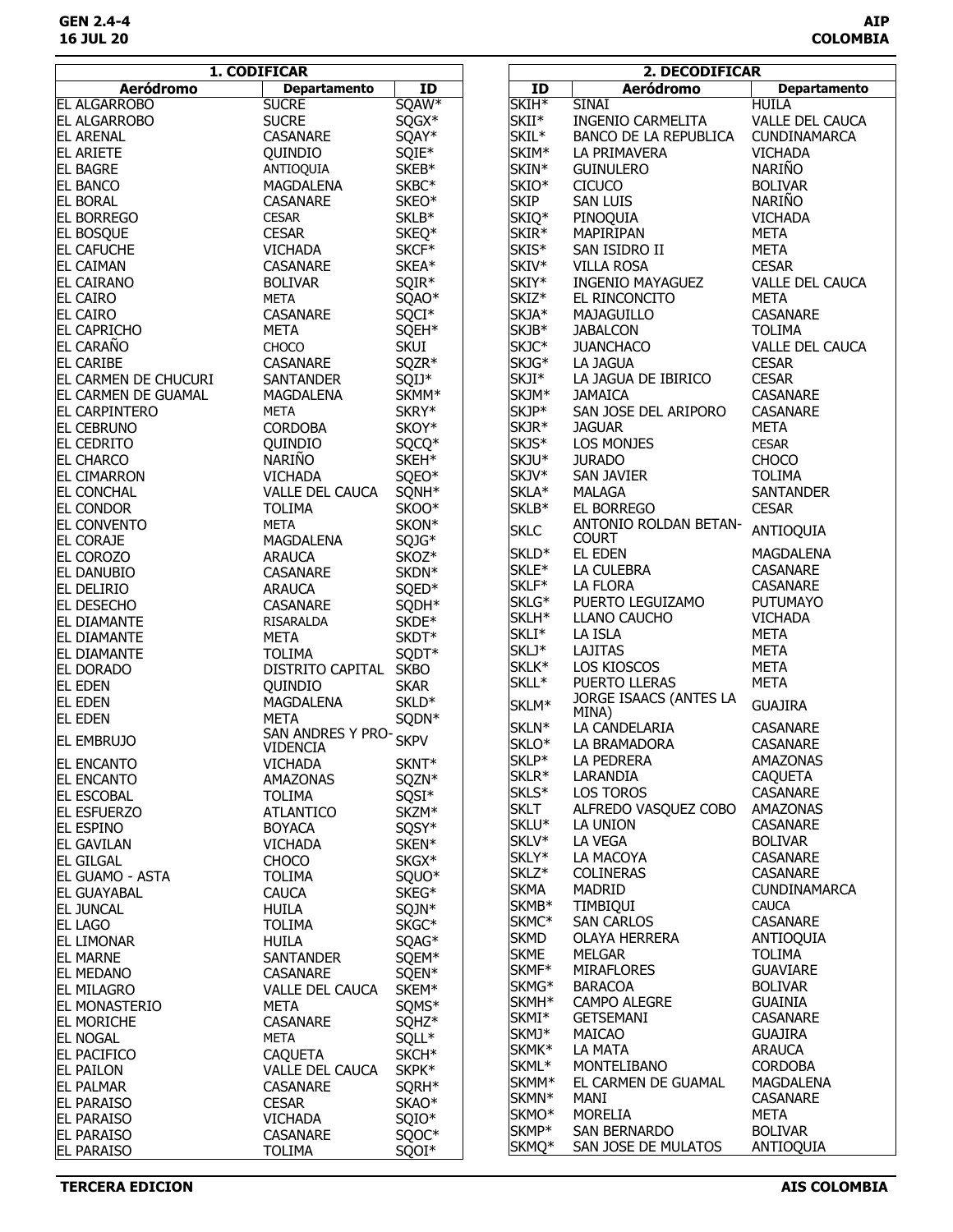| <b>Aeródromo</b><br><b>Aeródromo</b><br><b>Departamento</b><br>ID<br>ID<br><b>Departamento</b><br><b>SUCRE</b><br>SQAW*<br>SKIH*<br><b>HUILA</b><br><b>EL ALGARROBO</b><br><b>SINAI</b><br>SQGX*<br>SKII*<br><b>SUCRE</b><br><b>INGENIO CARMELITA</b><br>VALLE DEL CAUCA<br><b>EL ALGARROBO</b><br>SKIL*<br>SQAY*<br>BANCO DE LA REPUBLICA<br>CUNDINAMARCA<br><b>CASANARE</b><br><b>EL ARENAL</b><br>SKIM*<br>SQIE*<br>QUINDIO<br>LA PRIMAVERA<br><b>VICHADA</b><br>EL ARIETE<br><b>NARIÑO</b><br>$SKEB*$<br>SKIN*<br><b>EL BAGRE</b><br>ANTIOQUIA<br><b>GUINULERO</b><br>SKBC*<br>SKIO*<br><b>CICUCO</b><br><b>BOLIVAR</b><br><b>EL BANCO</b><br>MAGDALENA<br><b>NARIÑO</b><br><b>SKIP</b><br>SKEO*<br><b>SAN LUIS</b><br><b>EL BORAL</b><br><b>CASANARE</b><br>SKLB*<br><b>EL BORREGO</b><br><b>CESAR</b><br>SKIQ*<br><b>VICHADA</b><br>PINOQUIA<br>SKIR*<br><b>CESAR</b><br>SKEQ*<br>MAPIRIPAN<br><b>META</b><br><b>EL BOSQUE</b><br>SKCF*<br>SKIS*<br><b>EL CAFUCHE</b><br><b>VICHADA</b><br>SAN ISIDRO II<br><b>META</b><br>SKIV*<br>SKEA*<br><b>EL CAIMAN</b><br>CASANARE<br><b>VILLA ROSA</b><br><b>CESAR</b><br>SKIY*<br>SQIR*<br><b>EL CAIRANO</b><br><b>BOLIVAR</b><br><b>INGENIO MAYAGUEZ</b><br>VALLE DEL CAUCA<br>SKIZ*<br>SQAO*<br><b>META</b><br><b>EL CAIRO</b><br><b>META</b><br>EL RINCONCITO<br>SQCI*<br>SKJA*<br>CASANARE<br><b>EL CAIRO</b><br><b>CASANARE</b><br>MAJAGUILLO<br>SKJB*<br>EL CAPRICHO<br><b>META</b><br>SQEH*<br><b>JABALCON</b><br><b>TOLIMA</b><br>EL CARAÑO<br><b>SKUI</b><br>SKJC*<br>CHOCO<br><b>JUANCHACO</b><br><b>VALLE DEL CAUCA</b><br>SKJG*<br><b>EL CARIBE</b><br>CASANARE<br>SQZR*<br><b>CESAR</b><br>LA JAGUA<br>SKJI*<br>SQIJ*<br>LA JAGUA DE IBIRICO<br><b>CESAR</b><br>EL CARMEN DE CHUCURI<br>SANTANDER<br>SKMM*<br>SKJM*<br>EL CARMEN DE GUAMAL<br>MAGDALENA<br><b>JAMAICA</b><br>CASANARE<br>SKJP*<br>SKRY*<br>SAN JOSE DEL ARIPORO<br>EL CARPINTERO<br><b>META</b><br>CASANARE<br>SKOY*<br>SKJR*<br><b>EL CEBRUNO</b><br><b>CORDOBA</b><br><b>JAGUAR</b><br><b>META</b><br>SKJS*<br>LOS MONJES<br>EL CEDRITO<br>QUINDIO<br>SQCQ*<br><b>CESAR</b><br><b>NARIÑO</b><br>SKEH*<br>SKJU*<br><b>JURADO</b><br><b>CHOCO</b><br><b>EL CHARCO</b><br>SQEO*<br>SKJV*<br><b>EL CIMARRON</b><br><b>VICHADA</b><br>SAN JAVIER<br><b>TOLIMA</b><br>SQNH*<br><b>EL CONCHAL</b><br>VALLE DEL CAUCA<br>SKLA*<br><b>MALAGA</b><br><b>SANTANDER</b><br><b>TOLIMA</b><br>SKOO*<br>SKLB*<br>EL BORREGO<br><b>EL CONDOR</b><br><b>CESAR</b><br>SKON*<br>ANTONIO ROLDAN BETAN-<br>EL CONVENTO<br><b>META</b><br><b>SKLC</b><br>ANTIOQUIA<br><b>COURT</b><br>SQJG*<br><b>EL CORAJE</b><br>MAGDALENA<br>SKLD*<br>EL EDEN<br><b>MAGDALENA</b><br>SKOZ*<br>EL COROZO<br><b>ARAUCA</b><br>SKLE*<br>LA CULEBRA<br>CASANARE<br>SKDN*<br>EL DANUBIO<br>CASANARE<br>SKLF*<br>LA FLORA<br>CASANARE<br>SQED*<br>EL DELIRIO<br><b>ARAUCA</b><br>SKLG*<br>PUERTO LEGUIZAMO<br><b>PUTUMAYO</b><br>SQDH*<br>EL DESECHO<br>CASANARE<br>SKLH*<br>LLANO CAUCHO<br><b>VICHADA</b><br>SKDE*<br><b>EL DIAMANTE</b><br>RISARALDA<br>SKLI*<br>LA ISLA<br><b>META</b><br>SKDT*<br><b>EL DIAMANTE</b><br>META<br>SKLJ*<br>LAJITAS<br><b>META</b><br>SQDT*<br><b>EL DIAMANTE</b><br><b>TOLIMA</b><br>SKLK*<br>LOS KIOSCOS<br><b>META</b><br><b>EL DORADO</b><br>DISTRITO CAPITAL<br><b>SKBO</b><br>SKLL*<br><b>META</b><br>PUERTO LLERAS<br><b>EL EDEN</b><br><b>SKAR</b><br>QUINDIO<br>JORGE ISAACS (ANTES LA<br>SKLD*<br><b>EL EDEN</b><br>MAGDALENA<br>SKLM*<br><b>GUAJIRA</b><br>MINA)<br>SQDN*<br><b>EL EDEN</b><br><b>META</b><br>SKLN*<br>LA CANDELARIA<br>CASANARE<br>SAN ANDRES Y PRO-<br><b>SKPV</b><br><b>EL EMBRUJO</b><br>SKLO*<br>LA BRAMADORA<br><b>CASANARE</b><br><b>VIDENCIA</b><br>SKLP*<br>LA PEDRERA<br>AMAZONAS<br><b>EL ENCANTO</b><br><b>VICHADA</b><br>SKNT*<br>SKLR*<br>LARANDIA<br><b>CAQUETA</b><br><b>EL ENCANTO</b><br>AMAZONAS<br>SQZN*<br>SKLS*<br>LOS TOROS<br><b>CASANARE</b><br><b>EL ESCOBAL</b><br><b>TOLIMA</b><br>SQSI*<br><b>SKLT</b><br>ALFREDO VASQUEZ COBO<br>AMAZONAS<br>SKZM*<br><b>ATLANTICO</b><br><b>EL ESFUERZO</b><br>SKLU*<br><b>CASANARE</b><br>LA UNION<br>SQSY*<br><b>IEL ESPINO</b><br><b>BOYACA</b><br>SKLV*<br><b>LA VEGA</b><br><b>BOLIVAR</b><br><b>EL GAVILAN</b><br><b>VICHADA</b><br>SKEN*<br>SKLY*<br><b>CASANARE</b><br>LA MACOYA<br>SKGX*<br><b>EL GILGAL</b><br><b>CHOCO</b><br>SKLZ*<br><b>COLINERAS</b><br>CASANARE<br>EL GUAMO - ASTA<br><b>TOLIMA</b><br>SQUO*<br><b>SKMA</b><br>MADRID<br><b>CUNDINAMARCA</b><br>SKEG*<br><b>EL GUAYABAL</b><br><b>CAUCA</b><br>SKMB*<br><b>TIMBIQUI</b><br><b>CAUCA</b><br>HUILA<br>SQJN*<br><b>EL JUNCAL</b><br>SKMC*<br><b>SAN CARLOS</b><br><b>CASANARE</b><br>SKGC*<br><b>TOLIMA</b><br><b>EL LAGO</b><br><b>SKMD</b><br>OLAYA HERRERA<br>ANTIOQUIA<br><b>EL LIMONAR</b><br><b>HUILA</b><br>SQAG*<br><b>SKME</b><br><b>MELGAR</b><br><b>TOLIMA</b><br>SQEM*<br><b>EL MARNE</b><br>SANTANDER<br>SKMF*<br><b>MIRAFLORES</b><br><b>GUAVIARE</b><br><b>EL MEDANO</b><br>CASANARE<br>SQEN*<br>SKMG*<br><b>BARACOA</b><br><b>BOLIVAR</b><br><b>EL MILAGRO</b><br><b>VALLE DEL CAUCA</b><br>SKEM*<br>SKMH <sup>*</sup><br><b>CAMPO ALEGRE</b><br><b>GUAINIA</b><br>SQMS*<br><b>EL MONASTERIO</b><br>META<br>SKMI*<br><b>GETSEMANI</b><br><b>CASANARE</b><br><b>EL MORICHE</b><br><b>CASANARE</b><br>SQHZ*<br>SKMJ*<br>MAICAO<br><b>GUAJIRA</b><br><b>META</b><br>SQLL*<br><b>EL NOGAL</b><br>SKMK*<br>LA MATA<br><b>ARAUCA</b><br><b>EL PACIFICO</b><br><b>CAQUETA</b><br>SKCH <sup>*</sup><br>SKML <sup>*</sup><br>MONTELIBANO<br><b>CORDOBA</b><br>SKPK*<br><b>EL PAILON</b><br><b>VALLE DEL CAUCA</b><br>SKMM <sup>*</sup><br>EL CARMEN DE GUAMAL<br>MAGDALENA<br><b>EL PALMAR</b><br>CASANARE<br>SQRH*<br>SKMN*<br>MANI<br><b>CASANARE</b><br><b>EL PARAISO</b><br><b>CESAR</b><br>SKAO <sup>*</sup><br>SKMO <sup>*</sup><br><b>MORELIA</b><br>META<br><b>EL PARAISO</b><br><b>VICHADA</b><br>SQIO*<br>SKMP*<br>SAN BERNARDO<br><b>BOLIVAR</b><br><b>EL PARAISO</b><br>SQOC*<br><b>CASANARE</b><br>SKMQ*<br>ANTIOQUIA<br>SAN JOSE DE MULATOS<br><b>EL PARAISO</b><br><b>TOLIMA</b><br>SQOI* | 1. CODIFICAR |  | 2. DECODIFICAR |  |
|--------------------------------------------------------------------------------------------------------------------------------------------------------------------------------------------------------------------------------------------------------------------------------------------------------------------------------------------------------------------------------------------------------------------------------------------------------------------------------------------------------------------------------------------------------------------------------------------------------------------------------------------------------------------------------------------------------------------------------------------------------------------------------------------------------------------------------------------------------------------------------------------------------------------------------------------------------------------------------------------------------------------------------------------------------------------------------------------------------------------------------------------------------------------------------------------------------------------------------------------------------------------------------------------------------------------------------------------------------------------------------------------------------------------------------------------------------------------------------------------------------------------------------------------------------------------------------------------------------------------------------------------------------------------------------------------------------------------------------------------------------------------------------------------------------------------------------------------------------------------------------------------------------------------------------------------------------------------------------------------------------------------------------------------------------------------------------------------------------------------------------------------------------------------------------------------------------------------------------------------------------------------------------------------------------------------------------------------------------------------------------------------------------------------------------------------------------------------------------------------------------------------------------------------------------------------------------------------------------------------------------------------------------------------------------------------------------------------------------------------------------------------------------------------------------------------------------------------------------------------------------------------------------------------------------------------------------------------------------------------------------------------------------------------------------------------------------------------------------------------------------------------------------------------------------------------------------------------------------------------------------------------------------------------------------------------------------------------------------------------------------------------------------------------------------------------------------------------------------------------------------------------------------------------------------------------------------------------------------------------------------------------------------------------------------------------------------------------------------------------------------------------------------------------------------------------------------------------------------------------------------------------------------------------------------------------------------------------------------------------------------------------------------------------------------------------------------------------------------------------------------------------------------------------------------------------------------------------------------------------------------------------------------------------------------------------------------------------------------------------------------------------------------------------------------------------------------------------------------------------------------------------------------------------------------------------------------------------------------------------------------------------------------------------------------------------------------------------------------------------------------------------------------------------------------------------------------------------------------------------------------------------------------------------------------------------------------------------------------------------------------------------------------------------------------------------------------------------------------------------------------------------------------------------------------------------------------------------------------------------------------------------------------------------------------------------------------------------------------------------------------------------------------------------------------------------------------------------------------------------------------------------------------------------------------------------------------------------------------------------------------------------------------------------------------------------------------------------------------------------------------------------------------------------------------------------------------------------------------------------------------------------------------------------------------------------------------------------------------------------------------------------------------------------------------------------------------------------------------------|--------------|--|----------------|--|
|                                                                                                                                                                                                                                                                                                                                                                                                                                                                                                                                                                                                                                                                                                                                                                                                                                                                                                                                                                                                                                                                                                                                                                                                                                                                                                                                                                                                                                                                                                                                                                                                                                                                                                                                                                                                                                                                                                                                                                                                                                                                                                                                                                                                                                                                                                                                                                                                                                                                                                                                                                                                                                                                                                                                                                                                                                                                                                                                                                                                                                                                                                                                                                                                                                                                                                                                                                                                                                                                                                                                                                                                                                                                                                                                                                                                                                                                                                                                                                                                                                                                                                                                                                                                                                                                                                                                                                                                                                                                                                                                                                                                                                                                                                                                                                                                                                                                                                                                                                                                                                                                                                                                                                                                                                                                                                                                                                                                                                                                                                                                                                                                                                                                                                                                                                                                                                                                                                                                                                                                                                                                                                              |              |  |                |  |
|                                                                                                                                                                                                                                                                                                                                                                                                                                                                                                                                                                                                                                                                                                                                                                                                                                                                                                                                                                                                                                                                                                                                                                                                                                                                                                                                                                                                                                                                                                                                                                                                                                                                                                                                                                                                                                                                                                                                                                                                                                                                                                                                                                                                                                                                                                                                                                                                                                                                                                                                                                                                                                                                                                                                                                                                                                                                                                                                                                                                                                                                                                                                                                                                                                                                                                                                                                                                                                                                                                                                                                                                                                                                                                                                                                                                                                                                                                                                                                                                                                                                                                                                                                                                                                                                                                                                                                                                                                                                                                                                                                                                                                                                                                                                                                                                                                                                                                                                                                                                                                                                                                                                                                                                                                                                                                                                                                                                                                                                                                                                                                                                                                                                                                                                                                                                                                                                                                                                                                                                                                                                                                              |              |  |                |  |
|                                                                                                                                                                                                                                                                                                                                                                                                                                                                                                                                                                                                                                                                                                                                                                                                                                                                                                                                                                                                                                                                                                                                                                                                                                                                                                                                                                                                                                                                                                                                                                                                                                                                                                                                                                                                                                                                                                                                                                                                                                                                                                                                                                                                                                                                                                                                                                                                                                                                                                                                                                                                                                                                                                                                                                                                                                                                                                                                                                                                                                                                                                                                                                                                                                                                                                                                                                                                                                                                                                                                                                                                                                                                                                                                                                                                                                                                                                                                                                                                                                                                                                                                                                                                                                                                                                                                                                                                                                                                                                                                                                                                                                                                                                                                                                                                                                                                                                                                                                                                                                                                                                                                                                                                                                                                                                                                                                                                                                                                                                                                                                                                                                                                                                                                                                                                                                                                                                                                                                                                                                                                                                              |              |  |                |  |
|                                                                                                                                                                                                                                                                                                                                                                                                                                                                                                                                                                                                                                                                                                                                                                                                                                                                                                                                                                                                                                                                                                                                                                                                                                                                                                                                                                                                                                                                                                                                                                                                                                                                                                                                                                                                                                                                                                                                                                                                                                                                                                                                                                                                                                                                                                                                                                                                                                                                                                                                                                                                                                                                                                                                                                                                                                                                                                                                                                                                                                                                                                                                                                                                                                                                                                                                                                                                                                                                                                                                                                                                                                                                                                                                                                                                                                                                                                                                                                                                                                                                                                                                                                                                                                                                                                                                                                                                                                                                                                                                                                                                                                                                                                                                                                                                                                                                                                                                                                                                                                                                                                                                                                                                                                                                                                                                                                                                                                                                                                                                                                                                                                                                                                                                                                                                                                                                                                                                                                                                                                                                                                              |              |  |                |  |
|                                                                                                                                                                                                                                                                                                                                                                                                                                                                                                                                                                                                                                                                                                                                                                                                                                                                                                                                                                                                                                                                                                                                                                                                                                                                                                                                                                                                                                                                                                                                                                                                                                                                                                                                                                                                                                                                                                                                                                                                                                                                                                                                                                                                                                                                                                                                                                                                                                                                                                                                                                                                                                                                                                                                                                                                                                                                                                                                                                                                                                                                                                                                                                                                                                                                                                                                                                                                                                                                                                                                                                                                                                                                                                                                                                                                                                                                                                                                                                                                                                                                                                                                                                                                                                                                                                                                                                                                                                                                                                                                                                                                                                                                                                                                                                                                                                                                                                                                                                                                                                                                                                                                                                                                                                                                                                                                                                                                                                                                                                                                                                                                                                                                                                                                                                                                                                                                                                                                                                                                                                                                                                              |              |  |                |  |
|                                                                                                                                                                                                                                                                                                                                                                                                                                                                                                                                                                                                                                                                                                                                                                                                                                                                                                                                                                                                                                                                                                                                                                                                                                                                                                                                                                                                                                                                                                                                                                                                                                                                                                                                                                                                                                                                                                                                                                                                                                                                                                                                                                                                                                                                                                                                                                                                                                                                                                                                                                                                                                                                                                                                                                                                                                                                                                                                                                                                                                                                                                                                                                                                                                                                                                                                                                                                                                                                                                                                                                                                                                                                                                                                                                                                                                                                                                                                                                                                                                                                                                                                                                                                                                                                                                                                                                                                                                                                                                                                                                                                                                                                                                                                                                                                                                                                                                                                                                                                                                                                                                                                                                                                                                                                                                                                                                                                                                                                                                                                                                                                                                                                                                                                                                                                                                                                                                                                                                                                                                                                                                              |              |  |                |  |
|                                                                                                                                                                                                                                                                                                                                                                                                                                                                                                                                                                                                                                                                                                                                                                                                                                                                                                                                                                                                                                                                                                                                                                                                                                                                                                                                                                                                                                                                                                                                                                                                                                                                                                                                                                                                                                                                                                                                                                                                                                                                                                                                                                                                                                                                                                                                                                                                                                                                                                                                                                                                                                                                                                                                                                                                                                                                                                                                                                                                                                                                                                                                                                                                                                                                                                                                                                                                                                                                                                                                                                                                                                                                                                                                                                                                                                                                                                                                                                                                                                                                                                                                                                                                                                                                                                                                                                                                                                                                                                                                                                                                                                                                                                                                                                                                                                                                                                                                                                                                                                                                                                                                                                                                                                                                                                                                                                                                                                                                                                                                                                                                                                                                                                                                                                                                                                                                                                                                                                                                                                                                                                              |              |  |                |  |
|                                                                                                                                                                                                                                                                                                                                                                                                                                                                                                                                                                                                                                                                                                                                                                                                                                                                                                                                                                                                                                                                                                                                                                                                                                                                                                                                                                                                                                                                                                                                                                                                                                                                                                                                                                                                                                                                                                                                                                                                                                                                                                                                                                                                                                                                                                                                                                                                                                                                                                                                                                                                                                                                                                                                                                                                                                                                                                                                                                                                                                                                                                                                                                                                                                                                                                                                                                                                                                                                                                                                                                                                                                                                                                                                                                                                                                                                                                                                                                                                                                                                                                                                                                                                                                                                                                                                                                                                                                                                                                                                                                                                                                                                                                                                                                                                                                                                                                                                                                                                                                                                                                                                                                                                                                                                                                                                                                                                                                                                                                                                                                                                                                                                                                                                                                                                                                                                                                                                                                                                                                                                                                              |              |  |                |  |
|                                                                                                                                                                                                                                                                                                                                                                                                                                                                                                                                                                                                                                                                                                                                                                                                                                                                                                                                                                                                                                                                                                                                                                                                                                                                                                                                                                                                                                                                                                                                                                                                                                                                                                                                                                                                                                                                                                                                                                                                                                                                                                                                                                                                                                                                                                                                                                                                                                                                                                                                                                                                                                                                                                                                                                                                                                                                                                                                                                                                                                                                                                                                                                                                                                                                                                                                                                                                                                                                                                                                                                                                                                                                                                                                                                                                                                                                                                                                                                                                                                                                                                                                                                                                                                                                                                                                                                                                                                                                                                                                                                                                                                                                                                                                                                                                                                                                                                                                                                                                                                                                                                                                                                                                                                                                                                                                                                                                                                                                                                                                                                                                                                                                                                                                                                                                                                                                                                                                                                                                                                                                                                              |              |  |                |  |
|                                                                                                                                                                                                                                                                                                                                                                                                                                                                                                                                                                                                                                                                                                                                                                                                                                                                                                                                                                                                                                                                                                                                                                                                                                                                                                                                                                                                                                                                                                                                                                                                                                                                                                                                                                                                                                                                                                                                                                                                                                                                                                                                                                                                                                                                                                                                                                                                                                                                                                                                                                                                                                                                                                                                                                                                                                                                                                                                                                                                                                                                                                                                                                                                                                                                                                                                                                                                                                                                                                                                                                                                                                                                                                                                                                                                                                                                                                                                                                                                                                                                                                                                                                                                                                                                                                                                                                                                                                                                                                                                                                                                                                                                                                                                                                                                                                                                                                                                                                                                                                                                                                                                                                                                                                                                                                                                                                                                                                                                                                                                                                                                                                                                                                                                                                                                                                                                                                                                                                                                                                                                                                              |              |  |                |  |
|                                                                                                                                                                                                                                                                                                                                                                                                                                                                                                                                                                                                                                                                                                                                                                                                                                                                                                                                                                                                                                                                                                                                                                                                                                                                                                                                                                                                                                                                                                                                                                                                                                                                                                                                                                                                                                                                                                                                                                                                                                                                                                                                                                                                                                                                                                                                                                                                                                                                                                                                                                                                                                                                                                                                                                                                                                                                                                                                                                                                                                                                                                                                                                                                                                                                                                                                                                                                                                                                                                                                                                                                                                                                                                                                                                                                                                                                                                                                                                                                                                                                                                                                                                                                                                                                                                                                                                                                                                                                                                                                                                                                                                                                                                                                                                                                                                                                                                                                                                                                                                                                                                                                                                                                                                                                                                                                                                                                                                                                                                                                                                                                                                                                                                                                                                                                                                                                                                                                                                                                                                                                                                              |              |  |                |  |
|                                                                                                                                                                                                                                                                                                                                                                                                                                                                                                                                                                                                                                                                                                                                                                                                                                                                                                                                                                                                                                                                                                                                                                                                                                                                                                                                                                                                                                                                                                                                                                                                                                                                                                                                                                                                                                                                                                                                                                                                                                                                                                                                                                                                                                                                                                                                                                                                                                                                                                                                                                                                                                                                                                                                                                                                                                                                                                                                                                                                                                                                                                                                                                                                                                                                                                                                                                                                                                                                                                                                                                                                                                                                                                                                                                                                                                                                                                                                                                                                                                                                                                                                                                                                                                                                                                                                                                                                                                                                                                                                                                                                                                                                                                                                                                                                                                                                                                                                                                                                                                                                                                                                                                                                                                                                                                                                                                                                                                                                                                                                                                                                                                                                                                                                                                                                                                                                                                                                                                                                                                                                                                              |              |  |                |  |
|                                                                                                                                                                                                                                                                                                                                                                                                                                                                                                                                                                                                                                                                                                                                                                                                                                                                                                                                                                                                                                                                                                                                                                                                                                                                                                                                                                                                                                                                                                                                                                                                                                                                                                                                                                                                                                                                                                                                                                                                                                                                                                                                                                                                                                                                                                                                                                                                                                                                                                                                                                                                                                                                                                                                                                                                                                                                                                                                                                                                                                                                                                                                                                                                                                                                                                                                                                                                                                                                                                                                                                                                                                                                                                                                                                                                                                                                                                                                                                                                                                                                                                                                                                                                                                                                                                                                                                                                                                                                                                                                                                                                                                                                                                                                                                                                                                                                                                                                                                                                                                                                                                                                                                                                                                                                                                                                                                                                                                                                                                                                                                                                                                                                                                                                                                                                                                                                                                                                                                                                                                                                                                              |              |  |                |  |
|                                                                                                                                                                                                                                                                                                                                                                                                                                                                                                                                                                                                                                                                                                                                                                                                                                                                                                                                                                                                                                                                                                                                                                                                                                                                                                                                                                                                                                                                                                                                                                                                                                                                                                                                                                                                                                                                                                                                                                                                                                                                                                                                                                                                                                                                                                                                                                                                                                                                                                                                                                                                                                                                                                                                                                                                                                                                                                                                                                                                                                                                                                                                                                                                                                                                                                                                                                                                                                                                                                                                                                                                                                                                                                                                                                                                                                                                                                                                                                                                                                                                                                                                                                                                                                                                                                                                                                                                                                                                                                                                                                                                                                                                                                                                                                                                                                                                                                                                                                                                                                                                                                                                                                                                                                                                                                                                                                                                                                                                                                                                                                                                                                                                                                                                                                                                                                                                                                                                                                                                                                                                                                              |              |  |                |  |
|                                                                                                                                                                                                                                                                                                                                                                                                                                                                                                                                                                                                                                                                                                                                                                                                                                                                                                                                                                                                                                                                                                                                                                                                                                                                                                                                                                                                                                                                                                                                                                                                                                                                                                                                                                                                                                                                                                                                                                                                                                                                                                                                                                                                                                                                                                                                                                                                                                                                                                                                                                                                                                                                                                                                                                                                                                                                                                                                                                                                                                                                                                                                                                                                                                                                                                                                                                                                                                                                                                                                                                                                                                                                                                                                                                                                                                                                                                                                                                                                                                                                                                                                                                                                                                                                                                                                                                                                                                                                                                                                                                                                                                                                                                                                                                                                                                                                                                                                                                                                                                                                                                                                                                                                                                                                                                                                                                                                                                                                                                                                                                                                                                                                                                                                                                                                                                                                                                                                                                                                                                                                                                              |              |  |                |  |
|                                                                                                                                                                                                                                                                                                                                                                                                                                                                                                                                                                                                                                                                                                                                                                                                                                                                                                                                                                                                                                                                                                                                                                                                                                                                                                                                                                                                                                                                                                                                                                                                                                                                                                                                                                                                                                                                                                                                                                                                                                                                                                                                                                                                                                                                                                                                                                                                                                                                                                                                                                                                                                                                                                                                                                                                                                                                                                                                                                                                                                                                                                                                                                                                                                                                                                                                                                                                                                                                                                                                                                                                                                                                                                                                                                                                                                                                                                                                                                                                                                                                                                                                                                                                                                                                                                                                                                                                                                                                                                                                                                                                                                                                                                                                                                                                                                                                                                                                                                                                                                                                                                                                                                                                                                                                                                                                                                                                                                                                                                                                                                                                                                                                                                                                                                                                                                                                                                                                                                                                                                                                                                              |              |  |                |  |
|                                                                                                                                                                                                                                                                                                                                                                                                                                                                                                                                                                                                                                                                                                                                                                                                                                                                                                                                                                                                                                                                                                                                                                                                                                                                                                                                                                                                                                                                                                                                                                                                                                                                                                                                                                                                                                                                                                                                                                                                                                                                                                                                                                                                                                                                                                                                                                                                                                                                                                                                                                                                                                                                                                                                                                                                                                                                                                                                                                                                                                                                                                                                                                                                                                                                                                                                                                                                                                                                                                                                                                                                                                                                                                                                                                                                                                                                                                                                                                                                                                                                                                                                                                                                                                                                                                                                                                                                                                                                                                                                                                                                                                                                                                                                                                                                                                                                                                                                                                                                                                                                                                                                                                                                                                                                                                                                                                                                                                                                                                                                                                                                                                                                                                                                                                                                                                                                                                                                                                                                                                                                                                              |              |  |                |  |
|                                                                                                                                                                                                                                                                                                                                                                                                                                                                                                                                                                                                                                                                                                                                                                                                                                                                                                                                                                                                                                                                                                                                                                                                                                                                                                                                                                                                                                                                                                                                                                                                                                                                                                                                                                                                                                                                                                                                                                                                                                                                                                                                                                                                                                                                                                                                                                                                                                                                                                                                                                                                                                                                                                                                                                                                                                                                                                                                                                                                                                                                                                                                                                                                                                                                                                                                                                                                                                                                                                                                                                                                                                                                                                                                                                                                                                                                                                                                                                                                                                                                                                                                                                                                                                                                                                                                                                                                                                                                                                                                                                                                                                                                                                                                                                                                                                                                                                                                                                                                                                                                                                                                                                                                                                                                                                                                                                                                                                                                                                                                                                                                                                                                                                                                                                                                                                                                                                                                                                                                                                                                                                              |              |  |                |  |
|                                                                                                                                                                                                                                                                                                                                                                                                                                                                                                                                                                                                                                                                                                                                                                                                                                                                                                                                                                                                                                                                                                                                                                                                                                                                                                                                                                                                                                                                                                                                                                                                                                                                                                                                                                                                                                                                                                                                                                                                                                                                                                                                                                                                                                                                                                                                                                                                                                                                                                                                                                                                                                                                                                                                                                                                                                                                                                                                                                                                                                                                                                                                                                                                                                                                                                                                                                                                                                                                                                                                                                                                                                                                                                                                                                                                                                                                                                                                                                                                                                                                                                                                                                                                                                                                                                                                                                                                                                                                                                                                                                                                                                                                                                                                                                                                                                                                                                                                                                                                                                                                                                                                                                                                                                                                                                                                                                                                                                                                                                                                                                                                                                                                                                                                                                                                                                                                                                                                                                                                                                                                                                              |              |  |                |  |
|                                                                                                                                                                                                                                                                                                                                                                                                                                                                                                                                                                                                                                                                                                                                                                                                                                                                                                                                                                                                                                                                                                                                                                                                                                                                                                                                                                                                                                                                                                                                                                                                                                                                                                                                                                                                                                                                                                                                                                                                                                                                                                                                                                                                                                                                                                                                                                                                                                                                                                                                                                                                                                                                                                                                                                                                                                                                                                                                                                                                                                                                                                                                                                                                                                                                                                                                                                                                                                                                                                                                                                                                                                                                                                                                                                                                                                                                                                                                                                                                                                                                                                                                                                                                                                                                                                                                                                                                                                                                                                                                                                                                                                                                                                                                                                                                                                                                                                                                                                                                                                                                                                                                                                                                                                                                                                                                                                                                                                                                                                                                                                                                                                                                                                                                                                                                                                                                                                                                                                                                                                                                                                              |              |  |                |  |
|                                                                                                                                                                                                                                                                                                                                                                                                                                                                                                                                                                                                                                                                                                                                                                                                                                                                                                                                                                                                                                                                                                                                                                                                                                                                                                                                                                                                                                                                                                                                                                                                                                                                                                                                                                                                                                                                                                                                                                                                                                                                                                                                                                                                                                                                                                                                                                                                                                                                                                                                                                                                                                                                                                                                                                                                                                                                                                                                                                                                                                                                                                                                                                                                                                                                                                                                                                                                                                                                                                                                                                                                                                                                                                                                                                                                                                                                                                                                                                                                                                                                                                                                                                                                                                                                                                                                                                                                                                                                                                                                                                                                                                                                                                                                                                                                                                                                                                                                                                                                                                                                                                                                                                                                                                                                                                                                                                                                                                                                                                                                                                                                                                                                                                                                                                                                                                                                                                                                                                                                                                                                                                              |              |  |                |  |
|                                                                                                                                                                                                                                                                                                                                                                                                                                                                                                                                                                                                                                                                                                                                                                                                                                                                                                                                                                                                                                                                                                                                                                                                                                                                                                                                                                                                                                                                                                                                                                                                                                                                                                                                                                                                                                                                                                                                                                                                                                                                                                                                                                                                                                                                                                                                                                                                                                                                                                                                                                                                                                                                                                                                                                                                                                                                                                                                                                                                                                                                                                                                                                                                                                                                                                                                                                                                                                                                                                                                                                                                                                                                                                                                                                                                                                                                                                                                                                                                                                                                                                                                                                                                                                                                                                                                                                                                                                                                                                                                                                                                                                                                                                                                                                                                                                                                                                                                                                                                                                                                                                                                                                                                                                                                                                                                                                                                                                                                                                                                                                                                                                                                                                                                                                                                                                                                                                                                                                                                                                                                                                              |              |  |                |  |
|                                                                                                                                                                                                                                                                                                                                                                                                                                                                                                                                                                                                                                                                                                                                                                                                                                                                                                                                                                                                                                                                                                                                                                                                                                                                                                                                                                                                                                                                                                                                                                                                                                                                                                                                                                                                                                                                                                                                                                                                                                                                                                                                                                                                                                                                                                                                                                                                                                                                                                                                                                                                                                                                                                                                                                                                                                                                                                                                                                                                                                                                                                                                                                                                                                                                                                                                                                                                                                                                                                                                                                                                                                                                                                                                                                                                                                                                                                                                                                                                                                                                                                                                                                                                                                                                                                                                                                                                                                                                                                                                                                                                                                                                                                                                                                                                                                                                                                                                                                                                                                                                                                                                                                                                                                                                                                                                                                                                                                                                                                                                                                                                                                                                                                                                                                                                                                                                                                                                                                                                                                                                                                              |              |  |                |  |
|                                                                                                                                                                                                                                                                                                                                                                                                                                                                                                                                                                                                                                                                                                                                                                                                                                                                                                                                                                                                                                                                                                                                                                                                                                                                                                                                                                                                                                                                                                                                                                                                                                                                                                                                                                                                                                                                                                                                                                                                                                                                                                                                                                                                                                                                                                                                                                                                                                                                                                                                                                                                                                                                                                                                                                                                                                                                                                                                                                                                                                                                                                                                                                                                                                                                                                                                                                                                                                                                                                                                                                                                                                                                                                                                                                                                                                                                                                                                                                                                                                                                                                                                                                                                                                                                                                                                                                                                                                                                                                                                                                                                                                                                                                                                                                                                                                                                                                                                                                                                                                                                                                                                                                                                                                                                                                                                                                                                                                                                                                                                                                                                                                                                                                                                                                                                                                                                                                                                                                                                                                                                                                              |              |  |                |  |
|                                                                                                                                                                                                                                                                                                                                                                                                                                                                                                                                                                                                                                                                                                                                                                                                                                                                                                                                                                                                                                                                                                                                                                                                                                                                                                                                                                                                                                                                                                                                                                                                                                                                                                                                                                                                                                                                                                                                                                                                                                                                                                                                                                                                                                                                                                                                                                                                                                                                                                                                                                                                                                                                                                                                                                                                                                                                                                                                                                                                                                                                                                                                                                                                                                                                                                                                                                                                                                                                                                                                                                                                                                                                                                                                                                                                                                                                                                                                                                                                                                                                                                                                                                                                                                                                                                                                                                                                                                                                                                                                                                                                                                                                                                                                                                                                                                                                                                                                                                                                                                                                                                                                                                                                                                                                                                                                                                                                                                                                                                                                                                                                                                                                                                                                                                                                                                                                                                                                                                                                                                                                                                              |              |  |                |  |
|                                                                                                                                                                                                                                                                                                                                                                                                                                                                                                                                                                                                                                                                                                                                                                                                                                                                                                                                                                                                                                                                                                                                                                                                                                                                                                                                                                                                                                                                                                                                                                                                                                                                                                                                                                                                                                                                                                                                                                                                                                                                                                                                                                                                                                                                                                                                                                                                                                                                                                                                                                                                                                                                                                                                                                                                                                                                                                                                                                                                                                                                                                                                                                                                                                                                                                                                                                                                                                                                                                                                                                                                                                                                                                                                                                                                                                                                                                                                                                                                                                                                                                                                                                                                                                                                                                                                                                                                                                                                                                                                                                                                                                                                                                                                                                                                                                                                                                                                                                                                                                                                                                                                                                                                                                                                                                                                                                                                                                                                                                                                                                                                                                                                                                                                                                                                                                                                                                                                                                                                                                                                                                              |              |  |                |  |
|                                                                                                                                                                                                                                                                                                                                                                                                                                                                                                                                                                                                                                                                                                                                                                                                                                                                                                                                                                                                                                                                                                                                                                                                                                                                                                                                                                                                                                                                                                                                                                                                                                                                                                                                                                                                                                                                                                                                                                                                                                                                                                                                                                                                                                                                                                                                                                                                                                                                                                                                                                                                                                                                                                                                                                                                                                                                                                                                                                                                                                                                                                                                                                                                                                                                                                                                                                                                                                                                                                                                                                                                                                                                                                                                                                                                                                                                                                                                                                                                                                                                                                                                                                                                                                                                                                                                                                                                                                                                                                                                                                                                                                                                                                                                                                                                                                                                                                                                                                                                                                                                                                                                                                                                                                                                                                                                                                                                                                                                                                                                                                                                                                                                                                                                                                                                                                                                                                                                                                                                                                                                                                              |              |  |                |  |
|                                                                                                                                                                                                                                                                                                                                                                                                                                                                                                                                                                                                                                                                                                                                                                                                                                                                                                                                                                                                                                                                                                                                                                                                                                                                                                                                                                                                                                                                                                                                                                                                                                                                                                                                                                                                                                                                                                                                                                                                                                                                                                                                                                                                                                                                                                                                                                                                                                                                                                                                                                                                                                                                                                                                                                                                                                                                                                                                                                                                                                                                                                                                                                                                                                                                                                                                                                                                                                                                                                                                                                                                                                                                                                                                                                                                                                                                                                                                                                                                                                                                                                                                                                                                                                                                                                                                                                                                                                                                                                                                                                                                                                                                                                                                                                                                                                                                                                                                                                                                                                                                                                                                                                                                                                                                                                                                                                                                                                                                                                                                                                                                                                                                                                                                                                                                                                                                                                                                                                                                                                                                                                              |              |  |                |  |
|                                                                                                                                                                                                                                                                                                                                                                                                                                                                                                                                                                                                                                                                                                                                                                                                                                                                                                                                                                                                                                                                                                                                                                                                                                                                                                                                                                                                                                                                                                                                                                                                                                                                                                                                                                                                                                                                                                                                                                                                                                                                                                                                                                                                                                                                                                                                                                                                                                                                                                                                                                                                                                                                                                                                                                                                                                                                                                                                                                                                                                                                                                                                                                                                                                                                                                                                                                                                                                                                                                                                                                                                                                                                                                                                                                                                                                                                                                                                                                                                                                                                                                                                                                                                                                                                                                                                                                                                                                                                                                                                                                                                                                                                                                                                                                                                                                                                                                                                                                                                                                                                                                                                                                                                                                                                                                                                                                                                                                                                                                                                                                                                                                                                                                                                                                                                                                                                                                                                                                                                                                                                                                              |              |  |                |  |
|                                                                                                                                                                                                                                                                                                                                                                                                                                                                                                                                                                                                                                                                                                                                                                                                                                                                                                                                                                                                                                                                                                                                                                                                                                                                                                                                                                                                                                                                                                                                                                                                                                                                                                                                                                                                                                                                                                                                                                                                                                                                                                                                                                                                                                                                                                                                                                                                                                                                                                                                                                                                                                                                                                                                                                                                                                                                                                                                                                                                                                                                                                                                                                                                                                                                                                                                                                                                                                                                                                                                                                                                                                                                                                                                                                                                                                                                                                                                                                                                                                                                                                                                                                                                                                                                                                                                                                                                                                                                                                                                                                                                                                                                                                                                                                                                                                                                                                                                                                                                                                                                                                                                                                                                                                                                                                                                                                                                                                                                                                                                                                                                                                                                                                                                                                                                                                                                                                                                                                                                                                                                                                              |              |  |                |  |
|                                                                                                                                                                                                                                                                                                                                                                                                                                                                                                                                                                                                                                                                                                                                                                                                                                                                                                                                                                                                                                                                                                                                                                                                                                                                                                                                                                                                                                                                                                                                                                                                                                                                                                                                                                                                                                                                                                                                                                                                                                                                                                                                                                                                                                                                                                                                                                                                                                                                                                                                                                                                                                                                                                                                                                                                                                                                                                                                                                                                                                                                                                                                                                                                                                                                                                                                                                                                                                                                                                                                                                                                                                                                                                                                                                                                                                                                                                                                                                                                                                                                                                                                                                                                                                                                                                                                                                                                                                                                                                                                                                                                                                                                                                                                                                                                                                                                                                                                                                                                                                                                                                                                                                                                                                                                                                                                                                                                                                                                                                                                                                                                                                                                                                                                                                                                                                                                                                                                                                                                                                                                                                              |              |  |                |  |
|                                                                                                                                                                                                                                                                                                                                                                                                                                                                                                                                                                                                                                                                                                                                                                                                                                                                                                                                                                                                                                                                                                                                                                                                                                                                                                                                                                                                                                                                                                                                                                                                                                                                                                                                                                                                                                                                                                                                                                                                                                                                                                                                                                                                                                                                                                                                                                                                                                                                                                                                                                                                                                                                                                                                                                                                                                                                                                                                                                                                                                                                                                                                                                                                                                                                                                                                                                                                                                                                                                                                                                                                                                                                                                                                                                                                                                                                                                                                                                                                                                                                                                                                                                                                                                                                                                                                                                                                                                                                                                                                                                                                                                                                                                                                                                                                                                                                                                                                                                                                                                                                                                                                                                                                                                                                                                                                                                                                                                                                                                                                                                                                                                                                                                                                                                                                                                                                                                                                                                                                                                                                                                              |              |  |                |  |
|                                                                                                                                                                                                                                                                                                                                                                                                                                                                                                                                                                                                                                                                                                                                                                                                                                                                                                                                                                                                                                                                                                                                                                                                                                                                                                                                                                                                                                                                                                                                                                                                                                                                                                                                                                                                                                                                                                                                                                                                                                                                                                                                                                                                                                                                                                                                                                                                                                                                                                                                                                                                                                                                                                                                                                                                                                                                                                                                                                                                                                                                                                                                                                                                                                                                                                                                                                                                                                                                                                                                                                                                                                                                                                                                                                                                                                                                                                                                                                                                                                                                                                                                                                                                                                                                                                                                                                                                                                                                                                                                                                                                                                                                                                                                                                                                                                                                                                                                                                                                                                                                                                                                                                                                                                                                                                                                                                                                                                                                                                                                                                                                                                                                                                                                                                                                                                                                                                                                                                                                                                                                                                              |              |  |                |  |
|                                                                                                                                                                                                                                                                                                                                                                                                                                                                                                                                                                                                                                                                                                                                                                                                                                                                                                                                                                                                                                                                                                                                                                                                                                                                                                                                                                                                                                                                                                                                                                                                                                                                                                                                                                                                                                                                                                                                                                                                                                                                                                                                                                                                                                                                                                                                                                                                                                                                                                                                                                                                                                                                                                                                                                                                                                                                                                                                                                                                                                                                                                                                                                                                                                                                                                                                                                                                                                                                                                                                                                                                                                                                                                                                                                                                                                                                                                                                                                                                                                                                                                                                                                                                                                                                                                                                                                                                                                                                                                                                                                                                                                                                                                                                                                                                                                                                                                                                                                                                                                                                                                                                                                                                                                                                                                                                                                                                                                                                                                                                                                                                                                                                                                                                                                                                                                                                                                                                                                                                                                                                                                              |              |  |                |  |
|                                                                                                                                                                                                                                                                                                                                                                                                                                                                                                                                                                                                                                                                                                                                                                                                                                                                                                                                                                                                                                                                                                                                                                                                                                                                                                                                                                                                                                                                                                                                                                                                                                                                                                                                                                                                                                                                                                                                                                                                                                                                                                                                                                                                                                                                                                                                                                                                                                                                                                                                                                                                                                                                                                                                                                                                                                                                                                                                                                                                                                                                                                                                                                                                                                                                                                                                                                                                                                                                                                                                                                                                                                                                                                                                                                                                                                                                                                                                                                                                                                                                                                                                                                                                                                                                                                                                                                                                                                                                                                                                                                                                                                                                                                                                                                                                                                                                                                                                                                                                                                                                                                                                                                                                                                                                                                                                                                                                                                                                                                                                                                                                                                                                                                                                                                                                                                                                                                                                                                                                                                                                                                              |              |  |                |  |
|                                                                                                                                                                                                                                                                                                                                                                                                                                                                                                                                                                                                                                                                                                                                                                                                                                                                                                                                                                                                                                                                                                                                                                                                                                                                                                                                                                                                                                                                                                                                                                                                                                                                                                                                                                                                                                                                                                                                                                                                                                                                                                                                                                                                                                                                                                                                                                                                                                                                                                                                                                                                                                                                                                                                                                                                                                                                                                                                                                                                                                                                                                                                                                                                                                                                                                                                                                                                                                                                                                                                                                                                                                                                                                                                                                                                                                                                                                                                                                                                                                                                                                                                                                                                                                                                                                                                                                                                                                                                                                                                                                                                                                                                                                                                                                                                                                                                                                                                                                                                                                                                                                                                                                                                                                                                                                                                                                                                                                                                                                                                                                                                                                                                                                                                                                                                                                                                                                                                                                                                                                                                                                              |              |  |                |  |
|                                                                                                                                                                                                                                                                                                                                                                                                                                                                                                                                                                                                                                                                                                                                                                                                                                                                                                                                                                                                                                                                                                                                                                                                                                                                                                                                                                                                                                                                                                                                                                                                                                                                                                                                                                                                                                                                                                                                                                                                                                                                                                                                                                                                                                                                                                                                                                                                                                                                                                                                                                                                                                                                                                                                                                                                                                                                                                                                                                                                                                                                                                                                                                                                                                                                                                                                                                                                                                                                                                                                                                                                                                                                                                                                                                                                                                                                                                                                                                                                                                                                                                                                                                                                                                                                                                                                                                                                                                                                                                                                                                                                                                                                                                                                                                                                                                                                                                                                                                                                                                                                                                                                                                                                                                                                                                                                                                                                                                                                                                                                                                                                                                                                                                                                                                                                                                                                                                                                                                                                                                                                                                              |              |  |                |  |
|                                                                                                                                                                                                                                                                                                                                                                                                                                                                                                                                                                                                                                                                                                                                                                                                                                                                                                                                                                                                                                                                                                                                                                                                                                                                                                                                                                                                                                                                                                                                                                                                                                                                                                                                                                                                                                                                                                                                                                                                                                                                                                                                                                                                                                                                                                                                                                                                                                                                                                                                                                                                                                                                                                                                                                                                                                                                                                                                                                                                                                                                                                                                                                                                                                                                                                                                                                                                                                                                                                                                                                                                                                                                                                                                                                                                                                                                                                                                                                                                                                                                                                                                                                                                                                                                                                                                                                                                                                                                                                                                                                                                                                                                                                                                                                                                                                                                                                                                                                                                                                                                                                                                                                                                                                                                                                                                                                                                                                                                                                                                                                                                                                                                                                                                                                                                                                                                                                                                                                                                                                                                                                              |              |  |                |  |
|                                                                                                                                                                                                                                                                                                                                                                                                                                                                                                                                                                                                                                                                                                                                                                                                                                                                                                                                                                                                                                                                                                                                                                                                                                                                                                                                                                                                                                                                                                                                                                                                                                                                                                                                                                                                                                                                                                                                                                                                                                                                                                                                                                                                                                                                                                                                                                                                                                                                                                                                                                                                                                                                                                                                                                                                                                                                                                                                                                                                                                                                                                                                                                                                                                                                                                                                                                                                                                                                                                                                                                                                                                                                                                                                                                                                                                                                                                                                                                                                                                                                                                                                                                                                                                                                                                                                                                                                                                                                                                                                                                                                                                                                                                                                                                                                                                                                                                                                                                                                                                                                                                                                                                                                                                                                                                                                                                                                                                                                                                                                                                                                                                                                                                                                                                                                                                                                                                                                                                                                                                                                                                              |              |  |                |  |
|                                                                                                                                                                                                                                                                                                                                                                                                                                                                                                                                                                                                                                                                                                                                                                                                                                                                                                                                                                                                                                                                                                                                                                                                                                                                                                                                                                                                                                                                                                                                                                                                                                                                                                                                                                                                                                                                                                                                                                                                                                                                                                                                                                                                                                                                                                                                                                                                                                                                                                                                                                                                                                                                                                                                                                                                                                                                                                                                                                                                                                                                                                                                                                                                                                                                                                                                                                                                                                                                                                                                                                                                                                                                                                                                                                                                                                                                                                                                                                                                                                                                                                                                                                                                                                                                                                                                                                                                                                                                                                                                                                                                                                                                                                                                                                                                                                                                                                                                                                                                                                                                                                                                                                                                                                                                                                                                                                                                                                                                                                                                                                                                                                                                                                                                                                                                                                                                                                                                                                                                                                                                                                              |              |  |                |  |
|                                                                                                                                                                                                                                                                                                                                                                                                                                                                                                                                                                                                                                                                                                                                                                                                                                                                                                                                                                                                                                                                                                                                                                                                                                                                                                                                                                                                                                                                                                                                                                                                                                                                                                                                                                                                                                                                                                                                                                                                                                                                                                                                                                                                                                                                                                                                                                                                                                                                                                                                                                                                                                                                                                                                                                                                                                                                                                                                                                                                                                                                                                                                                                                                                                                                                                                                                                                                                                                                                                                                                                                                                                                                                                                                                                                                                                                                                                                                                                                                                                                                                                                                                                                                                                                                                                                                                                                                                                                                                                                                                                                                                                                                                                                                                                                                                                                                                                                                                                                                                                                                                                                                                                                                                                                                                                                                                                                                                                                                                                                                                                                                                                                                                                                                                                                                                                                                                                                                                                                                                                                                                                              |              |  |                |  |
|                                                                                                                                                                                                                                                                                                                                                                                                                                                                                                                                                                                                                                                                                                                                                                                                                                                                                                                                                                                                                                                                                                                                                                                                                                                                                                                                                                                                                                                                                                                                                                                                                                                                                                                                                                                                                                                                                                                                                                                                                                                                                                                                                                                                                                                                                                                                                                                                                                                                                                                                                                                                                                                                                                                                                                                                                                                                                                                                                                                                                                                                                                                                                                                                                                                                                                                                                                                                                                                                                                                                                                                                                                                                                                                                                                                                                                                                                                                                                                                                                                                                                                                                                                                                                                                                                                                                                                                                                                                                                                                                                                                                                                                                                                                                                                                                                                                                                                                                                                                                                                                                                                                                                                                                                                                                                                                                                                                                                                                                                                                                                                                                                                                                                                                                                                                                                                                                                                                                                                                                                                                                                                              |              |  |                |  |
|                                                                                                                                                                                                                                                                                                                                                                                                                                                                                                                                                                                                                                                                                                                                                                                                                                                                                                                                                                                                                                                                                                                                                                                                                                                                                                                                                                                                                                                                                                                                                                                                                                                                                                                                                                                                                                                                                                                                                                                                                                                                                                                                                                                                                                                                                                                                                                                                                                                                                                                                                                                                                                                                                                                                                                                                                                                                                                                                                                                                                                                                                                                                                                                                                                                                                                                                                                                                                                                                                                                                                                                                                                                                                                                                                                                                                                                                                                                                                                                                                                                                                                                                                                                                                                                                                                                                                                                                                                                                                                                                                                                                                                                                                                                                                                                                                                                                                                                                                                                                                                                                                                                                                                                                                                                                                                                                                                                                                                                                                                                                                                                                                                                                                                                                                                                                                                                                                                                                                                                                                                                                                                              |              |  |                |  |
|                                                                                                                                                                                                                                                                                                                                                                                                                                                                                                                                                                                                                                                                                                                                                                                                                                                                                                                                                                                                                                                                                                                                                                                                                                                                                                                                                                                                                                                                                                                                                                                                                                                                                                                                                                                                                                                                                                                                                                                                                                                                                                                                                                                                                                                                                                                                                                                                                                                                                                                                                                                                                                                                                                                                                                                                                                                                                                                                                                                                                                                                                                                                                                                                                                                                                                                                                                                                                                                                                                                                                                                                                                                                                                                                                                                                                                                                                                                                                                                                                                                                                                                                                                                                                                                                                                                                                                                                                                                                                                                                                                                                                                                                                                                                                                                                                                                                                                                                                                                                                                                                                                                                                                                                                                                                                                                                                                                                                                                                                                                                                                                                                                                                                                                                                                                                                                                                                                                                                                                                                                                                                                              |              |  |                |  |
|                                                                                                                                                                                                                                                                                                                                                                                                                                                                                                                                                                                                                                                                                                                                                                                                                                                                                                                                                                                                                                                                                                                                                                                                                                                                                                                                                                                                                                                                                                                                                                                                                                                                                                                                                                                                                                                                                                                                                                                                                                                                                                                                                                                                                                                                                                                                                                                                                                                                                                                                                                                                                                                                                                                                                                                                                                                                                                                                                                                                                                                                                                                                                                                                                                                                                                                                                                                                                                                                                                                                                                                                                                                                                                                                                                                                                                                                                                                                                                                                                                                                                                                                                                                                                                                                                                                                                                                                                                                                                                                                                                                                                                                                                                                                                                                                                                                                                                                                                                                                                                                                                                                                                                                                                                                                                                                                                                                                                                                                                                                                                                                                                                                                                                                                                                                                                                                                                                                                                                                                                                                                                                              |              |  |                |  |
|                                                                                                                                                                                                                                                                                                                                                                                                                                                                                                                                                                                                                                                                                                                                                                                                                                                                                                                                                                                                                                                                                                                                                                                                                                                                                                                                                                                                                                                                                                                                                                                                                                                                                                                                                                                                                                                                                                                                                                                                                                                                                                                                                                                                                                                                                                                                                                                                                                                                                                                                                                                                                                                                                                                                                                                                                                                                                                                                                                                                                                                                                                                                                                                                                                                                                                                                                                                                                                                                                                                                                                                                                                                                                                                                                                                                                                                                                                                                                                                                                                                                                                                                                                                                                                                                                                                                                                                                                                                                                                                                                                                                                                                                                                                                                                                                                                                                                                                                                                                                                                                                                                                                                                                                                                                                                                                                                                                                                                                                                                                                                                                                                                                                                                                                                                                                                                                                                                                                                                                                                                                                                                              |              |  |                |  |
|                                                                                                                                                                                                                                                                                                                                                                                                                                                                                                                                                                                                                                                                                                                                                                                                                                                                                                                                                                                                                                                                                                                                                                                                                                                                                                                                                                                                                                                                                                                                                                                                                                                                                                                                                                                                                                                                                                                                                                                                                                                                                                                                                                                                                                                                                                                                                                                                                                                                                                                                                                                                                                                                                                                                                                                                                                                                                                                                                                                                                                                                                                                                                                                                                                                                                                                                                                                                                                                                                                                                                                                                                                                                                                                                                                                                                                                                                                                                                                                                                                                                                                                                                                                                                                                                                                                                                                                                                                                                                                                                                                                                                                                                                                                                                                                                                                                                                                                                                                                                                                                                                                                                                                                                                                                                                                                                                                                                                                                                                                                                                                                                                                                                                                                                                                                                                                                                                                                                                                                                                                                                                                              |              |  |                |  |
|                                                                                                                                                                                                                                                                                                                                                                                                                                                                                                                                                                                                                                                                                                                                                                                                                                                                                                                                                                                                                                                                                                                                                                                                                                                                                                                                                                                                                                                                                                                                                                                                                                                                                                                                                                                                                                                                                                                                                                                                                                                                                                                                                                                                                                                                                                                                                                                                                                                                                                                                                                                                                                                                                                                                                                                                                                                                                                                                                                                                                                                                                                                                                                                                                                                                                                                                                                                                                                                                                                                                                                                                                                                                                                                                                                                                                                                                                                                                                                                                                                                                                                                                                                                                                                                                                                                                                                                                                                                                                                                                                                                                                                                                                                                                                                                                                                                                                                                                                                                                                                                                                                                                                                                                                                                                                                                                                                                                                                                                                                                                                                                                                                                                                                                                                                                                                                                                                                                                                                                                                                                                                                              |              |  |                |  |
|                                                                                                                                                                                                                                                                                                                                                                                                                                                                                                                                                                                                                                                                                                                                                                                                                                                                                                                                                                                                                                                                                                                                                                                                                                                                                                                                                                                                                                                                                                                                                                                                                                                                                                                                                                                                                                                                                                                                                                                                                                                                                                                                                                                                                                                                                                                                                                                                                                                                                                                                                                                                                                                                                                                                                                                                                                                                                                                                                                                                                                                                                                                                                                                                                                                                                                                                                                                                                                                                                                                                                                                                                                                                                                                                                                                                                                                                                                                                                                                                                                                                                                                                                                                                                                                                                                                                                                                                                                                                                                                                                                                                                                                                                                                                                                                                                                                                                                                                                                                                                                                                                                                                                                                                                                                                                                                                                                                                                                                                                                                                                                                                                                                                                                                                                                                                                                                                                                                                                                                                                                                                                                              |              |  |                |  |
|                                                                                                                                                                                                                                                                                                                                                                                                                                                                                                                                                                                                                                                                                                                                                                                                                                                                                                                                                                                                                                                                                                                                                                                                                                                                                                                                                                                                                                                                                                                                                                                                                                                                                                                                                                                                                                                                                                                                                                                                                                                                                                                                                                                                                                                                                                                                                                                                                                                                                                                                                                                                                                                                                                                                                                                                                                                                                                                                                                                                                                                                                                                                                                                                                                                                                                                                                                                                                                                                                                                                                                                                                                                                                                                                                                                                                                                                                                                                                                                                                                                                                                                                                                                                                                                                                                                                                                                                                                                                                                                                                                                                                                                                                                                                                                                                                                                                                                                                                                                                                                                                                                                                                                                                                                                                                                                                                                                                                                                                                                                                                                                                                                                                                                                                                                                                                                                                                                                                                                                                                                                                                                              |              |  |                |  |
|                                                                                                                                                                                                                                                                                                                                                                                                                                                                                                                                                                                                                                                                                                                                                                                                                                                                                                                                                                                                                                                                                                                                                                                                                                                                                                                                                                                                                                                                                                                                                                                                                                                                                                                                                                                                                                                                                                                                                                                                                                                                                                                                                                                                                                                                                                                                                                                                                                                                                                                                                                                                                                                                                                                                                                                                                                                                                                                                                                                                                                                                                                                                                                                                                                                                                                                                                                                                                                                                                                                                                                                                                                                                                                                                                                                                                                                                                                                                                                                                                                                                                                                                                                                                                                                                                                                                                                                                                                                                                                                                                                                                                                                                                                                                                                                                                                                                                                                                                                                                                                                                                                                                                                                                                                                                                                                                                                                                                                                                                                                                                                                                                                                                                                                                                                                                                                                                                                                                                                                                                                                                                                              |              |  |                |  |
|                                                                                                                                                                                                                                                                                                                                                                                                                                                                                                                                                                                                                                                                                                                                                                                                                                                                                                                                                                                                                                                                                                                                                                                                                                                                                                                                                                                                                                                                                                                                                                                                                                                                                                                                                                                                                                                                                                                                                                                                                                                                                                                                                                                                                                                                                                                                                                                                                                                                                                                                                                                                                                                                                                                                                                                                                                                                                                                                                                                                                                                                                                                                                                                                                                                                                                                                                                                                                                                                                                                                                                                                                                                                                                                                                                                                                                                                                                                                                                                                                                                                                                                                                                                                                                                                                                                                                                                                                                                                                                                                                                                                                                                                                                                                                                                                                                                                                                                                                                                                                                                                                                                                                                                                                                                                                                                                                                                                                                                                                                                                                                                                                                                                                                                                                                                                                                                                                                                                                                                                                                                                                                              |              |  |                |  |
|                                                                                                                                                                                                                                                                                                                                                                                                                                                                                                                                                                                                                                                                                                                                                                                                                                                                                                                                                                                                                                                                                                                                                                                                                                                                                                                                                                                                                                                                                                                                                                                                                                                                                                                                                                                                                                                                                                                                                                                                                                                                                                                                                                                                                                                                                                                                                                                                                                                                                                                                                                                                                                                                                                                                                                                                                                                                                                                                                                                                                                                                                                                                                                                                                                                                                                                                                                                                                                                                                                                                                                                                                                                                                                                                                                                                                                                                                                                                                                                                                                                                                                                                                                                                                                                                                                                                                                                                                                                                                                                                                                                                                                                                                                                                                                                                                                                                                                                                                                                                                                                                                                                                                                                                                                                                                                                                                                                                                                                                                                                                                                                                                                                                                                                                                                                                                                                                                                                                                                                                                                                                                                              |              |  |                |  |
|                                                                                                                                                                                                                                                                                                                                                                                                                                                                                                                                                                                                                                                                                                                                                                                                                                                                                                                                                                                                                                                                                                                                                                                                                                                                                                                                                                                                                                                                                                                                                                                                                                                                                                                                                                                                                                                                                                                                                                                                                                                                                                                                                                                                                                                                                                                                                                                                                                                                                                                                                                                                                                                                                                                                                                                                                                                                                                                                                                                                                                                                                                                                                                                                                                                                                                                                                                                                                                                                                                                                                                                                                                                                                                                                                                                                                                                                                                                                                                                                                                                                                                                                                                                                                                                                                                                                                                                                                                                                                                                                                                                                                                                                                                                                                                                                                                                                                                                                                                                                                                                                                                                                                                                                                                                                                                                                                                                                                                                                                                                                                                                                                                                                                                                                                                                                                                                                                                                                                                                                                                                                                                              |              |  |                |  |
|                                                                                                                                                                                                                                                                                                                                                                                                                                                                                                                                                                                                                                                                                                                                                                                                                                                                                                                                                                                                                                                                                                                                                                                                                                                                                                                                                                                                                                                                                                                                                                                                                                                                                                                                                                                                                                                                                                                                                                                                                                                                                                                                                                                                                                                                                                                                                                                                                                                                                                                                                                                                                                                                                                                                                                                                                                                                                                                                                                                                                                                                                                                                                                                                                                                                                                                                                                                                                                                                                                                                                                                                                                                                                                                                                                                                                                                                                                                                                                                                                                                                                                                                                                                                                                                                                                                                                                                                                                                                                                                                                                                                                                                                                                                                                                                                                                                                                                                                                                                                                                                                                                                                                                                                                                                                                                                                                                                                                                                                                                                                                                                                                                                                                                                                                                                                                                                                                                                                                                                                                                                                                                              |              |  |                |  |
|                                                                                                                                                                                                                                                                                                                                                                                                                                                                                                                                                                                                                                                                                                                                                                                                                                                                                                                                                                                                                                                                                                                                                                                                                                                                                                                                                                                                                                                                                                                                                                                                                                                                                                                                                                                                                                                                                                                                                                                                                                                                                                                                                                                                                                                                                                                                                                                                                                                                                                                                                                                                                                                                                                                                                                                                                                                                                                                                                                                                                                                                                                                                                                                                                                                                                                                                                                                                                                                                                                                                                                                                                                                                                                                                                                                                                                                                                                                                                                                                                                                                                                                                                                                                                                                                                                                                                                                                                                                                                                                                                                                                                                                                                                                                                                                                                                                                                                                                                                                                                                                                                                                                                                                                                                                                                                                                                                                                                                                                                                                                                                                                                                                                                                                                                                                                                                                                                                                                                                                                                                                                                                              |              |  |                |  |
|                                                                                                                                                                                                                                                                                                                                                                                                                                                                                                                                                                                                                                                                                                                                                                                                                                                                                                                                                                                                                                                                                                                                                                                                                                                                                                                                                                                                                                                                                                                                                                                                                                                                                                                                                                                                                                                                                                                                                                                                                                                                                                                                                                                                                                                                                                                                                                                                                                                                                                                                                                                                                                                                                                                                                                                                                                                                                                                                                                                                                                                                                                                                                                                                                                                                                                                                                                                                                                                                                                                                                                                                                                                                                                                                                                                                                                                                                                                                                                                                                                                                                                                                                                                                                                                                                                                                                                                                                                                                                                                                                                                                                                                                                                                                                                                                                                                                                                                                                                                                                                                                                                                                                                                                                                                                                                                                                                                                                                                                                                                                                                                                                                                                                                                                                                                                                                                                                                                                                                                                                                                                                                              |              |  |                |  |
|                                                                                                                                                                                                                                                                                                                                                                                                                                                                                                                                                                                                                                                                                                                                                                                                                                                                                                                                                                                                                                                                                                                                                                                                                                                                                                                                                                                                                                                                                                                                                                                                                                                                                                                                                                                                                                                                                                                                                                                                                                                                                                                                                                                                                                                                                                                                                                                                                                                                                                                                                                                                                                                                                                                                                                                                                                                                                                                                                                                                                                                                                                                                                                                                                                                                                                                                                                                                                                                                                                                                                                                                                                                                                                                                                                                                                                                                                                                                                                                                                                                                                                                                                                                                                                                                                                                                                                                                                                                                                                                                                                                                                                                                                                                                                                                                                                                                                                                                                                                                                                                                                                                                                                                                                                                                                                                                                                                                                                                                                                                                                                                                                                                                                                                                                                                                                                                                                                                                                                                                                                                                                                              |              |  |                |  |
|                                                                                                                                                                                                                                                                                                                                                                                                                                                                                                                                                                                                                                                                                                                                                                                                                                                                                                                                                                                                                                                                                                                                                                                                                                                                                                                                                                                                                                                                                                                                                                                                                                                                                                                                                                                                                                                                                                                                                                                                                                                                                                                                                                                                                                                                                                                                                                                                                                                                                                                                                                                                                                                                                                                                                                                                                                                                                                                                                                                                                                                                                                                                                                                                                                                                                                                                                                                                                                                                                                                                                                                                                                                                                                                                                                                                                                                                                                                                                                                                                                                                                                                                                                                                                                                                                                                                                                                                                                                                                                                                                                                                                                                                                                                                                                                                                                                                                                                                                                                                                                                                                                                                                                                                                                                                                                                                                                                                                                                                                                                                                                                                                                                                                                                                                                                                                                                                                                                                                                                                                                                                                                              |              |  |                |  |
|                                                                                                                                                                                                                                                                                                                                                                                                                                                                                                                                                                                                                                                                                                                                                                                                                                                                                                                                                                                                                                                                                                                                                                                                                                                                                                                                                                                                                                                                                                                                                                                                                                                                                                                                                                                                                                                                                                                                                                                                                                                                                                                                                                                                                                                                                                                                                                                                                                                                                                                                                                                                                                                                                                                                                                                                                                                                                                                                                                                                                                                                                                                                                                                                                                                                                                                                                                                                                                                                                                                                                                                                                                                                                                                                                                                                                                                                                                                                                                                                                                                                                                                                                                                                                                                                                                                                                                                                                                                                                                                                                                                                                                                                                                                                                                                                                                                                                                                                                                                                                                                                                                                                                                                                                                                                                                                                                                                                                                                                                                                                                                                                                                                                                                                                                                                                                                                                                                                                                                                                                                                                                                              |              |  |                |  |
|                                                                                                                                                                                                                                                                                                                                                                                                                                                                                                                                                                                                                                                                                                                                                                                                                                                                                                                                                                                                                                                                                                                                                                                                                                                                                                                                                                                                                                                                                                                                                                                                                                                                                                                                                                                                                                                                                                                                                                                                                                                                                                                                                                                                                                                                                                                                                                                                                                                                                                                                                                                                                                                                                                                                                                                                                                                                                                                                                                                                                                                                                                                                                                                                                                                                                                                                                                                                                                                                                                                                                                                                                                                                                                                                                                                                                                                                                                                                                                                                                                                                                                                                                                                                                                                                                                                                                                                                                                                                                                                                                                                                                                                                                                                                                                                                                                                                                                                                                                                                                                                                                                                                                                                                                                                                                                                                                                                                                                                                                                                                                                                                                                                                                                                                                                                                                                                                                                                                                                                                                                                                                                              |              |  |                |  |
|                                                                                                                                                                                                                                                                                                                                                                                                                                                                                                                                                                                                                                                                                                                                                                                                                                                                                                                                                                                                                                                                                                                                                                                                                                                                                                                                                                                                                                                                                                                                                                                                                                                                                                                                                                                                                                                                                                                                                                                                                                                                                                                                                                                                                                                                                                                                                                                                                                                                                                                                                                                                                                                                                                                                                                                                                                                                                                                                                                                                                                                                                                                                                                                                                                                                                                                                                                                                                                                                                                                                                                                                                                                                                                                                                                                                                                                                                                                                                                                                                                                                                                                                                                                                                                                                                                                                                                                                                                                                                                                                                                                                                                                                                                                                                                                                                                                                                                                                                                                                                                                                                                                                                                                                                                                                                                                                                                                                                                                                                                                                                                                                                                                                                                                                                                                                                                                                                                                                                                                                                                                                                                              |              |  |                |  |
|                                                                                                                                                                                                                                                                                                                                                                                                                                                                                                                                                                                                                                                                                                                                                                                                                                                                                                                                                                                                                                                                                                                                                                                                                                                                                                                                                                                                                                                                                                                                                                                                                                                                                                                                                                                                                                                                                                                                                                                                                                                                                                                                                                                                                                                                                                                                                                                                                                                                                                                                                                                                                                                                                                                                                                                                                                                                                                                                                                                                                                                                                                                                                                                                                                                                                                                                                                                                                                                                                                                                                                                                                                                                                                                                                                                                                                                                                                                                                                                                                                                                                                                                                                                                                                                                                                                                                                                                                                                                                                                                                                                                                                                                                                                                                                                                                                                                                                                                                                                                                                                                                                                                                                                                                                                                                                                                                                                                                                                                                                                                                                                                                                                                                                                                                                                                                                                                                                                                                                                                                                                                                                              |              |  |                |  |
|                                                                                                                                                                                                                                                                                                                                                                                                                                                                                                                                                                                                                                                                                                                                                                                                                                                                                                                                                                                                                                                                                                                                                                                                                                                                                                                                                                                                                                                                                                                                                                                                                                                                                                                                                                                                                                                                                                                                                                                                                                                                                                                                                                                                                                                                                                                                                                                                                                                                                                                                                                                                                                                                                                                                                                                                                                                                                                                                                                                                                                                                                                                                                                                                                                                                                                                                                                                                                                                                                                                                                                                                                                                                                                                                                                                                                                                                                                                                                                                                                                                                                                                                                                                                                                                                                                                                                                                                                                                                                                                                                                                                                                                                                                                                                                                                                                                                                                                                                                                                                                                                                                                                                                                                                                                                                                                                                                                                                                                                                                                                                                                                                                                                                                                                                                                                                                                                                                                                                                                                                                                                                                              |              |  |                |  |
|                                                                                                                                                                                                                                                                                                                                                                                                                                                                                                                                                                                                                                                                                                                                                                                                                                                                                                                                                                                                                                                                                                                                                                                                                                                                                                                                                                                                                                                                                                                                                                                                                                                                                                                                                                                                                                                                                                                                                                                                                                                                                                                                                                                                                                                                                                                                                                                                                                                                                                                                                                                                                                                                                                                                                                                                                                                                                                                                                                                                                                                                                                                                                                                                                                                                                                                                                                                                                                                                                                                                                                                                                                                                                                                                                                                                                                                                                                                                                                                                                                                                                                                                                                                                                                                                                                                                                                                                                                                                                                                                                                                                                                                                                                                                                                                                                                                                                                                                                                                                                                                                                                                                                                                                                                                                                                                                                                                                                                                                                                                                                                                                                                                                                                                                                                                                                                                                                                                                                                                                                                                                                                              |              |  |                |  |
|                                                                                                                                                                                                                                                                                                                                                                                                                                                                                                                                                                                                                                                                                                                                                                                                                                                                                                                                                                                                                                                                                                                                                                                                                                                                                                                                                                                                                                                                                                                                                                                                                                                                                                                                                                                                                                                                                                                                                                                                                                                                                                                                                                                                                                                                                                                                                                                                                                                                                                                                                                                                                                                                                                                                                                                                                                                                                                                                                                                                                                                                                                                                                                                                                                                                                                                                                                                                                                                                                                                                                                                                                                                                                                                                                                                                                                                                                                                                                                                                                                                                                                                                                                                                                                                                                                                                                                                                                                                                                                                                                                                                                                                                                                                                                                                                                                                                                                                                                                                                                                                                                                                                                                                                                                                                                                                                                                                                                                                                                                                                                                                                                                                                                                                                                                                                                                                                                                                                                                                                                                                                                                              |              |  |                |  |
|                                                                                                                                                                                                                                                                                                                                                                                                                                                                                                                                                                                                                                                                                                                                                                                                                                                                                                                                                                                                                                                                                                                                                                                                                                                                                                                                                                                                                                                                                                                                                                                                                                                                                                                                                                                                                                                                                                                                                                                                                                                                                                                                                                                                                                                                                                                                                                                                                                                                                                                                                                                                                                                                                                                                                                                                                                                                                                                                                                                                                                                                                                                                                                                                                                                                                                                                                                                                                                                                                                                                                                                                                                                                                                                                                                                                                                                                                                                                                                                                                                                                                                                                                                                                                                                                                                                                                                                                                                                                                                                                                                                                                                                                                                                                                                                                                                                                                                                                                                                                                                                                                                                                                                                                                                                                                                                                                                                                                                                                                                                                                                                                                                                                                                                                                                                                                                                                                                                                                                                                                                                                                                              |              |  |                |  |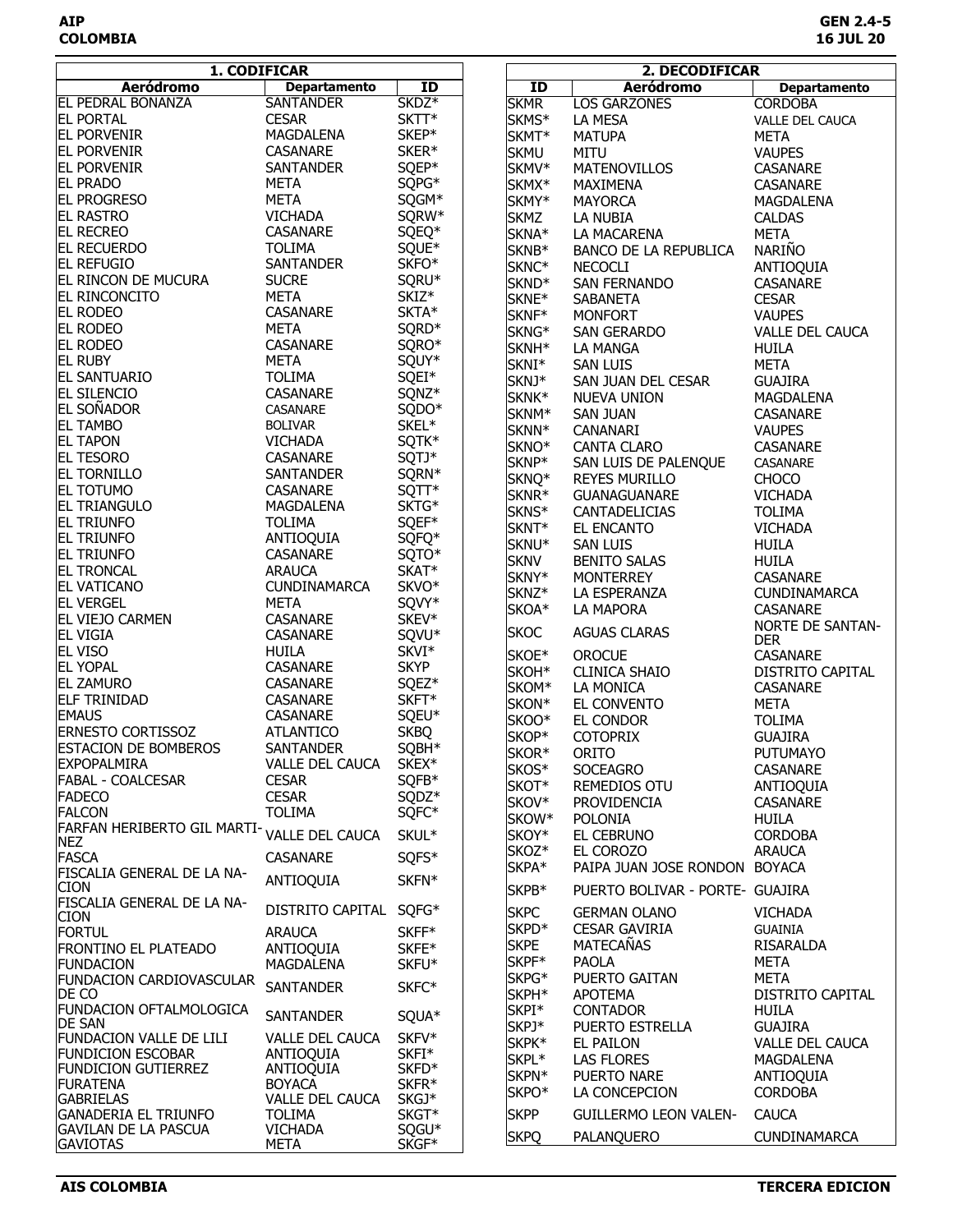**AIP GEN 2.4-5 COLOMBIA 16 JUL 20**

| 1. CODIFICAR                                               |                                 |                   |                   | 2. DECODIFICAR                  |                                            |
|------------------------------------------------------------|---------------------------------|-------------------|-------------------|---------------------------------|--------------------------------------------|
| <b>Aeródromo</b>                                           | <b>Departamento</b>             | ID                | <b>ID</b>         | <b>Aeródromo</b>                | <b>Departamento</b>                        |
| <b>EL PEDRAL BONANZA</b>                                   | <b>SANTANDER</b>                | SKDZ <sup>*</sup> | <b>SKMR</b>       | <b>LOS GARZONES</b>             | <b>CORDOBA</b>                             |
| <b>EL PORTAL</b>                                           | <b>CESAR</b>                    | SKTT*             | SKMS*             | LA MESA                         | <b>VALLE DEL CAUCA</b>                     |
| <b>EL PORVENIR</b>                                         | MAGDALENA                       | SKEP*             | SKMT*             | <b>MATUPA</b>                   | <b>META</b>                                |
| <b>EL PORVENIR</b>                                         | CASANARE                        | SKER*             | <b>SKMU</b>       | <b>MITU</b>                     | <b>VAUPES</b>                              |
| <b>EL PORVENIR</b>                                         | SANTANDER                       | SQEP*             | SKMV*             | <b>MATENOVILLOS</b>             | CASANARE                                   |
| <b>EL PRADO</b>                                            | <b>META</b>                     | SQPG*             | SKMX*             | MAXIMENA                        | CASANARE                                   |
| <b>EL PROGRESO</b>                                         | <b>META</b>                     | SQGM*             | SKMY*             | <b>MAYORCA</b>                  | MAGDALENA                                  |
| <b>EL RASTRO</b>                                           | <b>VICHADA</b>                  | SQRW*             | <b>SKMZ</b>       | LA NUBIA                        | <b>CALDAS</b>                              |
| <b>EL RECREO</b>                                           | CASANARE                        | SQEQ*             | SKNA*             | LA MACARENA                     | <b>META</b>                                |
| <b>EL RECUERDO</b>                                         | <b>TOLIMA</b>                   | SQUE*             | SKNB*             | BANCO DE LA REPUBLICA           | <b>NARIÑO</b>                              |
| <b>EL REFUGIO</b>                                          | <b>SANTANDER</b>                | SKFO*             | SKNC*             | <b>NECOCLI</b>                  | ANTIOQUIA                                  |
| EL RINCON DE MUCURA                                        | <b>SUCRE</b>                    | SQRU*             | SKND <sup>*</sup> | SAN FERNANDO                    | CASANARE                                   |
| <b>EL RINCONCITO</b>                                       | <b>META</b>                     | SKIZ*             | SKNE*             | <b>SABANETA</b>                 | <b>CESAR</b>                               |
| <b>EL RODEO</b>                                            | CASANARE                        | SKTA*             | SKNF*             | <b>MONFORT</b>                  | <b>VAUPES</b>                              |
| <b>EL RODEO</b>                                            | <b>META</b>                     | SQRD*             | SKNG*             | SAN GERARDO                     | VALLE DEL CAUCA                            |
| <b>EL RODEO</b>                                            | CASANARE                        | SQRO*             | SKNH <sup>*</sup> | LA MANGA                        | HUILA                                      |
| <b>EL RUBY</b>                                             | <b>META</b>                     | SQUY*             | SKNI*             | <b>SAN LUIS</b>                 | <b>META</b>                                |
| <b>EL SANTUARIO</b>                                        | <b>TOLIMA</b>                   | SQEI*             | SKNJ*             | SAN JUAN DEL CESAR              | <b>GUAJIRA</b>                             |
| <b>EL SILENCIO</b>                                         | CASANARE                        | SQNZ*             | SKNK*             | <b>NUEVA UNION</b>              | MAGDALENA                                  |
| <b>EL SOÑADOR</b>                                          | CASANARE                        | SQDO*             | SKNM*             | SAN JUAN                        | CASANARE                                   |
| <b>EL TAMBO</b>                                            | <b>BOLIVAR</b>                  | SKEL*             | SKNN*             | CANANARI                        | <b>VAUPES</b>                              |
| <b>EL TAPON</b>                                            | VICHADA                         | SQTK*             | SKNO*             | <b>CANTA CLARO</b>              | CASANARE                                   |
| <b>EL TESORO</b>                                           | CASANARE                        | SQTJ*             | SKNP*             | SAN LUIS DE PALENQUE            | <b>CASANARE</b>                            |
| <b>EL TORNILLO</b>                                         | SANTANDER                       | SQRN*             | SKNQ*             | <b>REYES MURILLO</b>            | <b>CHOCO</b>                               |
| <b>EL TOTUMO</b>                                           | CASANARE                        | SQTT*             | SKNR <sup>*</sup> | <b>GUANAGUANARE</b>             | <b>VICHADA</b>                             |
| <b>EL TRIANGULO</b>                                        | MAGDALENA                       | SKTG*             | SKNS*             | <b>CANTADELICIAS</b>            | <b>TOLIMA</b>                              |
| <b>EL TRIUNFO</b>                                          | <b>TOLIMA</b>                   | SQEF*             | SKNT*             | EL ENCANTO                      | <b>VICHADA</b>                             |
| <b>EL TRIUNFO</b>                                          | ANTIOQUIA                       | SQFQ*             | SKNU*             | <b>SAN LUIS</b>                 | <b>HUILA</b>                               |
| <b>EL TRIUNFO</b>                                          | CASANARE                        | SQTO*             | <b>SKNV</b>       | <b>BENITO SALAS</b>             | HUILA                                      |
| <b>EL TRONCAL</b>                                          | <b>ARAUCA</b>                   | SKAT*             | SKNY*             |                                 |                                            |
| <b>EL VATICANO</b>                                         | <b>CUNDINAMARCA</b>             | SKVO*             | SKNZ*             | MONTERREY<br>LA ESPERANZA       | CASANARE<br>CUNDINAMARCA                   |
| <b>EL VERGEL</b>                                           | <b>META</b>                     | SQVY*             |                   |                                 |                                            |
| <b>EL VIEJO CARMEN</b>                                     | CASANARE                        | SKEV*             | SKOA*             | LA MAPORA                       | <b>CASANARE</b><br><b>NORTE DE SANTAN-</b> |
| <b>EL VIGIA</b>                                            | CASANARE                        | SQVU*             | <b>SKOC</b>       | <b>AGUAS CLARAS</b>             | <b>DER</b>                                 |
| <b>EL VISO</b>                                             | <b>HUILA</b>                    | SKVI*             | SKOE*             | <b>OROCUE</b>                   | CASANARE                                   |
| <b>IEL YOPAL</b>                                           | CASANARE                        | <b>SKYP</b>       | SKOH*             | <b>CLINICA SHAIO</b>            | DISTRITO CAPITAL                           |
| <b>EL ZAMURO</b>                                           | CASANARE                        | SQEZ*             | SKOM*             | LA MONICA                       | CASANARE                                   |
| <b>ELF TRINIDAD</b>                                        | CASANARE                        | SKFT*             | SKON*             | EL CONVENTO                     | <b>META</b>                                |
| <b>EMAUS</b>                                               | CASANARE                        | SQEU*             | SKOO*             | EL CONDOR                       | <b>TOLIMA</b>                              |
| <b>ERNESTO CORTISSOZ</b>                                   | <b>ATLANTICO</b>                | <b>SKBQ</b>       | SKOP*             | <b>COTOPRIX</b>                 | <b>GUAJIRA</b>                             |
| <b>ESTACION DE BOMBEROS</b>                                | <b>SANTANDER</b>                | SQBH*             | SKOR*             | ORITO                           | <b>PUTUMAYO</b>                            |
| <b>EXPOPALMIRA</b>                                         | <b>VALLE DEL CAUCA</b>          | SKEX*             | SKOS*             | <b>SOCEAGRO</b>                 | <b>CASANARE</b>                            |
| <b>FABAL - COALCESAR</b>                                   | <b>CESAR</b>                    | SQFB*             | SKOT*             | REMEDIOS OTU                    | ANTIOQUIA                                  |
| <b>FADECO</b>                                              | <b>CESAR</b>                    | SQDZ*             | SKOV*             | PROVIDENCIA                     | <b>CASANARE</b>                            |
| <b>FALCON</b>                                              | <b>TOLIMA</b>                   | SQFC*             | SKOW*             | <b>POLONIA</b>                  | <b>HUILA</b>                               |
| <b>FARFAN HERIBERTO GIL MARTI-</b>                         | VALLE DEL CAUCA                 | SKUL*             | SKOY*             | EL CEBRUNO                      | <b>CORDOBA</b>                             |
| <b>NEZ</b>                                                 |                                 |                   | SKOZ*             | EL COROZO                       | <b>ARAUCA</b>                              |
| <b>FASCA</b>                                               | <b>CASANARE</b>                 | SQFS*             | SKPA*             | PAIPA JUAN JOSE RONDON BOYACA   |                                            |
| FISCALIA GENERAL DE LA NA-<br><b>CION</b>                  | ANTIOQUIA                       | SKFN*             |                   |                                 |                                            |
| FISCALIA GENERAL DE LA NA-                                 |                                 |                   | SKPB*             | PUERTO BOLIVAR - PORTE- GUAJIRA |                                            |
| <b>CION</b>                                                | DISTRITO CAPITAL                | SQFG*             | <b>SKPC</b>       | <b>GERMAN OLANO</b>             | <b>VICHADA</b>                             |
| <b>FORTUL</b>                                              | <b>ARAUCA</b>                   | SKFF*             | SKPD <sup>*</sup> | <b>CESAR GAVIRIA</b>            | <b>GUAINIA</b>                             |
| <b>FRONTINO EL PLATEADO</b>                                | ANTIOQUIA                       | SKFE*             | <b>SKPE</b>       | <b>MATECAÑAS</b>                | RISARALDA                                  |
| <b>FUNDACION</b>                                           | MAGDALENA                       | SKFU*             | SKPF*             | <b>PAOLA</b>                    | <b>META</b>                                |
| <b>FUNDACION CARDIOVASCULAR</b>                            |                                 |                   | SKPG*             | PUERTO GAITAN                   | <b>META</b>                                |
| DE CO                                                      | <b>SANTANDER</b>                | SKFC*             | SKPH*             | <b>APOTEMA</b>                  | DISTRITO CAPITAL                           |
| <b>FUNDACION OFTALMOLOGICA</b>                             | <b>SANTANDER</b>                | SQUA*             | SKPI*             | <b>CONTADOR</b>                 | HUILA                                      |
| <b>DE SAN</b>                                              |                                 |                   | SKPJ*             | PUERTO ESTRELLA                 | <b>GUAJIRA</b>                             |
| <b>FUNDACION VALLE DE LILI</b>                             | <b>VALLE DEL CAUCA</b>          | SKFV*             | SKPK*             | <b>EL PAILON</b>                | VALLE DEL CAUCA                            |
| <b>FUNDICION ESCOBAR</b>                                   | ANTIOQUIA                       | SKFI*             | SKPL*             | <b>LAS FLORES</b>               | MAGDALENA                                  |
| <b>FUNDICION GUTIERREZ</b>                                 | ANTIOQUIA                       | SKFD*             | SKPN*             | PUERTO NARE                     | ANTIOQUIA                                  |
| <b>FURATENA</b>                                            | <b>BOYACA</b>                   | SKFR*             | SKPO*             | LA CONCEPCION                   | <b>CORDOBA</b>                             |
| <b>GABRIELAS</b>                                           | VALLE DEL CAUCA                 | SKGJ*             |                   |                                 |                                            |
| <b>GANADERIA EL TRIUNFO</b><br><b>GAVILAN DE LA PASCUA</b> | <b>TOLIMA</b><br><b>VICHADA</b> | SKGT*<br>SQGU*    | <b>SKPP</b>       | <b>GUILLERMO LEON VALEN-</b>    | <b>CAUCA</b>                               |
| <b>GAVIOTAS</b>                                            | <b>META</b>                     | SKGF*             | <b>SKPQ</b>       | PALANQUERO                      | <b>CUNDINAMARCA</b>                        |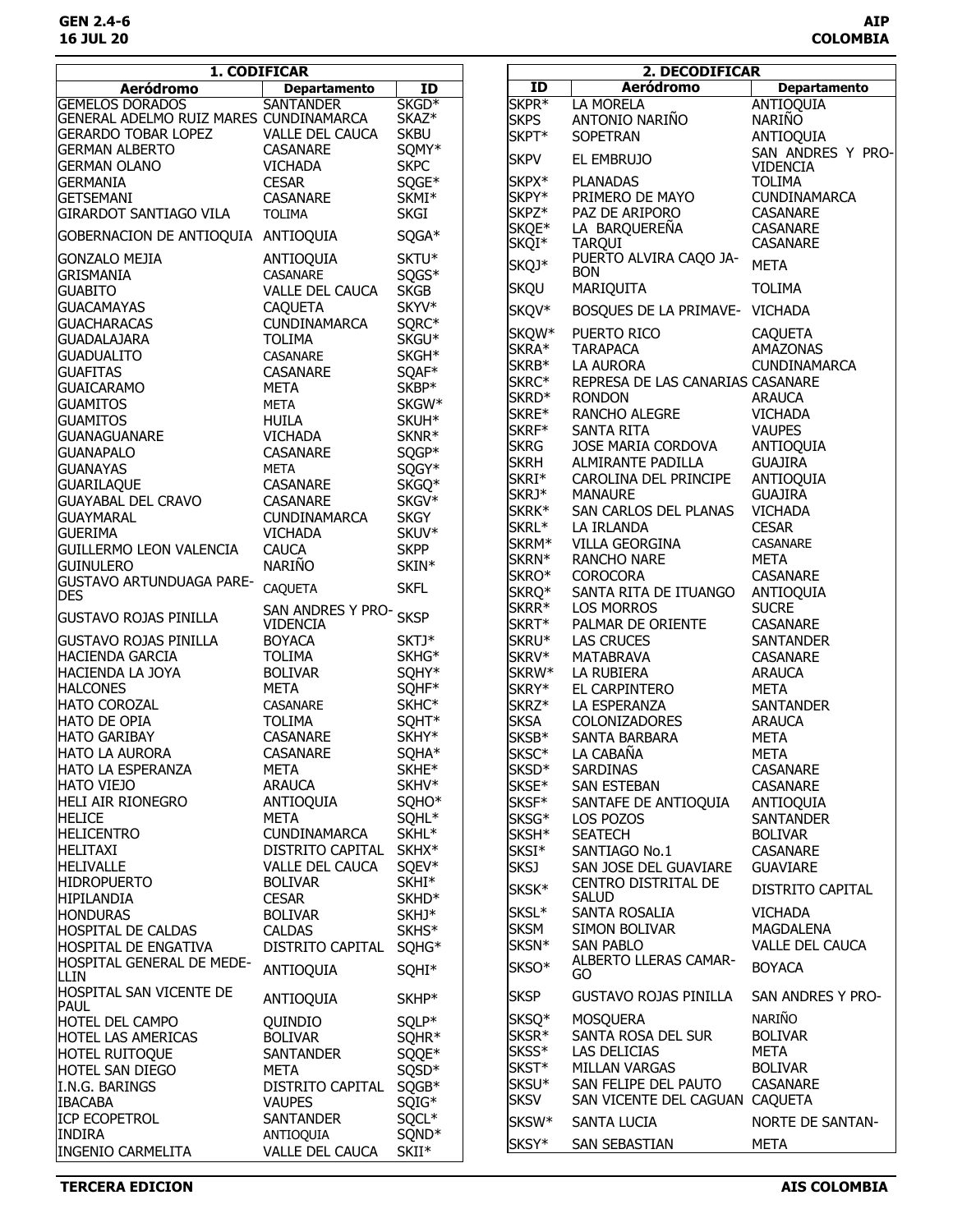| <b>Departamento</b><br><b>Aeródromo</b><br>ID<br><b>Aeródromo</b><br><b>Departamento</b><br>$\overline{1}$<br><b>SANTANDER</b><br>SKGD <sup>*</sup><br>SKPR <sup>*</sup><br>LA MORELA<br><b>GEMELOS DORADOS</b><br><b>ANTIOQUIA</b><br>GENERAL ADELMO RUIZ MARES CUNDINAMARCA<br>SKAZ*<br>ANTONIO NARIÑO<br><b>SKPS</b><br><b>NARIÑO</b><br><b>GERARDO TOBAR LOPEZ</b><br>VALLE DEL CAUCA<br><b>SKBU</b><br>SKPT*<br>SOPETRAN<br>ANTIOQUIA<br>SQMY*<br>GERMAN ALBERTO<br>CASANARE<br>SAN ANDRES Y PRO-<br><b>SKPV</b><br>EL EMBRUJO<br><b>SKPC</b><br><b>VICHADA</b><br><b>IGERMAN OLANO</b><br><b>VIDENCIA</b><br><b>CESAR</b><br>SQGE*<br>SKPX*<br><b>PLANADAS</b><br><b>GERMANIA</b><br><b>TOLIMA</b><br>SKPY*<br>PRIMERO DE MAYO<br><b>CUNDINAMARCA</b><br><b>GETSEMANI</b><br>CASANARE<br>SKMI*<br>SKPZ*<br>PAZ DE ARIPORO<br><b>CASANARE</b><br><b>GIRARDOT SANTIAGO VILA</b><br><b>TOLIMA</b><br><b>SKGI</b><br>SKQE*<br>LA BARQUEREÑA<br>CASANARE<br>SQGA*<br>GOBERNACION DE ANTIOQUIA ANTIOQUIA<br>SKQI*<br>CASANARE<br><b>TARQUI</b><br>SKTU*<br>PUERTO ALVIRA CAQO JA-<br><b>GONZALO MEJIA</b><br>ANTIOQUIA<br>SKQJ*<br><b>META</b><br><b>BON</b><br><b>GRISMANIA</b><br>SQGS*<br><b>CASANARE</b><br>MARIQUITA<br><b>TOLIMA</b><br><b>SKQU</b><br><b>SKGB</b><br><b>GUABITO</b><br>VALLE DEL CAUCA<br>SKYV*<br><b>GUACAMAYAS</b><br><b>CAQUETA</b><br>SKQV*<br>BOSQUES DE LA PRIMAVE- VICHADA<br>SQRC*<br><b>GUACHARACAS</b><br>CUNDINAMARCA<br>SKQW*<br>PUERTO RICO<br><b>CAQUETA</b><br>SKGU <sup>*</sup><br><b>GUADALAJARA</b><br><b>TOLIMA</b><br>SKRA*<br><b>AMAZONAS</b><br><b>TARAPACA</b><br>SKGH*<br><b>GUADUALITO</b><br>CASANARE<br>SKRB*<br>LA AURORA<br>CUNDINAMARCA<br>SQAF*<br><b>GUAFITAS</b><br>CASANARE<br>SKRC*<br>REPRESA DE LAS CANARIAS CASANARE<br>SKBP*<br><b>GUAICARAMO</b><br>META<br>SKRD <sup>*</sup><br><b>RONDON</b><br><b>ARAUCA</b><br><b>META</b><br>SKGW*<br><b>GUAMITOS</b><br>SKRE*<br>RANCHO ALEGRE<br><b>VICHADA</b><br><b>GUAMITOS</b><br><b>HUILA</b><br>SKUH*<br>SKRF*<br><b>SANTA RITA</b><br><b>VAUPES</b><br><b>VICHADA</b><br>SKNR*<br><b>GUANAGUANARE</b><br><b>SKRG</b><br>JOSE MARIA CORDOVA<br>ANTIOQUIA<br>CASANARE<br>SQGP*<br><b>GUANAPALO</b><br><b>SKRH</b><br>ALMIRANTE PADILLA<br><b>GUAJIRA</b><br><b>META</b><br>SQGY*<br><b>GUANAYAS</b><br>SKRI*<br>CAROLINA DEL PRINCIPE<br>ANTIOQUIA<br>SKGQ*<br>CASANARE<br><b>GUARILAQUE</b><br>SKRJ*<br><b>GUAJIRA</b><br><b>MANAURE</b><br><b>GUAYABAL DEL CRAVO</b><br>SKGV*<br>CASANARE<br>SKRK*<br>SAN CARLOS DEL PLANAS<br><b>VICHADA</b><br><b>SKGY</b><br><b>GUAYMARAL</b><br><b>CUNDINAMARCA</b><br>SKRL*<br>LA IRLANDA<br><b>CESAR</b><br>SKUV*<br><b>GUERIMA</b><br><b>VICHADA</b><br>SKRM*<br>CASANARE<br>VILLA GEORGINA<br><b>SKPP</b><br><b>CAUCA</b><br><b>GUILLERMO LEON VALENCIA</b><br>SKRN*<br><b>META</b><br>RANCHO NARE<br>NARIÑO<br>SKIN*<br>iguinulero<br>SKRO*<br><b>COROCORA</b><br>CASANARE<br><b>GUSTAVO ARTUNDUAGA PARE-</b><br><b>CAQUETA</b><br><b>SKFL</b><br>SKRQ*<br>SANTA RITA DE ITUANGO<br>ANTIOQUIA<br><b>DES</b><br>SKRR*<br><b>LOS MORROS</b><br><b>SUCRE</b><br>SAN ANDRES Y PRO-<br><b>SKSP</b><br><b>GUSTAVO ROJAS PINILLA</b> |
|-------------------------------------------------------------------------------------------------------------------------------------------------------------------------------------------------------------------------------------------------------------------------------------------------------------------------------------------------------------------------------------------------------------------------------------------------------------------------------------------------------------------------------------------------------------------------------------------------------------------------------------------------------------------------------------------------------------------------------------------------------------------------------------------------------------------------------------------------------------------------------------------------------------------------------------------------------------------------------------------------------------------------------------------------------------------------------------------------------------------------------------------------------------------------------------------------------------------------------------------------------------------------------------------------------------------------------------------------------------------------------------------------------------------------------------------------------------------------------------------------------------------------------------------------------------------------------------------------------------------------------------------------------------------------------------------------------------------------------------------------------------------------------------------------------------------------------------------------------------------------------------------------------------------------------------------------------------------------------------------------------------------------------------------------------------------------------------------------------------------------------------------------------------------------------------------------------------------------------------------------------------------------------------------------------------------------------------------------------------------------------------------------------------------------------------------------------------------------------------------------------------------------------------------------------------------------------------------------------------------------------------------------------------------------------------------------------------------------------------------------------------------------------------------------------------------------------------------------------------------------------------------------------------------------------------------------------------------------------------------------------------------------------------------------------------------------------------------------------------------------------------------------------------------------------------|
|                                                                                                                                                                                                                                                                                                                                                                                                                                                                                                                                                                                                                                                                                                                                                                                                                                                                                                                                                                                                                                                                                                                                                                                                                                                                                                                                                                                                                                                                                                                                                                                                                                                                                                                                                                                                                                                                                                                                                                                                                                                                                                                                                                                                                                                                                                                                                                                                                                                                                                                                                                                                                                                                                                                                                                                                                                                                                                                                                                                                                                                                                                                                                                                     |
|                                                                                                                                                                                                                                                                                                                                                                                                                                                                                                                                                                                                                                                                                                                                                                                                                                                                                                                                                                                                                                                                                                                                                                                                                                                                                                                                                                                                                                                                                                                                                                                                                                                                                                                                                                                                                                                                                                                                                                                                                                                                                                                                                                                                                                                                                                                                                                                                                                                                                                                                                                                                                                                                                                                                                                                                                                                                                                                                                                                                                                                                                                                                                                                     |
|                                                                                                                                                                                                                                                                                                                                                                                                                                                                                                                                                                                                                                                                                                                                                                                                                                                                                                                                                                                                                                                                                                                                                                                                                                                                                                                                                                                                                                                                                                                                                                                                                                                                                                                                                                                                                                                                                                                                                                                                                                                                                                                                                                                                                                                                                                                                                                                                                                                                                                                                                                                                                                                                                                                                                                                                                                                                                                                                                                                                                                                                                                                                                                                     |
|                                                                                                                                                                                                                                                                                                                                                                                                                                                                                                                                                                                                                                                                                                                                                                                                                                                                                                                                                                                                                                                                                                                                                                                                                                                                                                                                                                                                                                                                                                                                                                                                                                                                                                                                                                                                                                                                                                                                                                                                                                                                                                                                                                                                                                                                                                                                                                                                                                                                                                                                                                                                                                                                                                                                                                                                                                                                                                                                                                                                                                                                                                                                                                                     |
|                                                                                                                                                                                                                                                                                                                                                                                                                                                                                                                                                                                                                                                                                                                                                                                                                                                                                                                                                                                                                                                                                                                                                                                                                                                                                                                                                                                                                                                                                                                                                                                                                                                                                                                                                                                                                                                                                                                                                                                                                                                                                                                                                                                                                                                                                                                                                                                                                                                                                                                                                                                                                                                                                                                                                                                                                                                                                                                                                                                                                                                                                                                                                                                     |
|                                                                                                                                                                                                                                                                                                                                                                                                                                                                                                                                                                                                                                                                                                                                                                                                                                                                                                                                                                                                                                                                                                                                                                                                                                                                                                                                                                                                                                                                                                                                                                                                                                                                                                                                                                                                                                                                                                                                                                                                                                                                                                                                                                                                                                                                                                                                                                                                                                                                                                                                                                                                                                                                                                                                                                                                                                                                                                                                                                                                                                                                                                                                                                                     |
|                                                                                                                                                                                                                                                                                                                                                                                                                                                                                                                                                                                                                                                                                                                                                                                                                                                                                                                                                                                                                                                                                                                                                                                                                                                                                                                                                                                                                                                                                                                                                                                                                                                                                                                                                                                                                                                                                                                                                                                                                                                                                                                                                                                                                                                                                                                                                                                                                                                                                                                                                                                                                                                                                                                                                                                                                                                                                                                                                                                                                                                                                                                                                                                     |
|                                                                                                                                                                                                                                                                                                                                                                                                                                                                                                                                                                                                                                                                                                                                                                                                                                                                                                                                                                                                                                                                                                                                                                                                                                                                                                                                                                                                                                                                                                                                                                                                                                                                                                                                                                                                                                                                                                                                                                                                                                                                                                                                                                                                                                                                                                                                                                                                                                                                                                                                                                                                                                                                                                                                                                                                                                                                                                                                                                                                                                                                                                                                                                                     |
|                                                                                                                                                                                                                                                                                                                                                                                                                                                                                                                                                                                                                                                                                                                                                                                                                                                                                                                                                                                                                                                                                                                                                                                                                                                                                                                                                                                                                                                                                                                                                                                                                                                                                                                                                                                                                                                                                                                                                                                                                                                                                                                                                                                                                                                                                                                                                                                                                                                                                                                                                                                                                                                                                                                                                                                                                                                                                                                                                                                                                                                                                                                                                                                     |
|                                                                                                                                                                                                                                                                                                                                                                                                                                                                                                                                                                                                                                                                                                                                                                                                                                                                                                                                                                                                                                                                                                                                                                                                                                                                                                                                                                                                                                                                                                                                                                                                                                                                                                                                                                                                                                                                                                                                                                                                                                                                                                                                                                                                                                                                                                                                                                                                                                                                                                                                                                                                                                                                                                                                                                                                                                                                                                                                                                                                                                                                                                                                                                                     |
|                                                                                                                                                                                                                                                                                                                                                                                                                                                                                                                                                                                                                                                                                                                                                                                                                                                                                                                                                                                                                                                                                                                                                                                                                                                                                                                                                                                                                                                                                                                                                                                                                                                                                                                                                                                                                                                                                                                                                                                                                                                                                                                                                                                                                                                                                                                                                                                                                                                                                                                                                                                                                                                                                                                                                                                                                                                                                                                                                                                                                                                                                                                                                                                     |
|                                                                                                                                                                                                                                                                                                                                                                                                                                                                                                                                                                                                                                                                                                                                                                                                                                                                                                                                                                                                                                                                                                                                                                                                                                                                                                                                                                                                                                                                                                                                                                                                                                                                                                                                                                                                                                                                                                                                                                                                                                                                                                                                                                                                                                                                                                                                                                                                                                                                                                                                                                                                                                                                                                                                                                                                                                                                                                                                                                                                                                                                                                                                                                                     |
|                                                                                                                                                                                                                                                                                                                                                                                                                                                                                                                                                                                                                                                                                                                                                                                                                                                                                                                                                                                                                                                                                                                                                                                                                                                                                                                                                                                                                                                                                                                                                                                                                                                                                                                                                                                                                                                                                                                                                                                                                                                                                                                                                                                                                                                                                                                                                                                                                                                                                                                                                                                                                                                                                                                                                                                                                                                                                                                                                                                                                                                                                                                                                                                     |
|                                                                                                                                                                                                                                                                                                                                                                                                                                                                                                                                                                                                                                                                                                                                                                                                                                                                                                                                                                                                                                                                                                                                                                                                                                                                                                                                                                                                                                                                                                                                                                                                                                                                                                                                                                                                                                                                                                                                                                                                                                                                                                                                                                                                                                                                                                                                                                                                                                                                                                                                                                                                                                                                                                                                                                                                                                                                                                                                                                                                                                                                                                                                                                                     |
|                                                                                                                                                                                                                                                                                                                                                                                                                                                                                                                                                                                                                                                                                                                                                                                                                                                                                                                                                                                                                                                                                                                                                                                                                                                                                                                                                                                                                                                                                                                                                                                                                                                                                                                                                                                                                                                                                                                                                                                                                                                                                                                                                                                                                                                                                                                                                                                                                                                                                                                                                                                                                                                                                                                                                                                                                                                                                                                                                                                                                                                                                                                                                                                     |
|                                                                                                                                                                                                                                                                                                                                                                                                                                                                                                                                                                                                                                                                                                                                                                                                                                                                                                                                                                                                                                                                                                                                                                                                                                                                                                                                                                                                                                                                                                                                                                                                                                                                                                                                                                                                                                                                                                                                                                                                                                                                                                                                                                                                                                                                                                                                                                                                                                                                                                                                                                                                                                                                                                                                                                                                                                                                                                                                                                                                                                                                                                                                                                                     |
|                                                                                                                                                                                                                                                                                                                                                                                                                                                                                                                                                                                                                                                                                                                                                                                                                                                                                                                                                                                                                                                                                                                                                                                                                                                                                                                                                                                                                                                                                                                                                                                                                                                                                                                                                                                                                                                                                                                                                                                                                                                                                                                                                                                                                                                                                                                                                                                                                                                                                                                                                                                                                                                                                                                                                                                                                                                                                                                                                                                                                                                                                                                                                                                     |
|                                                                                                                                                                                                                                                                                                                                                                                                                                                                                                                                                                                                                                                                                                                                                                                                                                                                                                                                                                                                                                                                                                                                                                                                                                                                                                                                                                                                                                                                                                                                                                                                                                                                                                                                                                                                                                                                                                                                                                                                                                                                                                                                                                                                                                                                                                                                                                                                                                                                                                                                                                                                                                                                                                                                                                                                                                                                                                                                                                                                                                                                                                                                                                                     |
|                                                                                                                                                                                                                                                                                                                                                                                                                                                                                                                                                                                                                                                                                                                                                                                                                                                                                                                                                                                                                                                                                                                                                                                                                                                                                                                                                                                                                                                                                                                                                                                                                                                                                                                                                                                                                                                                                                                                                                                                                                                                                                                                                                                                                                                                                                                                                                                                                                                                                                                                                                                                                                                                                                                                                                                                                                                                                                                                                                                                                                                                                                                                                                                     |
|                                                                                                                                                                                                                                                                                                                                                                                                                                                                                                                                                                                                                                                                                                                                                                                                                                                                                                                                                                                                                                                                                                                                                                                                                                                                                                                                                                                                                                                                                                                                                                                                                                                                                                                                                                                                                                                                                                                                                                                                                                                                                                                                                                                                                                                                                                                                                                                                                                                                                                                                                                                                                                                                                                                                                                                                                                                                                                                                                                                                                                                                                                                                                                                     |
|                                                                                                                                                                                                                                                                                                                                                                                                                                                                                                                                                                                                                                                                                                                                                                                                                                                                                                                                                                                                                                                                                                                                                                                                                                                                                                                                                                                                                                                                                                                                                                                                                                                                                                                                                                                                                                                                                                                                                                                                                                                                                                                                                                                                                                                                                                                                                                                                                                                                                                                                                                                                                                                                                                                                                                                                                                                                                                                                                                                                                                                                                                                                                                                     |
|                                                                                                                                                                                                                                                                                                                                                                                                                                                                                                                                                                                                                                                                                                                                                                                                                                                                                                                                                                                                                                                                                                                                                                                                                                                                                                                                                                                                                                                                                                                                                                                                                                                                                                                                                                                                                                                                                                                                                                                                                                                                                                                                                                                                                                                                                                                                                                                                                                                                                                                                                                                                                                                                                                                                                                                                                                                                                                                                                                                                                                                                                                                                                                                     |
|                                                                                                                                                                                                                                                                                                                                                                                                                                                                                                                                                                                                                                                                                                                                                                                                                                                                                                                                                                                                                                                                                                                                                                                                                                                                                                                                                                                                                                                                                                                                                                                                                                                                                                                                                                                                                                                                                                                                                                                                                                                                                                                                                                                                                                                                                                                                                                                                                                                                                                                                                                                                                                                                                                                                                                                                                                                                                                                                                                                                                                                                                                                                                                                     |
|                                                                                                                                                                                                                                                                                                                                                                                                                                                                                                                                                                                                                                                                                                                                                                                                                                                                                                                                                                                                                                                                                                                                                                                                                                                                                                                                                                                                                                                                                                                                                                                                                                                                                                                                                                                                                                                                                                                                                                                                                                                                                                                                                                                                                                                                                                                                                                                                                                                                                                                                                                                                                                                                                                                                                                                                                                                                                                                                                                                                                                                                                                                                                                                     |
|                                                                                                                                                                                                                                                                                                                                                                                                                                                                                                                                                                                                                                                                                                                                                                                                                                                                                                                                                                                                                                                                                                                                                                                                                                                                                                                                                                                                                                                                                                                                                                                                                                                                                                                                                                                                                                                                                                                                                                                                                                                                                                                                                                                                                                                                                                                                                                                                                                                                                                                                                                                                                                                                                                                                                                                                                                                                                                                                                                                                                                                                                                                                                                                     |
|                                                                                                                                                                                                                                                                                                                                                                                                                                                                                                                                                                                                                                                                                                                                                                                                                                                                                                                                                                                                                                                                                                                                                                                                                                                                                                                                                                                                                                                                                                                                                                                                                                                                                                                                                                                                                                                                                                                                                                                                                                                                                                                                                                                                                                                                                                                                                                                                                                                                                                                                                                                                                                                                                                                                                                                                                                                                                                                                                                                                                                                                                                                                                                                     |
|                                                                                                                                                                                                                                                                                                                                                                                                                                                                                                                                                                                                                                                                                                                                                                                                                                                                                                                                                                                                                                                                                                                                                                                                                                                                                                                                                                                                                                                                                                                                                                                                                                                                                                                                                                                                                                                                                                                                                                                                                                                                                                                                                                                                                                                                                                                                                                                                                                                                                                                                                                                                                                                                                                                                                                                                                                                                                                                                                                                                                                                                                                                                                                                     |
|                                                                                                                                                                                                                                                                                                                                                                                                                                                                                                                                                                                                                                                                                                                                                                                                                                                                                                                                                                                                                                                                                                                                                                                                                                                                                                                                                                                                                                                                                                                                                                                                                                                                                                                                                                                                                                                                                                                                                                                                                                                                                                                                                                                                                                                                                                                                                                                                                                                                                                                                                                                                                                                                                                                                                                                                                                                                                                                                                                                                                                                                                                                                                                                     |
|                                                                                                                                                                                                                                                                                                                                                                                                                                                                                                                                                                                                                                                                                                                                                                                                                                                                                                                                                                                                                                                                                                                                                                                                                                                                                                                                                                                                                                                                                                                                                                                                                                                                                                                                                                                                                                                                                                                                                                                                                                                                                                                                                                                                                                                                                                                                                                                                                                                                                                                                                                                                                                                                                                                                                                                                                                                                                                                                                                                                                                                                                                                                                                                     |
|                                                                                                                                                                                                                                                                                                                                                                                                                                                                                                                                                                                                                                                                                                                                                                                                                                                                                                                                                                                                                                                                                                                                                                                                                                                                                                                                                                                                                                                                                                                                                                                                                                                                                                                                                                                                                                                                                                                                                                                                                                                                                                                                                                                                                                                                                                                                                                                                                                                                                                                                                                                                                                                                                                                                                                                                                                                                                                                                                                                                                                                                                                                                                                                     |
|                                                                                                                                                                                                                                                                                                                                                                                                                                                                                                                                                                                                                                                                                                                                                                                                                                                                                                                                                                                                                                                                                                                                                                                                                                                                                                                                                                                                                                                                                                                                                                                                                                                                                                                                                                                                                                                                                                                                                                                                                                                                                                                                                                                                                                                                                                                                                                                                                                                                                                                                                                                                                                                                                                                                                                                                                                                                                                                                                                                                                                                                                                                                                                                     |
|                                                                                                                                                                                                                                                                                                                                                                                                                                                                                                                                                                                                                                                                                                                                                                                                                                                                                                                                                                                                                                                                                                                                                                                                                                                                                                                                                                                                                                                                                                                                                                                                                                                                                                                                                                                                                                                                                                                                                                                                                                                                                                                                                                                                                                                                                                                                                                                                                                                                                                                                                                                                                                                                                                                                                                                                                                                                                                                                                                                                                                                                                                                                                                                     |
|                                                                                                                                                                                                                                                                                                                                                                                                                                                                                                                                                                                                                                                                                                                                                                                                                                                                                                                                                                                                                                                                                                                                                                                                                                                                                                                                                                                                                                                                                                                                                                                                                                                                                                                                                                                                                                                                                                                                                                                                                                                                                                                                                                                                                                                                                                                                                                                                                                                                                                                                                                                                                                                                                                                                                                                                                                                                                                                                                                                                                                                                                                                                                                                     |
| SKRT*<br><b>VIDENCIA</b><br><b>CASANARE</b><br>PALMAR DE ORIENTE<br><b>GUSTAVO ROJAS PINILLA</b><br>SKTJ*                                                                                                                                                                                                                                                                                                                                                                                                                                                                                                                                                                                                                                                                                                                                                                                                                                                                                                                                                                                                                                                                                                                                                                                                                                                                                                                                                                                                                                                                                                                                                                                                                                                                                                                                                                                                                                                                                                                                                                                                                                                                                                                                                                                                                                                                                                                                                                                                                                                                                                                                                                                                                                                                                                                                                                                                                                                                                                                                                                                                                                                                           |
| <b>BOYACA</b><br>SKRU <sup>*</sup><br><b>LAS CRUCES</b><br><b>SANTANDER</b><br>SKHG*<br>SKRV*<br><b>HACIENDA GARCIA</b><br><b>TOLIMA</b><br><b>MATABRAVA</b><br><b>CASANARE</b>                                                                                                                                                                                                                                                                                                                                                                                                                                                                                                                                                                                                                                                                                                                                                                                                                                                                                                                                                                                                                                                                                                                                                                                                                                                                                                                                                                                                                                                                                                                                                                                                                                                                                                                                                                                                                                                                                                                                                                                                                                                                                                                                                                                                                                                                                                                                                                                                                                                                                                                                                                                                                                                                                                                                                                                                                                                                                                                                                                                                     |
| <b>BOLIVAR</b><br>HACIENDA LA JOYA<br>SQHY*<br>SKRW*<br>LA RUBIERA<br><b>ARAUCA</b>                                                                                                                                                                                                                                                                                                                                                                                                                                                                                                                                                                                                                                                                                                                                                                                                                                                                                                                                                                                                                                                                                                                                                                                                                                                                                                                                                                                                                                                                                                                                                                                                                                                                                                                                                                                                                                                                                                                                                                                                                                                                                                                                                                                                                                                                                                                                                                                                                                                                                                                                                                                                                                                                                                                                                                                                                                                                                                                                                                                                                                                                                                 |
| <b>META</b><br>SQHF*<br><b>HALCONES</b><br>SKRY*<br>EL CARPINTERO<br><b>META</b>                                                                                                                                                                                                                                                                                                                                                                                                                                                                                                                                                                                                                                                                                                                                                                                                                                                                                                                                                                                                                                                                                                                                                                                                                                                                                                                                                                                                                                                                                                                                                                                                                                                                                                                                                                                                                                                                                                                                                                                                                                                                                                                                                                                                                                                                                                                                                                                                                                                                                                                                                                                                                                                                                                                                                                                                                                                                                                                                                                                                                                                                                                    |
| SKHC*<br>HATO COROZAL<br>SKRZ*<br>CASANARE<br>LA ESPERANZA<br><b>SANTANDER</b>                                                                                                                                                                                                                                                                                                                                                                                                                                                                                                                                                                                                                                                                                                                                                                                                                                                                                                                                                                                                                                                                                                                                                                                                                                                                                                                                                                                                                                                                                                                                                                                                                                                                                                                                                                                                                                                                                                                                                                                                                                                                                                                                                                                                                                                                                                                                                                                                                                                                                                                                                                                                                                                                                                                                                                                                                                                                                                                                                                                                                                                                                                      |
| <b>HATO DE OPIA</b><br><b>TOLIMA</b><br>SQHT*<br><b>SKSA</b><br><b>COLONIZADORES</b><br><b>ARAUCA</b>                                                                                                                                                                                                                                                                                                                                                                                                                                                                                                                                                                                                                                                                                                                                                                                                                                                                                                                                                                                                                                                                                                                                                                                                                                                                                                                                                                                                                                                                                                                                                                                                                                                                                                                                                                                                                                                                                                                                                                                                                                                                                                                                                                                                                                                                                                                                                                                                                                                                                                                                                                                                                                                                                                                                                                                                                                                                                                                                                                                                                                                                               |
| <b>HATO GARIBAY</b><br>SKHY*<br>SKSB*<br><b>CASANARE</b><br><b>META</b><br>SANTA BARBARA                                                                                                                                                                                                                                                                                                                                                                                                                                                                                                                                                                                                                                                                                                                                                                                                                                                                                                                                                                                                                                                                                                                                                                                                                                                                                                                                                                                                                                                                                                                                                                                                                                                                                                                                                                                                                                                                                                                                                                                                                                                                                                                                                                                                                                                                                                                                                                                                                                                                                                                                                                                                                                                                                                                                                                                                                                                                                                                                                                                                                                                                                            |
| <b>HATO LA AURORA</b><br>SQHA*<br>SKSC*<br><b>CASANARE</b><br>LA CABAÑA<br><b>META</b>                                                                                                                                                                                                                                                                                                                                                                                                                                                                                                                                                                                                                                                                                                                                                                                                                                                                                                                                                                                                                                                                                                                                                                                                                                                                                                                                                                                                                                                                                                                                                                                                                                                                                                                                                                                                                                                                                                                                                                                                                                                                                                                                                                                                                                                                                                                                                                                                                                                                                                                                                                                                                                                                                                                                                                                                                                                                                                                                                                                                                                                                                              |
| <b>HATO LA ESPERANZA</b><br><b>META</b><br>SKHE*<br>SKSD*<br>SARDINAS<br>CASANARE                                                                                                                                                                                                                                                                                                                                                                                                                                                                                                                                                                                                                                                                                                                                                                                                                                                                                                                                                                                                                                                                                                                                                                                                                                                                                                                                                                                                                                                                                                                                                                                                                                                                                                                                                                                                                                                                                                                                                                                                                                                                                                                                                                                                                                                                                                                                                                                                                                                                                                                                                                                                                                                                                                                                                                                                                                                                                                                                                                                                                                                                                                   |
| <b>HATO VIEJO</b><br><b>ARAUCA</b><br>SKHV <sup>*</sup><br>SKSE*<br>SAN ESTEBAN<br><b>CASANARE</b>                                                                                                                                                                                                                                                                                                                                                                                                                                                                                                                                                                                                                                                                                                                                                                                                                                                                                                                                                                                                                                                                                                                                                                                                                                                                                                                                                                                                                                                                                                                                                                                                                                                                                                                                                                                                                                                                                                                                                                                                                                                                                                                                                                                                                                                                                                                                                                                                                                                                                                                                                                                                                                                                                                                                                                                                                                                                                                                                                                                                                                                                                  |
| <b>HELI AIR RIONEGRO</b><br>ANTIOQUIA<br>SQHO*<br>SKSF*<br>SANTAFE DE ANTIOQUIA<br>ANTIOQUIA                                                                                                                                                                                                                                                                                                                                                                                                                                                                                                                                                                                                                                                                                                                                                                                                                                                                                                                                                                                                                                                                                                                                                                                                                                                                                                                                                                                                                                                                                                                                                                                                                                                                                                                                                                                                                                                                                                                                                                                                                                                                                                                                                                                                                                                                                                                                                                                                                                                                                                                                                                                                                                                                                                                                                                                                                                                                                                                                                                                                                                                                                        |
| <b>HELICE</b><br>META<br>SQHL <sup>*</sup><br>SKSG*<br>LOS POZOS<br><b>SANTANDER</b>                                                                                                                                                                                                                                                                                                                                                                                                                                                                                                                                                                                                                                                                                                                                                                                                                                                                                                                                                                                                                                                                                                                                                                                                                                                                                                                                                                                                                                                                                                                                                                                                                                                                                                                                                                                                                                                                                                                                                                                                                                                                                                                                                                                                                                                                                                                                                                                                                                                                                                                                                                                                                                                                                                                                                                                                                                                                                                                                                                                                                                                                                                |
| <b>HELICENTRO</b><br>SKHL*<br>SKSH*<br><b>CUNDINAMARCA</b><br><b>SEATECH</b><br><b>BOLIVAR</b>                                                                                                                                                                                                                                                                                                                                                                                                                                                                                                                                                                                                                                                                                                                                                                                                                                                                                                                                                                                                                                                                                                                                                                                                                                                                                                                                                                                                                                                                                                                                                                                                                                                                                                                                                                                                                                                                                                                                                                                                                                                                                                                                                                                                                                                                                                                                                                                                                                                                                                                                                                                                                                                                                                                                                                                                                                                                                                                                                                                                                                                                                      |
| HELITAXI<br>DISTRITO CAPITAL<br>SKHX*<br>SKSI*<br>SANTIAGO No.1<br>CASANARE                                                                                                                                                                                                                                                                                                                                                                                                                                                                                                                                                                                                                                                                                                                                                                                                                                                                                                                                                                                                                                                                                                                                                                                                                                                                                                                                                                                                                                                                                                                                                                                                                                                                                                                                                                                                                                                                                                                                                                                                                                                                                                                                                                                                                                                                                                                                                                                                                                                                                                                                                                                                                                                                                                                                                                                                                                                                                                                                                                                                                                                                                                         |
| <b>HELIVALLE</b><br>VALLE DEL CAUCA<br>SQEV*<br>SKSJ<br>SAN JOSE DEL GUAVIARE<br><b>GUAVIARE</b>                                                                                                                                                                                                                                                                                                                                                                                                                                                                                                                                                                                                                                                                                                                                                                                                                                                                                                                                                                                                                                                                                                                                                                                                                                                                                                                                                                                                                                                                                                                                                                                                                                                                                                                                                                                                                                                                                                                                                                                                                                                                                                                                                                                                                                                                                                                                                                                                                                                                                                                                                                                                                                                                                                                                                                                                                                                                                                                                                                                                                                                                                    |
| <b>HIDROPUERTO</b><br><b>BOLIVAR</b><br>SKHI*<br>CENTRO DISTRITAL DE<br>SKSK*<br>DISTRITO CAPITAL                                                                                                                                                                                                                                                                                                                                                                                                                                                                                                                                                                                                                                                                                                                                                                                                                                                                                                                                                                                                                                                                                                                                                                                                                                                                                                                                                                                                                                                                                                                                                                                                                                                                                                                                                                                                                                                                                                                                                                                                                                                                                                                                                                                                                                                                                                                                                                                                                                                                                                                                                                                                                                                                                                                                                                                                                                                                                                                                                                                                                                                                                   |
| <b>SALUD</b><br>HIPILANDIA<br><b>CESAR</b><br>SKHD <sup>*</sup>                                                                                                                                                                                                                                                                                                                                                                                                                                                                                                                                                                                                                                                                                                                                                                                                                                                                                                                                                                                                                                                                                                                                                                                                                                                                                                                                                                                                                                                                                                                                                                                                                                                                                                                                                                                                                                                                                                                                                                                                                                                                                                                                                                                                                                                                                                                                                                                                                                                                                                                                                                                                                                                                                                                                                                                                                                                                                                                                                                                                                                                                                                                     |
| SKSL <sup>*</sup><br>SANTA ROSALIA<br><b>VICHADA</b><br><b>HONDURAS</b><br><b>BOLIVAR</b><br>SKHJ*                                                                                                                                                                                                                                                                                                                                                                                                                                                                                                                                                                                                                                                                                                                                                                                                                                                                                                                                                                                                                                                                                                                                                                                                                                                                                                                                                                                                                                                                                                                                                                                                                                                                                                                                                                                                                                                                                                                                                                                                                                                                                                                                                                                                                                                                                                                                                                                                                                                                                                                                                                                                                                                                                                                                                                                                                                                                                                                                                                                                                                                                                  |
| <b>SKSM</b><br>SIMON BOLIVAR<br>MAGDALENA<br><b>HOSPITAL DE CALDAS</b><br><b>CALDAS</b><br>SKHS*                                                                                                                                                                                                                                                                                                                                                                                                                                                                                                                                                                                                                                                                                                                                                                                                                                                                                                                                                                                                                                                                                                                                                                                                                                                                                                                                                                                                                                                                                                                                                                                                                                                                                                                                                                                                                                                                                                                                                                                                                                                                                                                                                                                                                                                                                                                                                                                                                                                                                                                                                                                                                                                                                                                                                                                                                                                                                                                                                                                                                                                                                    |
| SKSN*<br><b>SAN PABLO</b><br>VALLE DEL CAUCA<br><b>HOSPITAL DE ENGATIVA</b><br>DISTRITO CAPITAL<br>SQHG*                                                                                                                                                                                                                                                                                                                                                                                                                                                                                                                                                                                                                                                                                                                                                                                                                                                                                                                                                                                                                                                                                                                                                                                                                                                                                                                                                                                                                                                                                                                                                                                                                                                                                                                                                                                                                                                                                                                                                                                                                                                                                                                                                                                                                                                                                                                                                                                                                                                                                                                                                                                                                                                                                                                                                                                                                                                                                                                                                                                                                                                                            |
| ALBERTO LLERAS CAMAR-<br>HOSPITAL GENERAL DE MEDE-<br>SKSO*<br><b>BOYACA</b><br>ANTIOQUIA<br>SQHI*                                                                                                                                                                                                                                                                                                                                                                                                                                                                                                                                                                                                                                                                                                                                                                                                                                                                                                                                                                                                                                                                                                                                                                                                                                                                                                                                                                                                                                                                                                                                                                                                                                                                                                                                                                                                                                                                                                                                                                                                                                                                                                                                                                                                                                                                                                                                                                                                                                                                                                                                                                                                                                                                                                                                                                                                                                                                                                                                                                                                                                                                                  |
| GO<br>LLIN                                                                                                                                                                                                                                                                                                                                                                                                                                                                                                                                                                                                                                                                                                                                                                                                                                                                                                                                                                                                                                                                                                                                                                                                                                                                                                                                                                                                                                                                                                                                                                                                                                                                                                                                                                                                                                                                                                                                                                                                                                                                                                                                                                                                                                                                                                                                                                                                                                                                                                                                                                                                                                                                                                                                                                                                                                                                                                                                                                                                                                                                                                                                                                          |
| HOSPITAL SAN VICENTE DE<br><b>SKSP</b><br><b>GUSTAVO ROJAS PINILLA</b><br>SAN ANDRES Y PRO-<br>ANTIOQUIA<br>SKHP*<br><b>PAUL</b>                                                                                                                                                                                                                                                                                                                                                                                                                                                                                                                                                                                                                                                                                                                                                                                                                                                                                                                                                                                                                                                                                                                                                                                                                                                                                                                                                                                                                                                                                                                                                                                                                                                                                                                                                                                                                                                                                                                                                                                                                                                                                                                                                                                                                                                                                                                                                                                                                                                                                                                                                                                                                                                                                                                                                                                                                                                                                                                                                                                                                                                    |
| NARIÑO<br>SKSQ <sup>*</sup><br><b>MOSQUERA</b><br><b>HOTEL DEL CAMPO</b><br>QUINDIO<br>SQLP*                                                                                                                                                                                                                                                                                                                                                                                                                                                                                                                                                                                                                                                                                                                                                                                                                                                                                                                                                                                                                                                                                                                                                                                                                                                                                                                                                                                                                                                                                                                                                                                                                                                                                                                                                                                                                                                                                                                                                                                                                                                                                                                                                                                                                                                                                                                                                                                                                                                                                                                                                                                                                                                                                                                                                                                                                                                                                                                                                                                                                                                                                        |
| SKSR*<br><b>BOLIVAR</b><br>SANTA ROSA DEL SUR<br><b>HOTEL LAS AMERICAS</b><br>SQHR*<br><b>BOLIVAR</b>                                                                                                                                                                                                                                                                                                                                                                                                                                                                                                                                                                                                                                                                                                                                                                                                                                                                                                                                                                                                                                                                                                                                                                                                                                                                                                                                                                                                                                                                                                                                                                                                                                                                                                                                                                                                                                                                                                                                                                                                                                                                                                                                                                                                                                                                                                                                                                                                                                                                                                                                                                                                                                                                                                                                                                                                                                                                                                                                                                                                                                                                               |
| SKSS*<br>LAS DELICIAS<br>META<br><b>HOTEL RUITOQUE</b><br>SQQE*<br><b>SANTANDER</b>                                                                                                                                                                                                                                                                                                                                                                                                                                                                                                                                                                                                                                                                                                                                                                                                                                                                                                                                                                                                                                                                                                                                                                                                                                                                                                                                                                                                                                                                                                                                                                                                                                                                                                                                                                                                                                                                                                                                                                                                                                                                                                                                                                                                                                                                                                                                                                                                                                                                                                                                                                                                                                                                                                                                                                                                                                                                                                                                                                                                                                                                                                 |
| SKST*<br>MILLAN VARGAS<br><b>BOLIVAR</b><br>SQSD*<br><b>HOTEL SAN DIEGO</b><br>META                                                                                                                                                                                                                                                                                                                                                                                                                                                                                                                                                                                                                                                                                                                                                                                                                                                                                                                                                                                                                                                                                                                                                                                                                                                                                                                                                                                                                                                                                                                                                                                                                                                                                                                                                                                                                                                                                                                                                                                                                                                                                                                                                                                                                                                                                                                                                                                                                                                                                                                                                                                                                                                                                                                                                                                                                                                                                                                                                                                                                                                                                                 |
| SKSU <sup>*</sup><br>SAN FELIPE DEL PAUTO<br><b>CASANARE</b><br>I.N.G. BARINGS<br>DISTRITO CAPITAL<br>SQGB*                                                                                                                                                                                                                                                                                                                                                                                                                                                                                                                                                                                                                                                                                                                                                                                                                                                                                                                                                                                                                                                                                                                                                                                                                                                                                                                                                                                                                                                                                                                                                                                                                                                                                                                                                                                                                                                                                                                                                                                                                                                                                                                                                                                                                                                                                                                                                                                                                                                                                                                                                                                                                                                                                                                                                                                                                                                                                                                                                                                                                                                                         |
| <b>SKSV</b><br>SAN VICENTE DEL CAGUAN CAQUETA<br><b>IBACABA</b><br><b>VAUPES</b><br>SQIG*                                                                                                                                                                                                                                                                                                                                                                                                                                                                                                                                                                                                                                                                                                                                                                                                                                                                                                                                                                                                                                                                                                                                                                                                                                                                                                                                                                                                                                                                                                                                                                                                                                                                                                                                                                                                                                                                                                                                                                                                                                                                                                                                                                                                                                                                                                                                                                                                                                                                                                                                                                                                                                                                                                                                                                                                                                                                                                                                                                                                                                                                                           |
| <b>ICP ECOPETROL</b><br>SQCL <sup>*</sup><br><b>SANTANDER</b>                                                                                                                                                                                                                                                                                                                                                                                                                                                                                                                                                                                                                                                                                                                                                                                                                                                                                                                                                                                                                                                                                                                                                                                                                                                                                                                                                                                                                                                                                                                                                                                                                                                                                                                                                                                                                                                                                                                                                                                                                                                                                                                                                                                                                                                                                                                                                                                                                                                                                                                                                                                                                                                                                                                                                                                                                                                                                                                                                                                                                                                                                                                       |
| SKSW*<br><b>SANTA LUCIA</b><br><b>NORTE DE SANTAN-</b><br><b>INDIRA</b><br>SQND*<br>ANTIOQUIA                                                                                                                                                                                                                                                                                                                                                                                                                                                                                                                                                                                                                                                                                                                                                                                                                                                                                                                                                                                                                                                                                                                                                                                                                                                                                                                                                                                                                                                                                                                                                                                                                                                                                                                                                                                                                                                                                                                                                                                                                                                                                                                                                                                                                                                                                                                                                                                                                                                                                                                                                                                                                                                                                                                                                                                                                                                                                                                                                                                                                                                                                       |
| SKSY*<br>SAN SEBASTIAN<br>META<br><b>INGENIO CARMELITA</b><br>VALLE DEL CAUCA<br>SKII*                                                                                                                                                                                                                                                                                                                                                                                                                                                                                                                                                                                                                                                                                                                                                                                                                                                                                                                                                                                                                                                                                                                                                                                                                                                                                                                                                                                                                                                                                                                                                                                                                                                                                                                                                                                                                                                                                                                                                                                                                                                                                                                                                                                                                                                                                                                                                                                                                                                                                                                                                                                                                                                                                                                                                                                                                                                                                                                                                                                                                                                                                              |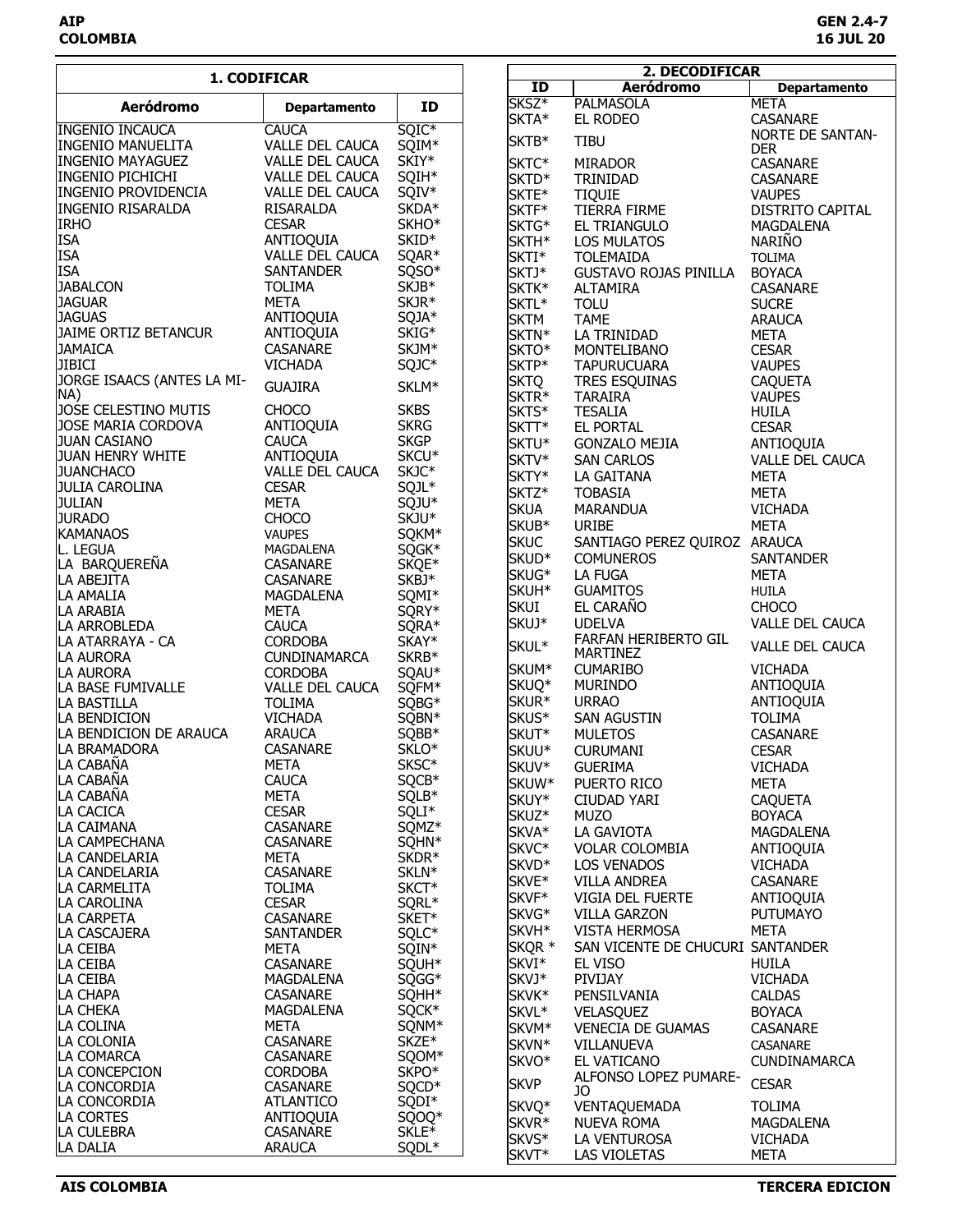| 1. CODIFICAR                                          |                                         | 2. DECODIFICAR             |  |                      |                                  |                              |
|-------------------------------------------------------|-----------------------------------------|----------------------------|--|----------------------|----------------------------------|------------------------------|
|                                                       |                                         |                            |  | $\overline{1}$       | <b>Aeródromo</b>                 | <b>Departamento</b>          |
| <b>Aeródromo</b>                                      | <b>Departamento</b>                     | ID                         |  | SKSZ <sup>*</sup>    | <b>PALMASOLA</b>                 | <b>META</b>                  |
|                                                       |                                         |                            |  | SKTA*                | EL RODEO                         | CASANARE                     |
| <b>INGENIO INCAUCA</b>                                | <b>CAUCA</b>                            | $SQIC*$                    |  | SKTB*                | <b>TIBU</b>                      | <b>NORTE DE SANTAN-</b>      |
| <b>INGENIO MANUELITA</b>                              | VALLE DEL CAUCA                         | SQIM*<br>SKIY*             |  |                      |                                  | <b>DER</b>                   |
| <b>INGENIO MAYAGUEZ</b>                               | <b>VALLE DEL CAUCA</b>                  |                            |  | SKTC*                | <b>MIRADOR</b>                   | CASANARE                     |
| <b>INGENIO PICHICHI</b><br><b>INGENIO PROVIDENCIA</b> | VALLE DEL CAUCA<br>VALLE DEL CAUCA      | SQIH*<br>SQIV*             |  | SKTD*                | TRINIDAD                         | CASANARE                     |
| <b>INGENIO RISARALDA</b>                              | RISARALDA                               | SKDA*                      |  | SKTE*                | <b>TIQUIE</b>                    | <b>VAUPES</b>                |
| <b>IRHO</b>                                           | <b>CESAR</b>                            | SKHO*                      |  | SKTF*                | TIERRA FIRME                     | DISTRITO CAPITAL             |
| <b>ISA</b>                                            | ANTIOQUIA                               | SKID*                      |  | SKTG*<br>SKTH*       | EL TRIANGULO<br>LOS MULATOS      | MAGDALENA<br><b>NARIÑO</b>   |
| <b>ISA</b>                                            | VALLE DEL CAUCA                         | SQAR*                      |  | SKTI*                | <b>TOLEMAIDA</b>                 | <b>TOLIMA</b>                |
| <b>ISA</b>                                            | <b>SANTANDER</b>                        | SQSO*                      |  | SKTJ*                | <b>GUSTAVO ROJAS PINILLA</b>     | <b>BOYACA</b>                |
| <b>JABALCON</b>                                       | <b>TOLIMA</b>                           | SKJB*                      |  | SKTK*                | <b>ALTAMIRA</b>                  | CASANARE                     |
| <b>JAGUAR</b>                                         | <b>META</b>                             | SKJR*                      |  | SKTL*                | <b>TOLU</b>                      | <b>SUCRE</b>                 |
| <b>JAGUAS</b>                                         | ANTIOQUIA                               | SQJA*                      |  | <b>SKTM</b>          | <b>TAME</b>                      | <b>ARAUCA</b>                |
| JAIME ORTIZ BETANCUR                                  | ANTIOQUIA                               | SKIG*                      |  | SKTN*                | LA TRINIDAD                      | <b>META</b>                  |
| <b>JAMAICA</b>                                        | CASANARE                                | SKJM*                      |  | SKTO*                | MONTELIBANO                      | <b>CESAR</b>                 |
| <b>JIBICI</b>                                         | <b>VICHADA</b>                          | SQJC*                      |  | SKTP*                | <b>TAPURUCUARA</b>               | <b>VAUPES</b>                |
| JORGE ISAACS (ANTES LA MI-                            |                                         |                            |  | <b>SKTQ</b>          | TRES ESQUINAS                    | <b>CAQUETA</b>               |
| NA)                                                   | <b>GUAJIRA</b>                          | SKLM*                      |  | SKTR*                | <b>TARAIRA</b>                   | <b>VAUPES</b>                |
| JOSE CELESTINO MUTIS                                  | <b>CHOCO</b>                            | <b>SKBS</b>                |  | SKTS*                | <b>TESALIA</b>                   | <b>HUILA</b>                 |
| JOSE MARIA CORDOVA                                    | ANTIOQUIA                               | <b>SKRG</b>                |  | SKTT*                | EL PORTAL                        | <b>CESAR</b>                 |
| <b>JUAN CASIANO</b>                                   | <b>CAUCA</b>                            | <b>SKGP</b>                |  | SKTU*                | <b>GONZALO MEJIA</b>             | ANTIOQUIA                    |
| <b>JUAN HENRY WHITE</b>                               | ANTIOQUIA                               | SKCU*                      |  | SKTV*                | <b>SAN CARLOS</b>                | VALLE DEL CAUCA              |
| <b>JUANCHACO</b>                                      | VALLE DEL CAUCA                         | SKJC*                      |  | SKTY*                | LA GAITANA                       | <b>META</b>                  |
| <b>JULIA CAROLINA</b>                                 | <b>CESAR</b>                            | SQJL*                      |  | SKTZ*                | <b>TOBASIA</b>                   | <b>META</b>                  |
| <b>JULIAN</b>                                         | META                                    | SQJU*                      |  | <b>SKUA</b>          | <b>MARANDUA</b>                  | <b>VICHADA</b>               |
| <b>JURADO</b>                                         | <b>CHOCO</b>                            | SKJU <sup>*</sup>          |  | SKUB*                | URIBE                            | <b>META</b>                  |
| <b>KAMANAOS</b>                                       | <b>VAUPES</b>                           | SQKM*                      |  | <b>SKUC</b>          | SANTIAGO PEREZ QUIROZ ARAUCA     |                              |
| L. LEGUA                                              | MAGDALENA                               | SQGK*                      |  | SKUD <sup>*</sup>    | <b>COMUNEROS</b>                 | <b>SANTANDER</b>             |
| LA BARQUEREÑA                                         | CASANARE                                | SKQE*                      |  | SKUG*                | <b>LA FUGA</b>                   | <b>META</b>                  |
| LA ABEJITA                                            | CASANARE                                | SKBJ <sup>*</sup>          |  |                      |                                  |                              |
| LA AMALIA                                             | MAGDALENA                               | SQMI*                      |  | SKUH*<br><b>SKUI</b> | <b>GUAMITOS</b><br>EL CARAÑO     | <b>HUILA</b><br><b>CHOCO</b> |
| LA ARABIA                                             | <b>META</b>                             | SQRY*                      |  |                      |                                  |                              |
| LA ARROBLEDA                                          | <b>CAUCA</b>                            | SQRA*                      |  | SKUJ*                | <b>UDELVA</b>                    | VALLE DEL CAUCA              |
| LA ATARRAYA - CA                                      | <b>CORDOBA</b>                          | SKAY*                      |  | SKUL*                | FARFAN HERIBERTO GIL<br>MARTINEZ | VALLE DEL CAUCA              |
| LA AURORA                                             | CUNDINAMARCA                            | SKRB*                      |  | SKUM*                | <b>CUMARIBO</b>                  | <b>VICHADA</b>               |
| LA AURORA<br>LA BASE FUMIVALLE                        | <b>CORDOBA</b>                          | SQAU*                      |  | SKUQ*                | <b>MURINDO</b>                   | ANTIOQUIA                    |
| LA BASTILLA                                           | <b>VALLE DEL CAUCA</b><br><b>TOLIMA</b> | SQFM*<br>SQBG*             |  | SKUR*                | <b>URRAO</b>                     | ANTIOQUIA                    |
| LA BENDICION                                          | <b>VICHADA</b>                          | SQBN*                      |  | SKUS*                | SAN AGUSTIN                      | <b>TOLIMA</b>                |
| LA BENDICION DE ARAUCA                                | <b>ARAUCA</b>                           | SQBB*                      |  | SKUT*                | <b>MULETOS</b>                   | CASANARE                     |
| <b>LA BRAMADORA</b>                                   | <b>CASANARE</b>                         | SKLO*                      |  | SKUU*                | <b>CURUMANI</b>                  | <b>CESAR</b>                 |
| LA CABAÑA                                             | <b>META</b>                             | SKSC*                      |  | SKUV*                | <b>GUERIMA</b>                   | <b>VICHADA</b>               |
| LA CABAÑA                                             | <b>CAUCA</b>                            | SQCB*                      |  | SKUW*                | PUERTO RICO                      | <b>META</b>                  |
| LA CABAÑA                                             | <b>META</b>                             | SQLB*                      |  | SKUY*                | CIUDAD YARI                      | <b>CAQUETA</b>               |
| LA CACICA                                             | <b>CESAR</b>                            | SQLI*                      |  | SKUZ*                | <b>MUZO</b>                      | <b>BOYACA</b>                |
| LA CAIMANA                                            | <b>CASANARE</b>                         | SQMZ*                      |  | SKVA*                | LA GAVIOTA                       | MAGDALENA                    |
| <b>LA CAMPECHANA</b>                                  | <b>CASANARE</b>                         | SQHN*                      |  | SKVC*                | <b>VOLAR COLOMBIA</b>            |                              |
| LA CANDELARIA                                         | META                                    | SKDR*                      |  | SKVD*                |                                  | ANTIOQUIA                    |
| LA CANDELARIA                                         | <b>CASANARE</b>                         | SKLN*                      |  | SKVE*                | <b>LOS VENADOS</b>               | <b>VICHADA</b><br>CASANARE   |
| LA CARMELITA                                          | <b>TOLIMA</b>                           | SKCT*                      |  | SKVF*                | <b>VILLA ANDREA</b>              |                              |
| LA CAROLINA                                           | <b>CESAR</b>                            | SQRL <sup>*</sup>          |  |                      | VIGIA DEL FUERTE                 | ANTIOQUIA                    |
| LA CARPETA                                            | <b>CASANARE</b>                         | SKET*                      |  | SKVG*                | <b>VILLA GARZON</b>              | <b>PUTUMAYO</b>              |
| LA CASCAJERA                                          | <b>SANTANDER</b>                        | SQLC*                      |  | SKVH <sup>*</sup>    | <b>VISTA HERMOSA</b>             | <b>META</b>                  |
| LA CEIBA                                              | META                                    | SQIN*                      |  | SKQR *               | SAN VICENTE DE CHUCURI SANTANDER |                              |
| LA CEIBA                                              | <b>CASANARE</b>                         | SQUH*                      |  | SKVI*                | EL VISO                          | HUILA                        |
| LA CEIBA                                              | MAGDALENA                               | SQGG*                      |  | SKVJ*                | PIVIJAY                          | <b>VICHADA</b>               |
| LA CHAPA                                              | <b>CASANARE</b>                         | SQHH <sup>*</sup>          |  | SKVK*                | PENSILVANIA                      | <b>CALDAS</b>                |
| LA CHEKA                                              | MAGDALENA                               | SQCK*                      |  | SKVL*                | VELASQUEZ                        | <b>BOYACA</b>                |
| LA COLINA                                             | <b>META</b>                             | SQNM*                      |  | SKVM*                | <b>VENECIA DE GUAMAS</b>         | CASANARE                     |
| LA COLONIA<br>LA COMARCA                              | CASANARE<br><b>CASANARE</b>             | SKZE <sup>*</sup><br>SQOM* |  | SKVN*                | VILLANUEVA                       | CASANARE                     |
| LA CONCEPCION                                         | <b>CORDOBA</b>                          | SKPO <sup>*</sup>          |  | SKVO*                | EL VATICANO                      | CUNDINAMARCA                 |
| LA CONCORDIA                                          | <b>CASANARE</b>                         | SQCD <sup>*</sup>          |  | <b>SKVP</b>          | ALFONSO LOPEZ PUMARE-            | <b>CESAR</b>                 |
| LA CONCORDIA                                          | <b>ATLANTICO</b>                        | SQDI*                      |  |                      | JO                               |                              |
| LA CORTES                                             | ANTIOQUIA                               | SQOQ*                      |  | SKVQ*                | <b>VENTAQUEMADA</b>              | <b>TOLIMA</b>                |
| LA CULEBRA                                            | <b>CASANARE</b>                         | SKLE*                      |  | SKVR*                | <b>NUEVA ROMA</b>                | MAGDALENA                    |
| LA DALIA                                              | <b>ARAUCA</b>                           | SQDL*                      |  | SKVS*                | LA VENTUROSA                     | <b>VICHADA</b>               |
|                                                       |                                         |                            |  | SKVT*                | LAS VIOLETAS                     | META                         |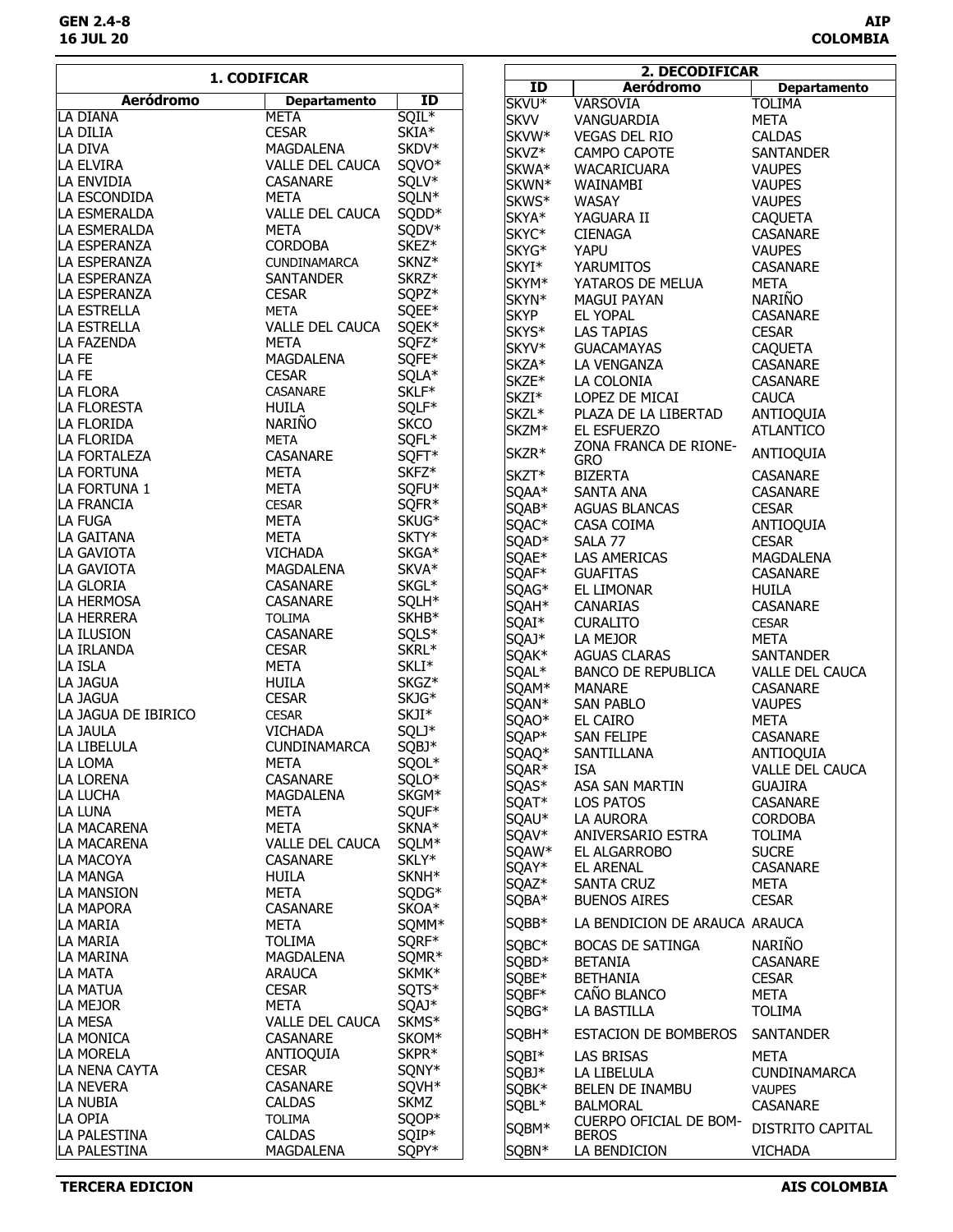|                     | 1. CODIFICAR           |                   |                   | 2. DECODIFICAR                |                        |
|---------------------|------------------------|-------------------|-------------------|-------------------------------|------------------------|
|                     |                        |                   | ID                | <b>Aeródromo</b>              | <b>Departamento</b>    |
| <b>Aeródromo</b>    | <b>Departamento</b>    | ID                | SKVU <sup>*</sup> | <b>VARSOVIA</b>               | <b>TOLIMA</b>          |
| LA DIANA            | <b>META</b>            | $SQIL*$           | <b>SKVV</b>       | VANGUARDIA                    | <b>META</b>            |
| LA DILIA            | <b>CESAR</b>           | SKIA*             | SKVW*             | <b>VEGAS DEL RIO</b>          | <b>CALDAS</b>          |
| LA DIVA             | MAGDALENA              | SKDV*             | SKVZ*             | CAMPO CAPOTE                  | <b>SANTANDER</b>       |
| la Elvira           | VALLE DEL CAUCA        | SQVO*             | SKWA*             | WACARICUARA                   | <b>VAUPES</b>          |
| LA ENVIDIA          | CASANARE               | SQLV*             | SKWN*             | WAINAMBI                      | <b>VAUPES</b>          |
| LA ESCONDIDA        | META                   | SQLN*             | SKWS*             | WASAY                         | <b>VAUPES</b>          |
| LA ESMERALDA        | VALLE DEL CAUCA        | SQDD <sup>*</sup> | SKYA*             | YAGUARA II                    | <b>CAQUETA</b>         |
| LA ESMERALDA        | <b>META</b>            | SQDV*             | SKYC*             | <b>CIENAGA</b>                | <b>CASANARE</b>        |
| LA ESPERANZA        | <b>CORDOBA</b>         | SKEZ <sup>*</sup> | SKYG*             | YAPU                          | <b>VAUPES</b>          |
| LA ESPERANZA        | <b>CUNDINAMARCA</b>    | SKNZ*             | SKYI*             | <b>YARUMITOS</b>              | CASANARE               |
| LA ESPERANZA        | SANTANDER              | SKRZ*             | SKYM*             | YATAROS DE MELUA              | <b>META</b>            |
| LA ESPERANZA        | <b>CESAR</b>           | SQPZ*             | SKYN*             | <b>MAGUI PAYAN</b>            | <b>NARIÑO</b>          |
| LA ESTRELLA         | <b>META</b>            | SQEE*             | <b>SKYP</b>       | EL YOPAL                      | CASANARE               |
| LA ESTRELLA         | VALLE DEL CAUCA        | SQEK*             | SKYS*             | <b>LAS TAPIAS</b>             | <b>CESAR</b>           |
| LA FAZENDA          | <b>META</b>            | SQFZ*             | SKYV*             | <b>GUACAMAYAS</b>             | <b>CAQUETA</b>         |
| LA FE               | MAGDALENA              | SQFE*             | SKZA*             | LA VENGANZA                   | <b>CASANARE</b>        |
| LA FE               | <b>CESAR</b>           | SQLA*             | SKZE*             | LA COLONIA                    | CASANARE               |
| LA FLORA            | CASANARE               | SKLF*             | SKZI*             | LOPEZ DE MICAI                | <b>CAUCA</b>           |
| LA FLORESTA         | <b>HUILA</b>           | SQLF*             | SKZL*             | PLAZA DE LA LIBERTAD          | ANTIOQUIA              |
| LA FLORIDA          | NARIÑO                 | <b>SKCO</b>       | SKZM <sup>*</sup> | EL ESFUERZO                   | <b>ATLANTICO</b>       |
| LA FLORIDA          | <b>META</b>            | SQFL*             |                   | ZONA FRANCA DE RIONE-         |                        |
| LA FORTALEZA        | CASANARE               | SQFT*             | SKZR*             | <b>GRO</b>                    | ANTIOQUIA              |
| LA FORTUNA          | META                   | SKFZ <sup>*</sup> | SKZT*             | <b>BIZERTA</b>                | <b>CASANARE</b>        |
| LA FORTUNA 1        | <b>META</b>            | SQFU*             | SQAA*             | SANTA ANA                     | CASANARE               |
| LA FRANCIA          | <b>CESAR</b>           | SQFR*             | SQAB*             | <b>AGUAS BLANCAS</b>          | <b>CESAR</b>           |
| la fuga             | <b>META</b>            | SKUG*             | SQAC*             | CASA COIMA                    | ANTIOQUIA              |
| LA GAITANA          | <b>META</b>            | SKTY*             | SQAD <sup>*</sup> | SALA 77                       | <b>CESAR</b>           |
| LA GAVIOTA          | <b>VICHADA</b>         | SKGA*             | SQAE*             | <b>LAS AMERICAS</b>           | MAGDALENA              |
| LA GAVIOTA          | MAGDALENA              | SKVA*             | SQAF*             | <b>GUAFITAS</b>               | <b>CASANARE</b>        |
| LA GLORIA           | CASANARE               | SKGL*             | SQAG*             | EL LIMONAR                    | <b>HUILA</b>           |
| LA HERMOSA          | CASANARE               | SQLH*             | SQAH*             | CANARIAS                      | <b>CASANARE</b>        |
| LA HERRERA          | <b>TOLIMA</b>          | SKHB*             | SQAI*             | <b>CURALITO</b>               | <b>CESAR</b>           |
| LA ILUSION          | CASANARE               | SQLS*             | SQAJ*             | LA MEJOR                      | <b>META</b>            |
| LA IRLANDA          | <b>CESAR</b>           | SKRL*             | SQAK*             | <b>AGUAS CLARAS</b>           | <b>SANTANDER</b>       |
| LA ISLA             | <b>META</b>            | SKLI*             | SQAL*             | <b>BANCO DE REPUBLICA</b>     | <b>VALLE DEL CAUCA</b> |
| LA JAGUA            | HUILA                  | SKGZ <sup>*</sup> | SQAM*             | <b>MANARE</b>                 | <b>CASANARE</b>        |
| LA JAGUA            | <b>CESAR</b>           | SKJG*             | SQAN*             | SAN PABLO                     | <b>VAUPES</b>          |
| LA JAGUA DE IBIRICO | <b>CESAR</b>           | SKJI*             | SQAO*             | EL CAIRO                      | <b>META</b>            |
| LA JAULA            | <b>VICHADA</b>         | SQLJ*             | SQAP*             | SAN FELIPE                    | <b>CASANARE</b>        |
| LA LIBELULA         | <b>CUNDINAMARCA</b>    | SQBJ*             | SQAQ*             | SANTILLANA                    | ANTIOQUIA              |
| LA LOMA             | <b>META</b>            | SQOL*             | SQAR*             | <b>ISA</b>                    | <b>VALLE DEL CAUCA</b> |
| LA LORENA           | <b>CASANARE</b>        | SQLO*             | SQAS*             | ASA SAN MARTIN                | <b>GUAJIRA</b>         |
| LA LUCHA            | <b>MAGDALENA</b>       | SKGM*             | SQAT*             | LOS PATOS                     | <b>CASANARE</b>        |
| LA LUNA             | META                   | SQUF*             | SQAU*             | LA AURORA                     | <b>CORDOBA</b>         |
| LA MACARENA         | <b>META</b>            | SKNA*             | SQAV*             | ANIVERSARIO ESTRA             | <b>TOLIMA</b>          |
| LA MACARENA         | VALLE DEL CAUCA        | SQLM*             | SQAW*             | EL ALGARROBO                  | <b>SUCRE</b>           |
| LA MACOYA           | <b>CASANARE</b>        | SKLY*             | SQAY*             | <b>EL ARENAL</b>              | <b>CASANARE</b>        |
| LA MANGA            | <b>HUILA</b>           | SKNH*             | SQAZ*             | <b>SANTA CRUZ</b>             | META                   |
| LA MANSION          | META                   | SQDG*             | SQBA*             | <b>BUENOS AIRES</b>           | <b>CESAR</b>           |
| LA MAPORA           | CASANARE               | SKOA*             |                   | LA BENDICION DE ARAUCA ARAUCA |                        |
| <b>LA MARIA</b>     | META                   | SQMM*             | SQBB*             |                               |                        |
| la Maria            | <b>TOLIMA</b>          | SQRF*             | SQBC*             | <b>BOCAS DE SATINGA</b>       | <b>NARIÑO</b>          |
| LA MARINA           | MAGDALENA              | SQMR <sup>*</sup> | SQBD*             | <b>BETANIA</b>                | <b>CASANARE</b>        |
| LA MATA             | <b>ARAUCA</b>          | SKMK*             | SQBE*             | <b>BETHANIA</b>               | <b>CESAR</b>           |
| LA MATUA            | <b>CESAR</b>           | SQTS*             | SQBF*             | CAÑO BLANCO                   | <b>META</b>            |
| LA MEJOR            | META                   | SQAJ*             | SQBG*             | LA BASTILLA                   | <b>TOLIMA</b>          |
| LA MESA             | <b>VALLE DEL CAUCA</b> | SKMS*             | SQBH*             | ESTACION DE BOMBEROS          | <b>SANTANDER</b>       |
| LA MONICA           | CASANARE               | SKOM*             |                   |                               |                        |
| LA MORELA           | ANTIOQUIA              | SKPR*             | SQBI*             | LAS BRISAS                    | <b>META</b>            |
| LA NENA CAYTA       | <b>CESAR</b>           | SQNY*             | SQBJ*             | LA LIBELULA                   | <b>CUNDINAMARCA</b>    |
| LA NEVERA           | CASANARE               | SQVH <sup>*</sup> | SQBK*             | BELEN DE INAMBU               | <b>VAUPES</b>          |
| LA NUBIA            | <b>CALDAS</b>          | <b>SKMZ</b>       | SQBL*             | <b>BALMORAL</b>               | CASANARE               |
| LA OPIA             | <b>TOLIMA</b>          | SQOP*             | SQBM*             | CUERPO OFICIAL DE BOM-        | DISTRITO CAPITAL       |
| LA PALESTINA        | <b>CALDAS</b>          | SQIP*             |                   | <b>BEROS</b>                  |                        |
| LA PALESTINA        | MAGDALENA              | SQPY*             | SQBN*             | LA BENDICION                  | <b>VICHADA</b>         |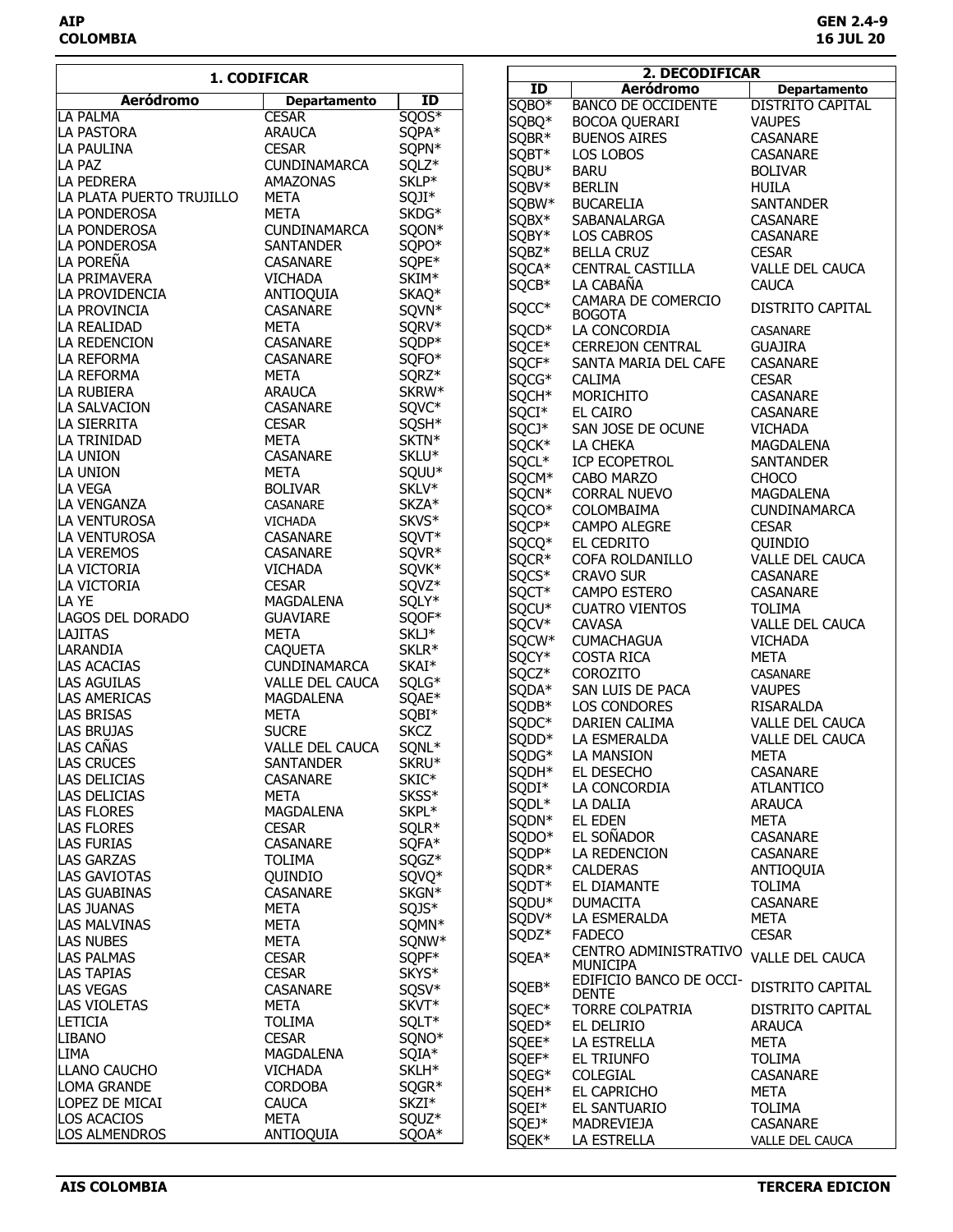|                             | 1. CODIFICAR             |                            |                   | 2. DECODIFICAR                  |                             |
|-----------------------------|--------------------------|----------------------------|-------------------|---------------------------------|-----------------------------|
|                             |                          |                            | ID                | Aeródromo                       | <b>Departamento</b>         |
| Aeródromo                   | <b>Departamento</b>      | ID                         | SQBO*             | <b>BANCO DE OCCIDENTE</b>       | <b>DISTRITO CAPITAL</b>     |
| <b>LA PALMA</b>             | <b>CESAR</b>             | $\overline{SQOS*}$         | SQBQ*             | BOCOA QUERARI                   | <b>VAUPES</b>               |
| LA PASTORA                  | <b>ARAUCA</b>            | SQPA*                      | SQBR <sup>*</sup> | <b>BUENOS AIRES</b>             | <b>CASANARE</b>             |
| LA PAULINA                  | <b>CESAR</b>             | SQPN*                      | SQBT*             | LOS LOBOS                       | CASANARE                    |
| LA PAZ                      | <b>CUNDINAMARCA</b>      | SQLZ*                      | SQBU*             | <b>BARU</b>                     | <b>BOLIVAR</b>              |
| <b>LA PEDRERA</b>           | AMAZONAS                 | SKLP*                      | SQBV*             | <b>BERLIN</b>                   | <b>HUILA</b>                |
| LA PLATA PUERTO TRUJILLO    | <b>META</b>              | SQJI*                      | SQBW*             | <b>BUCARELIA</b>                | <b>SANTANDER</b>            |
| <b>LA PONDEROSA</b>         | <b>META</b>              | SKDG*                      | SQBX*             | SABANALARGA                     | <b>CASANARE</b>             |
| LA PONDEROSA                | <b>CUNDINAMARCA</b>      | SQON*                      | SQBY*             | LOS CABROS                      | <b>CASANARE</b>             |
| LA PONDEROSA                | SANTANDER                | SQPO*                      | SQBZ*             | <b>BELLA CRUZ</b>               | <b>CESAR</b>                |
| LA POREÑA                   | <b>CASANARE</b>          | SQPE*                      | SQCA*             | CENTRAL CASTILLA                | VALLE DEL CAUCA             |
| LA PRIMAVERA                | <b>VICHADA</b>           | SKIM*                      | SQCB*             | LA CABAÑA                       | <b>CAUCA</b>                |
| LA PROVIDENCIA              | ANTIOQUIA                | SKAQ*                      | SQCC*             | CAMARA DE COMERCIO              | DISTRITO CAPITAL            |
| LA PROVINCIA<br>LA REALIDAD | CASANARE                 | SQVN*                      |                   | <b>BOGOTA</b>                   |                             |
|                             | <b>META</b>              | SQRV*                      | SQCD*             | LA CONCORDIA                    | CASANARE                    |
| LA REDENCION                | CASANARE                 | SQDP*                      | SQCE*             | <b>CERREJON CENTRAL</b>         | <b>GUAJIRA</b>              |
| LA REFORMA                  | CASANARE                 | SQFO*                      | SQCF*             | SANTA MARIA DEL CAFE            | CASANARE                    |
| LA REFORMA<br>LA RUBIERA    | <b>META</b>              | SQRZ*<br>SKRW <sup>*</sup> | SQCG*             | <b>CALIMA</b>                   | <b>CESAR</b>                |
| LA SALVACION                | <b>ARAUCA</b>            | SQVC*                      | SQCH*             | MORICHITO                       | CASANARE                    |
| LA SIERRITA                 | CASANARE<br><b>CESAR</b> |                            | SQCI*             | EL CAIRO                        | <b>CASANARE</b>             |
| LA TRINIDAD                 | <b>META</b>              | SQSH*<br>SKTN*             | SQCJ*             | SAN JOSE DE OCUNE               | <b>VICHADA</b>              |
| LA UNION                    |                          | SKLU*                      | SQCK*             | LA CHEKA                        | <b>MAGDALENA</b>            |
|                             | CASANARE<br><b>META</b>  | SQUU*                      | SQCL*             | ICP ECOPETROL                   | <b>SANTANDER</b>            |
| LA UNION<br>LA VEGA         | <b>BOLIVAR</b>           | SKLV*                      | SQCM*             | CABO MARZO                      | <b>CHOCO</b>                |
| <b>LA VENGANZA</b>          | CASANARE                 | SKZA*                      | SQCN*             | <b>CORRAL NUEVO</b>             | MAGDALENA                   |
| LA VENTUROSA                | <b>VICHADA</b>           | SKVS*                      | SQCO*             | COLOMBAIMA                      | <b>CUNDINAMARCA</b>         |
| LA VENTUROSA                | CASANARE                 | SQVT*                      | SQCP*             | <b>CAMPO ALEGRE</b>             | <b>CESAR</b>                |
| LA VEREMOS                  | CASANARE                 | SQVR*                      | SQCQ*             | EL CEDRITO                      | QUINDIO                     |
| LA VICTORIA                 | <b>VICHADA</b>           | SQVK*                      | SQCR*             | COFA ROLDANILLO                 | <b>VALLE DEL CAUCA</b>      |
| LA VICTORIA                 | <b>CESAR</b>             | SQVZ*                      | SQCS*             | <b>CRAVO SUR</b>                | <b>CASANARE</b>             |
| LA YE                       | MAGDALENA                | SQLY*                      | SQCT*             | CAMPO ESTERO                    | CASANARE                    |
| <b>LAGOS DEL DORADO</b>     | <b>GUAVIARE</b>          | SQOF*                      | SQCU*             | <b>CUATRO VIENTOS</b>           | <b>TOLIMA</b>               |
| <b>LAJITAS</b>              | <b>META</b>              | SKLJ*                      | SQCV*             | <b>CAVASA</b>                   | <b>VALLE DEL CAUCA</b>      |
| LARANDIA                    | <b>CAQUETA</b>           | SKLR*                      | SQCW*             | <b>CUMACHAGUA</b>               | <b>VICHADA</b>              |
| <b>LAS ACACIAS</b>          | <b>CUNDINAMARCA</b>      | SKAI*                      | SQCY*             | <b>COSTA RICA</b>               | <b>META</b>                 |
| <b>LAS AGUILAS</b>          | VALLE DEL CAUCA          | SQLG*                      | SQCZ*             | COROZITO                        | CASANARE                    |
| <b>LAS AMERICAS</b>         | MAGDALENA                | SQAE*                      | SQDA*             | SAN LUIS DE PACA                | <b>VAUPES</b>               |
| <b>LAS BRISAS</b>           | <b>META</b>              | SQBI*                      | SQDB*             | LOS CONDORES                    | RISARALDA                   |
| <b>LAS BRUJAS</b>           | <b>SUCRE</b>             | <b>SKCZ</b>                | SQDC*             | DARIEN CALIMA                   | <b>VALLE DEL CAUCA</b>      |
| LAS CAÑAS                   | VALLE DEL CAUCA          | SQNL*                      | SQDD*             | LA ESMERALDA                    | VALLE DEL CAUCA             |
| <b>LAS CRUCES</b>           | <b>SANTANDER</b>         | SKRU*                      | SQDG*             | LA MANSION                      | <b>META</b>                 |
| LAS DELICIAS                | <b>CASANARE</b>          | SKIC*                      | SQDH*             | EL DESECHO                      | <b>CASANARE</b>             |
| <b>LAS DELICIAS</b>         | META                     | SKSS*                      | SQDI*             | LA CONCORDIA                    | ATLANTICO                   |
| <b>LAS FLORES</b>           | MAGDALENA                | SKPL*                      | SQDL*             | LA DALIA                        | <b>ARAUCA</b>               |
| LAS FLORES                  | <b>CESAR</b>             | SQLR*                      | SQDN*             | EL EDEN<br>EL SOÑADOR           | <b>META</b>                 |
| <b>LAS FURIAS</b>           | <b>CASANARE</b>          | SQFA*                      | SQDO*<br>SQDP*    | LA REDENCION                    | <b>CASANARE</b><br>CASANARE |
| <b>LAS GARZAS</b>           | <b>TOLIMA</b>            | SQGZ*                      | SQDR*             | <b>CALDERAS</b>                 |                             |
| <b>LAS GAVIOTAS</b>         | QUINDIO                  | SQVQ*                      | SQDT*             | EL DIAMANTE                     | ANTIOQUIA<br><b>TOLIMA</b>  |
| <b>LAS GUABINAS</b>         | <b>CASANARE</b>          | SKGN*                      | SQDU*             |                                 | <b>CASANARE</b>             |
| <b>LAS JUANAS</b>           | META                     | SQJS*                      | SQDV*             | <b>DUMACITA</b><br>LA ESMERALDA | <b>META</b>                 |
| <b>LAS MALVINAS</b>         | <b>META</b>              | SQMN*                      | SQDZ*             | <b>FADECO</b>                   | <b>CESAR</b>                |
| <b>LAS NUBES</b>            | META                     | SQNW*                      |                   | CENTRO ADMINISTRATIVO           |                             |
| <b>LAS PALMAS</b>           | <b>CESAR</b>             | SQPF*                      | SQEA*             | <b>MUNICIPA</b>                 | VALLE DEL CAUCA             |
| <b>LAS TAPIAS</b>           | <b>CESAR</b>             | SKYS*                      |                   | EDIFICIO BANCO DE OCCI-         |                             |
| <b>LAS VEGAS</b>            | CASANARE                 | SQSV*                      | SQEB*             | <b>DENTE</b>                    | DISTRITO CAPITAL            |
| <b>LAS VIOLETAS</b>         | META                     | SKVT*                      | SQEC*             | TORRE COLPATRIA                 | DISTRITO CAPITAL            |
| <b>LETICIA</b>              | <b>TOLIMA</b>            | SQLT*                      | SQED*             | EL DELIRIO                      | <b>ARAUCA</b>               |
| <b>LIBANO</b>               | <b>CESAR</b>             | SQNO*                      | SQEE*             | LA ESTRELLA                     | META                        |
| LIMA                        | MAGDALENA                | SQIA*                      | SQEF*             | EL TRIUNFO                      | <b>TOLIMA</b>               |
| LLANO CAUCHO                | <b>VICHADA</b>           | SKLH <sup>*</sup>          | SQEG*             | COLEGIAL                        | <b>CASANARE</b>             |
| <b>LOMA GRANDE</b>          | <b>CORDOBA</b>           | SQGR*                      | SQEH*             | EL CAPRICHO                     | <b>META</b>                 |
| LOPEZ DE MICAI              | <b>CAUCA</b>             | SKZI*                      | SQEI*             | EL SANTUARIO                    | <b>TOLIMA</b>               |
| <b>LOS ACACIOS</b>          | <b>META</b>              | SQUZ*                      | SQEJ*             | MADREVIEJA                      | CASANARE                    |
| LOS ALMENDROS               | ANTIOQUIA                | SQOA*                      | SQEK*             | LA ESTRELLA                     | VALLE DEL CAUCA             |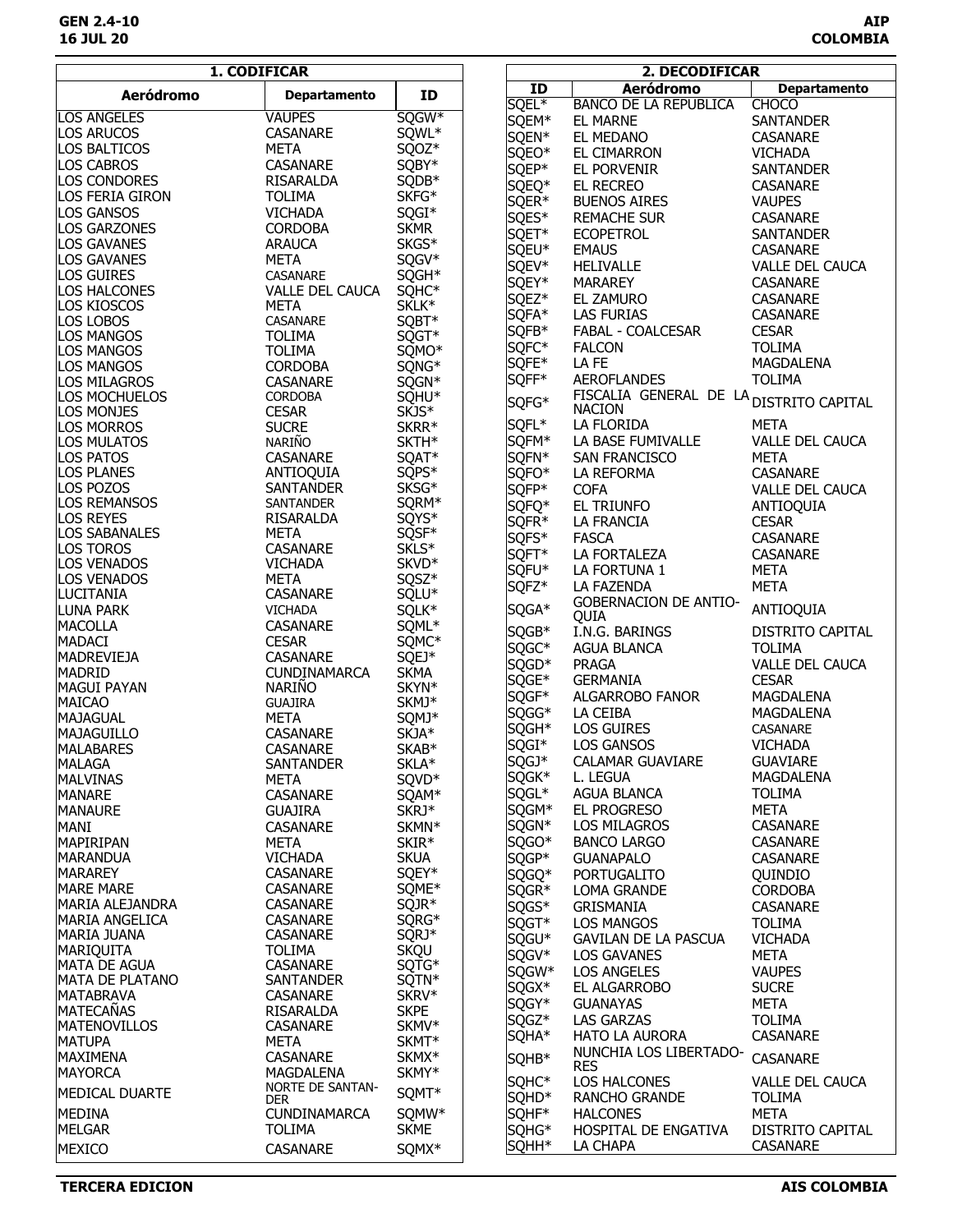## **GEN 2.4-10 AIP 16 JUL 20 COLOMBIA**

|                                        | 1. CODIFICAR                   |                            |       | 2. DECODIFICAR                          |                        |
|----------------------------------------|--------------------------------|----------------------------|-------|-----------------------------------------|------------------------|
| <b>Aeródromo</b>                       |                                | ID                         | ID    | <b>Aeródromo</b>                        | <b>Departamento</b>    |
|                                        | <b>Departamento</b>            |                            | SQEL* | <b>BANCO DE LA REPUBLICA</b>            | <b>CHOCO</b>           |
| <b>LOS ANGELES</b>                     | <b>VAUPES</b>                  | SQGW*                      | SQEM* | <b>EL MARNE</b>                         | <b>SANTANDER</b>       |
| <b>LOS ARUCOS</b>                      | CASANARE                       | SQWL*                      | SQEN* | EL MEDANO                               | CASANARE               |
| <b>LOS BALTICOS</b>                    | <b>META</b>                    | SQOZ*                      | SQEO* | <b>EL CIMARRON</b>                      | <b>VICHADA</b>         |
| <b>LOS CABROS</b>                      | CASANARE                       | SQBY*                      | SQEP* | EL PORVENIR                             | <b>SANTANDER</b>       |
| <b>LOS CONDORES</b>                    | RISARALDA                      | SQDB*                      | SQEQ* | EL RECREO                               | <b>CASANARE</b>        |
| LOS FERIA GIRON                        | <b>TOLIMA</b>                  | SKFG*                      | SQER* |                                         |                        |
| <b>LOS GANSOS</b>                      | <b>VICHADA</b>                 | SQGI*                      |       | <b>BUENOS AIRES</b>                     | <b>VAUPES</b>          |
| <b>LOS GARZONES</b>                    | <b>CORDOBA</b>                 | <b>SKMR</b>                | SQES* | <b>REMACHE SUR</b>                      | <b>CASANARE</b>        |
| <b>LOS GAVANES</b>                     | <b>ARAUCA</b>                  | SKGS*                      | SQET* | <b>ECOPETROL</b>                        | <b>SANTANDER</b>       |
| <b>LOS GAVANES</b>                     | <b>META</b>                    | SQGV*                      | SQEU* | <b>EMAUS</b>                            | CASANARE               |
| <b>LOS GUIRES</b>                      | <b>CASANARE</b>                | SQGH*                      | SQEV* | <b>HELIVALLE</b>                        | VALLE DEL CAUCA        |
| LOS HALCONES                           | <b>VALLE DEL CAUCA</b>         | SQHC*                      | SQEY* | <b>MARAREY</b>                          | <b>CASANARE</b>        |
| <b>LOS KIOSCOS</b>                     | <b>META</b>                    | SKLK*                      | SQEZ* | EL ZAMURO                               | CASANARE               |
| <b>LOS LOBOS</b>                       | CASANARE                       | SQBT*                      | SQFA* | <b>LAS FURIAS</b>                       | <b>CASANARE</b>        |
| <b>LOS MANGOS</b>                      | <b>TOLIMA</b>                  | SQGT*                      | SQFB* | FABAL - COALCESAR                       | <b>CESAR</b>           |
| LOS MANGOS                             | <b>TOLIMA</b>                  | SQMO*                      | SQFC* | <b>FALCON</b>                           | <b>TOLIMA</b>          |
| <b>LOS MANGOS</b>                      | <b>CORDOBA</b>                 | SQNG*                      | SQFE* | LA FE                                   | MAGDALENA              |
| <b>LOS MILAGROS</b>                    | <b>CASANARE</b>                | SQGN*                      | SQFF* | <b>AEROFLANDES</b>                      | <b>TOLIMA</b>          |
| LOS MOCHUELOS                          | <b>CORDOBA</b>                 | SQHU <sup>*</sup>          |       | FISCALIA GENERAL DE LA DISTRITO CAPITAL |                        |
| <b>LOS MONJES</b>                      | <b>CESAR</b>                   | SKJS*                      | SQFG* | <b>NACION</b>                           |                        |
| <b>LOS MORROS</b>                      | <b>SUCRE</b>                   | SKRR*                      | SQFL* | LA FLORIDA                              | <b>META</b>            |
| <b>LOS MULATOS</b>                     | NARIÑO                         | SKTH*                      | SQFM* | LA BASE FUMIVALLE                       | VALLE DEL CAUCA        |
| <b>LOS PATOS</b>                       | CASANARE                       | SQAT*                      | SQFN* | <b>SAN FRANCISCO</b>                    | <b>META</b>            |
| <b>LOS PLANES</b>                      | ANTIOQUIA                      | SQPS*                      | SQFO* | LA REFORMA                              | CASANARE               |
| LOS POZOS                              | <b>SANTANDER</b>               | SKSG*                      | SQFP* | <b>COFA</b>                             | <b>VALLE DEL CAUCA</b> |
| <b>LOS REMANSOS</b>                    | <b>SANTANDER</b>               | SQRM*                      | SQFQ* | EL TRIUNFO                              | ANTIOQUIA              |
| <b>LOS REYES</b>                       | RISARALDA                      | SQYS*                      |       |                                         | <b>CESAR</b>           |
| <b>LOS SABANALES</b>                   | <b>META</b>                    | SQSF*                      | SQFR* | LA FRANCIA                              |                        |
| <b>LOS TOROS</b>                       | <b>CASANARE</b>                | SKLS <sup>*</sup>          | SQFS* | <b>FASCA</b>                            | <b>CASANARE</b>        |
| <b>LOS VENADOS</b>                     | <b>VICHADA</b>                 | SKVD*                      | SQFT* | LA FORTALEZA                            | CASANARE               |
| <b>LOS VENADOS</b>                     | <b>META</b>                    | SQSZ*                      | SQFU* | LA FORTUNA 1                            | <b>META</b>            |
| LUCITANIA                              | <b>CASANARE</b>                | SQLU*                      | SQFZ* | <b>LA FAZENDA</b>                       | <b>META</b>            |
| <b>LUNA PARK</b>                       | <b>VICHADA</b>                 | SQLK*                      | SQGA* | <b>GOBERNACION DE ANTIO-</b>            | ANTIOQUIA              |
| <b>MACOLLA</b>                         | <b>CASANARE</b>                | SQML*                      |       | QUIA                                    |                        |
| <b>MADACI</b>                          | <b>CESAR</b>                   | SQMC*                      | SQGB* | I.N.G. BARINGS                          | DISTRITO CAPITAL       |
| <b>MADREVIEJA</b>                      | <b>CASANARE</b>                | SQEJ*                      | SQGC* | AGUA BLANCA                             | <b>TOLIMA</b>          |
| <b>MADRID</b>                          | <b>CUNDINAMARCA</b>            | <b>SKMA</b>                | SQGD* | <b>PRAGA</b>                            | VALLE DEL CAUCA        |
| <b>MAGUI PAYAN</b>                     | <b>NARIÑO</b>                  | SKYN*                      | SQGE* | <b>GERMANIA</b>                         | <b>CESAR</b>           |
| <b>MAICAO</b>                          | <b>GUAJIRA</b>                 | SKMJ*                      | SQGF* | ALGARROBO FANOR                         | MAGDALENA              |
| <b>MAJAGUAL</b>                        | <b>META</b>                    | SQMJ*                      | SQGG* | LA CEIBA                                | MAGDALENA              |
| <b>MAJAGUILLO</b>                      | CASANARE                       | SKJA*                      | SQGH* | <b>LOS GUIRES</b>                       | CASANARE               |
| <b>MALABARES</b>                       | <b>CASANARE</b>                | SKAB*                      | SQGI* | LOS GANSOS                              | <b>VICHADA</b>         |
| <b>MALAGA</b>                          | <b>SANTANDER</b>               | SKLA*                      | SQGJ* | <b>CALAMAR GUAVIARE</b>                 | GUAVIARE               |
| <b>MALVINAS</b>                        | <b>META</b>                    | SQVD*                      | SQGK* | L. LEGUA                                | MAGDALENA              |
| <b>MANARE</b>                          | CASANARE                       | SQAM*                      | SQGL* | <b>AGUA BLANCA</b>                      | <b>TOLIMA</b>          |
| <b>MANAURE</b>                         | <b>GUAJIRA</b>                 | SKRJ*                      | SQGM* | EL PROGRESO                             | <b>META</b>            |
|                                        |                                |                            | SQGN* | LOS MILAGROS                            | CASANARE               |
| <b>MANI</b><br>MAPIRIPAN               | CASANARE<br><b>META</b>        | SKMN <sup>*</sup><br>SKIR* | SQGO* | <b>BANCO LARGO</b>                      | <b>CASANARE</b>        |
| <b>MARANDUA</b>                        | <b>VICHADA</b>                 | <b>SKUA</b>                | SQGP* | <b>GUANAPALO</b>                        | <b>CASANARE</b>        |
| <b>MARAREY</b>                         | <b>CASANARE</b>                | SQEY*                      |       |                                         |                        |
|                                        |                                |                            | SQGQ* | <b>PORTUGALITO</b>                      | QUINDIO                |
| <b>MARE MARE</b>                       | <b>CASANARE</b>                | SQME*                      | SQGR* | LOMA GRANDE                             | <b>CORDOBA</b>         |
| <b>MARIA ALEJANDRA</b>                 | CASANARE                       | SQJR*                      | SQGS* | <b>GRISMANIA</b>                        | <b>CASANARE</b>        |
| <b>MARIA ANGELICA</b>                  | CASANARE                       | SQRG*                      | SQGT* | <b>LOS MANGOS</b>                       | <b>TOLIMA</b>          |
| MARIA JUANA                            | CASANARE                       | SQRJ*                      | SQGU* | <b>GAVILAN DE LA PASCUA</b>             | <b>VICHADA</b>         |
| <b>MARIQUITA</b>                       | <b>TOLIMA</b>                  | <b>SKQU</b>                | SQGV* | <b>LOS GAVANES</b>                      | <b>META</b>            |
| <b>MATA DE AGUA</b><br>MATA DE PLATANO | CASANARE                       | SQTG*                      | SQGW* | <b>LOS ANGELES</b>                      | <b>VAUPES</b>          |
| <b>MATABRAVA</b>                       | <b>SANTANDER</b>               | SQTN*<br>SKRV*             | SQGX* | EL ALGARROBO                            | <b>SUCRE</b>           |
| <b>MATECAÑAS</b>                       | CASANARE                       | <b>SKPE</b>                | SQGY* | <b>GUANAYAS</b>                         | META                   |
|                                        | RISARALDA                      |                            | SQGZ* | <b>LAS GARZAS</b>                       | <b>TOLIMA</b>          |
| <b>MATENOVILLOS</b>                    | CASANARE                       | SKMV*                      | SQHA* | <b>HATO LA AURORA</b>                   | CASANARE               |
| <b>MATUPA</b>                          | META                           | SKMT*                      |       | NUNCHIA LOS LIBERTADO-                  |                        |
| <b>MAXIMENA</b>                        | <b>CASANARE</b>                | SKMX*                      | SQHB* | <b>RES</b>                              | CASANARE               |
| <b>MAYORCA</b>                         | MAGDALENA                      | SKMY*                      | SQHC* | <b>LOS HALCONES</b>                     | <b>VALLE DEL CAUCA</b> |
| <b>MEDICAL DUARTE</b>                  | NORTE DE SANTAN-<br><b>DER</b> | SQMT*                      | SQHD* | <b>RANCHO GRANDE</b>                    | TOLIMA                 |
| <b>MEDINA</b>                          | <b>CUNDINAMARCA</b>            | SQMW*                      | SQHF* | <b>HALCONES</b>                         | <b>META</b>            |
| <b>MELGAR</b>                          | <b>TOLIMA</b>                  | <b>SKME</b>                | SQHG* | HOSPITAL DE ENGATIVA                    | DISTRITO CAPITAL       |
|                                        |                                |                            | SQHH* | LA CHAPA                                | CASANARE               |
| <b>MEXICO</b>                          | CASANARE                       | SQMX*                      |       |                                         |                        |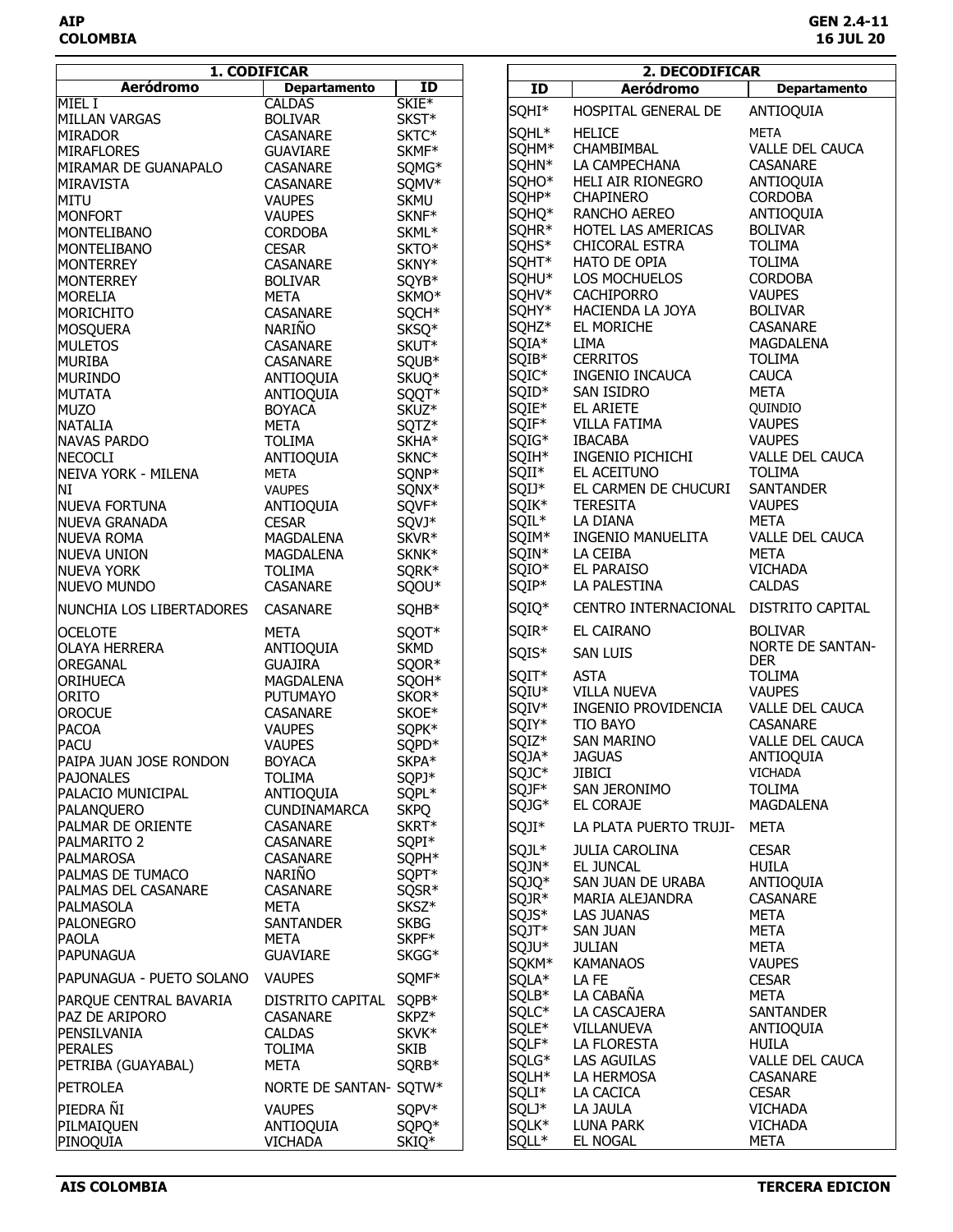|                                           | 1. CODIFICAR                       |                            |                   | 2. DECODIFICAR                |                                       |
|-------------------------------------------|------------------------------------|----------------------------|-------------------|-------------------------------|---------------------------------------|
| <b>Aeródromo</b>                          | <b>Departamento</b>                | ID                         | ID                | <b>Aeródromo</b>              | <b>Departamento</b>                   |
| MIEL I                                    | <b>CALDAS</b>                      | SKIE <sup>*</sup>          | SQHI*             | HOSPITAL GENERAL DE           | ANTIOQUIA                             |
| <b>MILLAN VARGAS</b>                      | <b>BOLIVAR</b>                     | SKST*                      | SQHL <sup>*</sup> | <b>HELICE</b>                 | <b>META</b>                           |
| <b>MIRADOR</b>                            | <b>CASANARE</b>                    | SKTC*                      | SQHM*             | CHAMBIMBAL                    | VALLE DEL CAUCA                       |
| <b>MIRAFLORES</b><br>MIRAMAR DE GUANAPALO | <b>GUAVIARE</b>                    | SKMF*                      | SQHN*             | LA CAMPECHANA                 | CASANARE                              |
| MIRAVISTA                                 | CASANARE<br>CASANARE               | SQMG*<br>SQMV*             | SQHO <sup>*</sup> | HELI AIR RIONEGRO             | ANTIOQUIA                             |
| MITU                                      | <b>VAUPES</b>                      | <b>SKMU</b>                | SQHP*             | <b>CHAPINERO</b>              | <b>CORDOBA</b>                        |
| <b>MONFORT</b>                            | <b>VAUPES</b>                      | SKNF*                      | SQHQ*             | RANCHO AEREO                  | ANTIOQUIA                             |
| MONTELIBANO                               | <b>CORDOBA</b>                     | SKML*                      | SQHR*             | HOTEL LAS AMERICAS            | <b>BOLIVAR</b>                        |
| MONTELIBANO                               | <b>CESAR</b>                       | SKTO*                      | SQHS*             | CHICORAL ESTRA                | <b>TOLIMA</b>                         |
| <b>MONTERREY</b>                          | <b>CASANARE</b>                    | SKNY*                      | SQHT*             | <b>HATO DE OPIA</b>           | <b>TOLIMA</b>                         |
| <b>MONTERREY</b>                          | <b>BOLIVAR</b>                     | SQYB*                      | SQHU*             | LOS MOCHUELOS                 | <b>CORDOBA</b>                        |
| <b>MORELIA</b>                            | <b>META</b>                        | SKMO*                      | SQHV*             | <b>CACHIPORRO</b>             | <b>VAUPES</b>                         |
| <b>MORICHITO</b>                          | CASANARE                           | SQCH*                      | SQHY*             | HACIENDA LA JOYA              | <b>BOLIVAR</b>                        |
| MOSQUERA                                  | NARIÑO                             | SKSQ*                      | SQHZ*             | EL MORICHE                    | CASANARE                              |
| <b>MULETOS</b>                            | CASANARE                           | SKUT*                      | SQIA*             | LIMA                          | MAGDALENA                             |
| <b>MURIBA</b>                             | CASANARE                           | SQUB*                      | SQIB*             | <b>CERRITOS</b>               | <b>TOLIMA</b><br><b>CAUCA</b>         |
| <b>MURINDO</b>                            | ANTIOQUIA                          | SKUQ*                      | SQIC*<br>SQID*    | INGENIO INCAUCA<br>SAN ISIDRO | <b>META</b>                           |
| <b>MUTATA</b><br><b>MUZO</b>              | ANTIOQUIA<br><b>BOYACA</b>         | SQQT*<br>SKUZ <sup>*</sup> | SQIE*             | EL ARIETE                     | QUINDIO                               |
| <b>NATALIA</b>                            | <b>META</b>                        | SQTZ*                      | SQIF*             | <b>VILLA FATIMA</b>           | <b>VAUPES</b>                         |
| <b>NAVAS PARDO</b>                        | <b>TOLIMA</b>                      | SKHA*                      | SQIG*             | <b>IBACABA</b>                | <b>VAUPES</b>                         |
| <b>NECOCLI</b>                            | ANTIOQUIA                          | SKNC*                      | SQIH*             | INGENIO PICHICHI              | <b>VALLE DEL CAUCA</b>                |
| NEIVA YORK - MILENA                       | <b>META</b>                        | SQNP*                      | SQII*             | EL ACEITUNO                   | <b>TOLIMA</b>                         |
| NI                                        | <b>VAUPES</b>                      | SQNX*                      | SQIJ*             | EL CARMEN DE CHUCURI          | <b>SANTANDER</b>                      |
| <b>NUEVA FORTUNA</b>                      | ANTIOQUIA                          | SQVF*                      | SQIK*             | <b>TERESITA</b>               | <b>VAUPES</b>                         |
| <b>NUEVA GRANADA</b>                      | <b>CESAR</b>                       | SQVJ*                      | SQIL*             | LA DIANA                      | <b>META</b>                           |
| <b>NUEVA ROMA</b>                         | MAGDALENA                          | SKVR*                      | SQIM*             | <b>INGENIO MANUELITA</b>      | <b>VALLE DEL CAUCA</b>                |
| NUEVA UNION                               | MAGDALENA                          | SKNK*                      | SQIN*             | LA CEIBA                      | <b>META</b>                           |
| <b>NUEVA YORK</b>                         | <b>TOLIMA</b>                      | SQRK*                      | SQIO*             | <b>EL PARAISO</b>             | <b>VICHADA</b>                        |
| <b>NUEVO MUNDO</b>                        | CASANARE                           | SQOU*                      | SQIP*             | LA PALESTINA                  | <b>CALDAS</b>                         |
| NUNCHIA LOS LIBERTADORES                  | CASANARE                           | SQHB*                      | SQIQ*             | CENTRO INTERNACIONAL          | <b>DISTRITO CAPITAL</b>               |
| <b>OCELOTE</b>                            | META                               | SQOT*                      | SQIR*             | EL CAIRANO                    | <b>BOLIVAR</b>                        |
| <b>OLAYA HERRERA</b>                      | ANTIOQUIA                          | <b>SKMD</b>                | SQIS*             | <b>SAN LUIS</b>               | <b>NORTE DE SANTAN-</b><br><b>DER</b> |
| <b>OREGANAL</b>                           | <b>GUAJIRA</b>                     | SQOR*                      | SQIT*             | <b>ASTA</b>                   | <b>TOLIMA</b>                         |
| <b>ORIHUECA</b>                           | MAGDALENA                          | SQOH*                      | <b>SQIU*</b>      | <b>VILLA NUEVA</b>            | <b>VAUPES</b>                         |
| <b>ORITO</b><br><b>OROCUE</b>             | <b>PUTUMAYO</b><br><b>CASANARE</b> | SKOR*<br>SKOE*             | SQIV*             | INGENIO PROVIDENCIA           | VALLE DEL CAUCA                       |
| <b>PACOA</b>                              | <b>VAUPES</b>                      | SQPK*                      | SQIY*             | TIO BAYO                      | CASANARE                              |
| <b>PACU</b>                               | <b>VAUPES</b>                      | SQPD*                      | SQIZ*             | <b>SAN MARINO</b>             | <b>VALLE DEL CAUCA</b>                |
| PAIPA JUAN JOSE RONDON                    | <b>BOYACA</b>                      | SKPA*                      | SQJA*             | <b>JAGUAS</b>                 | ANTIOQUIA                             |
| <b>PAJONALES</b>                          | <b>TOLIMA</b>                      | SQPJ*                      | SQJC*             | JIBICI                        | <b>VICHADA</b>                        |
| PALACIO MUNICIPAL                         | ANTIOQUIA                          | SQPL*                      | SQJF*             | SAN JERONIMO                  | <b>TOLIMA</b>                         |
| PALANQUERO                                | <b>CUNDINAMARCA</b>                | <b>SKPQ</b>                | SQJG*             | EL CORAJE                     | MAGDALENA                             |
| <b>PALMAR DE ORIENTE</b>                  | <b>CASANARE</b>                    | SKRT*                      | SQJI*             | LA PLATA PUERTO TRUJI-        | <b>META</b>                           |
| PALMARITO 2                               | CASANARE                           | SQPI*                      | SQJL*             | <b>JULIA CAROLINA</b>         | <b>CESAR</b>                          |
| <b>PALMAROSA</b>                          | CASANARE                           | SQPH*                      | SQJN*             | EL JUNCAL                     | <b>HUILA</b>                          |
| PALMAS DE TUMACO                          | NARIÑO                             | SQPT*                      | SQJQ*             | SAN JUAN DE URABA             | ANTIOQUIA                             |
| PALMAS DEL CASANARE                       | <b>CASANARE</b>                    | SQSR*                      | SQJR*             | MARIA ALEJANDRA               | CASANARE                              |
| PALMASOLA<br><b>PALONEGRO</b>             | <b>META</b><br><b>SANTANDER</b>    | SKSZ*<br><b>SKBG</b>       | SQJS*             | <b>LAS JUANAS</b>             | META                                  |
| <b>PAOLA</b>                              | META                               | SKPF*                      | SQJT*             | <b>SAN JUAN</b>               | <b>META</b>                           |
| <b>PAPUNAGUA</b>                          | <b>GUAVIARE</b>                    | SKGG*                      | SQJU*             | <b>JULIAN</b>                 | META                                  |
| PAPUNAGUA - PUETO SOLANO                  | <b>VAUPES</b>                      | SQMF*                      | SQKM*             | <b>KAMANAOS</b>               | <b>VAUPES</b>                         |
| PARQUE CENTRAL BAVARIA                    | DISTRITO CAPITAL SQPB*             |                            | SQLA*<br>SQLB*    | LA FE<br>LA CABAÑA            | <b>CESAR</b><br><b>META</b>           |
| PAZ DE ARIPORO                            | <b>CASANARE</b>                    | SKPZ <sup>*</sup>          | SQLC*             | LA CASCAJERA                  | <b>SANTANDER</b>                      |
| PENSILVANIA                               | <b>CALDAS</b>                      | SKVK*                      | SQLE*             | VILLANUEVA                    | ANTIOQUIA                             |
| <b>PERALES</b>                            | <b>TOLIMA</b>                      | <b>SKIB</b>                | SQLF*             | LA FLORESTA                   | <b>HUILA</b>                          |
| PETRIBA (GUAYABAL)                        | <b>META</b>                        | SQRB*                      | SQLG*             | LAS AGUILAS                   | <b>VALLE DEL CAUCA</b>                |
| <b>PETROLEA</b>                           | NORTE DE SANTAN- SQTW*             |                            | SQLH*             | LA HERMOSA                    | CASANARE                              |
|                                           |                                    |                            | SQLI*             | LA CACICA                     | <b>CESAR</b>                          |
| PIEDRA ÑI                                 | <b>VAUPES</b>                      | SQPV*                      | SQLJ*             | LA JAULA                      | <b>VICHADA</b>                        |
| PILMAIQUEN                                | ANTIOQUIA                          | SQPQ*                      | SQLK*             | LUNA PARK                     | <b>VICHADA</b>                        |
| PINOQUIA                                  | <b>VICHADA</b>                     | SKIQ*                      | SQLL*             | EL NOGAL                      | META                                  |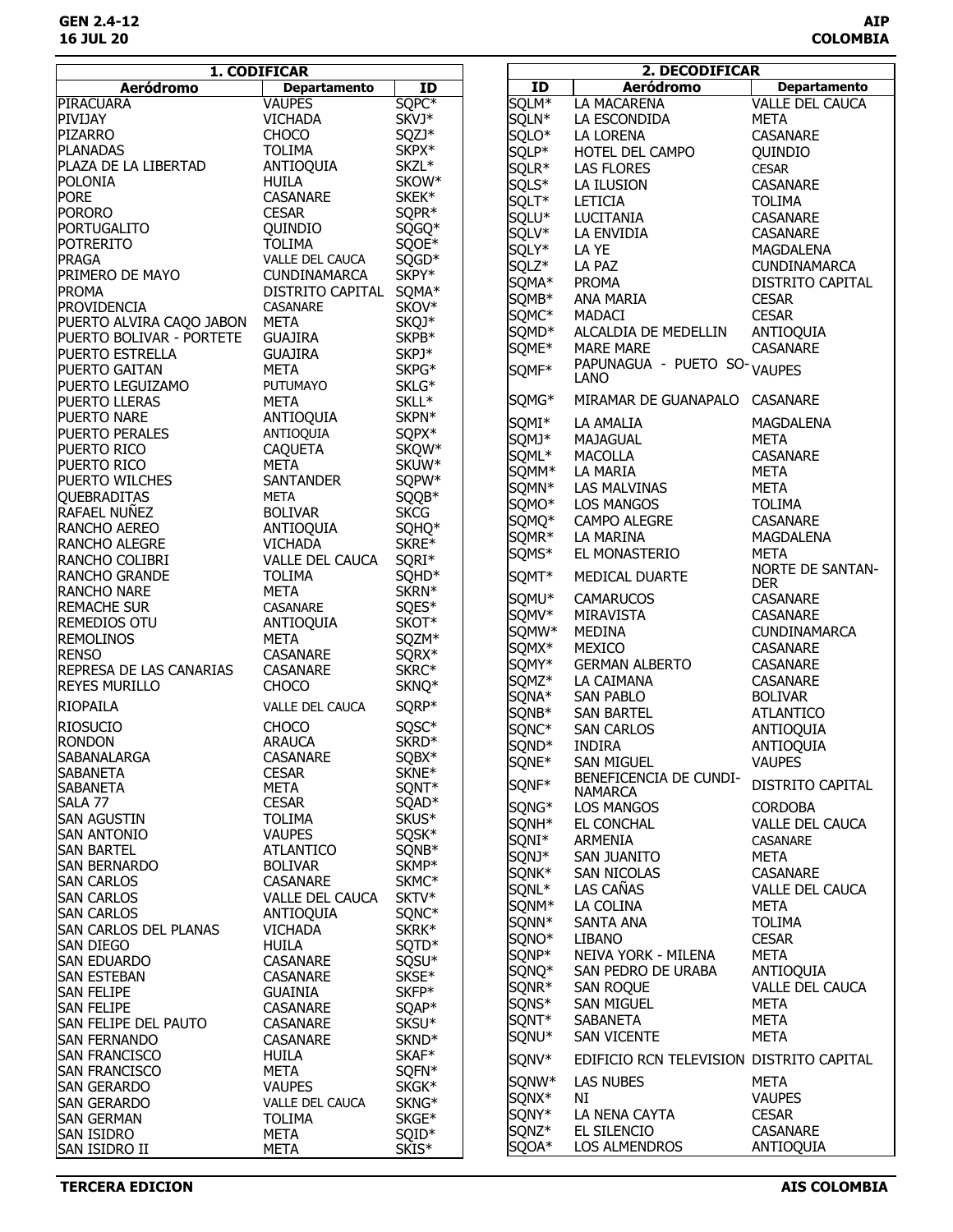|                                           | 1. CODIFICAR               |                   |                   | 2. DECODIFICAR                                         |                                       |
|-------------------------------------------|----------------------------|-------------------|-------------------|--------------------------------------------------------|---------------------------------------|
| <b>Aeródromo</b>                          | <b>Departamento</b>        | ID                | ID                | <b>Aeródromo</b>                                       | <b>Departamento</b>                   |
| <b>PIRACUARA</b>                          | <b>VAUPES</b>              | SQPC*             | SQLM*             | <b>LA MACARENA</b>                                     | <b>VALLE DEL CAUCA</b>                |
| PIVIJAY                                   | <b>VICHADA</b>             | SKVJ*             | SQLN*             | LA ESCONDIDA                                           | <b>META</b>                           |
| PIZARRO                                   | <b>CHOCO</b>               | SQZJ*             | SQLO*             | LA LORENA                                              | <b>CASANARE</b>                       |
| <b>PLANADAS</b>                           | <b>TOLIMA</b>              | SKPX*             | SQLP*             | HOTEL DEL CAMPO                                        | QUINDIO                               |
| PLAZA DE LA LIBERTAD                      | ANTIOQUIA                  | SKZL*             | SQLR*             | <b>LAS FLORES</b>                                      | <b>CESAR</b>                          |
| <b>POLONIA</b>                            | <b>HUILA</b>               | SKOW*             | SQLS*             | LA ILUSION                                             | CASANARE                              |
| <b>PORE</b>                               | CASANARE                   | SKEK*             | SQLT*             | LETICIA                                                | <b>TOLIMA</b>                         |
| <b>PORORO</b>                             | <b>CESAR</b>               | SQPR*             | SQLU*             | LUCITANIA                                              | CASANARE                              |
| PORTUGALITO                               | QUINDIO                    | SQGQ*             | SQLV*             | LA ENVIDIA                                             | CASANARE                              |
| <b>POTRERITO</b>                          | <b>TOLIMA</b>              | SQOE*             |                   | LA YE                                                  |                                       |
| PRAGA                                     | VALLE DEL CAUCA            | SQGD*             | SQLY*             |                                                        | MAGDALENA                             |
| <b>PRIMERO DE MAYO</b>                    | <b>CUNDINAMARCA</b>        | SKPY*             | SQLZ*             | LA PAZ                                                 | <b>CUNDINAMARCA</b>                   |
| <b>PROMA</b>                              | DISTRITO CAPITAL           | SQMA*             | SQMA*             | <b>PROMA</b>                                           | DISTRITO CAPITAL                      |
| PROVIDENCIA                               | CASANARE                   | SKOV*             | SQMB*             | ANA MARIA                                              | <b>CESAR</b>                          |
| PUERTO ALVIRA CAQO JABON                  | <b>META</b>                | SKQJ*             | SQMC*             | MADACI                                                 | <b>CESAR</b>                          |
| PUERTO BOLIVAR - PORTETE                  | <b>GUAJIRA</b>             | SKPB*             | SQMD <sup>*</sup> | ALCALDIA DE MEDELLIN                                   | ANTIOQUIA                             |
| <b>PUERTO ESTRELLA</b>                    | <b>GUAJIRA</b>             | SKPJ*             | SQME*             | <b>MARE MARE</b>                                       | CASANARE                              |
| <b>PUERTO GAITAN</b>                      | <b>META</b>                | SKPG*             | SQMF*             | PAPUNAGUA - PUETO SO- <sub>VAUPES</sub><br><b>LANO</b> |                                       |
| PUERTO LEGUIZAMO                          | <b>PUTUMAYO</b>            | SKLG*             |                   |                                                        |                                       |
| <b>PUERTO LLERAS</b>                      | META                       | SKLL*             | SQMG*             | MIRAMAR DE GUANAPALO CASANARE                          |                                       |
| <b>PUERTO NARE</b>                        | ANTIOQUIA                  | SKPN*             | SQMI*             | LA AMALIA                                              | MAGDALENA                             |
| <b>PUERTO PERALES</b>                     | ANTIOQUIA                  | SQPX*             | SQMJ*             | MAJAGUAL                                               | <b>META</b>                           |
| PUERTO RICO                               | <b>CAQUETA</b>             | SKQW*             | SQML*             | MACOLLA                                                | <b>CASANARE</b>                       |
| <b>PUERTO RICO</b>                        | <b>META</b>                | SKUW <sup>*</sup> | SQMM*             | LA MARIA                                               | <b>META</b>                           |
| PUERTO WILCHES                            | <b>SANTANDER</b>           | SQPW*             |                   |                                                        |                                       |
| <b>QUEBRADITAS</b>                        | <b>META</b>                | SQQB*             | SQMN*             | LAS MALVINAS                                           | <b>META</b>                           |
| RAFAEL NUÑEZ                              | <b>BOLIVAR</b>             | <b>SKCG</b>       | SQMO*             | <b>LOS MANGOS</b>                                      | <b>TOLIMA</b>                         |
| <b>RANCHO AEREO</b>                       | ANTIOQUIA                  | SQHQ*             | SQMQ*             | CAMPO ALEGRE                                           | CASANARE                              |
| RANCHO ALEGRE                             | <b>VICHADA</b>             | SKRE*             | SQMR*             | LA MARINA                                              | MAGDALENA                             |
| RANCHO COLIBRI                            | VALLE DEL CAUCA            | SQRI*             | SQMS*             | EL MONASTERIO                                          | <b>META</b>                           |
| <b>RANCHO GRANDE</b>                      | <b>TOLIMA</b>              | SQHD*             | SQMT*             | MEDICAL DUARTE                                         | <b>NORTE DE SANTAN-</b><br><b>DER</b> |
| RANCHO NARE                               | <b>META</b>                | SKRN*             | SQMU*             | <b>CAMARUCOS</b>                                       | CASANARE                              |
| <b>REMACHE SUR</b>                        | CASANARE                   | SQES*             | SQMV*             | MIRAVISTA                                              | <b>CASANARE</b>                       |
| <b>REMEDIOS OTU</b>                       | ANTIOQUIA                  | SKOT*             | SQMW*             | MEDINA                                                 | <b>CUNDINAMARCA</b>                   |
| <b>REMOLINOS</b>                          | META                       | SQZM*             | SQMX*             | MEXICO                                                 | <b>CASANARE</b>                       |
| <b>RENSO</b>                              | CASANARE                   | SQRX*             | SQMY*             | <b>GERMAN ALBERTO</b>                                  | CASANARE                              |
| <b>REPRESA DE LAS CANARIAS</b>            | CASANARE                   | SKRC*             |                   | LA CAIMANA                                             |                                       |
| <b>REYES MURILLO</b>                      | <b>CHOCO</b>               | SKNQ*             | SQMZ*             |                                                        | CASANARE                              |
| <b>RIOPAILA</b>                           | VALLE DEL CAUCA            | SQRP*             | SQNA*             | SAN PABLO<br><b>SAN BARTEL</b>                         | <b>BOLIVAR</b><br><b>ATLANTICO</b>    |
| <b>RIOSUCIO</b>                           | <b>CHOCO</b>               | SQSC*             | SQNB*             |                                                        |                                       |
| <b>RONDON</b>                             | <b>ARAUCA</b>              | SKRD <sup>*</sup> | SQNC*             | SAN CARLOS                                             | ANTIOQUIA                             |
| SABANALARGA                               | CASANARE                   | SQBX*             | SQND*             | <b>INDIRA</b>                                          | ANTIOQUIA                             |
| <b>SABANETA</b>                           | <b>CESAR</b>               | SKNE*             | SQNE*             | <b>SAN MIGUEL</b>                                      | <b>VAUPES</b>                         |
| <b>SABANETA</b>                           | META                       | SQNT*             | SQNF*             | BENEFICENCIA DE CUNDI-<br>NAMARCA                      | DISTRITO CAPITAL                      |
| SALA 77                                   | <b>CESAR</b>               | SQAD <sup>*</sup> | SQNG*             | <b>LOS MANGOS</b>                                      | <b>CORDOBA</b>                        |
| <b>SAN AGUSTIN</b>                        | <b>TOLIMA</b>              | SKUS*             | SQNH*             | EL CONCHAL                                             | VALLE DEL CAUCA                       |
| SAN ANTONIO                               | <b>VAUPES</b>              | SQSK*             | SQNI*             | <b>ARMENIA</b>                                         | <b>CASANARE</b>                       |
| <b>SAN BARTEL</b>                         | <b>ATLANTICO</b>           | SQNB*             | SQNJ*             | SAN JUANITO                                            | <b>META</b>                           |
| <b>SAN BERNARDO</b>                       | <b>BOLIVAR</b>             | SKMP*             | SQNK*             | <b>SAN NICOLAS</b>                                     | <b>CASANARE</b>                       |
| <b>SAN CARLOS</b>                         | CASANARE                   | SKMC*             | SQNL*             | LAS CAÑAS                                              | <b>VALLE DEL CAUCA</b>                |
| <b>SAN CARLOS</b>                         | <b>VALLE DEL CAUCA</b>     | SKTV*             | SQNM*             | LA COLINA                                              | META                                  |
| <b>SAN CARLOS</b>                         | ANTIOQUIA                  | SQNC*             |                   | SANTA ANA                                              | <b>TOLIMA</b>                         |
| <b>SAN CARLOS DEL PLANAS</b>              | <b>VICHADA</b>             | SKRK*             | SQNN*             |                                                        |                                       |
| <b>SAN DIEGO</b>                          | <b>HUILA</b>               | SQTD <sup>*</sup> | SQNO <sup>*</sup> | <b>LIBANO</b>                                          | <b>CESAR</b>                          |
| San Eduardo                               | CASANARE                   | SQSU*             | SQNP*             | NEIVA YORK - MILENA                                    | <b>META</b>                           |
| <b>SAN ESTEBAN</b>                        | CASANARE                   | SKSE*             | SQNQ*             | SAN PEDRO DE URABA                                     | ANTIOQUIA                             |
| <b>SAN FELIPE</b>                         | <b>GUAINIA</b>             | SKFP*             | SQNR*             | SAN ROQUE                                              | VALLE DEL CAUCA                       |
| <b>SAN FELIPE</b>                         | <b>CASANARE</b>            | SQAP*             | SQNS*             | SAN MIGUEL                                             | META                                  |
| <b>SAN FELIPE DEL PAUTO</b>               | CASANARE                   | SKSU <sup>*</sup> | SQNT*             | <b>SABANETA</b>                                        | <b>META</b>                           |
| ISAN FERNANDO                             | CASANARE                   | SKND <sup>*</sup> | SQNU*             | <b>SAN VICENTE</b>                                     | <b>META</b>                           |
| <b>SAN FRANCISCO</b>                      | <b>HUILA</b>               | SKAF*             | SQNV*             | EDIFICIO RCN TELEVISION DISTRITO CAPITAL               |                                       |
| <b>SAN FRANCISCO</b>                      | <b>META</b>                | SQFN*             | SQNW*             | <b>LAS NUBES</b>                                       | META                                  |
| <b>SAN GERARDO</b>                        | <b>VAUPES</b>              | SKGK*             | SQNX*             | NI                                                     | <b>VAUPES</b>                         |
| <b>SAN GERARDO</b>                        | VALLE DEL CAUCA            | SKNG*             | SQNY*             | LA NENA CAYTA                                          | <b>CESAR</b>                          |
| <b>SAN GERMAN</b>                         | <b>TOLIMA</b>              | SKGE*             | SQNZ*             | EL SILENCIO                                            | <b>CASANARE</b>                       |
| <b>SAN ISIDRO</b><br><b>SAN ISIDRO II</b> | <b>META</b><br><b>META</b> | $SQID*$<br>SKIS*  | SQOA*             | LOS ALMENDROS                                          | ANTIOQUIA                             |
|                                           |                            |                   |                   |                                                        |                                       |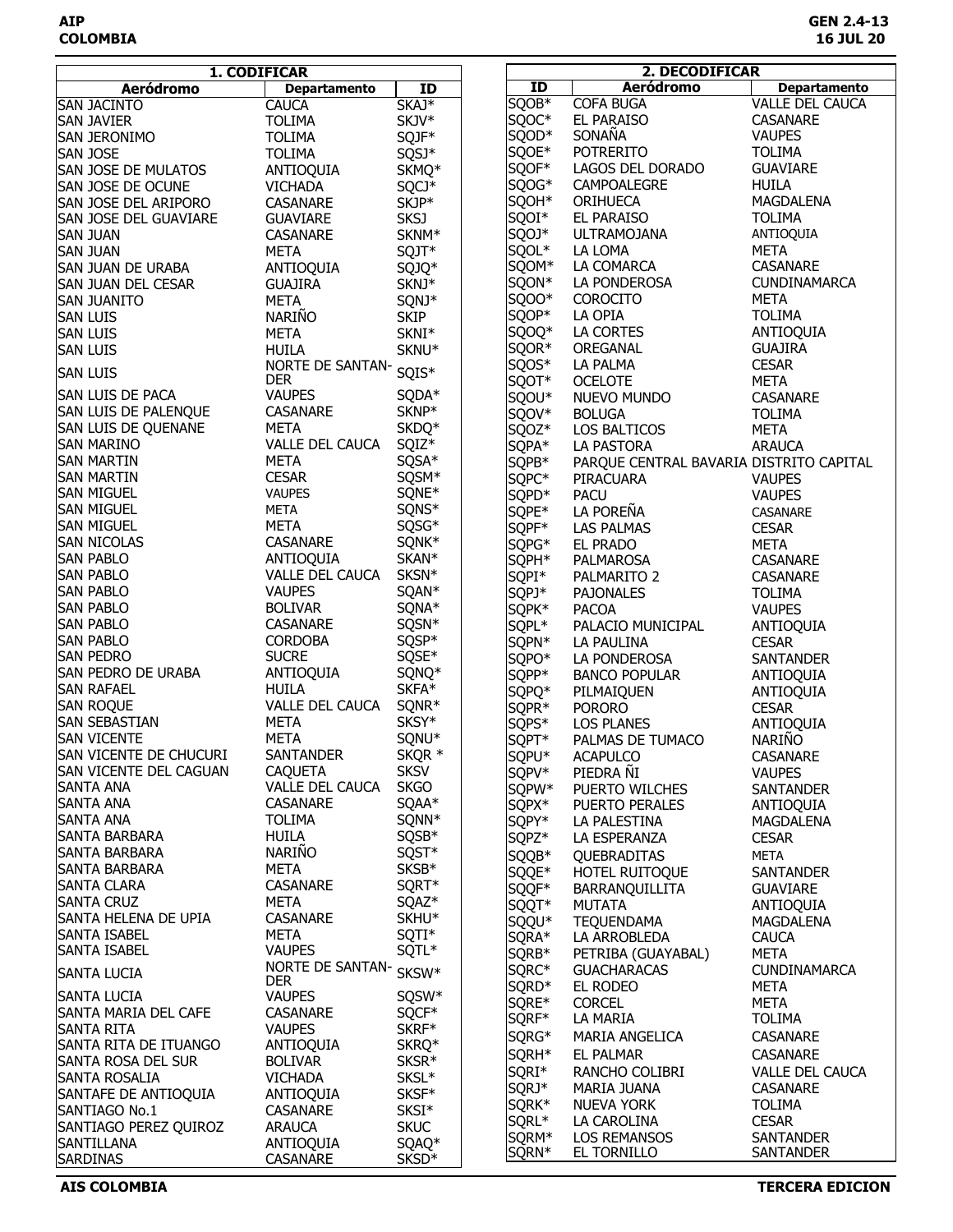|                             | 1. CODIFICAR        |                   | 2. DECODIFICAR                                            |                   |                                         |                        |
|-----------------------------|---------------------|-------------------|-----------------------------------------------------------|-------------------|-----------------------------------------|------------------------|
| <b>Aeródromo</b>            | <b>Departamento</b> | ID                | $\overline{1}$<br><b>Aeródromo</b><br><b>Departamento</b> |                   |                                         |                        |
| <b>SAN JACINTO</b>          | <b>CAUCA</b>        | SKAJ <sup>*</sup> |                                                           | SQOB <sup>*</sup> | <b>COFA BUGA</b>                        | <b>VALLE DEL CAUCA</b> |
| <b>SAN JAVIER</b>           | <b>TOLIMA</b>       | SKJV*             |                                                           | SQOC*             | EL PARAISO                              | CASANARE               |
|                             |                     |                   |                                                           | SQOD*             | SONAÑA                                  | <b>VAUPES</b>          |
| SAN JERONIMO                | <b>TOLIMA</b>       | SQJF*             |                                                           |                   |                                         |                        |
| <b>SAN JOSE</b>             | <b>TOLIMA</b>       | SQSJ*             |                                                           | SQOE*             | <b>POTRERITO</b>                        | <b>TOLIMA</b>          |
| <b>SAN JOSE DE MULATOS</b>  | ANTIOQUIA           | SKMQ*             |                                                           | SQOF*             | LAGOS DEL DORADO                        | <b>GUAVIARE</b>        |
| <b>SAN JOSE DE OCUNE</b>    | <b>VICHADA</b>      | SQCJ*             |                                                           | SQOG*             | CAMPOALEGRE                             | <b>HUILA</b>           |
| SAN JOSE DEL ARIPORO        | CASANARE            | SKJP*             |                                                           | SQOH*             | ORIHUECA                                | MAGDALENA              |
| SAN JOSE DEL GUAVIARE       | <b>GUAVIARE</b>     | <b>SKSJ</b>       |                                                           | SQOI*             | <b>EL PARAISO</b>                       | <b>TOLIMA</b>          |
| <b>SAN JUAN</b>             | <b>CASANARE</b>     | SKNM*             |                                                           | SQOJ*             | <b>ULTRAMOJANA</b>                      | ANTIOQUIA              |
| <b>SAN JUAN</b>             | <b>META</b>         | SQJT*             |                                                           | SQOL*             | LA LOMA                                 | <b>META</b>            |
| <b>SAN JUAN DE URABA</b>    | ANTIOQUIA           | SQJQ*             |                                                           | SQOM*             | LA COMARCA                              | CASANARE               |
| <b>SAN JUAN DEL CESAR</b>   | <b>GUAJIRA</b>      | SKNJ*             |                                                           | SQON*             | LA PONDEROSA                            | CUNDINAMARCA           |
| <b>SAN JUANITO</b>          | <b>META</b>         | SQNJ*             |                                                           | SQOO*             | <b>COROCITO</b>                         | <b>META</b>            |
| <b>SAN LUIS</b>             | NARIÑO              | <b>SKIP</b>       |                                                           | SQOP*             | LA OPIA                                 | <b>TOLIMA</b>          |
| <b>SAN LUIS</b>             | <b>META</b>         | SKNI*             |                                                           | SQOQ*             | LA CORTES                               | ANTIOQUIA              |
|                             | <b>HUILA</b>        | SKNU*             |                                                           | SQOR*             | OREGANAL                                | <b>GUAJIRA</b>         |
| <b>SAN LUIS</b>             |                     |                   |                                                           |                   |                                         | <b>CESAR</b>           |
| <b>SAN LUIS</b>             | NORTE DE SANTAN-    | SQIS*             |                                                           | SQOS*             | LA PALMA                                |                        |
|                             | <b>DER</b>          |                   |                                                           | SQOT*             | <b>OCELOTE</b>                          | <b>META</b>            |
| <b>SAN LUIS DE PACA</b>     | <b>VAUPES</b>       | SQDA*             |                                                           | SQOU*             | NUEVO MUNDO                             | CASANARE               |
| SAN LUIS DE PALENQUE        | <b>CASANARE</b>     | SKNP*             |                                                           | SQOV*             | <b>BOLUGA</b>                           | <b>TOLIMA</b>          |
| <b>SAN LUIS DE QUENANE</b>  | <b>META</b>         | SKDQ*             |                                                           | SQOZ*             | LOS BALTICOS                            | <b>META</b>            |
| isan Marino                 | VALLE DEL CAUCA     | SQIZ*             |                                                           | SQPA*             | LA PASTORA                              | <b>ARAUCA</b>          |
| <b>SAN MARTIN</b>           | <b>META</b>         | SQSA*             |                                                           | SQPB*             | PARQUE CENTRAL BAVARIA DISTRITO CAPITAL |                        |
| <b>SAN MARTIN</b>           | <b>CESAR</b>        | SQSM*             |                                                           | SQPC*             | PIRACUARA                               | <b>VAUPES</b>          |
| <b>SAN MIGUEL</b>           | <b>VAUPES</b>       | SQNE*             |                                                           | SQPD*             | <b>PACU</b>                             | <b>VAUPES</b>          |
| <b>SAN MIGUEL</b>           | <b>META</b>         | SQNS*             |                                                           | SQPE*             | LA POREÑA                               | CASANARE               |
| <b>SAN MIGUEL</b>           | <b>META</b>         | SQSG*             |                                                           | SQPF*             | LAS PALMAS                              | <b>CESAR</b>           |
| <b>SAN NICOLAS</b>          | CASANARE            | SQNK*             |                                                           | SQPG*             | EL PRADO                                | <b>META</b>            |
| <b>SAN PABLO</b>            | ANTIOQUIA           | SKAN*             |                                                           | SQPH*             | PALMAROSA                               | <b>CASANARE</b>        |
| San Pablo                   | VALLE DEL CAUCA     | SKSN*             |                                                           |                   |                                         |                        |
|                             | <b>VAUPES</b>       |                   |                                                           | SQPI*             | PALMARITO 2                             | <b>CASANARE</b>        |
| <b>SAN PABLO</b>            |                     | SQAN*             |                                                           | SQPJ*             | <b>PAJONALES</b>                        | <b>TOLIMA</b>          |
| <b>SAN PABLO</b>            | <b>BOLIVAR</b>      | SQNA*             |                                                           | SQPK*             | <b>PACOA</b>                            | <b>VAUPES</b>          |
| <b>SAN PABLO</b>            | CASANARE            | SQSN*             |                                                           | SQPL*             | PALACIO MUNICIPAL                       | ANTIOQUIA              |
| Isan Pablo                  | <b>CORDOBA</b>      | SQSP*             |                                                           | SQPN*             | LA PAULINA                              | <b>CESAR</b>           |
| <b>SAN PEDRO</b>            | <b>SUCRE</b>        | SQSE*             |                                                           | SQPO*             | LA PONDEROSA                            | <b>SANTANDER</b>       |
| <b>SAN PEDRO DE URABA</b>   | ANTIOQUIA           | SQNQ*             |                                                           | SQPP*             | <b>BANCO POPULAR</b>                    | ANTIOQUIA              |
| <b>SAN RAFAEL</b>           | <b>HUILA</b>        | SKFA*             |                                                           | SQPQ*             | PILMAIQUEN                              | ANTIOQUIA              |
| <b>SAN ROQUE</b>            | VALLE DEL CAUCA     | SQNR <sup>*</sup> |                                                           | SQPR*             | <b>PORORO</b>                           | <b>CESAR</b>           |
| <b>SAN SEBASTIAN</b>        | <b>META</b>         | SKSY*             |                                                           | SQPS*             | <b>LOS PLANES</b>                       | ANTIOQUIA              |
| <b>SAN VICENTE</b>          | <b>META</b>         | SQNU*             |                                                           | SQPT*             | PALMAS DE TUMACO                        | <b>NARIÑO</b>          |
| ISAN VICENTE DE CHUCURI     | <b>SANTANDER</b>    | SKQR *            |                                                           | SQPU*             | <b>ACAPULCO</b>                         | CASANARE               |
| SAN VICENTE DEL CAGUAN      | <b>CAQUETA</b>      | <b>SKSV</b>       |                                                           | SQPV*             | PIEDRA ÑI                               | <b>VAUPES</b>          |
| <b>SANTA ANA</b>            | VALLE DEL CAUCA     | <b>SKGO</b>       |                                                           | SQPW*             | PUERTO WILCHES                          | <b>SANTANDER</b>       |
| <b>SANTA ANA</b>            | CASANARE            | SQAA*             |                                                           | SQPX*             | PUERTO PERALES                          | ANTIOQUIA              |
| <b>SANTA ANA</b>            | <b>TOLIMA</b>       | SQNN*             |                                                           | SQPY*             | LA PALESTINA                            | MAGDALENA              |
| <b>SANTA BARBARA</b>        | HUILA               | SQSB*             |                                                           | SQPZ*             | LA ESPERANZA                            | <b>CESAR</b>           |
| SANTA BARBARA               | NARIÑO              | SQST*             |                                                           | SQQB*             | QUEBRADITAS                             | META                   |
| SANTA BARBARA               | <b>META</b>         | SKSB*             |                                                           |                   |                                         |                        |
| <b>SANTA CLARA</b>          | CASANARE            | SQRT*             |                                                           | SQQE*             | HOTEL RUITOQUE                          | SANTANDER              |
| <b>SANTA CRUZ</b>           | META                | SQAZ <sup>*</sup> |                                                           | SQQF*             | BARRANQUILLITA                          | <b>GUAVIARE</b>        |
|                             | CASANARE            |                   |                                                           | SQQT*             | <b>MUTATA</b>                           | ANTIOQUIA              |
| SANTA HELENA DE UPIA        |                     | SKHU <sup>*</sup> |                                                           | SQQU*             | <b>TEQUENDAMA</b>                       | <b>MAGDALENA</b>       |
| <b>SANTA ISABEL</b>         | META                | SQTI*             |                                                           | SQRA*             | LA ARROBLEDA                            | <b>CAUCA</b>           |
| <b>SANTA ISABEL</b>         | <b>VAUPES</b>       | SQTL*             |                                                           | SQRB*             | PETRIBA (GUAYABAL)                      | <b>META</b>            |
| <b>SANTA LUCIA</b>          | NORTE DE SANTAN-    | SKSW*             |                                                           | SQRC*             | <b>GUACHARACAS</b>                      | <b>CUNDINAMARCA</b>    |
|                             | <b>DER</b>          |                   |                                                           | SQRD*             | EL RODEO                                | META                   |
| <b>SANTA LUCIA</b>          | <b>VAUPES</b>       | SQSW*             |                                                           | SQRE*             | <b>CORCEL</b>                           | <b>META</b>            |
| <b>SANTA MARIA DEL CAFE</b> | CASANARE            | SQCF*             |                                                           | SQRF*             | LA MARIA                                | <b>TOLIMA</b>          |
| <b>SANTA RITA</b>           | <b>VAUPES</b>       | SKRF*             |                                                           | SQRG*             | MARIA ANGELICA                          | <b>CASANARE</b>        |
| SANTA RITA DE ITUANGO       | ANTIOQUIA           | SKRQ*             |                                                           | SQRH <sup>*</sup> | EL PALMAR                               | CASANARE               |
| SANTA ROSA DEL SUR          | <b>BOLIVAR</b>      | SKSR*             |                                                           | SQRI*             | RANCHO COLIBRI                          | <b>VALLE DEL CAUCA</b> |
| SANTA ROSALIA               | <b>VICHADA</b>      | SKSL*             |                                                           | SQRJ*             | MARIA JUANA                             | CASANARE               |
| SANTAFE DE ANTIOQUIA        | ANTIOQUIA           | SKSF*             |                                                           | SQRK*             | NUEVA YORK                              |                        |
| SANTIAGO No.1               | CASANARE            | SKSI*             |                                                           |                   |                                         | <b>TOLIMA</b>          |
| SANTIAGO PEREZ QUIROZ       | <b>ARAUCA</b>       | <b>SKUC</b>       |                                                           | SQRL*             | LA CAROLINA                             | <b>CESAR</b>           |
| <b>SANTILLANA</b>           | ANTIOQUIA           | SQAQ*             |                                                           | SQRM*             | LOS REMANSOS                            | <b>SANTANDER</b>       |
| SARDINAS                    | CASANARE            | SKSD <sup>*</sup> |                                                           | SQRN*             | EL TORNILLO                             | <b>SANTANDER</b>       |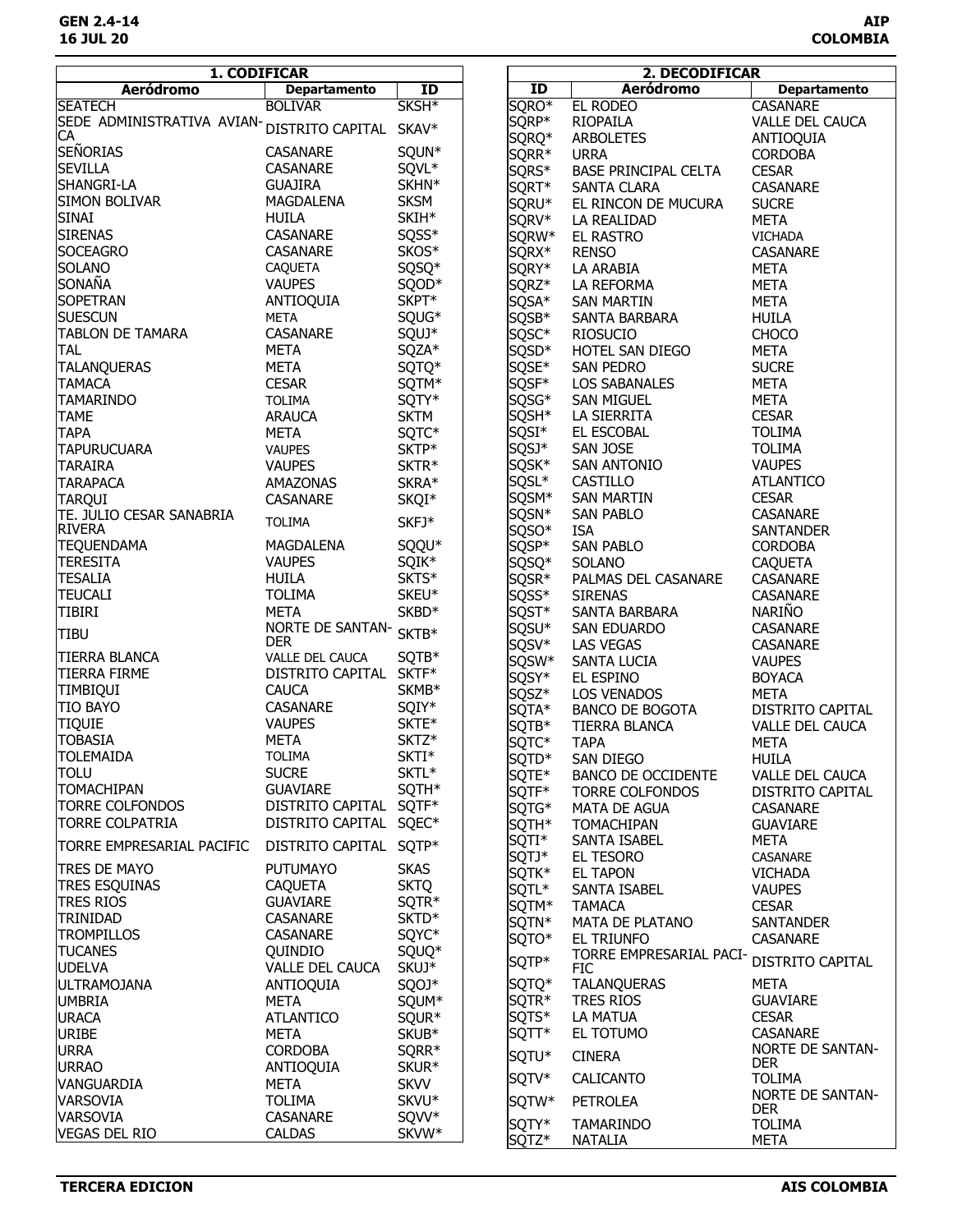| <b>Aeródromo</b><br><b>Aeródromo</b><br><b>Departamento</b><br><b>Departamento</b><br>ID<br>ID<br>SKSH <sup>*</sup><br>SQRO*<br><b>EL RODEO</b><br><b>SEATECH</b><br><b>BOLIVAR</b><br><b>CASANARE</b><br>SQRP*<br>SEDE ADMINISTRATIVA AVIAN- <sub>DISTRITO CAPITAL SKAV*</sub><br>RIOPAILA<br><b>VALLE DEL CAUCA</b><br>CA<br>SQRQ*<br><b>ARBOLETES</b><br>ANTIOQUIA<br>SEÑORIAS<br>SQUN*<br>CASANARE<br>SQRR*<br><b>CORDOBA</b><br><b>URRA</b><br><b>SEVILLA</b><br>SQVL*<br><b>CASANARE</b><br>SQRS*<br>BASE PRINCIPAL CELTA<br><b>CESAR</b><br>SKHN*<br>SHANGRI-LA<br><b>GUAJIRA</b><br>SQRT*<br>SANTA CLARA<br>CASANARE<br><b>SKSM</b><br><b>SIMON BOLIVAR</b><br>MAGDALENA<br>SQRU*<br>EL RINCON DE MUCURA<br><b>SUCRE</b><br>SKIH*<br><b>SINAI</b><br><b>HUILA</b><br>SQRV*<br><b>META</b><br>LA REALIDAD<br>SQSS*<br><b>SIRENAS</b><br>CASANARE<br>SQRW*<br>EL RASTRO<br><b>VICHADA</b><br>SKOS*<br><b>SOCEAGRO</b><br><b>CASANARE</b><br>SQRX*<br><b>RENSO</b><br><b>CASANARE</b><br><b>SOLANO</b><br><b>CAQUETA</b><br>SQSQ*<br>SQRY*<br>LA ARABIA<br><b>META</b><br>SONAÑA<br><b>VAUPES</b><br>SQOD*<br>SQRZ*<br>LA REFORMA<br><b>META</b><br>SKPT*<br><b>SOPETRAN</b><br>ANTIOQUIA<br>SQSA*<br><b>SAN MARTIN</b><br>META<br><b>SUESCUN</b><br>SQUG*<br><b>META</b><br>SQSB*<br>SANTA BARBARA<br><b>HUILA</b><br><b>TABLON DE TAMARA</b><br>SQUJ*<br>CASANARE<br>SQSC*<br><b>RIOSUCIO</b><br><b>CHOCO</b><br><b>TAL</b><br><b>META</b><br>SQZA*<br>SQSD*<br>HOTEL SAN DIEGO<br>META<br>SQSE*<br><b>TALANQUERAS</b><br><b>META</b><br>SQTQ*<br><b>SAN PEDRO</b><br><b>SUCRE</b><br>SQSF*<br><b>TAMACA</b><br><b>CESAR</b><br>SQTM*<br><b>META</b><br><b>LOS SABANALES</b><br>SQTY*<br>SQSG*<br>SAN MIGUEL<br><b>META</b><br>TAMARINDO<br><b>TOLIMA</b><br>SQSH*<br><b>CESAR</b><br><b>SKTM</b><br>LA SIERRITA<br><b>TAME</b><br><b>ARAUCA</b><br>SQSI*<br>EL ESCOBAL<br><b>TAPA</b><br><b>META</b><br><b>TOLIMA</b><br>SQTC*<br>SQSJ*<br>SAN JOSE<br><b>TOLIMA</b><br><b>TAPURUCUARA</b><br><b>VAUPES</b><br>SKTP*<br>SQSK*<br><b>SAN ANTONIO</b><br><b>VAUPES</b><br><b>TARAIRA</b><br>SKTR*<br><b>VAUPES</b><br>SQSL*<br>CASTILLO<br><b>ATLANTICO</b><br><b>TARAPACA</b><br>SKRA*<br>AMAZONAS<br>SQSM*<br><b>SAN MARTIN</b><br><b>CESAR</b><br><b>TARQUI</b><br>SKQI*<br>CASANARE<br>SQSN*<br>TE. JULIO CESAR SANABRIA<br><b>SAN PABLO</b><br><b>CASANARE</b><br>SKFJ*<br><b>TOLIMA</b><br><b>RIVERA</b><br>SQSO*<br><b>ISA</b><br><b>SANTANDER</b><br>SQQU*<br><b>TEQUENDAMA</b><br>MAGDALENA<br>SQSP*<br><b>SAN PABLO</b><br><b>CORDOBA</b><br><b>TERESITA</b><br>SQIK*<br><b>VAUPES</b><br>SQSQ*<br><b>SOLANO</b><br><b>CAQUETA</b><br>SKTS*<br><b>TESALIA</b><br><b>HUILA</b><br>SQSR*<br>PALMAS DEL CASANARE<br><b>CASANARE</b><br><b>TEUCALI</b><br><b>TOLIMA</b><br>SKEU*<br>SQSS*<br>CASANARE<br><b>SIRENAS</b><br>NARIÑO<br><b>TIBIRI</b><br><b>META</b><br>SKBD*<br>SQST*<br>SANTA BARBARA<br>NORTE DE SANTAN-<br>SQSU*<br>SAN EDUARDO<br>CASANARE<br>SKTB*<br><b>TIBU</b><br><b>DER</b><br>SQSV*<br><b>LAS VEGAS</b><br>CASANARE<br>TIERRA BLANCA<br>VALLE DEL CAUCA<br>SQTB*<br>SQSW*<br>SANTA LUCIA<br><b>VAUPES</b><br>DISTRITO CAPITAL SKTF*<br><b>TIERRA FIRME</b><br>SQSY*<br>EL ESPINO<br><b>BOYACA</b><br><b>CAUCA</b><br><b>TIMBIQUI</b><br>SKMB*<br>SQSZ*<br><b>LOS VENADOS</b><br><b>META</b><br><b>TIO BAYO</b><br>CASANARE<br>SQIY*<br>SQTA*<br><b>BANCO DE BOGOTA</b><br><b>DISTRITO CAPITAL</b><br><b>TIQUIE</b><br><b>VAUPES</b><br>SKTE*<br>SQTB*<br><b>TIERRA BLANCA</b><br><b>VALLE DEL CAUCA</b><br><b>TOBASIA</b><br><b>META</b><br>SKTZ*<br>SQTC*<br><b>TAPA</b><br><b>META</b><br><b>TOLEMAIDA</b><br>SKTI*<br><b>TOLIMA</b><br>SQTD <sup>*</sup><br>SAN DIEGO<br><b>HUILA</b><br><b>TOLU</b><br><b>SUCRE</b><br>SKTL*<br>SQTE*<br><b>BANCO DE OCCIDENTE</b><br><b>VALLE DEL CAUCA</b><br><b>TOMACHIPAN</b><br><b>GUAVIARE</b><br>SQTH*<br>SQTF*<br><b>TORRE COLFONDOS</b><br>DISTRITO CAPITAL<br><b>TORRE COLFONDOS</b><br>DISTRITO CAPITAL SQTF*<br>SQTG*<br>MATA DE AGUA<br><b>CASANARE</b><br><b>TORRE COLPATRIA</b><br>DISTRITO CAPITAL SQEC*<br>SQTH*<br>TOMACHIPAN<br><b>GUAVIARE</b><br>SQTI*<br>SANTA ISABEL<br><b>META</b><br>TORRE EMPRESARIAL PACIFIC<br>DISTRITO CAPITAL SQTP*<br>SQTJ*<br>EL TESORO<br>CASANARE<br><b>PUTUMAYO</b><br><b>SKAS</b><br><b>TRES DE MAYO</b><br>SQTK*<br><b>EL TAPON</b><br><b>VICHADA</b><br><b>TRES ESQUINAS</b><br><b>SKTQ</b><br><b>CAQUETA</b><br>SQTL*<br>SANTA ISABEL<br><b>VAUPES</b><br><b>TRES RIOS</b><br>SQTR*<br><b>GUAVIARE</b><br>SQTM*<br><b>TAMACA</b><br><b>CESAR</b><br><b>TRINIDAD</b><br><b>CASANARE</b><br>SKTD <sup>*</sup><br>SQTN*<br>MATA DE PLATANO<br>SANTANDER<br>SQYC*<br><b>TROMPILLOS</b><br>CASANARE<br>SQTO*<br>EL TRIUNFO<br>CASANARE<br><b>TUCANES</b><br>SQUQ*<br>Quindio<br>TORRE EMPRESARIAL PACI-<br>SQTP*<br>DISTRITO CAPITAL<br><b>UDELVA</b><br>VALLE DEL CAUCA<br>SKUJ*<br><b>FIC</b><br>SQTQ*<br><b>TALANQUERAS</b><br><b>ULTRAMOJANA</b><br>SQOJ*<br>META<br>ANTIOQUIA<br>SQTR*<br><b>UMBRIA</b><br><b>TRES RIOS</b><br><b>GUAVIARE</b><br>META<br>SQUM*<br>SQTS*<br>LA MATUA<br><b>CESAR</b><br><b>URACA</b><br><b>ATLANTICO</b><br>SQUR*<br>SQTT*<br>EL TOTUMO<br><b>CASANARE</b><br><b>URIBE</b><br>SKUB*<br>META<br><b>NORTE DE SANTAN-</b><br><b>URRA</b><br><b>CORDOBA</b><br>SQRR*<br>SQTU*<br><b>CINERA</b><br><b>DER</b><br><b>URRAO</b><br>SKUR*<br>ANTIOQUIA<br>SQTV*<br>CALICANTO<br><b>TOLIMA</b><br><b>VANGUARDIA</b><br><b>META</b><br><b>SKVV</b><br><b>NORTE DE SANTAN-</b><br><b>VARSOVIA</b><br>SKVU*<br><b>TOLIMA</b><br>SQTW*<br><b>PETROLEA</b><br><b>DER</b><br>VARSOVIA<br>CASANARE<br>SQVV*<br>SQTY*<br>TAMARINDO<br><b>TOLIMA</b><br><b>VEGAS DEL RIO</b><br><b>CALDAS</b><br>SKVW* | 1. CODIFICAR | 2. DECODIFICAR |       |                |             |
|-----------------------------------------------------------------------------------------------------------------------------------------------------------------------------------------------------------------------------------------------------------------------------------------------------------------------------------------------------------------------------------------------------------------------------------------------------------------------------------------------------------------------------------------------------------------------------------------------------------------------------------------------------------------------------------------------------------------------------------------------------------------------------------------------------------------------------------------------------------------------------------------------------------------------------------------------------------------------------------------------------------------------------------------------------------------------------------------------------------------------------------------------------------------------------------------------------------------------------------------------------------------------------------------------------------------------------------------------------------------------------------------------------------------------------------------------------------------------------------------------------------------------------------------------------------------------------------------------------------------------------------------------------------------------------------------------------------------------------------------------------------------------------------------------------------------------------------------------------------------------------------------------------------------------------------------------------------------------------------------------------------------------------------------------------------------------------------------------------------------------------------------------------------------------------------------------------------------------------------------------------------------------------------------------------------------------------------------------------------------------------------------------------------------------------------------------------------------------------------------------------------------------------------------------------------------------------------------------------------------------------------------------------------------------------------------------------------------------------------------------------------------------------------------------------------------------------------------------------------------------------------------------------------------------------------------------------------------------------------------------------------------------------------------------------------------------------------------------------------------------------------------------------------------------------------------------------------------------------------------------------------------------------------------------------------------------------------------------------------------------------------------------------------------------------------------------------------------------------------------------------------------------------------------------------------------------------------------------------------------------------------------------------------------------------------------------------------------------------------------------------------------------------------------------------------------------------------------------------------------------------------------------------------------------------------------------------------------------------------------------------------------------------------------------------------------------------------------------------------------------------------------------------------------------------------------------------------------------------------------------------------------------------------------------------------------------------------------------------------------------------------------------------------------------------------------------------------------------------------------------------------------------------------------------------------------------------------------------------------------------------------------------------------------------------------------------------------------------------------------------------------------------------------------------------------------------------------------------------------------------------------------------------------------------------------------------------------------------------------------------------------------------------------------------------------------------------------------------------------------------------------------------------------------------------------------------------------------------------------------------------------------------------------------------------------------------------------------------------------------------------------------------------------------------------------------------------------------------------------------------------------------------------------------------------------------------------------------------------------------------------------------------------------------------------------------------------------------------------------------------------|--------------|----------------|-------|----------------|-------------|
|                                                                                                                                                                                                                                                                                                                                                                                                                                                                                                                                                                                                                                                                                                                                                                                                                                                                                                                                                                                                                                                                                                                                                                                                                                                                                                                                                                                                                                                                                                                                                                                                                                                                                                                                                                                                                                                                                                                                                                                                                                                                                                                                                                                                                                                                                                                                                                                                                                                                                                                                                                                                                                                                                                                                                                                                                                                                                                                                                                                                                                                                                                                                                                                                                                                                                                                                                                                                                                                                                                                                                                                                                                                                                                                                                                                                                                                                                                                                                                                                                                                                                                                                                                                                                                                                                                                                                                                                                                                                                                                                                                                                                                                                                                                                                                                                                                                                                                                                                                                                                                                                                                                                                                                                                                                                                                                                                                                                                                                                                                                                                                                                                                                                                                                                                     |              |                |       |                |             |
|                                                                                                                                                                                                                                                                                                                                                                                                                                                                                                                                                                                                                                                                                                                                                                                                                                                                                                                                                                                                                                                                                                                                                                                                                                                                                                                                                                                                                                                                                                                                                                                                                                                                                                                                                                                                                                                                                                                                                                                                                                                                                                                                                                                                                                                                                                                                                                                                                                                                                                                                                                                                                                                                                                                                                                                                                                                                                                                                                                                                                                                                                                                                                                                                                                                                                                                                                                                                                                                                                                                                                                                                                                                                                                                                                                                                                                                                                                                                                                                                                                                                                                                                                                                                                                                                                                                                                                                                                                                                                                                                                                                                                                                                                                                                                                                                                                                                                                                                                                                                                                                                                                                                                                                                                                                                                                                                                                                                                                                                                                                                                                                                                                                                                                                                                     |              |                |       |                |             |
|                                                                                                                                                                                                                                                                                                                                                                                                                                                                                                                                                                                                                                                                                                                                                                                                                                                                                                                                                                                                                                                                                                                                                                                                                                                                                                                                                                                                                                                                                                                                                                                                                                                                                                                                                                                                                                                                                                                                                                                                                                                                                                                                                                                                                                                                                                                                                                                                                                                                                                                                                                                                                                                                                                                                                                                                                                                                                                                                                                                                                                                                                                                                                                                                                                                                                                                                                                                                                                                                                                                                                                                                                                                                                                                                                                                                                                                                                                                                                                                                                                                                                                                                                                                                                                                                                                                                                                                                                                                                                                                                                                                                                                                                                                                                                                                                                                                                                                                                                                                                                                                                                                                                                                                                                                                                                                                                                                                                                                                                                                                                                                                                                                                                                                                                                     |              |                |       |                |             |
|                                                                                                                                                                                                                                                                                                                                                                                                                                                                                                                                                                                                                                                                                                                                                                                                                                                                                                                                                                                                                                                                                                                                                                                                                                                                                                                                                                                                                                                                                                                                                                                                                                                                                                                                                                                                                                                                                                                                                                                                                                                                                                                                                                                                                                                                                                                                                                                                                                                                                                                                                                                                                                                                                                                                                                                                                                                                                                                                                                                                                                                                                                                                                                                                                                                                                                                                                                                                                                                                                                                                                                                                                                                                                                                                                                                                                                                                                                                                                                                                                                                                                                                                                                                                                                                                                                                                                                                                                                                                                                                                                                                                                                                                                                                                                                                                                                                                                                                                                                                                                                                                                                                                                                                                                                                                                                                                                                                                                                                                                                                                                                                                                                                                                                                                                     |              |                |       |                |             |
|                                                                                                                                                                                                                                                                                                                                                                                                                                                                                                                                                                                                                                                                                                                                                                                                                                                                                                                                                                                                                                                                                                                                                                                                                                                                                                                                                                                                                                                                                                                                                                                                                                                                                                                                                                                                                                                                                                                                                                                                                                                                                                                                                                                                                                                                                                                                                                                                                                                                                                                                                                                                                                                                                                                                                                                                                                                                                                                                                                                                                                                                                                                                                                                                                                                                                                                                                                                                                                                                                                                                                                                                                                                                                                                                                                                                                                                                                                                                                                                                                                                                                                                                                                                                                                                                                                                                                                                                                                                                                                                                                                                                                                                                                                                                                                                                                                                                                                                                                                                                                                                                                                                                                                                                                                                                                                                                                                                                                                                                                                                                                                                                                                                                                                                                                     |              |                |       |                |             |
|                                                                                                                                                                                                                                                                                                                                                                                                                                                                                                                                                                                                                                                                                                                                                                                                                                                                                                                                                                                                                                                                                                                                                                                                                                                                                                                                                                                                                                                                                                                                                                                                                                                                                                                                                                                                                                                                                                                                                                                                                                                                                                                                                                                                                                                                                                                                                                                                                                                                                                                                                                                                                                                                                                                                                                                                                                                                                                                                                                                                                                                                                                                                                                                                                                                                                                                                                                                                                                                                                                                                                                                                                                                                                                                                                                                                                                                                                                                                                                                                                                                                                                                                                                                                                                                                                                                                                                                                                                                                                                                                                                                                                                                                                                                                                                                                                                                                                                                                                                                                                                                                                                                                                                                                                                                                                                                                                                                                                                                                                                                                                                                                                                                                                                                                                     |              |                |       |                |             |
|                                                                                                                                                                                                                                                                                                                                                                                                                                                                                                                                                                                                                                                                                                                                                                                                                                                                                                                                                                                                                                                                                                                                                                                                                                                                                                                                                                                                                                                                                                                                                                                                                                                                                                                                                                                                                                                                                                                                                                                                                                                                                                                                                                                                                                                                                                                                                                                                                                                                                                                                                                                                                                                                                                                                                                                                                                                                                                                                                                                                                                                                                                                                                                                                                                                                                                                                                                                                                                                                                                                                                                                                                                                                                                                                                                                                                                                                                                                                                                                                                                                                                                                                                                                                                                                                                                                                                                                                                                                                                                                                                                                                                                                                                                                                                                                                                                                                                                                                                                                                                                                                                                                                                                                                                                                                                                                                                                                                                                                                                                                                                                                                                                                                                                                                                     |              |                |       |                |             |
|                                                                                                                                                                                                                                                                                                                                                                                                                                                                                                                                                                                                                                                                                                                                                                                                                                                                                                                                                                                                                                                                                                                                                                                                                                                                                                                                                                                                                                                                                                                                                                                                                                                                                                                                                                                                                                                                                                                                                                                                                                                                                                                                                                                                                                                                                                                                                                                                                                                                                                                                                                                                                                                                                                                                                                                                                                                                                                                                                                                                                                                                                                                                                                                                                                                                                                                                                                                                                                                                                                                                                                                                                                                                                                                                                                                                                                                                                                                                                                                                                                                                                                                                                                                                                                                                                                                                                                                                                                                                                                                                                                                                                                                                                                                                                                                                                                                                                                                                                                                                                                                                                                                                                                                                                                                                                                                                                                                                                                                                                                                                                                                                                                                                                                                                                     |              |                |       |                |             |
|                                                                                                                                                                                                                                                                                                                                                                                                                                                                                                                                                                                                                                                                                                                                                                                                                                                                                                                                                                                                                                                                                                                                                                                                                                                                                                                                                                                                                                                                                                                                                                                                                                                                                                                                                                                                                                                                                                                                                                                                                                                                                                                                                                                                                                                                                                                                                                                                                                                                                                                                                                                                                                                                                                                                                                                                                                                                                                                                                                                                                                                                                                                                                                                                                                                                                                                                                                                                                                                                                                                                                                                                                                                                                                                                                                                                                                                                                                                                                                                                                                                                                                                                                                                                                                                                                                                                                                                                                                                                                                                                                                                                                                                                                                                                                                                                                                                                                                                                                                                                                                                                                                                                                                                                                                                                                                                                                                                                                                                                                                                                                                                                                                                                                                                                                     |              |                |       |                |             |
|                                                                                                                                                                                                                                                                                                                                                                                                                                                                                                                                                                                                                                                                                                                                                                                                                                                                                                                                                                                                                                                                                                                                                                                                                                                                                                                                                                                                                                                                                                                                                                                                                                                                                                                                                                                                                                                                                                                                                                                                                                                                                                                                                                                                                                                                                                                                                                                                                                                                                                                                                                                                                                                                                                                                                                                                                                                                                                                                                                                                                                                                                                                                                                                                                                                                                                                                                                                                                                                                                                                                                                                                                                                                                                                                                                                                                                                                                                                                                                                                                                                                                                                                                                                                                                                                                                                                                                                                                                                                                                                                                                                                                                                                                                                                                                                                                                                                                                                                                                                                                                                                                                                                                                                                                                                                                                                                                                                                                                                                                                                                                                                                                                                                                                                                                     |              |                |       |                |             |
|                                                                                                                                                                                                                                                                                                                                                                                                                                                                                                                                                                                                                                                                                                                                                                                                                                                                                                                                                                                                                                                                                                                                                                                                                                                                                                                                                                                                                                                                                                                                                                                                                                                                                                                                                                                                                                                                                                                                                                                                                                                                                                                                                                                                                                                                                                                                                                                                                                                                                                                                                                                                                                                                                                                                                                                                                                                                                                                                                                                                                                                                                                                                                                                                                                                                                                                                                                                                                                                                                                                                                                                                                                                                                                                                                                                                                                                                                                                                                                                                                                                                                                                                                                                                                                                                                                                                                                                                                                                                                                                                                                                                                                                                                                                                                                                                                                                                                                                                                                                                                                                                                                                                                                                                                                                                                                                                                                                                                                                                                                                                                                                                                                                                                                                                                     |              |                |       |                |             |
|                                                                                                                                                                                                                                                                                                                                                                                                                                                                                                                                                                                                                                                                                                                                                                                                                                                                                                                                                                                                                                                                                                                                                                                                                                                                                                                                                                                                                                                                                                                                                                                                                                                                                                                                                                                                                                                                                                                                                                                                                                                                                                                                                                                                                                                                                                                                                                                                                                                                                                                                                                                                                                                                                                                                                                                                                                                                                                                                                                                                                                                                                                                                                                                                                                                                                                                                                                                                                                                                                                                                                                                                                                                                                                                                                                                                                                                                                                                                                                                                                                                                                                                                                                                                                                                                                                                                                                                                                                                                                                                                                                                                                                                                                                                                                                                                                                                                                                                                                                                                                                                                                                                                                                                                                                                                                                                                                                                                                                                                                                                                                                                                                                                                                                                                                     |              |                |       |                |             |
|                                                                                                                                                                                                                                                                                                                                                                                                                                                                                                                                                                                                                                                                                                                                                                                                                                                                                                                                                                                                                                                                                                                                                                                                                                                                                                                                                                                                                                                                                                                                                                                                                                                                                                                                                                                                                                                                                                                                                                                                                                                                                                                                                                                                                                                                                                                                                                                                                                                                                                                                                                                                                                                                                                                                                                                                                                                                                                                                                                                                                                                                                                                                                                                                                                                                                                                                                                                                                                                                                                                                                                                                                                                                                                                                                                                                                                                                                                                                                                                                                                                                                                                                                                                                                                                                                                                                                                                                                                                                                                                                                                                                                                                                                                                                                                                                                                                                                                                                                                                                                                                                                                                                                                                                                                                                                                                                                                                                                                                                                                                                                                                                                                                                                                                                                     |              |                |       |                |             |
|                                                                                                                                                                                                                                                                                                                                                                                                                                                                                                                                                                                                                                                                                                                                                                                                                                                                                                                                                                                                                                                                                                                                                                                                                                                                                                                                                                                                                                                                                                                                                                                                                                                                                                                                                                                                                                                                                                                                                                                                                                                                                                                                                                                                                                                                                                                                                                                                                                                                                                                                                                                                                                                                                                                                                                                                                                                                                                                                                                                                                                                                                                                                                                                                                                                                                                                                                                                                                                                                                                                                                                                                                                                                                                                                                                                                                                                                                                                                                                                                                                                                                                                                                                                                                                                                                                                                                                                                                                                                                                                                                                                                                                                                                                                                                                                                                                                                                                                                                                                                                                                                                                                                                                                                                                                                                                                                                                                                                                                                                                                                                                                                                                                                                                                                                     |              |                |       |                |             |
|                                                                                                                                                                                                                                                                                                                                                                                                                                                                                                                                                                                                                                                                                                                                                                                                                                                                                                                                                                                                                                                                                                                                                                                                                                                                                                                                                                                                                                                                                                                                                                                                                                                                                                                                                                                                                                                                                                                                                                                                                                                                                                                                                                                                                                                                                                                                                                                                                                                                                                                                                                                                                                                                                                                                                                                                                                                                                                                                                                                                                                                                                                                                                                                                                                                                                                                                                                                                                                                                                                                                                                                                                                                                                                                                                                                                                                                                                                                                                                                                                                                                                                                                                                                                                                                                                                                                                                                                                                                                                                                                                                                                                                                                                                                                                                                                                                                                                                                                                                                                                                                                                                                                                                                                                                                                                                                                                                                                                                                                                                                                                                                                                                                                                                                                                     |              |                |       |                |             |
|                                                                                                                                                                                                                                                                                                                                                                                                                                                                                                                                                                                                                                                                                                                                                                                                                                                                                                                                                                                                                                                                                                                                                                                                                                                                                                                                                                                                                                                                                                                                                                                                                                                                                                                                                                                                                                                                                                                                                                                                                                                                                                                                                                                                                                                                                                                                                                                                                                                                                                                                                                                                                                                                                                                                                                                                                                                                                                                                                                                                                                                                                                                                                                                                                                                                                                                                                                                                                                                                                                                                                                                                                                                                                                                                                                                                                                                                                                                                                                                                                                                                                                                                                                                                                                                                                                                                                                                                                                                                                                                                                                                                                                                                                                                                                                                                                                                                                                                                                                                                                                                                                                                                                                                                                                                                                                                                                                                                                                                                                                                                                                                                                                                                                                                                                     |              |                |       |                |             |
|                                                                                                                                                                                                                                                                                                                                                                                                                                                                                                                                                                                                                                                                                                                                                                                                                                                                                                                                                                                                                                                                                                                                                                                                                                                                                                                                                                                                                                                                                                                                                                                                                                                                                                                                                                                                                                                                                                                                                                                                                                                                                                                                                                                                                                                                                                                                                                                                                                                                                                                                                                                                                                                                                                                                                                                                                                                                                                                                                                                                                                                                                                                                                                                                                                                                                                                                                                                                                                                                                                                                                                                                                                                                                                                                                                                                                                                                                                                                                                                                                                                                                                                                                                                                                                                                                                                                                                                                                                                                                                                                                                                                                                                                                                                                                                                                                                                                                                                                                                                                                                                                                                                                                                                                                                                                                                                                                                                                                                                                                                                                                                                                                                                                                                                                                     |              |                |       |                |             |
|                                                                                                                                                                                                                                                                                                                                                                                                                                                                                                                                                                                                                                                                                                                                                                                                                                                                                                                                                                                                                                                                                                                                                                                                                                                                                                                                                                                                                                                                                                                                                                                                                                                                                                                                                                                                                                                                                                                                                                                                                                                                                                                                                                                                                                                                                                                                                                                                                                                                                                                                                                                                                                                                                                                                                                                                                                                                                                                                                                                                                                                                                                                                                                                                                                                                                                                                                                                                                                                                                                                                                                                                                                                                                                                                                                                                                                                                                                                                                                                                                                                                                                                                                                                                                                                                                                                                                                                                                                                                                                                                                                                                                                                                                                                                                                                                                                                                                                                                                                                                                                                                                                                                                                                                                                                                                                                                                                                                                                                                                                                                                                                                                                                                                                                                                     |              |                |       |                |             |
|                                                                                                                                                                                                                                                                                                                                                                                                                                                                                                                                                                                                                                                                                                                                                                                                                                                                                                                                                                                                                                                                                                                                                                                                                                                                                                                                                                                                                                                                                                                                                                                                                                                                                                                                                                                                                                                                                                                                                                                                                                                                                                                                                                                                                                                                                                                                                                                                                                                                                                                                                                                                                                                                                                                                                                                                                                                                                                                                                                                                                                                                                                                                                                                                                                                                                                                                                                                                                                                                                                                                                                                                                                                                                                                                                                                                                                                                                                                                                                                                                                                                                                                                                                                                                                                                                                                                                                                                                                                                                                                                                                                                                                                                                                                                                                                                                                                                                                                                                                                                                                                                                                                                                                                                                                                                                                                                                                                                                                                                                                                                                                                                                                                                                                                                                     |              |                |       |                |             |
|                                                                                                                                                                                                                                                                                                                                                                                                                                                                                                                                                                                                                                                                                                                                                                                                                                                                                                                                                                                                                                                                                                                                                                                                                                                                                                                                                                                                                                                                                                                                                                                                                                                                                                                                                                                                                                                                                                                                                                                                                                                                                                                                                                                                                                                                                                                                                                                                                                                                                                                                                                                                                                                                                                                                                                                                                                                                                                                                                                                                                                                                                                                                                                                                                                                                                                                                                                                                                                                                                                                                                                                                                                                                                                                                                                                                                                                                                                                                                                                                                                                                                                                                                                                                                                                                                                                                                                                                                                                                                                                                                                                                                                                                                                                                                                                                                                                                                                                                                                                                                                                                                                                                                                                                                                                                                                                                                                                                                                                                                                                                                                                                                                                                                                                                                     |              |                |       |                |             |
|                                                                                                                                                                                                                                                                                                                                                                                                                                                                                                                                                                                                                                                                                                                                                                                                                                                                                                                                                                                                                                                                                                                                                                                                                                                                                                                                                                                                                                                                                                                                                                                                                                                                                                                                                                                                                                                                                                                                                                                                                                                                                                                                                                                                                                                                                                                                                                                                                                                                                                                                                                                                                                                                                                                                                                                                                                                                                                                                                                                                                                                                                                                                                                                                                                                                                                                                                                                                                                                                                                                                                                                                                                                                                                                                                                                                                                                                                                                                                                                                                                                                                                                                                                                                                                                                                                                                                                                                                                                                                                                                                                                                                                                                                                                                                                                                                                                                                                                                                                                                                                                                                                                                                                                                                                                                                                                                                                                                                                                                                                                                                                                                                                                                                                                                                     |              |                |       |                |             |
|                                                                                                                                                                                                                                                                                                                                                                                                                                                                                                                                                                                                                                                                                                                                                                                                                                                                                                                                                                                                                                                                                                                                                                                                                                                                                                                                                                                                                                                                                                                                                                                                                                                                                                                                                                                                                                                                                                                                                                                                                                                                                                                                                                                                                                                                                                                                                                                                                                                                                                                                                                                                                                                                                                                                                                                                                                                                                                                                                                                                                                                                                                                                                                                                                                                                                                                                                                                                                                                                                                                                                                                                                                                                                                                                                                                                                                                                                                                                                                                                                                                                                                                                                                                                                                                                                                                                                                                                                                                                                                                                                                                                                                                                                                                                                                                                                                                                                                                                                                                                                                                                                                                                                                                                                                                                                                                                                                                                                                                                                                                                                                                                                                                                                                                                                     |              |                |       |                |             |
|                                                                                                                                                                                                                                                                                                                                                                                                                                                                                                                                                                                                                                                                                                                                                                                                                                                                                                                                                                                                                                                                                                                                                                                                                                                                                                                                                                                                                                                                                                                                                                                                                                                                                                                                                                                                                                                                                                                                                                                                                                                                                                                                                                                                                                                                                                                                                                                                                                                                                                                                                                                                                                                                                                                                                                                                                                                                                                                                                                                                                                                                                                                                                                                                                                                                                                                                                                                                                                                                                                                                                                                                                                                                                                                                                                                                                                                                                                                                                                                                                                                                                                                                                                                                                                                                                                                                                                                                                                                                                                                                                                                                                                                                                                                                                                                                                                                                                                                                                                                                                                                                                                                                                                                                                                                                                                                                                                                                                                                                                                                                                                                                                                                                                                                                                     |              |                |       |                |             |
|                                                                                                                                                                                                                                                                                                                                                                                                                                                                                                                                                                                                                                                                                                                                                                                                                                                                                                                                                                                                                                                                                                                                                                                                                                                                                                                                                                                                                                                                                                                                                                                                                                                                                                                                                                                                                                                                                                                                                                                                                                                                                                                                                                                                                                                                                                                                                                                                                                                                                                                                                                                                                                                                                                                                                                                                                                                                                                                                                                                                                                                                                                                                                                                                                                                                                                                                                                                                                                                                                                                                                                                                                                                                                                                                                                                                                                                                                                                                                                                                                                                                                                                                                                                                                                                                                                                                                                                                                                                                                                                                                                                                                                                                                                                                                                                                                                                                                                                                                                                                                                                                                                                                                                                                                                                                                                                                                                                                                                                                                                                                                                                                                                                                                                                                                     |              |                |       |                |             |
|                                                                                                                                                                                                                                                                                                                                                                                                                                                                                                                                                                                                                                                                                                                                                                                                                                                                                                                                                                                                                                                                                                                                                                                                                                                                                                                                                                                                                                                                                                                                                                                                                                                                                                                                                                                                                                                                                                                                                                                                                                                                                                                                                                                                                                                                                                                                                                                                                                                                                                                                                                                                                                                                                                                                                                                                                                                                                                                                                                                                                                                                                                                                                                                                                                                                                                                                                                                                                                                                                                                                                                                                                                                                                                                                                                                                                                                                                                                                                                                                                                                                                                                                                                                                                                                                                                                                                                                                                                                                                                                                                                                                                                                                                                                                                                                                                                                                                                                                                                                                                                                                                                                                                                                                                                                                                                                                                                                                                                                                                                                                                                                                                                                                                                                                                     |              |                |       |                |             |
|                                                                                                                                                                                                                                                                                                                                                                                                                                                                                                                                                                                                                                                                                                                                                                                                                                                                                                                                                                                                                                                                                                                                                                                                                                                                                                                                                                                                                                                                                                                                                                                                                                                                                                                                                                                                                                                                                                                                                                                                                                                                                                                                                                                                                                                                                                                                                                                                                                                                                                                                                                                                                                                                                                                                                                                                                                                                                                                                                                                                                                                                                                                                                                                                                                                                                                                                                                                                                                                                                                                                                                                                                                                                                                                                                                                                                                                                                                                                                                                                                                                                                                                                                                                                                                                                                                                                                                                                                                                                                                                                                                                                                                                                                                                                                                                                                                                                                                                                                                                                                                                                                                                                                                                                                                                                                                                                                                                                                                                                                                                                                                                                                                                                                                                                                     |              |                |       |                |             |
|                                                                                                                                                                                                                                                                                                                                                                                                                                                                                                                                                                                                                                                                                                                                                                                                                                                                                                                                                                                                                                                                                                                                                                                                                                                                                                                                                                                                                                                                                                                                                                                                                                                                                                                                                                                                                                                                                                                                                                                                                                                                                                                                                                                                                                                                                                                                                                                                                                                                                                                                                                                                                                                                                                                                                                                                                                                                                                                                                                                                                                                                                                                                                                                                                                                                                                                                                                                                                                                                                                                                                                                                                                                                                                                                                                                                                                                                                                                                                                                                                                                                                                                                                                                                                                                                                                                                                                                                                                                                                                                                                                                                                                                                                                                                                                                                                                                                                                                                                                                                                                                                                                                                                                                                                                                                                                                                                                                                                                                                                                                                                                                                                                                                                                                                                     |              |                |       |                |             |
|                                                                                                                                                                                                                                                                                                                                                                                                                                                                                                                                                                                                                                                                                                                                                                                                                                                                                                                                                                                                                                                                                                                                                                                                                                                                                                                                                                                                                                                                                                                                                                                                                                                                                                                                                                                                                                                                                                                                                                                                                                                                                                                                                                                                                                                                                                                                                                                                                                                                                                                                                                                                                                                                                                                                                                                                                                                                                                                                                                                                                                                                                                                                                                                                                                                                                                                                                                                                                                                                                                                                                                                                                                                                                                                                                                                                                                                                                                                                                                                                                                                                                                                                                                                                                                                                                                                                                                                                                                                                                                                                                                                                                                                                                                                                                                                                                                                                                                                                                                                                                                                                                                                                                                                                                                                                                                                                                                                                                                                                                                                                                                                                                                                                                                                                                     |              |                |       |                |             |
|                                                                                                                                                                                                                                                                                                                                                                                                                                                                                                                                                                                                                                                                                                                                                                                                                                                                                                                                                                                                                                                                                                                                                                                                                                                                                                                                                                                                                                                                                                                                                                                                                                                                                                                                                                                                                                                                                                                                                                                                                                                                                                                                                                                                                                                                                                                                                                                                                                                                                                                                                                                                                                                                                                                                                                                                                                                                                                                                                                                                                                                                                                                                                                                                                                                                                                                                                                                                                                                                                                                                                                                                                                                                                                                                                                                                                                                                                                                                                                                                                                                                                                                                                                                                                                                                                                                                                                                                                                                                                                                                                                                                                                                                                                                                                                                                                                                                                                                                                                                                                                                                                                                                                                                                                                                                                                                                                                                                                                                                                                                                                                                                                                                                                                                                                     |              |                |       |                |             |
|                                                                                                                                                                                                                                                                                                                                                                                                                                                                                                                                                                                                                                                                                                                                                                                                                                                                                                                                                                                                                                                                                                                                                                                                                                                                                                                                                                                                                                                                                                                                                                                                                                                                                                                                                                                                                                                                                                                                                                                                                                                                                                                                                                                                                                                                                                                                                                                                                                                                                                                                                                                                                                                                                                                                                                                                                                                                                                                                                                                                                                                                                                                                                                                                                                                                                                                                                                                                                                                                                                                                                                                                                                                                                                                                                                                                                                                                                                                                                                                                                                                                                                                                                                                                                                                                                                                                                                                                                                                                                                                                                                                                                                                                                                                                                                                                                                                                                                                                                                                                                                                                                                                                                                                                                                                                                                                                                                                                                                                                                                                                                                                                                                                                                                                                                     |              |                |       |                |             |
|                                                                                                                                                                                                                                                                                                                                                                                                                                                                                                                                                                                                                                                                                                                                                                                                                                                                                                                                                                                                                                                                                                                                                                                                                                                                                                                                                                                                                                                                                                                                                                                                                                                                                                                                                                                                                                                                                                                                                                                                                                                                                                                                                                                                                                                                                                                                                                                                                                                                                                                                                                                                                                                                                                                                                                                                                                                                                                                                                                                                                                                                                                                                                                                                                                                                                                                                                                                                                                                                                                                                                                                                                                                                                                                                                                                                                                                                                                                                                                                                                                                                                                                                                                                                                                                                                                                                                                                                                                                                                                                                                                                                                                                                                                                                                                                                                                                                                                                                                                                                                                                                                                                                                                                                                                                                                                                                                                                                                                                                                                                                                                                                                                                                                                                                                     |              |                |       |                |             |
|                                                                                                                                                                                                                                                                                                                                                                                                                                                                                                                                                                                                                                                                                                                                                                                                                                                                                                                                                                                                                                                                                                                                                                                                                                                                                                                                                                                                                                                                                                                                                                                                                                                                                                                                                                                                                                                                                                                                                                                                                                                                                                                                                                                                                                                                                                                                                                                                                                                                                                                                                                                                                                                                                                                                                                                                                                                                                                                                                                                                                                                                                                                                                                                                                                                                                                                                                                                                                                                                                                                                                                                                                                                                                                                                                                                                                                                                                                                                                                                                                                                                                                                                                                                                                                                                                                                                                                                                                                                                                                                                                                                                                                                                                                                                                                                                                                                                                                                                                                                                                                                                                                                                                                                                                                                                                                                                                                                                                                                                                                                                                                                                                                                                                                                                                     |              |                |       |                |             |
|                                                                                                                                                                                                                                                                                                                                                                                                                                                                                                                                                                                                                                                                                                                                                                                                                                                                                                                                                                                                                                                                                                                                                                                                                                                                                                                                                                                                                                                                                                                                                                                                                                                                                                                                                                                                                                                                                                                                                                                                                                                                                                                                                                                                                                                                                                                                                                                                                                                                                                                                                                                                                                                                                                                                                                                                                                                                                                                                                                                                                                                                                                                                                                                                                                                                                                                                                                                                                                                                                                                                                                                                                                                                                                                                                                                                                                                                                                                                                                                                                                                                                                                                                                                                                                                                                                                                                                                                                                                                                                                                                                                                                                                                                                                                                                                                                                                                                                                                                                                                                                                                                                                                                                                                                                                                                                                                                                                                                                                                                                                                                                                                                                                                                                                                                     |              |                |       |                |             |
|                                                                                                                                                                                                                                                                                                                                                                                                                                                                                                                                                                                                                                                                                                                                                                                                                                                                                                                                                                                                                                                                                                                                                                                                                                                                                                                                                                                                                                                                                                                                                                                                                                                                                                                                                                                                                                                                                                                                                                                                                                                                                                                                                                                                                                                                                                                                                                                                                                                                                                                                                                                                                                                                                                                                                                                                                                                                                                                                                                                                                                                                                                                                                                                                                                                                                                                                                                                                                                                                                                                                                                                                                                                                                                                                                                                                                                                                                                                                                                                                                                                                                                                                                                                                                                                                                                                                                                                                                                                                                                                                                                                                                                                                                                                                                                                                                                                                                                                                                                                                                                                                                                                                                                                                                                                                                                                                                                                                                                                                                                                                                                                                                                                                                                                                                     |              |                |       |                |             |
|                                                                                                                                                                                                                                                                                                                                                                                                                                                                                                                                                                                                                                                                                                                                                                                                                                                                                                                                                                                                                                                                                                                                                                                                                                                                                                                                                                                                                                                                                                                                                                                                                                                                                                                                                                                                                                                                                                                                                                                                                                                                                                                                                                                                                                                                                                                                                                                                                                                                                                                                                                                                                                                                                                                                                                                                                                                                                                                                                                                                                                                                                                                                                                                                                                                                                                                                                                                                                                                                                                                                                                                                                                                                                                                                                                                                                                                                                                                                                                                                                                                                                                                                                                                                                                                                                                                                                                                                                                                                                                                                                                                                                                                                                                                                                                                                                                                                                                                                                                                                                                                                                                                                                                                                                                                                                                                                                                                                                                                                                                                                                                                                                                                                                                                                                     |              |                |       |                |             |
|                                                                                                                                                                                                                                                                                                                                                                                                                                                                                                                                                                                                                                                                                                                                                                                                                                                                                                                                                                                                                                                                                                                                                                                                                                                                                                                                                                                                                                                                                                                                                                                                                                                                                                                                                                                                                                                                                                                                                                                                                                                                                                                                                                                                                                                                                                                                                                                                                                                                                                                                                                                                                                                                                                                                                                                                                                                                                                                                                                                                                                                                                                                                                                                                                                                                                                                                                                                                                                                                                                                                                                                                                                                                                                                                                                                                                                                                                                                                                                                                                                                                                                                                                                                                                                                                                                                                                                                                                                                                                                                                                                                                                                                                                                                                                                                                                                                                                                                                                                                                                                                                                                                                                                                                                                                                                                                                                                                                                                                                                                                                                                                                                                                                                                                                                     |              |                |       |                |             |
|                                                                                                                                                                                                                                                                                                                                                                                                                                                                                                                                                                                                                                                                                                                                                                                                                                                                                                                                                                                                                                                                                                                                                                                                                                                                                                                                                                                                                                                                                                                                                                                                                                                                                                                                                                                                                                                                                                                                                                                                                                                                                                                                                                                                                                                                                                                                                                                                                                                                                                                                                                                                                                                                                                                                                                                                                                                                                                                                                                                                                                                                                                                                                                                                                                                                                                                                                                                                                                                                                                                                                                                                                                                                                                                                                                                                                                                                                                                                                                                                                                                                                                                                                                                                                                                                                                                                                                                                                                                                                                                                                                                                                                                                                                                                                                                                                                                                                                                                                                                                                                                                                                                                                                                                                                                                                                                                                                                                                                                                                                                                                                                                                                                                                                                                                     |              |                |       |                |             |
|                                                                                                                                                                                                                                                                                                                                                                                                                                                                                                                                                                                                                                                                                                                                                                                                                                                                                                                                                                                                                                                                                                                                                                                                                                                                                                                                                                                                                                                                                                                                                                                                                                                                                                                                                                                                                                                                                                                                                                                                                                                                                                                                                                                                                                                                                                                                                                                                                                                                                                                                                                                                                                                                                                                                                                                                                                                                                                                                                                                                                                                                                                                                                                                                                                                                                                                                                                                                                                                                                                                                                                                                                                                                                                                                                                                                                                                                                                                                                                                                                                                                                                                                                                                                                                                                                                                                                                                                                                                                                                                                                                                                                                                                                                                                                                                                                                                                                                                                                                                                                                                                                                                                                                                                                                                                                                                                                                                                                                                                                                                                                                                                                                                                                                                                                     |              |                |       |                |             |
|                                                                                                                                                                                                                                                                                                                                                                                                                                                                                                                                                                                                                                                                                                                                                                                                                                                                                                                                                                                                                                                                                                                                                                                                                                                                                                                                                                                                                                                                                                                                                                                                                                                                                                                                                                                                                                                                                                                                                                                                                                                                                                                                                                                                                                                                                                                                                                                                                                                                                                                                                                                                                                                                                                                                                                                                                                                                                                                                                                                                                                                                                                                                                                                                                                                                                                                                                                                                                                                                                                                                                                                                                                                                                                                                                                                                                                                                                                                                                                                                                                                                                                                                                                                                                                                                                                                                                                                                                                                                                                                                                                                                                                                                                                                                                                                                                                                                                                                                                                                                                                                                                                                                                                                                                                                                                                                                                                                                                                                                                                                                                                                                                                                                                                                                                     |              |                |       |                |             |
|                                                                                                                                                                                                                                                                                                                                                                                                                                                                                                                                                                                                                                                                                                                                                                                                                                                                                                                                                                                                                                                                                                                                                                                                                                                                                                                                                                                                                                                                                                                                                                                                                                                                                                                                                                                                                                                                                                                                                                                                                                                                                                                                                                                                                                                                                                                                                                                                                                                                                                                                                                                                                                                                                                                                                                                                                                                                                                                                                                                                                                                                                                                                                                                                                                                                                                                                                                                                                                                                                                                                                                                                                                                                                                                                                                                                                                                                                                                                                                                                                                                                                                                                                                                                                                                                                                                                                                                                                                                                                                                                                                                                                                                                                                                                                                                                                                                                                                                                                                                                                                                                                                                                                                                                                                                                                                                                                                                                                                                                                                                                                                                                                                                                                                                                                     |              |                |       |                |             |
|                                                                                                                                                                                                                                                                                                                                                                                                                                                                                                                                                                                                                                                                                                                                                                                                                                                                                                                                                                                                                                                                                                                                                                                                                                                                                                                                                                                                                                                                                                                                                                                                                                                                                                                                                                                                                                                                                                                                                                                                                                                                                                                                                                                                                                                                                                                                                                                                                                                                                                                                                                                                                                                                                                                                                                                                                                                                                                                                                                                                                                                                                                                                                                                                                                                                                                                                                                                                                                                                                                                                                                                                                                                                                                                                                                                                                                                                                                                                                                                                                                                                                                                                                                                                                                                                                                                                                                                                                                                                                                                                                                                                                                                                                                                                                                                                                                                                                                                                                                                                                                                                                                                                                                                                                                                                                                                                                                                                                                                                                                                                                                                                                                                                                                                                                     |              |                |       |                |             |
|                                                                                                                                                                                                                                                                                                                                                                                                                                                                                                                                                                                                                                                                                                                                                                                                                                                                                                                                                                                                                                                                                                                                                                                                                                                                                                                                                                                                                                                                                                                                                                                                                                                                                                                                                                                                                                                                                                                                                                                                                                                                                                                                                                                                                                                                                                                                                                                                                                                                                                                                                                                                                                                                                                                                                                                                                                                                                                                                                                                                                                                                                                                                                                                                                                                                                                                                                                                                                                                                                                                                                                                                                                                                                                                                                                                                                                                                                                                                                                                                                                                                                                                                                                                                                                                                                                                                                                                                                                                                                                                                                                                                                                                                                                                                                                                                                                                                                                                                                                                                                                                                                                                                                                                                                                                                                                                                                                                                                                                                                                                                                                                                                                                                                                                                                     |              |                |       |                |             |
|                                                                                                                                                                                                                                                                                                                                                                                                                                                                                                                                                                                                                                                                                                                                                                                                                                                                                                                                                                                                                                                                                                                                                                                                                                                                                                                                                                                                                                                                                                                                                                                                                                                                                                                                                                                                                                                                                                                                                                                                                                                                                                                                                                                                                                                                                                                                                                                                                                                                                                                                                                                                                                                                                                                                                                                                                                                                                                                                                                                                                                                                                                                                                                                                                                                                                                                                                                                                                                                                                                                                                                                                                                                                                                                                                                                                                                                                                                                                                                                                                                                                                                                                                                                                                                                                                                                                                                                                                                                                                                                                                                                                                                                                                                                                                                                                                                                                                                                                                                                                                                                                                                                                                                                                                                                                                                                                                                                                                                                                                                                                                                                                                                                                                                                                                     |              |                |       |                |             |
|                                                                                                                                                                                                                                                                                                                                                                                                                                                                                                                                                                                                                                                                                                                                                                                                                                                                                                                                                                                                                                                                                                                                                                                                                                                                                                                                                                                                                                                                                                                                                                                                                                                                                                                                                                                                                                                                                                                                                                                                                                                                                                                                                                                                                                                                                                                                                                                                                                                                                                                                                                                                                                                                                                                                                                                                                                                                                                                                                                                                                                                                                                                                                                                                                                                                                                                                                                                                                                                                                                                                                                                                                                                                                                                                                                                                                                                                                                                                                                                                                                                                                                                                                                                                                                                                                                                                                                                                                                                                                                                                                                                                                                                                                                                                                                                                                                                                                                                                                                                                                                                                                                                                                                                                                                                                                                                                                                                                                                                                                                                                                                                                                                                                                                                                                     |              |                |       |                |             |
|                                                                                                                                                                                                                                                                                                                                                                                                                                                                                                                                                                                                                                                                                                                                                                                                                                                                                                                                                                                                                                                                                                                                                                                                                                                                                                                                                                                                                                                                                                                                                                                                                                                                                                                                                                                                                                                                                                                                                                                                                                                                                                                                                                                                                                                                                                                                                                                                                                                                                                                                                                                                                                                                                                                                                                                                                                                                                                                                                                                                                                                                                                                                                                                                                                                                                                                                                                                                                                                                                                                                                                                                                                                                                                                                                                                                                                                                                                                                                                                                                                                                                                                                                                                                                                                                                                                                                                                                                                                                                                                                                                                                                                                                                                                                                                                                                                                                                                                                                                                                                                                                                                                                                                                                                                                                                                                                                                                                                                                                                                                                                                                                                                                                                                                                                     |              |                |       |                |             |
|                                                                                                                                                                                                                                                                                                                                                                                                                                                                                                                                                                                                                                                                                                                                                                                                                                                                                                                                                                                                                                                                                                                                                                                                                                                                                                                                                                                                                                                                                                                                                                                                                                                                                                                                                                                                                                                                                                                                                                                                                                                                                                                                                                                                                                                                                                                                                                                                                                                                                                                                                                                                                                                                                                                                                                                                                                                                                                                                                                                                                                                                                                                                                                                                                                                                                                                                                                                                                                                                                                                                                                                                                                                                                                                                                                                                                                                                                                                                                                                                                                                                                                                                                                                                                                                                                                                                                                                                                                                                                                                                                                                                                                                                                                                                                                                                                                                                                                                                                                                                                                                                                                                                                                                                                                                                                                                                                                                                                                                                                                                                                                                                                                                                                                                                                     |              |                |       |                |             |
|                                                                                                                                                                                                                                                                                                                                                                                                                                                                                                                                                                                                                                                                                                                                                                                                                                                                                                                                                                                                                                                                                                                                                                                                                                                                                                                                                                                                                                                                                                                                                                                                                                                                                                                                                                                                                                                                                                                                                                                                                                                                                                                                                                                                                                                                                                                                                                                                                                                                                                                                                                                                                                                                                                                                                                                                                                                                                                                                                                                                                                                                                                                                                                                                                                                                                                                                                                                                                                                                                                                                                                                                                                                                                                                                                                                                                                                                                                                                                                                                                                                                                                                                                                                                                                                                                                                                                                                                                                                                                                                                                                                                                                                                                                                                                                                                                                                                                                                                                                                                                                                                                                                                                                                                                                                                                                                                                                                                                                                                                                                                                                                                                                                                                                                                                     |              |                |       |                |             |
|                                                                                                                                                                                                                                                                                                                                                                                                                                                                                                                                                                                                                                                                                                                                                                                                                                                                                                                                                                                                                                                                                                                                                                                                                                                                                                                                                                                                                                                                                                                                                                                                                                                                                                                                                                                                                                                                                                                                                                                                                                                                                                                                                                                                                                                                                                                                                                                                                                                                                                                                                                                                                                                                                                                                                                                                                                                                                                                                                                                                                                                                                                                                                                                                                                                                                                                                                                                                                                                                                                                                                                                                                                                                                                                                                                                                                                                                                                                                                                                                                                                                                                                                                                                                                                                                                                                                                                                                                                                                                                                                                                                                                                                                                                                                                                                                                                                                                                                                                                                                                                                                                                                                                                                                                                                                                                                                                                                                                                                                                                                                                                                                                                                                                                                                                     |              |                |       |                |             |
|                                                                                                                                                                                                                                                                                                                                                                                                                                                                                                                                                                                                                                                                                                                                                                                                                                                                                                                                                                                                                                                                                                                                                                                                                                                                                                                                                                                                                                                                                                                                                                                                                                                                                                                                                                                                                                                                                                                                                                                                                                                                                                                                                                                                                                                                                                                                                                                                                                                                                                                                                                                                                                                                                                                                                                                                                                                                                                                                                                                                                                                                                                                                                                                                                                                                                                                                                                                                                                                                                                                                                                                                                                                                                                                                                                                                                                                                                                                                                                                                                                                                                                                                                                                                                                                                                                                                                                                                                                                                                                                                                                                                                                                                                                                                                                                                                                                                                                                                                                                                                                                                                                                                                                                                                                                                                                                                                                                                                                                                                                                                                                                                                                                                                                                                                     |              |                |       |                |             |
|                                                                                                                                                                                                                                                                                                                                                                                                                                                                                                                                                                                                                                                                                                                                                                                                                                                                                                                                                                                                                                                                                                                                                                                                                                                                                                                                                                                                                                                                                                                                                                                                                                                                                                                                                                                                                                                                                                                                                                                                                                                                                                                                                                                                                                                                                                                                                                                                                                                                                                                                                                                                                                                                                                                                                                                                                                                                                                                                                                                                                                                                                                                                                                                                                                                                                                                                                                                                                                                                                                                                                                                                                                                                                                                                                                                                                                                                                                                                                                                                                                                                                                                                                                                                                                                                                                                                                                                                                                                                                                                                                                                                                                                                                                                                                                                                                                                                                                                                                                                                                                                                                                                                                                                                                                                                                                                                                                                                                                                                                                                                                                                                                                                                                                                                                     |              |                |       |                |             |
|                                                                                                                                                                                                                                                                                                                                                                                                                                                                                                                                                                                                                                                                                                                                                                                                                                                                                                                                                                                                                                                                                                                                                                                                                                                                                                                                                                                                                                                                                                                                                                                                                                                                                                                                                                                                                                                                                                                                                                                                                                                                                                                                                                                                                                                                                                                                                                                                                                                                                                                                                                                                                                                                                                                                                                                                                                                                                                                                                                                                                                                                                                                                                                                                                                                                                                                                                                                                                                                                                                                                                                                                                                                                                                                                                                                                                                                                                                                                                                                                                                                                                                                                                                                                                                                                                                                                                                                                                                                                                                                                                                                                                                                                                                                                                                                                                                                                                                                                                                                                                                                                                                                                                                                                                                                                                                                                                                                                                                                                                                                                                                                                                                                                                                                                                     |              |                |       |                |             |
|                                                                                                                                                                                                                                                                                                                                                                                                                                                                                                                                                                                                                                                                                                                                                                                                                                                                                                                                                                                                                                                                                                                                                                                                                                                                                                                                                                                                                                                                                                                                                                                                                                                                                                                                                                                                                                                                                                                                                                                                                                                                                                                                                                                                                                                                                                                                                                                                                                                                                                                                                                                                                                                                                                                                                                                                                                                                                                                                                                                                                                                                                                                                                                                                                                                                                                                                                                                                                                                                                                                                                                                                                                                                                                                                                                                                                                                                                                                                                                                                                                                                                                                                                                                                                                                                                                                                                                                                                                                                                                                                                                                                                                                                                                                                                                                                                                                                                                                                                                                                                                                                                                                                                                                                                                                                                                                                                                                                                                                                                                                                                                                                                                                                                                                                                     |              |                |       |                |             |
|                                                                                                                                                                                                                                                                                                                                                                                                                                                                                                                                                                                                                                                                                                                                                                                                                                                                                                                                                                                                                                                                                                                                                                                                                                                                                                                                                                                                                                                                                                                                                                                                                                                                                                                                                                                                                                                                                                                                                                                                                                                                                                                                                                                                                                                                                                                                                                                                                                                                                                                                                                                                                                                                                                                                                                                                                                                                                                                                                                                                                                                                                                                                                                                                                                                                                                                                                                                                                                                                                                                                                                                                                                                                                                                                                                                                                                                                                                                                                                                                                                                                                                                                                                                                                                                                                                                                                                                                                                                                                                                                                                                                                                                                                                                                                                                                                                                                                                                                                                                                                                                                                                                                                                                                                                                                                                                                                                                                                                                                                                                                                                                                                                                                                                                                                     |              |                |       |                |             |
|                                                                                                                                                                                                                                                                                                                                                                                                                                                                                                                                                                                                                                                                                                                                                                                                                                                                                                                                                                                                                                                                                                                                                                                                                                                                                                                                                                                                                                                                                                                                                                                                                                                                                                                                                                                                                                                                                                                                                                                                                                                                                                                                                                                                                                                                                                                                                                                                                                                                                                                                                                                                                                                                                                                                                                                                                                                                                                                                                                                                                                                                                                                                                                                                                                                                                                                                                                                                                                                                                                                                                                                                                                                                                                                                                                                                                                                                                                                                                                                                                                                                                                                                                                                                                                                                                                                                                                                                                                                                                                                                                                                                                                                                                                                                                                                                                                                                                                                                                                                                                                                                                                                                                                                                                                                                                                                                                                                                                                                                                                                                                                                                                                                                                                                                                     |              |                |       |                |             |
|                                                                                                                                                                                                                                                                                                                                                                                                                                                                                                                                                                                                                                                                                                                                                                                                                                                                                                                                                                                                                                                                                                                                                                                                                                                                                                                                                                                                                                                                                                                                                                                                                                                                                                                                                                                                                                                                                                                                                                                                                                                                                                                                                                                                                                                                                                                                                                                                                                                                                                                                                                                                                                                                                                                                                                                                                                                                                                                                                                                                                                                                                                                                                                                                                                                                                                                                                                                                                                                                                                                                                                                                                                                                                                                                                                                                                                                                                                                                                                                                                                                                                                                                                                                                                                                                                                                                                                                                                                                                                                                                                                                                                                                                                                                                                                                                                                                                                                                                                                                                                                                                                                                                                                                                                                                                                                                                                                                                                                                                                                                                                                                                                                                                                                                                                     |              |                |       |                |             |
|                                                                                                                                                                                                                                                                                                                                                                                                                                                                                                                                                                                                                                                                                                                                                                                                                                                                                                                                                                                                                                                                                                                                                                                                                                                                                                                                                                                                                                                                                                                                                                                                                                                                                                                                                                                                                                                                                                                                                                                                                                                                                                                                                                                                                                                                                                                                                                                                                                                                                                                                                                                                                                                                                                                                                                                                                                                                                                                                                                                                                                                                                                                                                                                                                                                                                                                                                                                                                                                                                                                                                                                                                                                                                                                                                                                                                                                                                                                                                                                                                                                                                                                                                                                                                                                                                                                                                                                                                                                                                                                                                                                                                                                                                                                                                                                                                                                                                                                                                                                                                                                                                                                                                                                                                                                                                                                                                                                                                                                                                                                                                                                                                                                                                                                                                     |              |                |       |                |             |
|                                                                                                                                                                                                                                                                                                                                                                                                                                                                                                                                                                                                                                                                                                                                                                                                                                                                                                                                                                                                                                                                                                                                                                                                                                                                                                                                                                                                                                                                                                                                                                                                                                                                                                                                                                                                                                                                                                                                                                                                                                                                                                                                                                                                                                                                                                                                                                                                                                                                                                                                                                                                                                                                                                                                                                                                                                                                                                                                                                                                                                                                                                                                                                                                                                                                                                                                                                                                                                                                                                                                                                                                                                                                                                                                                                                                                                                                                                                                                                                                                                                                                                                                                                                                                                                                                                                                                                                                                                                                                                                                                                                                                                                                                                                                                                                                                                                                                                                                                                                                                                                                                                                                                                                                                                                                                                                                                                                                                                                                                                                                                                                                                                                                                                                                                     |              |                |       |                |             |
|                                                                                                                                                                                                                                                                                                                                                                                                                                                                                                                                                                                                                                                                                                                                                                                                                                                                                                                                                                                                                                                                                                                                                                                                                                                                                                                                                                                                                                                                                                                                                                                                                                                                                                                                                                                                                                                                                                                                                                                                                                                                                                                                                                                                                                                                                                                                                                                                                                                                                                                                                                                                                                                                                                                                                                                                                                                                                                                                                                                                                                                                                                                                                                                                                                                                                                                                                                                                                                                                                                                                                                                                                                                                                                                                                                                                                                                                                                                                                                                                                                                                                                                                                                                                                                                                                                                                                                                                                                                                                                                                                                                                                                                                                                                                                                                                                                                                                                                                                                                                                                                                                                                                                                                                                                                                                                                                                                                                                                                                                                                                                                                                                                                                                                                                                     |              |                |       |                |             |
|                                                                                                                                                                                                                                                                                                                                                                                                                                                                                                                                                                                                                                                                                                                                                                                                                                                                                                                                                                                                                                                                                                                                                                                                                                                                                                                                                                                                                                                                                                                                                                                                                                                                                                                                                                                                                                                                                                                                                                                                                                                                                                                                                                                                                                                                                                                                                                                                                                                                                                                                                                                                                                                                                                                                                                                                                                                                                                                                                                                                                                                                                                                                                                                                                                                                                                                                                                                                                                                                                                                                                                                                                                                                                                                                                                                                                                                                                                                                                                                                                                                                                                                                                                                                                                                                                                                                                                                                                                                                                                                                                                                                                                                                                                                                                                                                                                                                                                                                                                                                                                                                                                                                                                                                                                                                                                                                                                                                                                                                                                                                                                                                                                                                                                                                                     |              |                |       |                |             |
|                                                                                                                                                                                                                                                                                                                                                                                                                                                                                                                                                                                                                                                                                                                                                                                                                                                                                                                                                                                                                                                                                                                                                                                                                                                                                                                                                                                                                                                                                                                                                                                                                                                                                                                                                                                                                                                                                                                                                                                                                                                                                                                                                                                                                                                                                                                                                                                                                                                                                                                                                                                                                                                                                                                                                                                                                                                                                                                                                                                                                                                                                                                                                                                                                                                                                                                                                                                                                                                                                                                                                                                                                                                                                                                                                                                                                                                                                                                                                                                                                                                                                                                                                                                                                                                                                                                                                                                                                                                                                                                                                                                                                                                                                                                                                                                                                                                                                                                                                                                                                                                                                                                                                                                                                                                                                                                                                                                                                                                                                                                                                                                                                                                                                                                                                     |              |                |       |                |             |
|                                                                                                                                                                                                                                                                                                                                                                                                                                                                                                                                                                                                                                                                                                                                                                                                                                                                                                                                                                                                                                                                                                                                                                                                                                                                                                                                                                                                                                                                                                                                                                                                                                                                                                                                                                                                                                                                                                                                                                                                                                                                                                                                                                                                                                                                                                                                                                                                                                                                                                                                                                                                                                                                                                                                                                                                                                                                                                                                                                                                                                                                                                                                                                                                                                                                                                                                                                                                                                                                                                                                                                                                                                                                                                                                                                                                                                                                                                                                                                                                                                                                                                                                                                                                                                                                                                                                                                                                                                                                                                                                                                                                                                                                                                                                                                                                                                                                                                                                                                                                                                                                                                                                                                                                                                                                                                                                                                                                                                                                                                                                                                                                                                                                                                                                                     |              |                |       |                |             |
|                                                                                                                                                                                                                                                                                                                                                                                                                                                                                                                                                                                                                                                                                                                                                                                                                                                                                                                                                                                                                                                                                                                                                                                                                                                                                                                                                                                                                                                                                                                                                                                                                                                                                                                                                                                                                                                                                                                                                                                                                                                                                                                                                                                                                                                                                                                                                                                                                                                                                                                                                                                                                                                                                                                                                                                                                                                                                                                                                                                                                                                                                                                                                                                                                                                                                                                                                                                                                                                                                                                                                                                                                                                                                                                                                                                                                                                                                                                                                                                                                                                                                                                                                                                                                                                                                                                                                                                                                                                                                                                                                                                                                                                                                                                                                                                                                                                                                                                                                                                                                                                                                                                                                                                                                                                                                                                                                                                                                                                                                                                                                                                                                                                                                                                                                     |              |                |       |                |             |
|                                                                                                                                                                                                                                                                                                                                                                                                                                                                                                                                                                                                                                                                                                                                                                                                                                                                                                                                                                                                                                                                                                                                                                                                                                                                                                                                                                                                                                                                                                                                                                                                                                                                                                                                                                                                                                                                                                                                                                                                                                                                                                                                                                                                                                                                                                                                                                                                                                                                                                                                                                                                                                                                                                                                                                                                                                                                                                                                                                                                                                                                                                                                                                                                                                                                                                                                                                                                                                                                                                                                                                                                                                                                                                                                                                                                                                                                                                                                                                                                                                                                                                                                                                                                                                                                                                                                                                                                                                                                                                                                                                                                                                                                                                                                                                                                                                                                                                                                                                                                                                                                                                                                                                                                                                                                                                                                                                                                                                                                                                                                                                                                                                                                                                                                                     |              |                |       |                |             |
|                                                                                                                                                                                                                                                                                                                                                                                                                                                                                                                                                                                                                                                                                                                                                                                                                                                                                                                                                                                                                                                                                                                                                                                                                                                                                                                                                                                                                                                                                                                                                                                                                                                                                                                                                                                                                                                                                                                                                                                                                                                                                                                                                                                                                                                                                                                                                                                                                                                                                                                                                                                                                                                                                                                                                                                                                                                                                                                                                                                                                                                                                                                                                                                                                                                                                                                                                                                                                                                                                                                                                                                                                                                                                                                                                                                                                                                                                                                                                                                                                                                                                                                                                                                                                                                                                                                                                                                                                                                                                                                                                                                                                                                                                                                                                                                                                                                                                                                                                                                                                                                                                                                                                                                                                                                                                                                                                                                                                                                                                                                                                                                                                                                                                                                                                     |              |                |       |                |             |
|                                                                                                                                                                                                                                                                                                                                                                                                                                                                                                                                                                                                                                                                                                                                                                                                                                                                                                                                                                                                                                                                                                                                                                                                                                                                                                                                                                                                                                                                                                                                                                                                                                                                                                                                                                                                                                                                                                                                                                                                                                                                                                                                                                                                                                                                                                                                                                                                                                                                                                                                                                                                                                                                                                                                                                                                                                                                                                                                                                                                                                                                                                                                                                                                                                                                                                                                                                                                                                                                                                                                                                                                                                                                                                                                                                                                                                                                                                                                                                                                                                                                                                                                                                                                                                                                                                                                                                                                                                                                                                                                                                                                                                                                                                                                                                                                                                                                                                                                                                                                                                                                                                                                                                                                                                                                                                                                                                                                                                                                                                                                                                                                                                                                                                                                                     |              |                |       |                |             |
|                                                                                                                                                                                                                                                                                                                                                                                                                                                                                                                                                                                                                                                                                                                                                                                                                                                                                                                                                                                                                                                                                                                                                                                                                                                                                                                                                                                                                                                                                                                                                                                                                                                                                                                                                                                                                                                                                                                                                                                                                                                                                                                                                                                                                                                                                                                                                                                                                                                                                                                                                                                                                                                                                                                                                                                                                                                                                                                                                                                                                                                                                                                                                                                                                                                                                                                                                                                                                                                                                                                                                                                                                                                                                                                                                                                                                                                                                                                                                                                                                                                                                                                                                                                                                                                                                                                                                                                                                                                                                                                                                                                                                                                                                                                                                                                                                                                                                                                                                                                                                                                                                                                                                                                                                                                                                                                                                                                                                                                                                                                                                                                                                                                                                                                                                     |              |                |       |                |             |
|                                                                                                                                                                                                                                                                                                                                                                                                                                                                                                                                                                                                                                                                                                                                                                                                                                                                                                                                                                                                                                                                                                                                                                                                                                                                                                                                                                                                                                                                                                                                                                                                                                                                                                                                                                                                                                                                                                                                                                                                                                                                                                                                                                                                                                                                                                                                                                                                                                                                                                                                                                                                                                                                                                                                                                                                                                                                                                                                                                                                                                                                                                                                                                                                                                                                                                                                                                                                                                                                                                                                                                                                                                                                                                                                                                                                                                                                                                                                                                                                                                                                                                                                                                                                                                                                                                                                                                                                                                                                                                                                                                                                                                                                                                                                                                                                                                                                                                                                                                                                                                                                                                                                                                                                                                                                                                                                                                                                                                                                                                                                                                                                                                                                                                                                                     |              |                |       |                |             |
|                                                                                                                                                                                                                                                                                                                                                                                                                                                                                                                                                                                                                                                                                                                                                                                                                                                                                                                                                                                                                                                                                                                                                                                                                                                                                                                                                                                                                                                                                                                                                                                                                                                                                                                                                                                                                                                                                                                                                                                                                                                                                                                                                                                                                                                                                                                                                                                                                                                                                                                                                                                                                                                                                                                                                                                                                                                                                                                                                                                                                                                                                                                                                                                                                                                                                                                                                                                                                                                                                                                                                                                                                                                                                                                                                                                                                                                                                                                                                                                                                                                                                                                                                                                                                                                                                                                                                                                                                                                                                                                                                                                                                                                                                                                                                                                                                                                                                                                                                                                                                                                                                                                                                                                                                                                                                                                                                                                                                                                                                                                                                                                                                                                                                                                                                     |              |                | SQTZ* | <b>NATALIA</b> | <b>META</b> |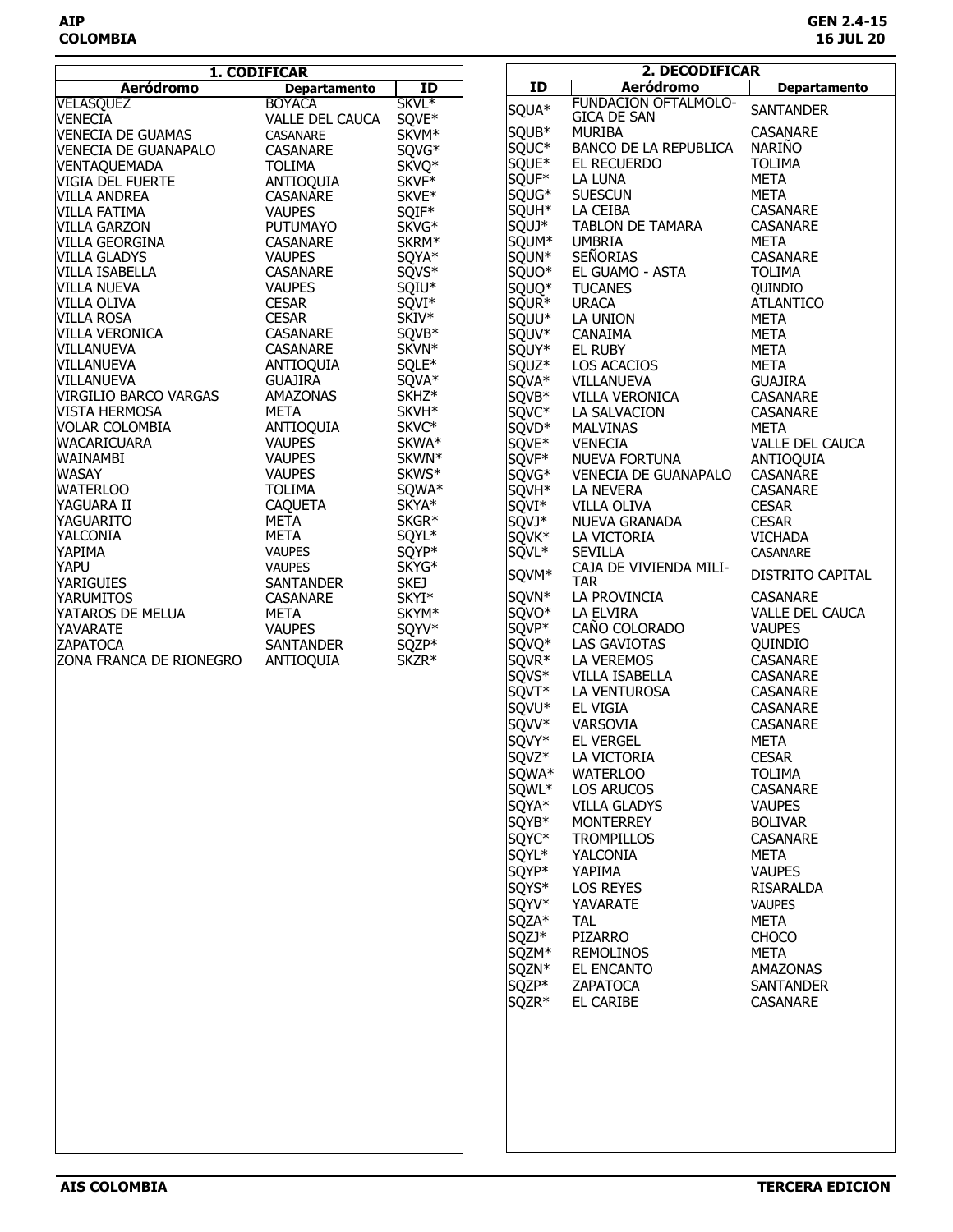|                                                       | 1. CODIFICAR        |                   | 2. DECODIFICAR |                   |                                   |                     |
|-------------------------------------------------------|---------------------|-------------------|----------------|-------------------|-----------------------------------|---------------------|
| <b>Aeródromo</b>                                      | <b>Departamento</b> | ID                |                | $\overline{1}$    | <b>Aeródromo</b>                  | <b>Departamento</b> |
| <b>VELASQUEZ</b>                                      | <b>BOYACA</b>       | SKVI <sup>*</sup> |                |                   | <b>FUNDACION OFTALMOLO-</b>       |                     |
| <b>VENECIA</b>                                        | VALLE DEL CAUCA     | SQVE*             |                | SQUA*             | <b>GICA DE SAN</b>                | <b>SANTANDER</b>    |
| <b>VENECIA DE GUAMAS</b>                              | CASANARE            | SKVM*             |                | SQUB*             | <b>MURIBA</b>                     | CASANARE            |
| <b>VENECIA DE GUANAPALO</b>                           | CASANARE            |                   |                | SOUC <sup>*</sup> | BANCO DE LA REPUBLICA             | <b>NARIÑO</b>       |
|                                                       |                     | SQVG*             |                | SQUE*             | EL RECUERDO                       | <b>TOLIMA</b>       |
| VENTAQUEMADA                                          | <b>TOLIMA</b>       | SKVQ <sup>*</sup> |                | SQUF*             | LA LUNA                           | <b>META</b>         |
| <b>VIGIA DEL FUERTE</b>                               | ANTIOQUIA           | SKVF <sup>*</sup> |                |                   |                                   |                     |
| <b>VILLA ANDREA</b>                                   | CASANARE            | SKVE*             |                | SQUG*             | <b>SUESCUN</b>                    | META                |
| VILLA FATIMA                                          | <b>VAUPES</b>       | SQIF*             |                | SQUH <sup>*</sup> | LA CEIBA                          | CASANARE            |
| <b>VILLA GARZON</b><br>VILLA GARZON<br>VILLA GEORGINA | <b>PUTUMAYO</b>     | SKVG*             |                | SQUJ*             | TABLON DE TAMARA                  | CASANARE            |
|                                                       | CASANARE            | SKRM*             |                | SOUM*             | <b>UMBRIA</b>                     | META                |
| <b>VILLA GLADYS</b>                                   | <b>VAUPES</b>       | SQYA*             |                | SQUN*             | <b>SEÑORIAS</b>                   | CASANARE            |
| <b>VILLA ISABELLA</b>                                 | CASANARE            | SQVS <sup>*</sup> |                | SQUO*             | EL GUAMO - ASTA                   | <b>TOLIMA</b>       |
| <b>VILLA NUEVA</b>                                    | <b>VAUPES</b>       | SQIU <sup>*</sup> |                | SQUQ*             | <b>TUCANES</b>                    | QUINDIO             |
| <b>VILLA OLIVA</b>                                    | <b>CESAR</b>        | SQVI*             |                | SQUR <sup>*</sup> | <b>URACA</b>                      | <b>ATLANTICO</b>    |
| <b>VILLA ROSA</b>                                     | <b>CESAR</b>        | SKIV <sup>*</sup> |                | SQUU*             | LA UNION                          | META                |
| VILLA VERONICA                                        | CASANARE            | SQVB*             |                | SQUV*             | CANAIMA                           | META                |
| <b>VILLANUEVA</b>                                     | CASANARE            | SKVN*             |                | SQUY*             | EL RUBY                           | <b>META</b>         |
| <b>VILLANUEVA</b>                                     | ANTIOQUIA           | SQLE*             |                | SQUZ <sup>*</sup> | LOS ACACIOS                       | <b>META</b>         |
| VILLANUEVA                                            | <b>GUAJIRA</b>      | SQVA*             |                | SQVA*             | VILLANUEVA                        | <b>GUAJIRA</b>      |
| VIRGILIO BARCO VARGAS                                 | AMAZONAS            | SKHZ*             |                | SQVB*             | VILLA VERONICA                    | CASANARE            |
| VISTA HERMOSA                                         | <b>META</b>         | SKVH <sup>*</sup> |                | SQVC*             | LA SALVACION                      | CASANARE            |
| VOLAR COLOMBIA                                        | ANTIOQUIA           | SKVC*             |                | SQVD <sup>*</sup> | <b>MALVINAS</b>                   | <b>META</b>         |
| <b>WACARICUARA</b>                                    | <b>VAUPES</b>       | SKWA*             |                | SQVE*             | <b>VENECIA</b>                    | VALLE DEL CAUCA     |
| WAINAMBI                                              | <b>VAUPES</b>       | SKWN*             |                | SQVF*             | <b>NUEVA FORTUNA</b>              | ANTIOQUIA           |
| <b>WASAY</b>                                          | <b>VAUPES</b>       | SKWS*             |                | SOVG*             |                                   | CASANARE            |
| <b>WATERLOO</b>                                       | <b>TOLIMA</b>       | SQWA*             |                | SQVH*             | VENECIA DE GUANAPALO<br>LA NEVERA | CASANARE            |
|                                                       |                     |                   |                |                   |                                   |                     |
| YAGUARA II                                            | CAQUETA             | SKYA*             |                | SQVI*             | VILLA OLIVA                       | <b>CESAR</b>        |
| YAGUARITO                                             | META                | SKGR <sup>*</sup> |                | SQVJ*             | NUEVA GRANADA                     | <b>CESAR</b>        |
| YALCONIA                                              | <b>META</b>         | SQYL*             |                | SQVK*             | LA VICTORIA                       | <b>VICHADA</b>      |
| YAPIMA                                                | <b>VAUPES</b>       | SQYP*             |                | SQVL <sup>*</sup> | <b>SEVILLA</b>                    | CASANARE            |
| YAPU                                                  | <b>VAUPES</b>       | SKYG*             |                | SQVM*             | CAJA DE VIVIENDA MILI-            | DISTRITO CAPITAL    |
| <b>YARIGUIES</b>                                      | SANTANDER           | <b>SKEJ</b>       |                |                   | <b>TAR</b>                        |                     |
| <b>YARUMITOS</b>                                      | CASANARE            | SKYI*             |                | SQVN*             | LA PROVINCIA                      | <b>CASANARE</b>     |
| YATAROS DE MELUA                                      | META                | SKYM <sup>*</sup> |                | SQVO <sup>*</sup> | LA ELVIRA                         | VALLE DEL CAUCA     |
| YAVARATE                                              | <b>VAUPES</b>       | SQYV*             |                | SQVP*             | CAÑO COLORADO                     | <b>VAUPES</b>       |
| <b>ZAPATOCA</b>                                       | SANTANDER           | SQZP*             |                | SQVQ*             | LAS GAVIOTAS                      | QUINDIO             |
| ZONA FRANCA DE RIONEGRO                               | ANTIOQUIA           | SKZR*             |                | SQVR*             | LA VEREMOS                        | CASANARE            |
|                                                       |                     |                   |                | SQVS*             | VILLA ISABELLA                    | CASANARE            |
|                                                       |                     |                   |                | SQVT*             | LA VENTUROSA                      | CASANARE            |
|                                                       |                     |                   |                | SQVU*             | EL VIGIA                          | CASANARE            |
|                                                       |                     |                   |                | SQVV*             |                                   | CASANARE            |
|                                                       |                     |                   |                |                   | VARSOVIA                          |                     |
|                                                       |                     |                   |                | SQVY*             | <b>EL VERGEL</b>                  | <b>META</b>         |
|                                                       |                     |                   |                | SQVZ*             | LA VICTORIA                       | <b>CESAR</b>        |
|                                                       |                     |                   |                | SQWA*             | <b>WATERLOO</b>                   | <b>TOLIMA</b>       |
|                                                       |                     |                   |                | SQWL*             | <b>LOS ARUCOS</b>                 | <b>CASANARE</b>     |
|                                                       |                     |                   |                | SQYA*             | <b>VILLA GLADYS</b>               | <b>VAUPES</b>       |
|                                                       |                     |                   |                | SQYB*             | MONTERREY                         | <b>BOLIVAR</b>      |
|                                                       |                     |                   |                | SQYC*             | <b>TROMPILLOS</b>                 | CASANARE            |
|                                                       |                     |                   |                | SQYL*             | YALCONIA                          | META                |
|                                                       |                     |                   |                |                   |                                   |                     |
|                                                       |                     |                   |                | SQYP*             | YAPIMA                            | <b>VAUPES</b>       |
|                                                       |                     |                   |                | SQYS*             | <b>LOS REYES</b>                  | RISARALDA           |
|                                                       |                     |                   |                | SQYV*             | YAVARATE                          | <b>VAUPES</b>       |
|                                                       |                     |                   |                | SQZA*             | <b>TAL</b>                        | META                |
|                                                       |                     |                   |                | SQZJ*             | PIZARRO                           | <b>CHOCO</b>        |
|                                                       |                     |                   |                | SQZM*             | <b>REMOLINOS</b>                  | <b>META</b>         |
|                                                       |                     |                   |                | SQZN*             | EL ENCANTO                        | AMAZONAS            |
|                                                       |                     |                   |                | SQZP*             | ZAPATOCA                          | <b>SANTANDER</b>    |
|                                                       |                     |                   |                | SQZR*             | EL CARIBE                         | CASANARE            |
|                                                       |                     |                   |                |                   |                                   |                     |
|                                                       |                     |                   |                |                   |                                   |                     |
|                                                       |                     |                   |                |                   |                                   |                     |
|                                                       |                     |                   |                |                   |                                   |                     |
|                                                       |                     |                   |                |                   |                                   |                     |
|                                                       |                     |                   |                |                   |                                   |                     |
|                                                       |                     |                   |                |                   |                                   |                     |
|                                                       |                     |                   |                |                   |                                   |                     |
|                                                       |                     |                   |                |                   |                                   |                     |
|                                                       |                     |                   |                |                   |                                   |                     |
|                                                       |                     |                   |                |                   |                                   |                     |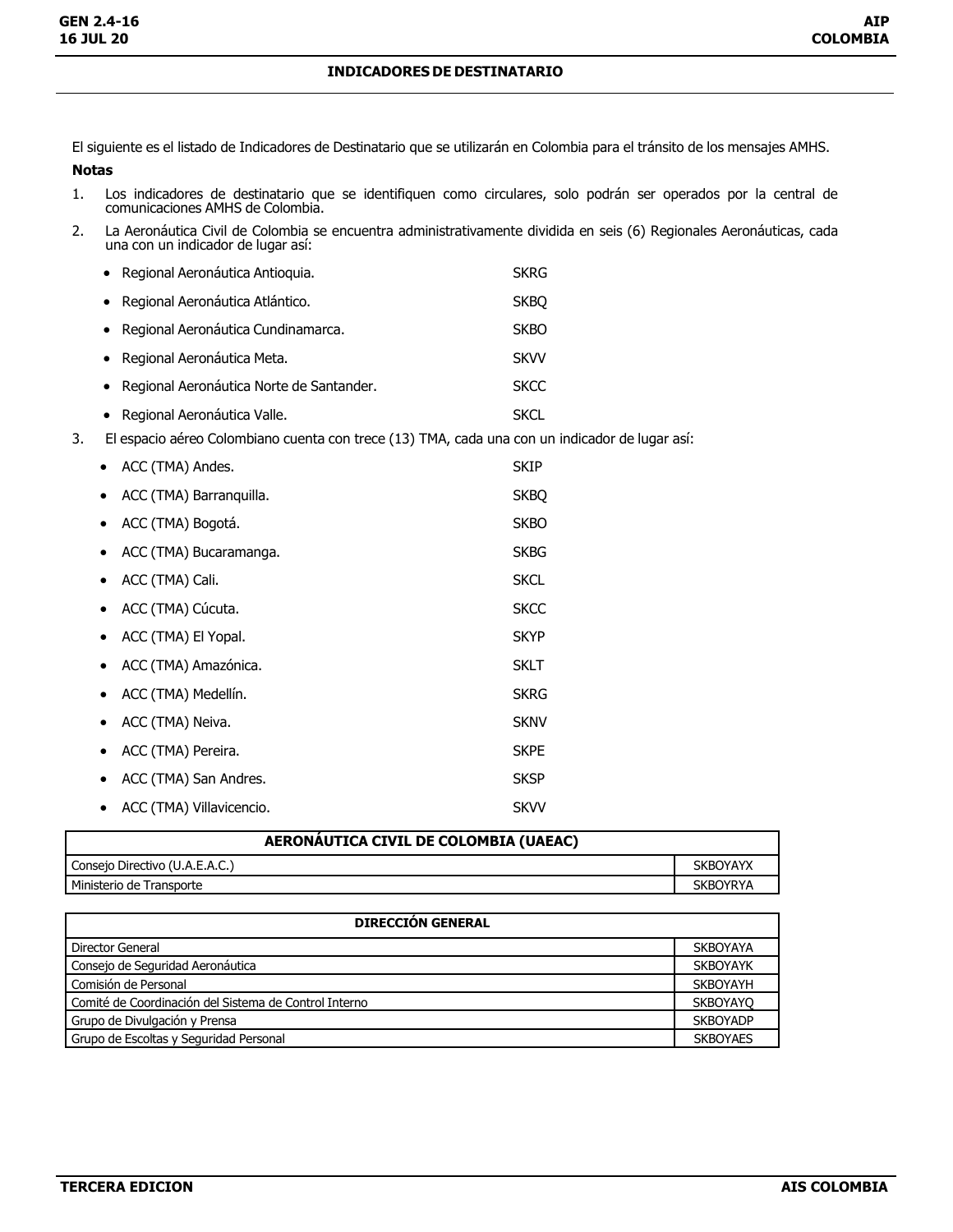## **INDICADORES DE DESTINATARIO**

El siguiente es el listado de Indicadores de Destinatario que se utilizarán en Colombia para el tránsito de los mensajes AMHS.

## **Notas**

- 1. Los indicadores de destinatario que se identifiquen como circulares, solo podrán ser operados por la central de comunicaciones AMHS de Colombia.
- 2. La Aeronáutica Civil de Colombia se encuentra administrativamente dividida en seis (6) Regionales Aeronáuticas, cada una con un indicador de lugar así:

|    | • Regional Aeronáutica Antioquia.                                                              | <b>SKRG</b> |
|----|------------------------------------------------------------------------------------------------|-------------|
|    | • Regional Aeronáutica Atlántico.                                                              | <b>SKBO</b> |
|    | • Regional Aeronáutica Cundinamarca.                                                           | <b>SKBO</b> |
|    | • Regional Aeronáutica Meta.                                                                   | <b>SKVV</b> |
|    | • Regional Aeronáutica Norte de Santander.                                                     | <b>SKCC</b> |
|    | • Regional Aeronáutica Valle.                                                                  | <b>SKCL</b> |
| 3. | El espacio aéreo Colombiano cuenta con trece (13) TMA, cada una con un indicador de lugar así: |             |

| ACC (TMA) Andes.             | <b>SKIP</b> |
|------------------------------|-------------|
| ACC (TMA) Barranquilla.      | <b>SKBQ</b> |
| ACC (TMA) Bogotá.            | <b>SKBO</b> |
| ACC (TMA) Bucaramanga.       | <b>SKBG</b> |
| ACC (TMA) Cali.<br>$\bullet$ | <b>SKCL</b> |
| ACC (TMA) Cúcuta.            | <b>SKCC</b> |
| ACC (TMA) El Yopal.          | <b>SKYP</b> |
| ACC (TMA) Amazónica.         | <b>SKLT</b> |
| ACC (TMA) Medellín.          | <b>SKRG</b> |
| ACC (TMA) Neiva.             | <b>SKNV</b> |
| ACC (TMA) Pereira.           | <b>SKPE</b> |
| ACC (TMA) San Andres.        | <b>SKSP</b> |
| ACC (TMA) Villavicencio.     | <b>SKVV</b> |

| AERONAUTICA CIVIL DE COLOMBIA (UAEAC) |                 |
|---------------------------------------|-----------------|
| Consejo Directivo (U.A.E.A.C.)        | <b>SKBOYAYX</b> |
| Ministerio de Transporte              | <b>SKBOYRYA</b> |

| <b>DIRECCIÓN GENERAL</b>                              |                 |
|-------------------------------------------------------|-----------------|
| Director General                                      | <b>SKBOYAYA</b> |
| Consejo de Seguridad Aeronáutica                      | <b>SKBOYAYK</b> |
| Comisión de Personal                                  | <b>SKBOYAYH</b> |
| Comité de Coordinación del Sistema de Control Interno | <b>SKBOYAYO</b> |
| Grupo de Divulgación y Prensa                         | <b>SKBOYADP</b> |
| Grupo de Escoltas y Seguridad Personal                | <b>SKBOYAES</b> |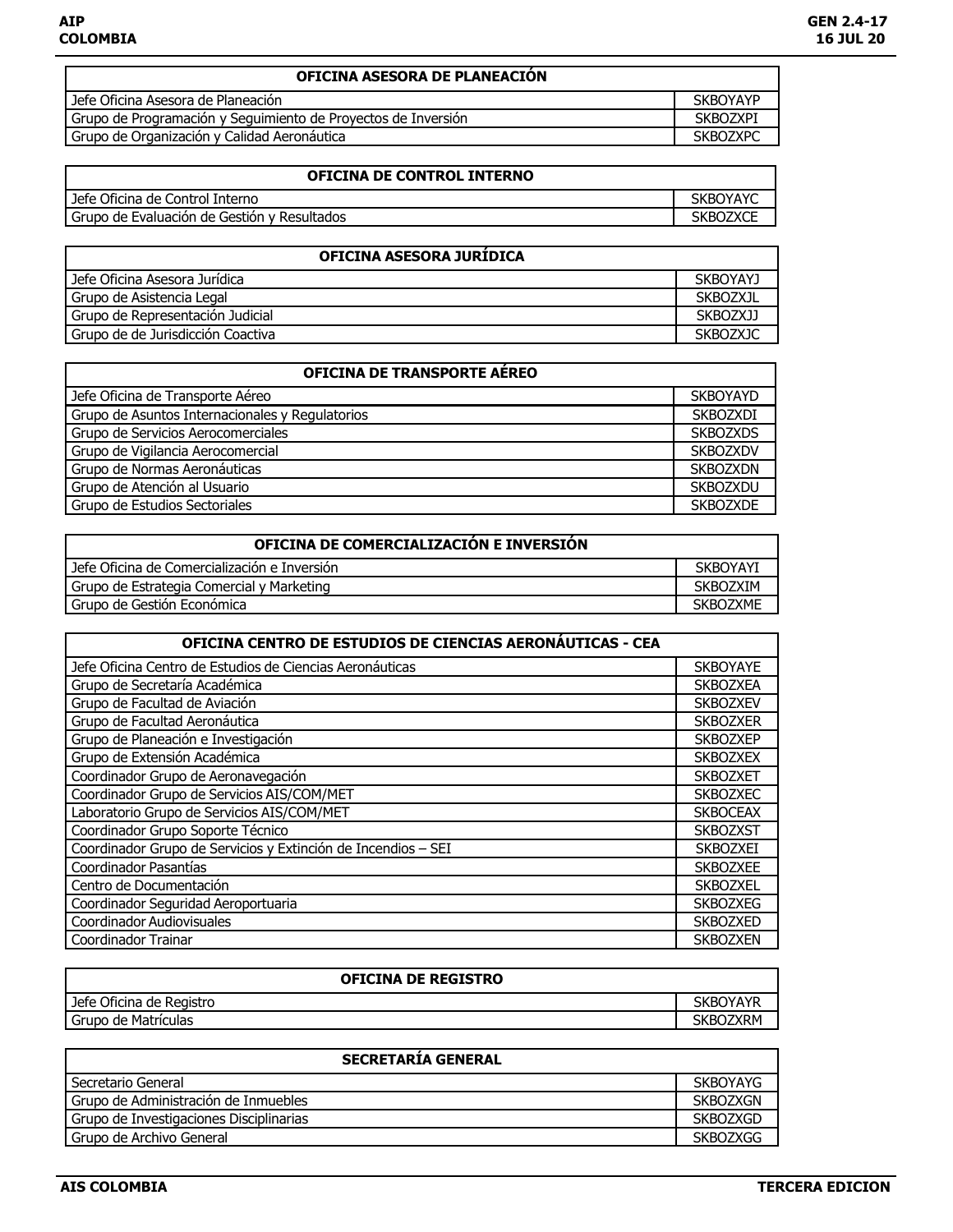| <b>OFICINA ASESORA DE PLANEACIÓN</b>                          |                 |
|---------------------------------------------------------------|-----------------|
| Jefe Oficina Asesora de Planeación                            | <b>SKBOYAYP</b> |
| Grupo de Programación y Seguimiento de Proyectos de Inversión | <b>SKBOZXPI</b> |
| Grupo de Organización y Calidad Aeronáutica                   | <b>SKBOZXPC</b> |

| <b>OFICINA DE CONTROL INTERNO</b>             |                 |
|-----------------------------------------------|-----------------|
| Jefe Oficina de Control Interno               | <b>SKBOYAYC</b> |
| l Grupo de Evaluación de Gestión y Resultados | <b>SKBOZXCE</b> |

| OFICINA ASESORA JURIDICA          |                 |
|-----------------------------------|-----------------|
| Jefe Oficina Asesora Jurídica     | <b>SKBOYAYJ</b> |
| Grupo de Asistencia Legal         | <b>SKBOZXJL</b> |
| Grupo de Representación Judicial  | SKBOZXJJ        |
| Grupo de de Jurisdicción Coactiva | <b>SKBOZXJC</b> |

| <b>OFICINA DE TRANSPORTE AÉREO</b>              |                 |  |
|-------------------------------------------------|-----------------|--|
| Jefe Oficina de Transporte Aéreo                | <b>SKBOYAYD</b> |  |
| Grupo de Asuntos Internacionales y Regulatorios | <b>SKBOZXDI</b> |  |
| Grupo de Servicios Aerocomerciales              | <b>SKBOZXDS</b> |  |
| Grupo de Vigilancia Aerocomercial               | <b>SKBOZXDV</b> |  |
| Grupo de Normas Aeronáuticas                    | <b>SKBOZXDN</b> |  |
| Grupo de Atención al Usuario                    | <b>SKBOZXDU</b> |  |
| Grupo de Estudios Sectoriales                   | <b>SKBOZXDE</b> |  |

| OFICINA DE COMERCIALIZACIÓN E INVERSIÓN      |                 |
|----------------------------------------------|-----------------|
| Jefe Oficina de Comercialización e Inversión | <b>SKBOYAYI</b> |
| Grupo de Estrategia Comercial y Marketing    | <b>SKBOZXIM</b> |
| Grupo de Gestión Económica                   | <b>SKBOZXME</b> |

| OFICINA CENTRO DE ESTUDIOS DE CIENCIAS AERONÁUTICAS - CEA     |                 |
|---------------------------------------------------------------|-----------------|
| Jefe Oficina Centro de Estudios de Ciencias Aeronáuticas      | <b>SKBOYAYE</b> |
| Grupo de Secretaría Académica                                 | <b>SKBOZXEA</b> |
| Grupo de Facultad de Aviación                                 | <b>SKBOZXEV</b> |
| Grupo de Facultad Aeronáutica                                 | <b>SKBOZXER</b> |
| Grupo de Planeación e Investigación                           | <b>SKBOZXEP</b> |
| Grupo de Extensión Académica                                  | <b>SKBOZXEX</b> |
| Coordinador Grupo de Aeronavegación                           | <b>SKBOZXET</b> |
| Coordinador Grupo de Servicios AIS/COM/MET                    | <b>SKBOZXEC</b> |
| Laboratorio Grupo de Servicios AIS/COM/MET                    | <b>SKBOCEAX</b> |
| Coordinador Grupo Soporte Técnico                             | <b>SKBOZXST</b> |
| Coordinador Grupo de Servicios y Extinción de Incendios - SEI | <b>SKBOZXEI</b> |
| Coordinador Pasantías                                         | <b>SKBOZXEE</b> |
| Centro de Documentación                                       | <b>SKBOZXEL</b> |
| Coordinador Seguridad Aeroportuaria                           | <b>SKBOZXEG</b> |
| Coordinador Audiovisuales                                     | <b>SKBOZXED</b> |
| Coordinador Trainar                                           | <b>SKBOZXEN</b> |

| <b>OFICINA DE REGISTRO</b> |                 |
|----------------------------|-----------------|
| Jefe Oficina de Registro   | <b>SKBOYAYR</b> |
| Grupo de Matrículas        | SKBOZXRM        |

| <b>SECRETARÍA GENERAL</b>               |                 |
|-----------------------------------------|-----------------|
| Secretario General                      | <b>SKBOYAYG</b> |
| Grupo de Administración de Inmuebles    | <b>SKBOZXGN</b> |
| Grupo de Investigaciones Disciplinarias | <b>SKBOZXGD</b> |
| Grupo de Archivo General                | <b>SKBOZXGG</b> |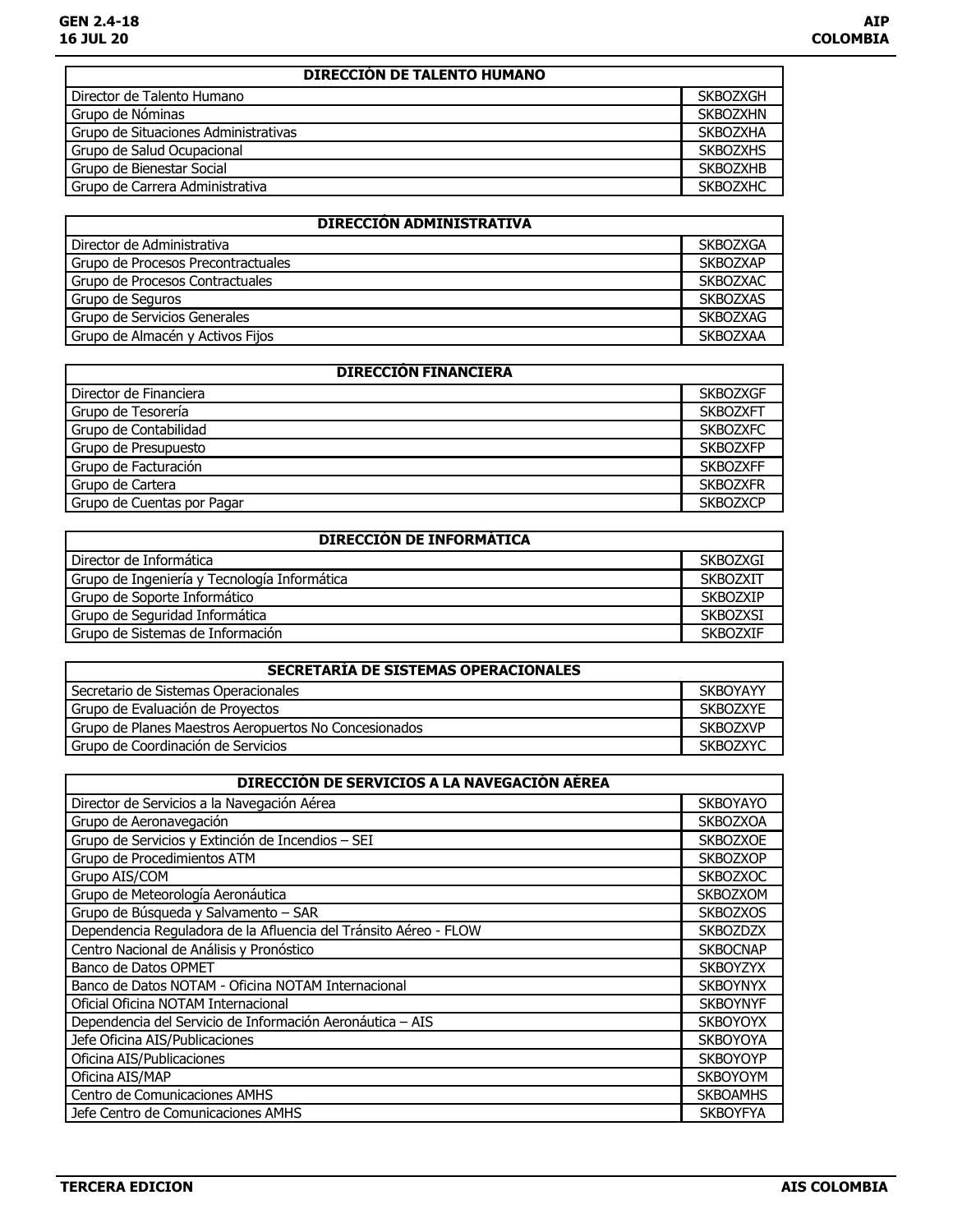| <b>DIRECCIÓN DE TALENTO HUMANO</b>   |                 |
|--------------------------------------|-----------------|
| Director de Talento Humano           | <b>SKBOZXGH</b> |
| Grupo de Nóminas                     | <b>SKBOZXHN</b> |
| Grupo de Situaciones Administrativas | <b>SKBOZXHA</b> |
| Grupo de Salud Ocupacional           | <b>SKBOZXHS</b> |
| Grupo de Bienestar Social            | <b>SKBOZXHB</b> |
| Grupo de Carrera Administrativa      | <b>SKBOZXHC</b> |

| <b>DIRECCIÓN ADMINISTRATIVA</b>    |                 |
|------------------------------------|-----------------|
| Director de Administrativa         | <b>SKBOZXGA</b> |
| Grupo de Procesos Precontractuales | <b>SKBOZXAP</b> |
| Grupo de Procesos Contractuales    | <b>SKBOZXAC</b> |
| Grupo de Seguros                   | <b>SKBOZXAS</b> |
| Grupo de Servicios Generales       | <b>SKBOZXAG</b> |
| Grupo de Almacén y Activos Fijos   | <b>SKBOZXAA</b> |

| <b>DIRECCIÓN FINANCIERA</b> |                 |
|-----------------------------|-----------------|
| Director de Financiera      | <b>SKBOZXGF</b> |
|                             |                 |
| Grupo de Tesorería          | <b>SKBOZXFT</b> |
| Grupo de Contabilidad       | <b>SKBOZXFC</b> |
| Grupo de Presupuesto        | <b>SKBOZXFP</b> |
| Grupo de Facturación        | <b>SKBOZXFF</b> |
| Grupo de Cartera            | <b>SKBOZXFR</b> |
| Grupo de Cuentas por Pagar  | <b>SKBOZXCP</b> |

| <b>DIRECCIÓN DE INFORMÁTICA</b>              |                 |
|----------------------------------------------|-----------------|
| Director de Informática                      | SKBOZXGI        |
| Grupo de Ingeniería y Tecnología Informática | <b>SKBOZXIT</b> |
| Grupo de Soporte Informático                 | <b>SKBOZXIP</b> |
| Grupo de Seguridad Informática               | <b>SKBOZXSI</b> |
| Grupo de Sistemas de Información             | <b>SKBOZXIF</b> |

| SECRETARIA DE SISTEMAS OPERACIONALES                  |                 |
|-------------------------------------------------------|-----------------|
| Secretario de Sistemas Operacionales                  | <b>SKBOYAYY</b> |
| Grupo de Evaluación de Provectos                      | <b>SKBOZXYE</b> |
| Grupo de Planes Maestros Aeropuertos No Concesionados | <b>SKBOZXVP</b> |
| Grupo de Coordinación de Servicios                    | <b>SKBOZXYC</b> |

| DIRECCIÓN DE SERVICIOS A LA NAVEGACIÓN AÉREA                     |                 |
|------------------------------------------------------------------|-----------------|
| Director de Servicios a la Navegación Aérea                      | <b>SKBOYAYO</b> |
| Grupo de Aeronavegación                                          | <b>SKBOZXOA</b> |
| Grupo de Servicios y Extinción de Incendios - SEI                | <b>SKBOZXOE</b> |
| Grupo de Procedimientos ATM                                      | <b>SKBOZXOP</b> |
| Grupo AIS/COM                                                    | <b>SKBOZXOC</b> |
| Grupo de Meteorología Aeronáutica                                | <b>SKBOZXOM</b> |
| Grupo de Búsqueda y Salvamento - SAR                             | <b>SKBOZXOS</b> |
| Dependencia Reguladora de la Afluencia del Tránsito Aéreo - FLOW | <b>SKBOZDZX</b> |
| Centro Nacional de Análisis y Pronóstico                         | <b>SKBOCNAP</b> |
| Banco de Datos OPMET                                             | <b>SKBOYZYX</b> |
| Banco de Datos NOTAM - Oficina NOTAM Internacional               | <b>SKBOYNYX</b> |
| Oficial Oficina NOTAM Internacional                              | <b>SKBOYNYF</b> |
| Dependencia del Servicio de Información Aeronáutica - AIS        | <b>SKBOYOYX</b> |
| Jefe Oficina AIS/Publicaciones                                   | <b>SKBOYOYA</b> |
| Oficina AIS/Publicaciones                                        | <b>SKBOYOYP</b> |
| Oficina AIS/MAP                                                  | <b>SKBOYOYM</b> |
| Centro de Comunicaciones AMHS                                    | <b>SKBOAMHS</b> |
| Jefe Centro de Comunicaciones AMHS                               | <b>SKBOYFYA</b> |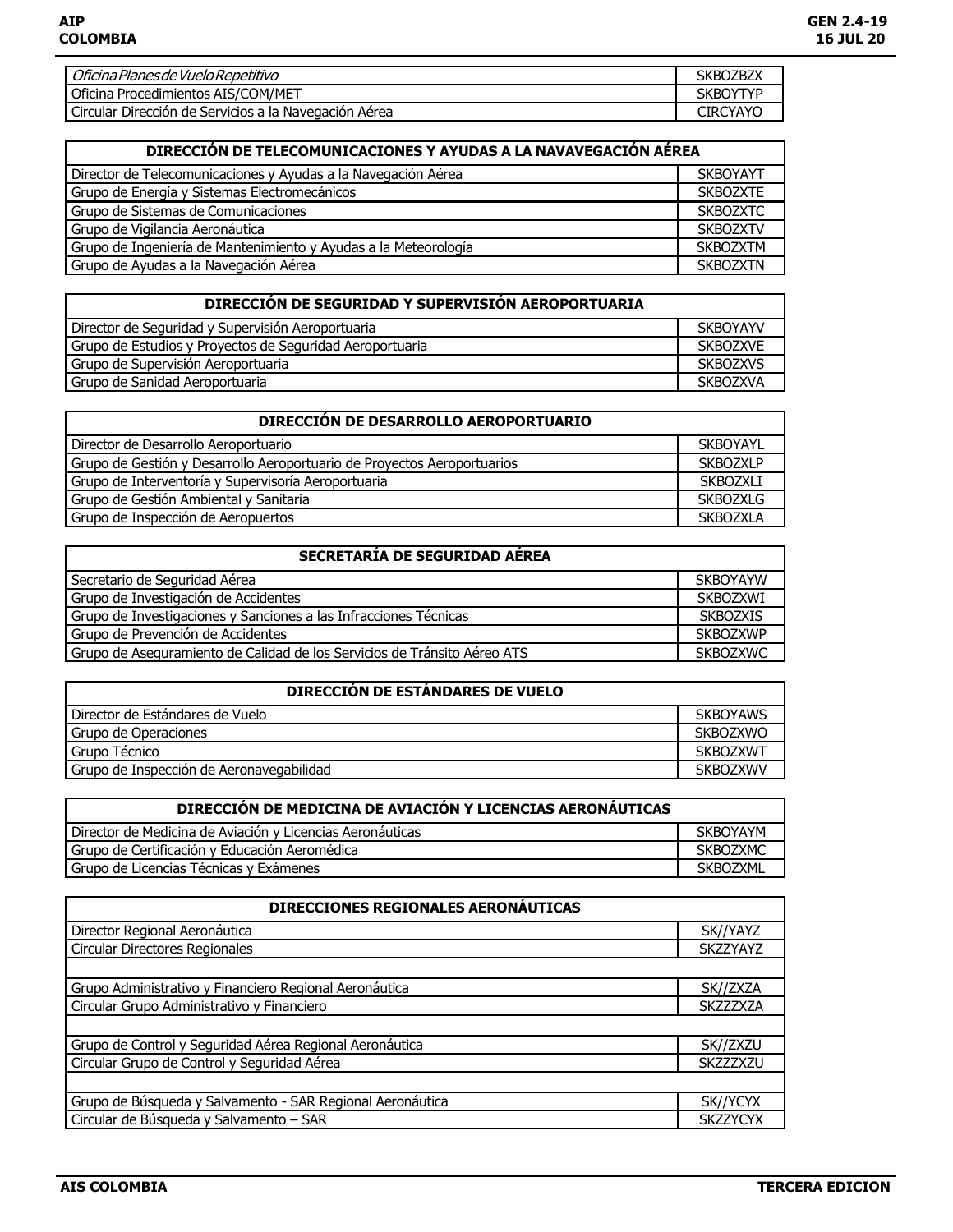| Oficina Planes de Vuelo Repetitivo                    | <b>SKBOZBZX</b> |
|-------------------------------------------------------|-----------------|
| Oficina Procedimientos AIS/COM/MET                    | <b>SKBOYTYP</b> |
| Circular Dirección de Servicios a la Navegación Aérea | <b>CIRCYAYO</b> |

| DIRECCIÓN DE TELECOMUNICACIONES Y AYUDAS A LA NAVAVEGACIÓN AÉREA |                 |
|------------------------------------------------------------------|-----------------|
| Director de Telecomunicaciones y Ayudas a la Navegación Aérea    | <b>SKBOYAYT</b> |
| Grupo de Energía y Sistemas Electromecánicos                     | <b>SKBOZXTE</b> |
| Grupo de Sistemas de Comunicaciones                              | <b>SKBOZXTC</b> |
| Grupo de Vigilancia Aeronáutica                                  | <b>SKBOZXTV</b> |
| Grupo de Ingeniería de Mantenimiento y Ayudas a la Meteorología  | <b>SKBOZXTM</b> |
| Grupo de Ayudas a la Navegación Aérea                            | <b>SKBOZXTN</b> |

| DIRECCIÓN DE SEGURIDAD Y SUPERVISION AEROPORTUARIA       |                 |
|----------------------------------------------------------|-----------------|
| Director de Seguridad y Supervisión Aeroportuaria        | <b>SKBOYAYV</b> |
| Grupo de Estudios y Proyectos de Seguridad Aeroportuaria | <b>SKBOZXVE</b> |
| Grupo de Supervisión Aeroportuaria                       | <b>SKBOZXVS</b> |
| Grupo de Sanidad Aeroportuaria                           | <b>SKBOZXVA</b> |

| DIRECCIÓN DE DESARROLLO AEROPORTUARIO                                   |                 |
|-------------------------------------------------------------------------|-----------------|
| Director de Desarrollo Aeroportuario                                    | <b>SKBOYAYL</b> |
| Grupo de Gestión y Desarrollo Aeroportuario de Proyectos Aeroportuarios | <b>SKBOZXLP</b> |
| Grupo de Interventoría y Supervisoría Aeroportuaria                     | SKBOZXLI        |
| Grupo de Gestión Ambiental y Sanitaria                                  | <b>SKBOZXLG</b> |
| Grupo de Inspección de Aeropuertos                                      | <b>SKBOZXLA</b> |

| SECRETARÍA DE SEGURIDAD AÉREA                                            |                 |
|--------------------------------------------------------------------------|-----------------|
| Secretario de Seguridad Aérea                                            | <b>SKBOYAYW</b> |
| Grupo de Investigación de Accidentes                                     | <b>SKBOZXWI</b> |
| Grupo de Investigaciones y Sanciones a las Infracciones Técnicas         | <b>SKBOZXIS</b> |
| Grupo de Prevención de Accidentes                                        | <b>SKBOZXWP</b> |
| Grupo de Aseguramiento de Calidad de los Servicios de Tránsito Aéreo ATS | <b>SKBOZXWC</b> |

| DIRECCIÓN DE ESTÁNDARES DE VUELO         |                 |
|------------------------------------------|-----------------|
| Director de Estándares de Vuelo          | <b>SKBOYAWS</b> |
| Grupo de Operaciones                     | <b>SKBOZXWO</b> |
| Grupo Técnico                            | <b>SKBOZXWT</b> |
| Grupo de Inspección de Aeronavegabilidad | <b>SKBOZXWV</b> |

| DIRECCION DE MEDICINA DE AVIACIÓN Y LICENCIAS AERONAUTICAS |                 |
|------------------------------------------------------------|-----------------|
| Director de Medicina de Aviación y Licencias Aeronáuticas  | <b>SKBOYAYM</b> |
| Grupo de Certificación y Educación Aeromédica              | <b>SKBOZXMC</b> |
| Grupo de Licencias Técnicas y Exámenes                     | <b>SKBOZXML</b> |

| DIRECCIONES REGIONALES AERONÁUTICAS                       |                 |
|-----------------------------------------------------------|-----------------|
| Director Regional Aeronáutica                             | SK//YAYZ        |
| Circular Directores Regionales                            | <b>SKZZYAYZ</b> |
|                                                           |                 |
| Grupo Administrativo y Financiero Regional Aeronáutica    | SK//ZXZA        |
| Circular Grupo Administrativo y Financiero                | <b>SKZZZXZA</b> |
|                                                           |                 |
| Grupo de Control y Seguridad Aérea Regional Aeronáutica   | SK//ZXZU        |
| Circular Grupo de Control y Seguridad Aérea               | <b>SKZZZXZU</b> |
|                                                           |                 |
| Grupo de Búsqueda y Salvamento - SAR Regional Aeronáutica | SK//YCYX        |
| Circular de Búsqueda y Salvamento - SAR                   | <b>SKZZYCYX</b> |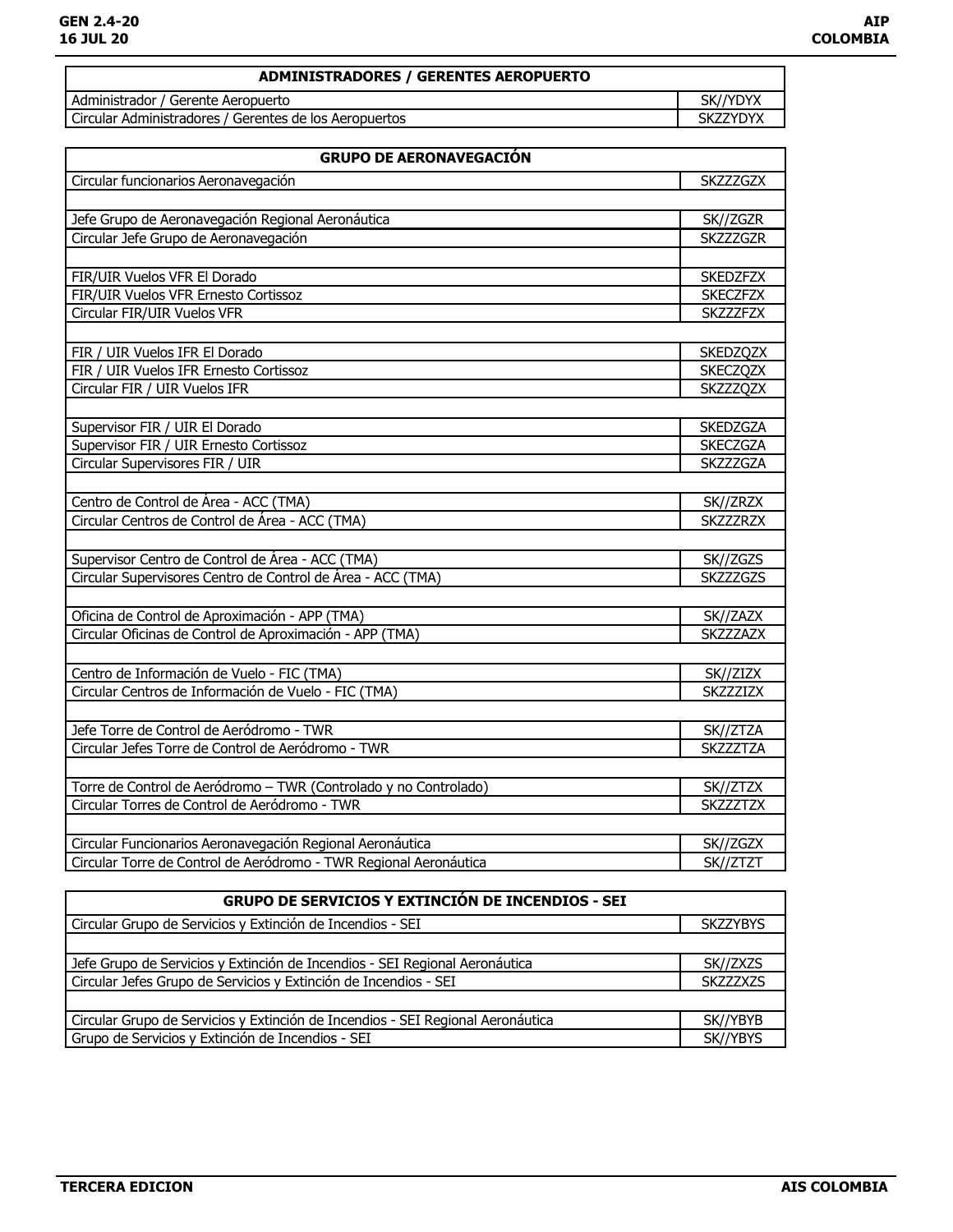| ADMINISTRADORES / GERENTES AEROPUERTO                  |                 |
|--------------------------------------------------------|-----------------|
| Administrador / Gerente Aeropuerto                     | SK//YDYX        |
| Circular Administradores / Gerentes de los Aeropuertos | <b>SKZZYDYX</b> |
|                                                        |                 |

| <b>GRUPO DE AERONAVEGACION</b>                                    |                 |
|-------------------------------------------------------------------|-----------------|
| Circular funcionarios Aeronavegación                              | <b>SKZZZGZX</b> |
|                                                                   |                 |
| Jefe Grupo de Aeronavegación Regional Aeronáutica                 | SK//ZGZR        |
| Circular Jefe Grupo de Aeronavegación                             | <b>SKZZZGZR</b> |
|                                                                   |                 |
| FIR/UIR Vuelos VFR El Dorado                                      | <b>SKEDZFZX</b> |
| FIR/UIR Vuelos VFR Ernesto Cortissoz                              | <b>SKECZFZX</b> |
| Circular FIR/UIR Vuelos VFR                                       | SKZZZFZX        |
|                                                                   |                 |
| FIR / UIR Vuelos IFR El Dorado                                    | <b>SKEDZQZX</b> |
| FIR / UIR Vuelos IFR Ernesto Cortissoz                            | <b>SKECZQZX</b> |
| Circular FIR / UIR Vuelos IFR                                     | <b>SKZZZQZX</b> |
|                                                                   |                 |
| Supervisor FIR / UIR El Dorado                                    | <b>SKEDZGZA</b> |
| Supervisor FIR / UIR Ernesto Cortissoz                            | <b>SKECZGZA</b> |
| Circular Supervisores FIR / UIR                                   | <b>SKZZZGZA</b> |
|                                                                   |                 |
| Centro de Control de Área - ACC (TMA)                             | SK//ZRZX        |
| Circular Centros de Control de Área - ACC (TMA)                   | <b>SKZZZRZX</b> |
|                                                                   |                 |
| Supervisor Centro de Control de Área - ACC (TMA)                  | SK//ZGZS        |
| Circular Supervisores Centro de Control de Área - ACC (TMA)       | <b>SKZZZGZS</b> |
|                                                                   |                 |
| Oficina de Control de Aproximación - APP (TMA)                    | SK//ZAZX        |
| Circular Oficinas de Control de Aproximación - APP (TMA)          | <b>SKZZZAZX</b> |
|                                                                   |                 |
| Centro de Información de Vuelo - FIC (TMA)                        | SK//ZIZX        |
| Circular Centros de Información de Vuelo - FIC (TMA)              | SKZZZIZX        |
|                                                                   |                 |
| Jefe Torre de Control de Aeródromo - TWR                          | SK//ZTZA        |
| Circular Jefes Torre de Control de Aeródromo - TWR                | <b>SKZZZTZA</b> |
|                                                                   |                 |
| Torre de Control de Aeródromo - TWR (Controlado y no Controlado)  | SK//ZTZX        |
| Circular Torres de Control de Aeródromo - TWR                     | <b>SKZZZTZX</b> |
|                                                                   |                 |
| Circular Funcionarios Aeronavegación Regional Aeronáutica         | SK//ZGZX        |
| Circular Torre de Control de Aeródromo - TWR Regional Aeronáutica | SK//ZTZT        |

| GRUPO DE SERVICIOS Y EXTINCIÓN DE INCENDIOS - SEI                               |                 |
|---------------------------------------------------------------------------------|-----------------|
| Circular Grupo de Servicios y Extinción de Incendios - SEI                      | <b>SKZZYBYS</b> |
|                                                                                 |                 |
| Jefe Grupo de Servicios y Extinción de Incendios - SEI Regional Aeronáutica     | SK//ZXZS        |
| Circular Jefes Grupo de Servicios y Extinción de Incendios - SEI                | <b>SKZZZXZS</b> |
|                                                                                 |                 |
| Circular Grupo de Servicios y Extinción de Incendios - SEI Regional Aeronáutica | SK//YBYB        |
| Grupo de Servicios y Extinción de Incendios - SEI                               | SK//YBYS        |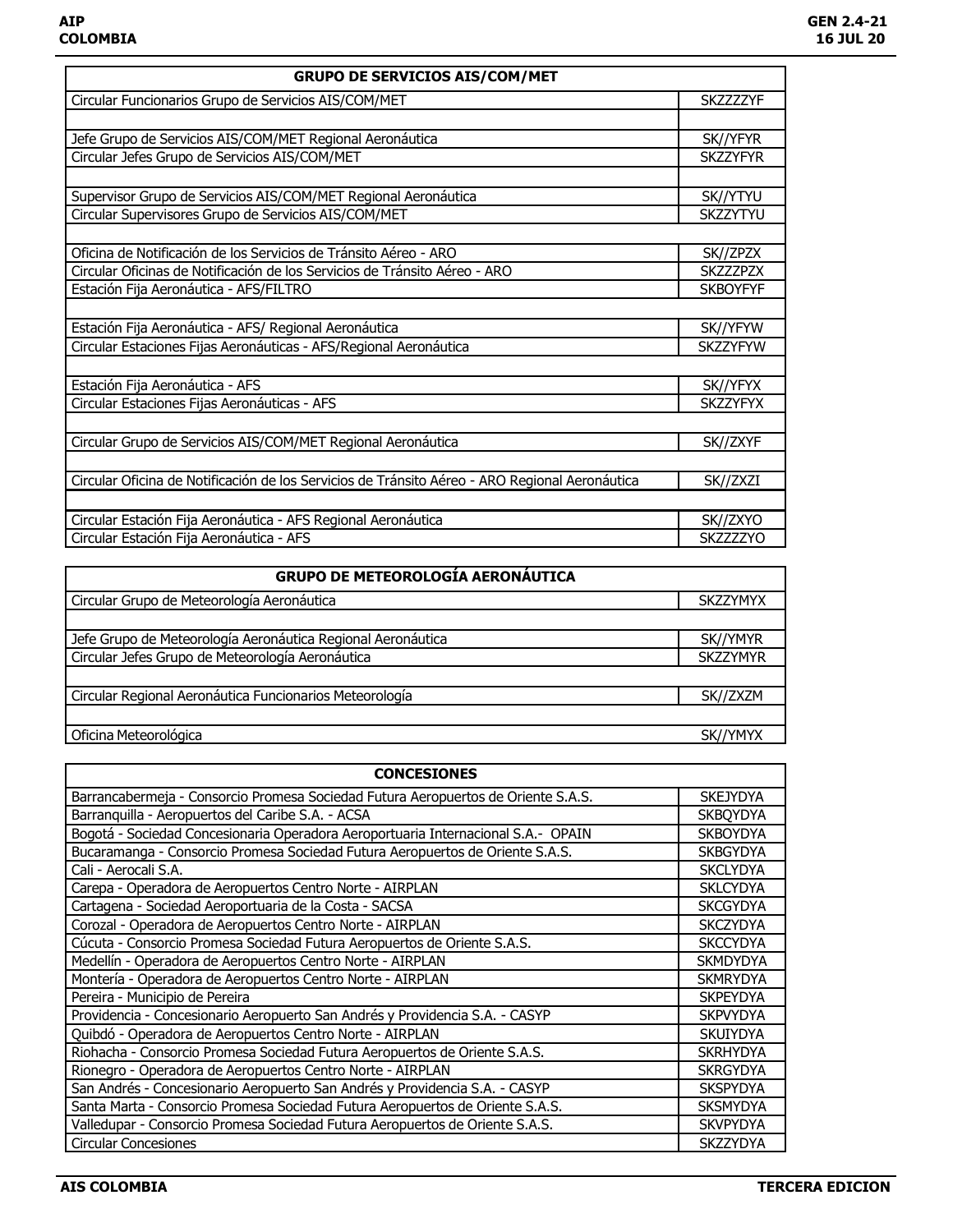| <b>GRUPO DE SERVICIOS AIS/COM/MET</b>                                                          |                  |
|------------------------------------------------------------------------------------------------|------------------|
| Circular Funcionarios Grupo de Servicios AIS/COM/MET                                           | <b>SKZZZZZYF</b> |
|                                                                                                |                  |
| Jefe Grupo de Servicios AIS/COM/MET Regional Aeronáutica                                       | SK//YFYR         |
| Circular Jefes Grupo de Servicios AIS/COM/MET                                                  | <b>SKZZYFYR</b>  |
|                                                                                                |                  |
| Supervisor Grupo de Servicios AIS/COM/MET Regional Aeronáutica                                 | SK//YTYU         |
| Circular Supervisores Grupo de Servicios AIS/COM/MET                                           | <b>SKZZYTYU</b>  |
|                                                                                                |                  |
| Oficina de Notificación de los Servicios de Tránsito Aéreo - ARO                               | SK//ZPZX         |
| Circular Oficinas de Notificación de los Servicios de Tránsito Aéreo - ARO                     | <b>SKZZZPZX</b>  |
| Estación Fija Aeronáutica - AFS/FILTRO                                                         | <b>SKBOYFYF</b>  |
|                                                                                                |                  |
| Estación Fija Aeronáutica - AFS/ Regional Aeronáutica                                          | SK//YFYW         |
| Circular Estaciones Fijas Aeronáuticas - AFS/Regional Aeronáutica                              | <b>SKZZYFYW</b>  |
|                                                                                                |                  |
| Estación Fija Aeronáutica - AFS                                                                | SK//YFYX         |
| Circular Estaciones Fijas Aeronáuticas - AFS                                                   | <b>SKZZYFYX</b>  |
|                                                                                                |                  |
| Circular Grupo de Servicios AIS/COM/MET Regional Aeronáutica                                   | SK//ZXYF         |
|                                                                                                |                  |
| Circular Oficina de Notificación de los Servicios de Tránsito Aéreo - ARO Regional Aeronáutica | SK//ZXZI         |
|                                                                                                |                  |
| Circular Estación Fija Aeronáutica - AFS Regional Aeronáutica                                  | SK//ZXYO         |
| Circular Estación Fija Aeronáutica - AFS                                                       | <b>SKZZZZYO</b>  |

| <b>GRUPO DE METEOROLOGÍA AERONÁUTICA</b>                    |                 |
|-------------------------------------------------------------|-----------------|
| Circular Grupo de Meteorología Aeronáutica                  | <b>SKZZYMYX</b> |
|                                                             |                 |
| Jefe Grupo de Meteorología Aeronáutica Regional Aeronáutica | SK//YMYR        |
| Circular Jefes Grupo de Meteorología Aeronáutica            | <b>SKZZYMYR</b> |
|                                                             |                 |
| Circular Regional Aeronáutica Funcionarios Meteorología     | SK//ZXZM        |
|                                                             |                 |
| Oficina Meteorológica                                       | SK//YMYX        |

| <b>CONCESIONES</b>                                                                |                 |
|-----------------------------------------------------------------------------------|-----------------|
| Barrancabermeja - Consorcio Promesa Sociedad Futura Aeropuertos de Oriente S.A.S. | <b>SKEJYDYA</b> |
| Barranguilla - Aeropuertos del Caribe S.A. - ACSA                                 | <b>SKBOYDYA</b> |
| Bogotá - Sociedad Concesionaria Operadora Aeroportuaria Internacional S.A.- OPAIN | <b>SKBOYDYA</b> |
| Bucaramanga - Consorcio Promesa Sociedad Futura Aeropuertos de Oriente S.A.S.     | <b>SKBGYDYA</b> |
| Cali - Aerocali S.A.                                                              | <b>SKCLYDYA</b> |
| Carepa - Operadora de Aeropuertos Centro Norte - AIRPLAN                          | <b>SKLCYDYA</b> |
| Cartagena - Sociedad Aeroportuaria de la Costa - SACSA                            | <b>SKCGYDYA</b> |
| Corozal - Operadora de Aeropuertos Centro Norte - AIRPLAN                         | <b>SKCZYDYA</b> |
| Cúcuta - Consorcio Promesa Sociedad Futura Aeropuertos de Oriente S.A.S.          | <b>SKCCYDYA</b> |
| Medellín - Operadora de Aeropuertos Centro Norte - AIRPLAN                        | <b>SKMDYDYA</b> |
| Montería - Operadora de Aeropuertos Centro Norte - AIRPLAN                        | <b>SKMRYDYA</b> |
| Pereira - Municipio de Pereira                                                    | <b>SKPEYDYA</b> |
| Providencia - Concesionario Aeropuerto San Andrés y Providencia S.A. - CASYP      | <b>SKPVYDYA</b> |
| Quibdó - Operadora de Aeropuertos Centro Norte - AIRPLAN                          | <b>SKUIYDYA</b> |
| Riohacha - Consorcio Promesa Sociedad Futura Aeropuertos de Oriente S.A.S.        | <b>SKRHYDYA</b> |
| Rionegro - Operadora de Aeropuertos Centro Norte - AIRPLAN                        | <b>SKRGYDYA</b> |
| San Andrés - Concesionario Aeropuerto San Andrés y Providencia S.A. - CASYP       | <b>SKSPYDYA</b> |
| Santa Marta - Consorcio Promesa Sociedad Futura Aeropuertos de Oriente S.A.S.     | <b>SKSMYDYA</b> |
| Valledupar - Consorcio Promesa Sociedad Futura Aeropuertos de Oriente S.A.S.      | <b>SKVPYDYA</b> |
| <b>Circular Concesiones</b>                                                       | <b>SKZZYDYA</b> |